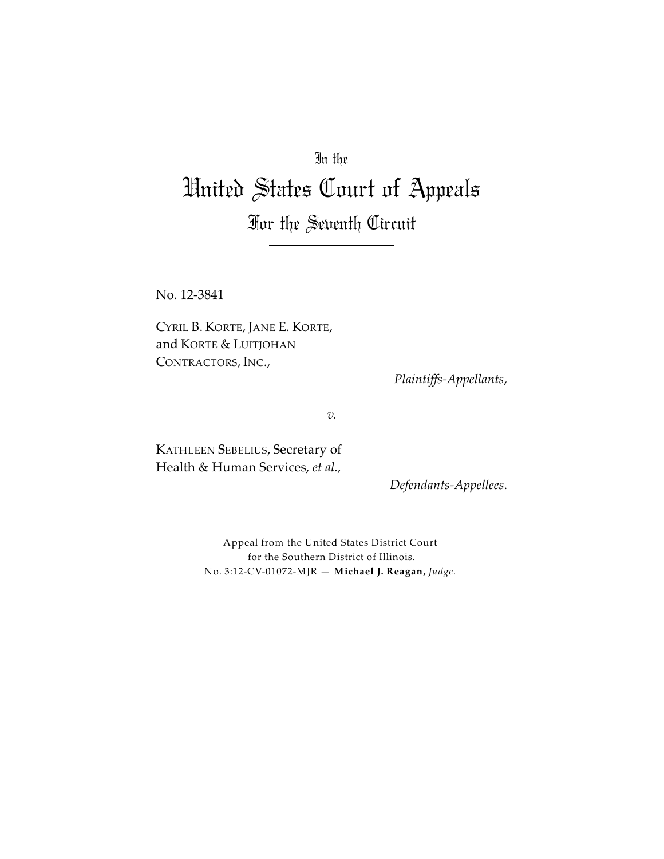In the

# United States Court of Appeals

For the Seventh Circuit

No. 12-3841

CYRIL B. KORTE, JANE E. KORTE, and KORTE & LUITJOHAN CONTRACTORS, INC.,

*Plaintiffs-Appellants*,

*v.*

KATHLEEN SEBELIUS, Secretary of Health & Human Services, *et al.*,

*Defendants-Appellees*.

Appeal from the United States District Court for the Southern District of Illinois. No. 3:12-CV-01072-MJR — **Michael J. Reagan,** *Judge*.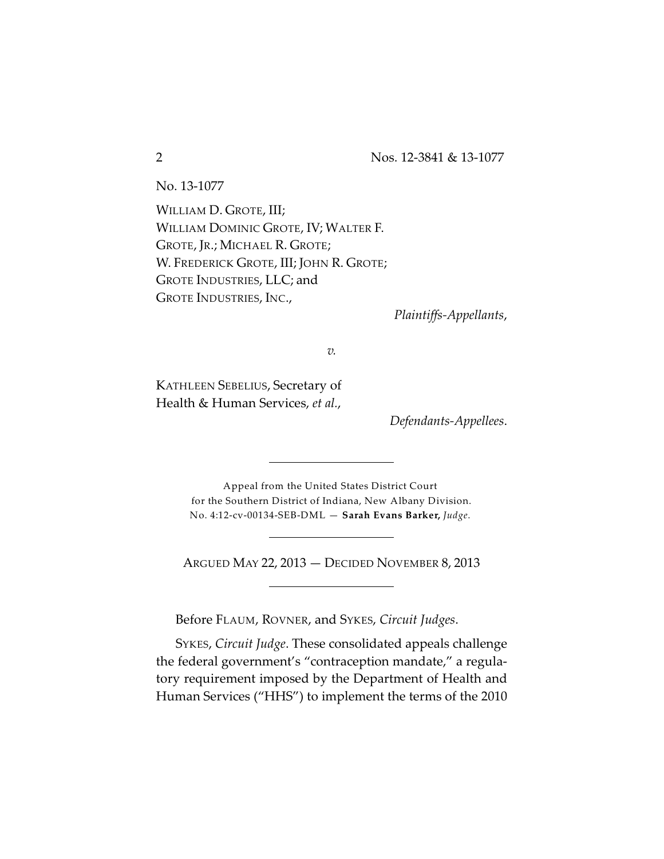No. 13-1077

WILLIAM D. GROTE, III; WILLIAM DOMINIC GROTE, IV; WALTER F. GROTE, JR.; MICHAEL R. GROTE; W. FREDERICK GROTE, III; JOHN R. GROTE; GROTE INDUSTRIES, LLC; and GROTE INDUSTRIES, INC.,

*Plaintiffs-Appellants*,

*v.*

KATHLEEN SEBELIUS, Secretary of Health & Human Services, *et al.*,

*Defendants-Appellees*.

Appeal from the United States District Court for the Southern District of Indiana, New Albany Division. No. 4:12-cv-00134-SEB-DML — **Sarah Evans Barker,** *Judge*.

ARGUED MAY 22, 2013 — DECIDED NOVEMBER 8, 2013

Before FLAUM, ROVNER, and SYKES, *Circuit Judges*.

SYKES, *Circuit Judge*. These consolidated appeals challenge the federal government's "contraception mandate," a regulatory requirement imposed by the Department of Health and Human Services ("HHS") to implement the terms of the 2010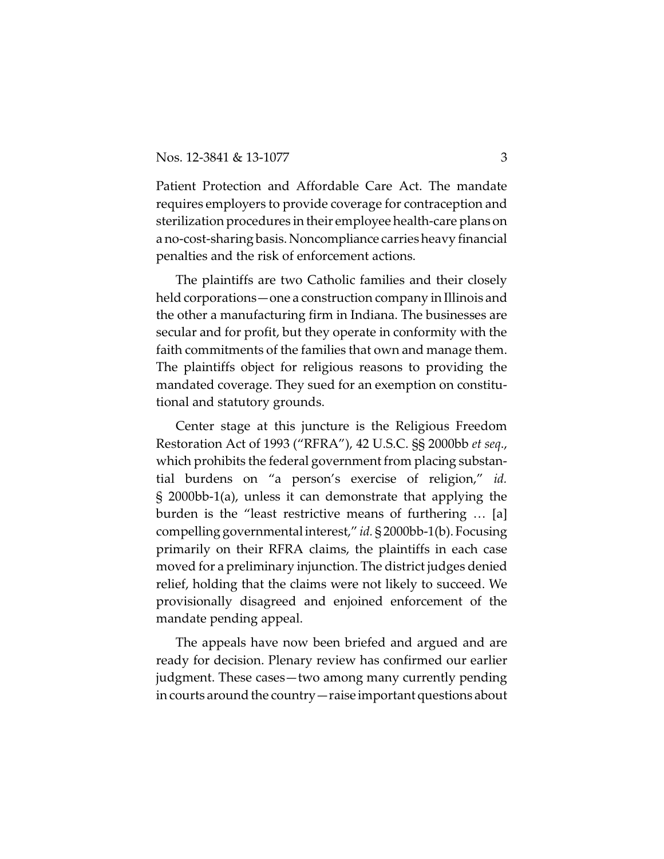Patient Protection and Affordable Care Act. The mandate requires employers to provide coverage for contraception and sterilization procedures in their employee health-care plans on a no-cost-sharing basis. Noncompliance carries heavy financial penalties and the risk of enforcement actions.

The plaintiffs are two Catholic families and their closely held corporations—one a construction company in Illinois and the other a manufacturing firm in Indiana. The businesses are secular and for profit, but they operate in conformity with the faith commitments of the families that own and manage them. The plaintiffs object for religious reasons to providing the mandated coverage. They sued for an exemption on constitutional and statutory grounds.

Center stage at this juncture is the Religious Freedom Restoration Act of 1993 ("RFRA"), 42 U.S.C. §§ 2000bb *et seq*., which prohibits the federal government from placing substantial burdens on "a person's exercise of religion," *id.* § 2000bb-1(a), unless it can demonstrate that applying the burden is the "least restrictive means of furthering … [a] compelling governmental interest," *id.* § 2000bb-1(b). Focusing primarily on their RFRA claims, the plaintiffs in each case moved for a preliminary injunction. The district judges denied relief, holding that the claims were not likely to succeed. We provisionally disagreed and enjoined enforcement of the mandate pending appeal.

The appeals have now been briefed and argued and are ready for decision. Plenary review has confirmed our earlier judgment. These cases—two among many currently pending in courts around the country—raise important questions about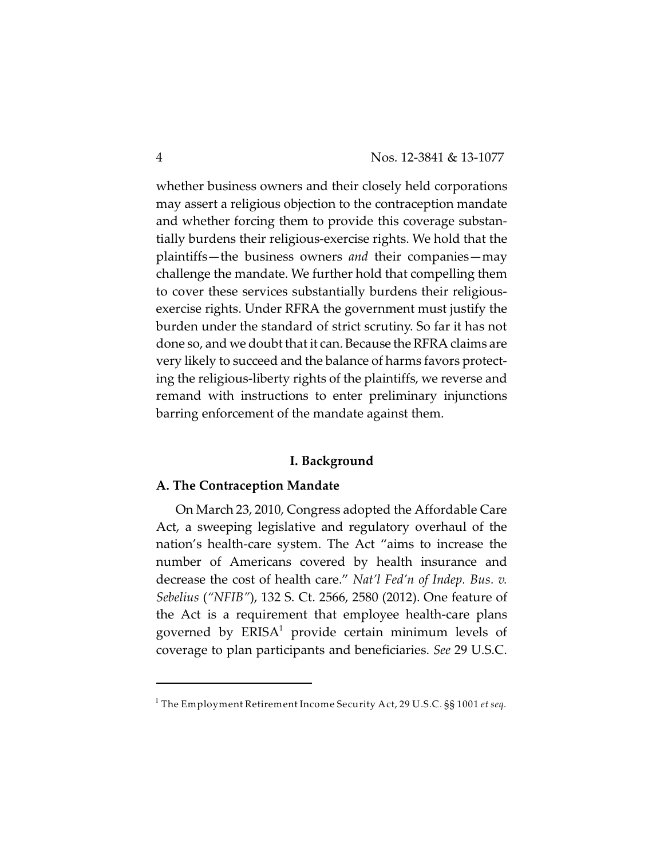whether business owners and their closely held corporations may assert a religious objection to the contraception mandate and whether forcing them to provide this coverage substantially burdens their religious-exercise rights. We hold that the plaintiffs—the business owners *and* their companies—may challenge the mandate. We further hold that compelling them to cover these services substantially burdens their religiousexercise rights. Under RFRA the government must justify the burden under the standard of strict scrutiny. So far it has not done so, and we doubt that it can. Because the RFRA claims are very likely to succeed and the balance of harms favors protecting the religious-liberty rights of the plaintiffs, we reverse and remand with instructions to enter preliminary injunctions barring enforcement of the mandate against them.

#### **I. Background**

#### **A. The Contraception Mandate**

On March 23, 2010, Congress adopted the Affordable Care Act, a sweeping legislative and regulatory overhaul of the nation's health-care system. The Act "aims to increase the number of Americans covered by health insurance and decrease the cost of health care." *Nat'l Fed'n of Indep. Bus. v. Sebelius* (*"NFIB"*), 132 S. Ct. 2566, 2580 (2012). One feature of the Act is a requirement that employee health-care plans governed by  $ERISA<sup>1</sup>$  provide certain minimum levels of coverage to plan participants and beneficiaries. *See* 29 U.S.C.

The Employment Retirement Income Security Act, 29 U.S.C. §§ 1001 *et seq.* 1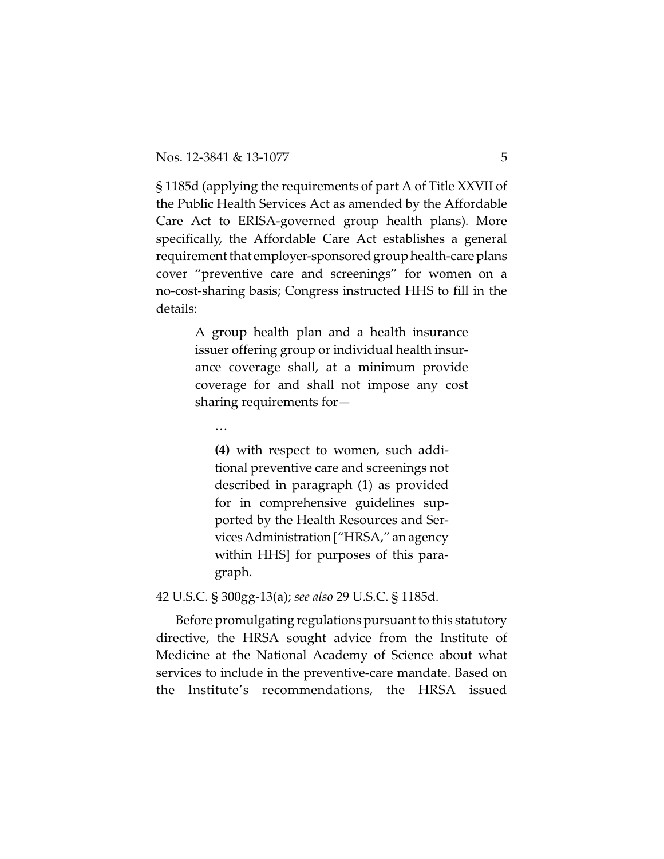§ 1185d (applying the requirements of part A of Title XXVII of the Public Health Services Act as amended by the Affordable Care Act to ERISA-governed group health plans). More specifically, the Affordable Care Act establishes a general requirement that employer-sponsored group health-care plans cover "preventive care and screenings" for women on a no-cost-sharing basis; Congress instructed HHS to fill in the details:

> A group health plan and a health insurance issuer offering group or individual health insurance coverage shall, at a minimum provide coverage for and shall not impose any cost sharing requirements for—

…

**(4)** with respect to women, such additional preventive care and screenings not described in paragraph (1) as provided for in comprehensive guidelines supported by the Health Resources and ServicesAdministration["HRSA," an agency within HHS] for purposes of this paragraph.

42 U.S.C. § 300gg-13(a); *see also* 29 U.S.C. § 1185d.

Before promulgating regulations pursuant to this statutory directive, the HRSA sought advice from the Institute of Medicine at the National Academy of Science about what services to include in the preventive-care mandate. Based on the Institute's recommendations, the HRSA issued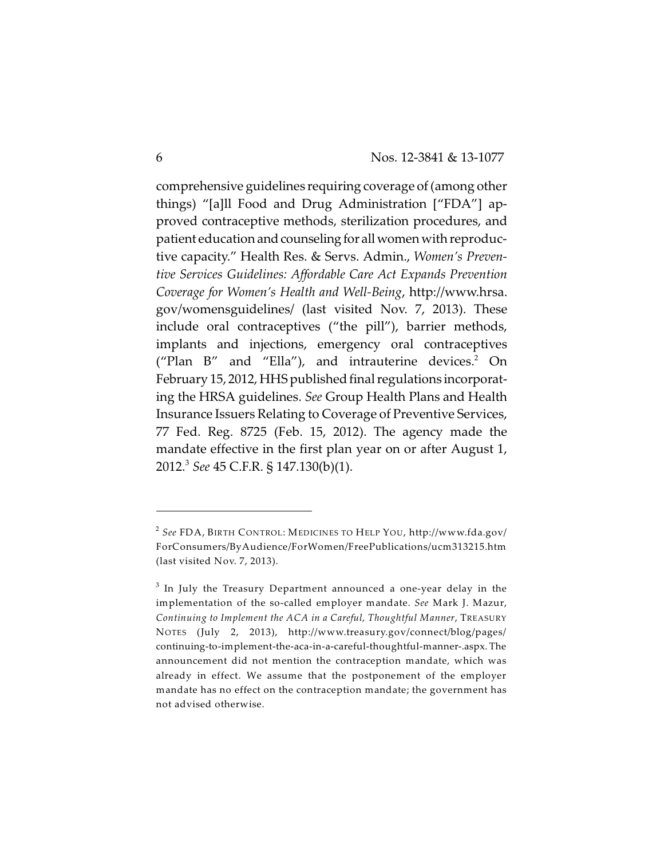comprehensive guidelines requiring coverage of (among other things) "[a]ll Food and Drug Administration ["FDA"] approved contraceptive methods, sterilization procedures, and patient education and counseling for all women with reproductive capacity." Health Res. & Servs. Admin., *Women's Preventive Services Guidelines: Affordable Care Act Expands Prevention Coverage for Women's Health and Well-Being*, http://www.hrsa. gov/womensguidelines/ (last visited Nov. 7, 2013). These include oral contraceptives ("the pill"), barrier methods, implants and injections, emergency oral contraceptives ("Plan  $B''$  and "Ella"), and intrauterine devices.<sup>2</sup> On February 15, 2012, HHS published final regulations incorporating the HRSA guidelines. *See* Group Health Plans and Health Insurance Issuers Relating to Coverage of Preventive Services, 77 Fed. Reg. 8725 (Feb. 15, 2012). The agency made the mandate effective in the first plan year on or after August 1, 2012. *See* 45 C.F.R. § 147.130(b)(1). <sup>3</sup>

*See* FDA, BIRTH CONTROL: MEDICINES TO HELP YOU, http://www.fda.gov/ 2 ForConsumers/ByAudience/ForWomen/FreePublications/ucm313215.htm (last visited Nov. 7, 2013).

 $^3$  In July the Treasury Department announced a one-year delay in the implementation of the so-called employer mandate. *See* Mark J. Mazur, *Continuing to Implement the ACA in a Careful, Thoughtful Manner*, TREASURY NOTES (July 2, 2013), http://www.treasury.gov/connect/blog/pages/ continuing-to-implement-the-aca-in-a-careful-thoughtful-manner-.aspx. The announcement did not mention the contraception mandate, which was already in effect. We assume that the postponement of the employer mandate has no effect on the contraception mandate; the government has not advised otherwise.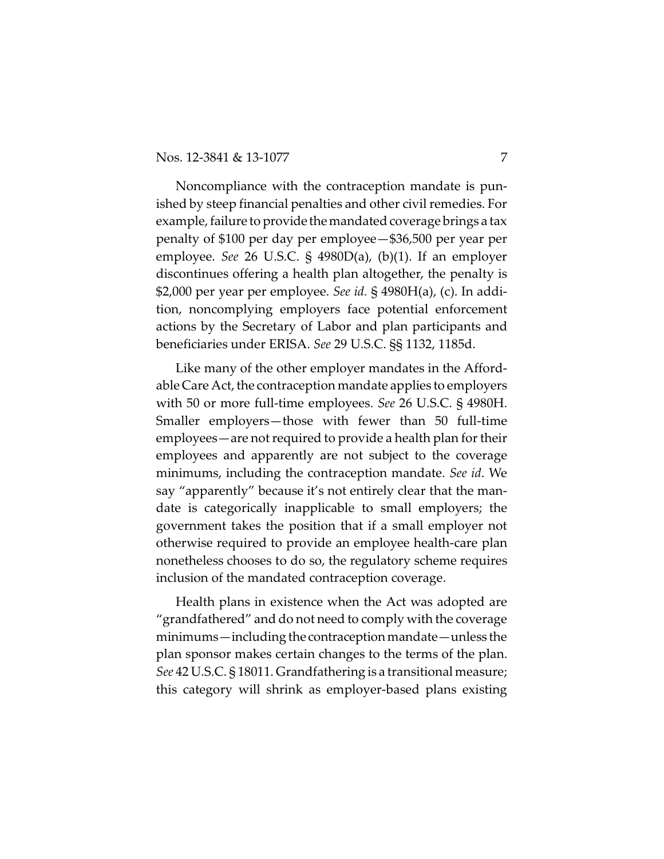Noncompliance with the contraception mandate is punished by steep financial penalties and other civil remedies. For example, failure to provide the mandated coverage brings a tax penalty of \$100 per day per employee—\$36,500 per year per employee. *See* 26 U.S.C. § 4980D(a), (b)(1). If an employer discontinues offering a health plan altogether, the penalty is \$2,000 per year per employee. *See id.* § 4980H(a), (c). In addition, noncomplying employers face potential enforcement actions by the Secretary of Labor and plan participants and beneficiaries under ERISA. *See* 29 U.S.C. §§ 1132, 1185d.

Like many of the other employer mandates in the Affordable Care Act, the contraception mandate applies to employers with 50 or more full-time employees. *See* 26 U.S.C. § 4980H. Smaller employers—those with fewer than 50 full-time employees—are not required to provide a health plan for their employees and apparently are not subject to the coverage minimums, including the contraception mandate. *See id*. We say "apparently" because it's not entirely clear that the mandate is categorically inapplicable to small employers; the government takes the position that if a small employer not otherwise required to provide an employee health-care plan nonetheless chooses to do so, the regulatory scheme requires inclusion of the mandated contraception coverage.

Health plans in existence when the Act was adopted are "grandfathered" and do not need to comply with the coverage minimums—including the contraception mandate—unless the plan sponsor makes certain changes to the terms of the plan. *See* 42 U.S.C. § 18011. Grandfathering is a transitional measure; this category will shrink as employer-based plans existing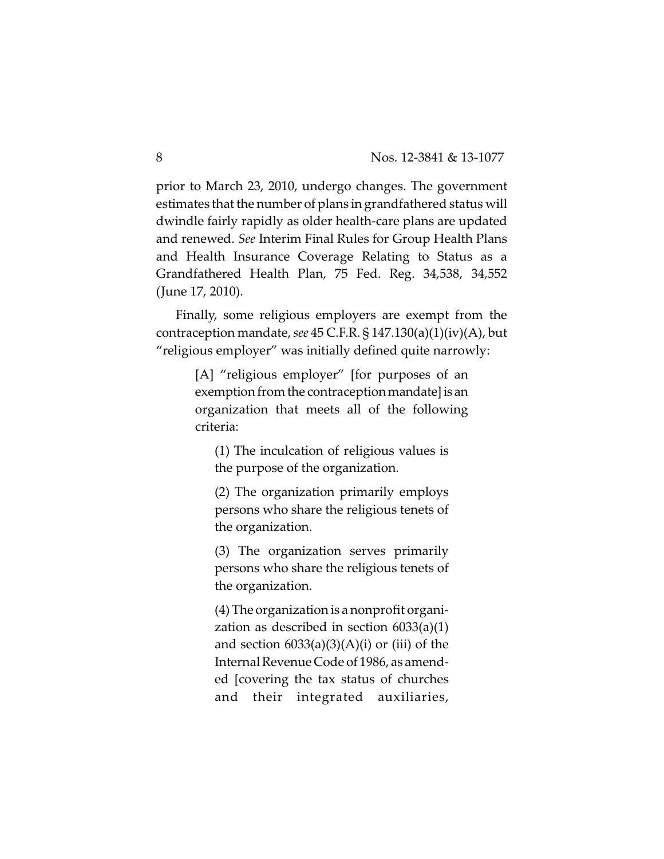prior to March 23, 2010, undergo changes. The government estimates that the number of plans in grandfathered status will dwindle fairly rapidly as older health-care plans are updated and renewed. *See* Interim Final Rules for Group Health Plans and Health Insurance Coverage Relating to Status as a Grandfathered Health Plan, 75 Fed. Reg. 34,538, 34,552 (June 17, 2010).

Finally, some religious employers are exempt from the contraception mandate,*see* 45 C.F.R. § 147.130(a)(1)(iv)(A), but "religious employer" was initially defined quite narrowly:

> [A] "religious employer" [for purposes of an exemption from the contraception mandate] is an organization that meets all of the following criteria:

(1) The inculcation of religious values is the purpose of the organization.

(2) The organization primarily employs persons who share the religious tenets of the organization.

(3) The organization serves primarily persons who share the religious tenets of the organization.

(4) The organization is a nonprofit organization as described in section 6033(a)(1) and section  $6033(a)(3)(A)(i)$  or (iii) of the Internal Revenue Code of 1986, as amended [covering the tax status of churches and their integrated auxiliaries,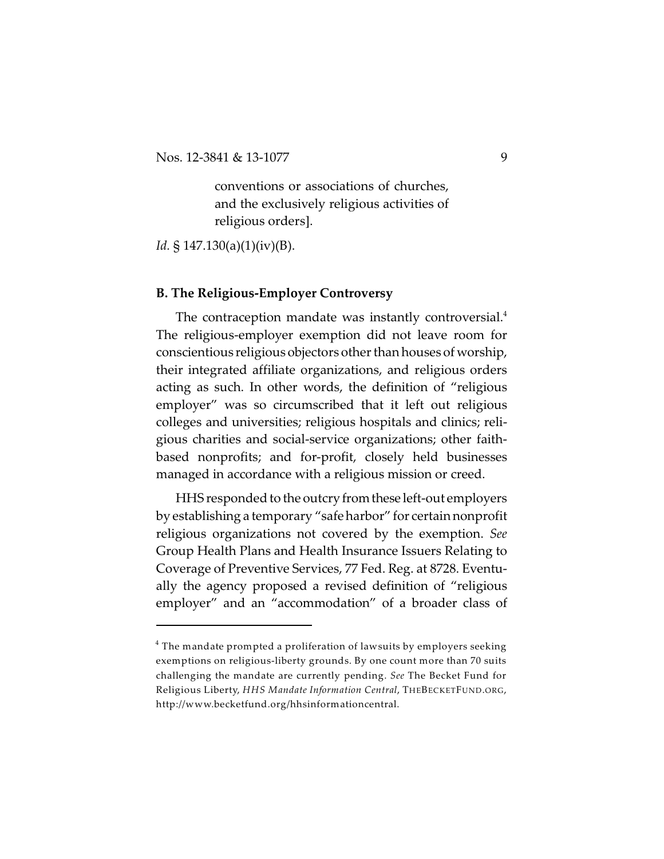conventions or associations of churches, and the exclusively religious activities of religious orders].

*Id.* § 147.130(a)(1)(iv)(B).

# **B. The Religious-Employer Controversy**

The contraception mandate was instantly controversial.<sup>4</sup> The religious-employer exemption did not leave room for conscientious religious objectors other than houses of worship, their integrated affiliate organizations, and religious orders acting as such. In other words, the definition of "religious employer" was so circumscribed that it left out religious colleges and universities; religious hospitals and clinics; religious charities and social-service organizations; other faithbased nonprofits; and for-profit, closely held businesses managed in accordance with a religious mission or creed.

HHS responded to the outcry fromthese left-out employers by establishing a temporary "safe harbor" for certain nonprofit religious organizations not covered by the exemption. *See* Group Health Plans and Health Insurance Issuers Relating to Coverage of Preventive Services, 77 Fed. Reg. at 8728. Eventually the agency proposed a revised definition of "religious employer" and an "accommodation" of a broader class of

 $^{\rm 4}$  The mandate prompted a proliferation of lawsuits by employers seeking exemptions on religious-liberty grounds. By one count more than 70 suits challenging the mandate are currently pending. *See* The Becket Fund for Religious Liberty, *HHS Mandate Information Central*, THEBECKETFUND.ORG, http://www.becketfund.org/hhsinformationcentral.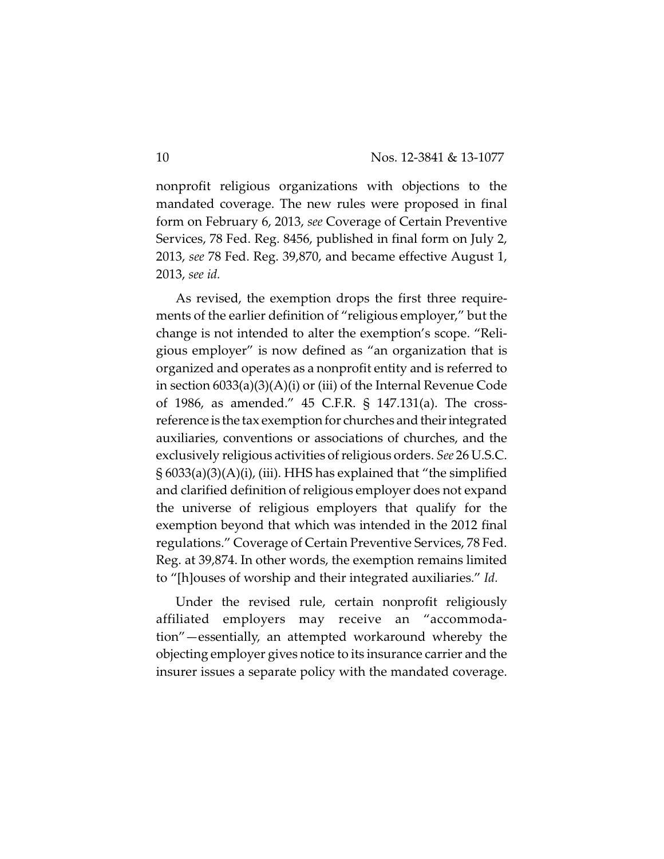nonprofit religious organizations with objections to the mandated coverage. The new rules were proposed in final form on February 6, 2013, *see* Coverage of Certain Preventive Services, 78 Fed. Reg. 8456, published in final form on July 2, 2013, *see* 78 Fed. Reg. 39,870, and became effective August 1, 2013, *see id.*

As revised, the exemption drops the first three requirements of the earlier definition of "religious employer," but the change is not intended to alter the exemption's scope. "Religious employer" is now defined as "an organization that is organized and operates as a nonprofit entity and is referred to in section 6033(a)(3)(A)(i) or (iii) of the Internal Revenue Code of 1986, as amended." 45 C.F.R. § 147.131(a). The crossreference is the tax exemption for churches and their integrated auxiliaries, conventions or associations of churches, and the exclusively religious activities of religious orders. *See* 26 U.S.C.  $\S 6033(a)(3)(A)(i)$ , (iii). HHS has explained that "the simplified and clarified definition of religious employer does not expand the universe of religious employers that qualify for the exemption beyond that which was intended in the 2012 final regulations." Coverage of Certain Preventive Services, 78 Fed. Reg. at 39,874. In other words, the exemption remains limited to "[h]ouses of worship and their integrated auxiliaries." *Id.*

Under the revised rule, certain nonprofit religiously affiliated employers may receive an "accommodation"—essentially, an attempted workaround whereby the objecting employer gives notice to its insurance carrier and the insurer issues a separate policy with the mandated coverage.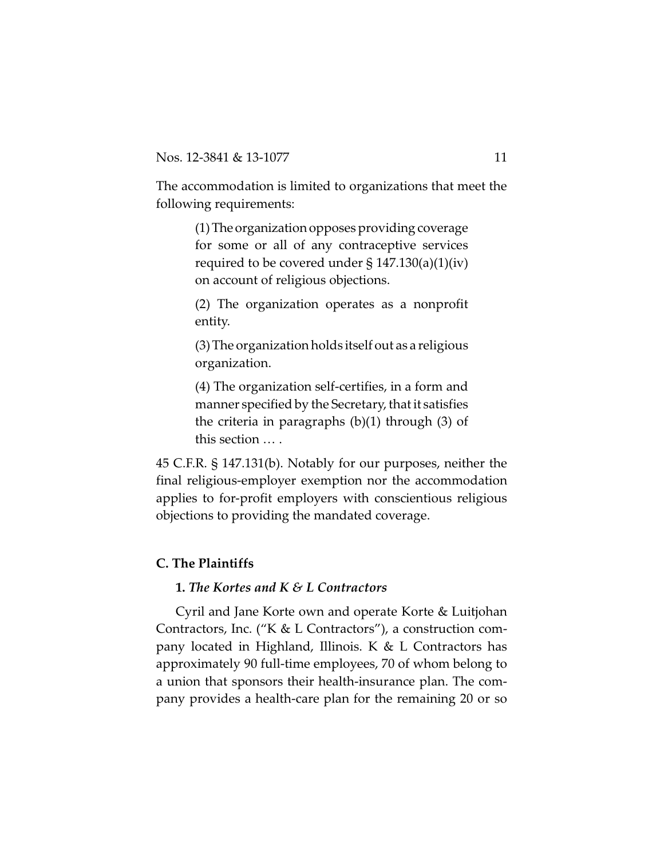The accommodation is limited to organizations that meet the following requirements:

> (1)The organization opposes providing coverage for some or all of any contraceptive services required to be covered under  $\S 147.130(a)(1)(iv)$ on account of religious objections.

> (2) The organization operates as a nonprofit entity.

> (3) The organization holds itself out as a religious organization.

> (4) The organization self-certifies, in a form and manner specified by the Secretary, that it satisfies the criteria in paragraphs  $(b)(1)$  through  $(3)$  of this section … .

45 C.F.R. § 147.131(b). Notably for our purposes, neither the final religious-employer exemption nor the accommodation applies to for-profit employers with conscientious religious objections to providing the mandated coverage.

# **C. The Plaintiffs**

# **1.** *The Kortes and K & L Contractors*

Cyril and Jane Korte own and operate Korte & Luitjohan Contractors, Inc. ("K & L Contractors"), a construction company located in Highland, Illinois. K & L Contractors has approximately 90 full-time employees, 70 of whom belong to a union that sponsors their health-insurance plan. The company provides a health-care plan for the remaining 20 or so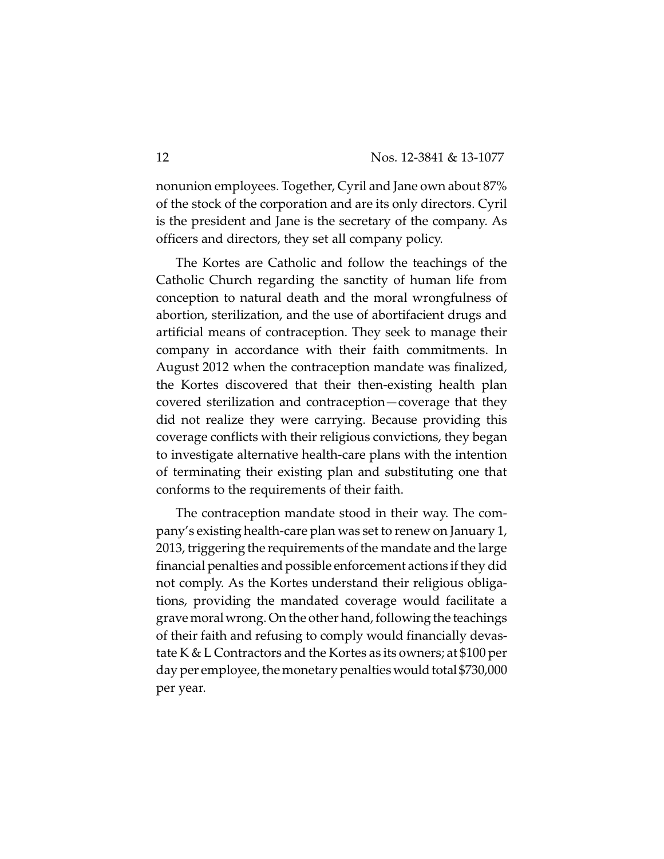nonunion employees. Together, Cyril and Jane own about 87% of the stock of the corporation and are its only directors. Cyril is the president and Jane is the secretary of the company. As officers and directors, they set all company policy.

The Kortes are Catholic and follow the teachings of the Catholic Church regarding the sanctity of human life from conception to natural death and the moral wrongfulness of abortion, sterilization, and the use of abortifacient drugs and artificial means of contraception. They seek to manage their company in accordance with their faith commitments. In August 2012 when the contraception mandate was finalized, the Kortes discovered that their then-existing health plan covered sterilization and contraception—coverage that they did not realize they were carrying. Because providing this coverage conflicts with their religious convictions, they began to investigate alternative health-care plans with the intention of terminating their existing plan and substituting one that conforms to the requirements of their faith.

The contraception mandate stood in their way. The company's existing health-care plan was set to renew on January 1, 2013, triggering the requirements of the mandate and the large financial penalties and possible enforcement actions if they did not comply. As the Kortes understand their religious obligations, providing the mandated coverage would facilitate a gravemoralwrong. On the other hand, following the teachings of their faith and refusing to comply would financially devastate K & L Contractors and the Kortes as its owners; at \$100 per day per employee, the monetary penalties would total \$730,000 per year.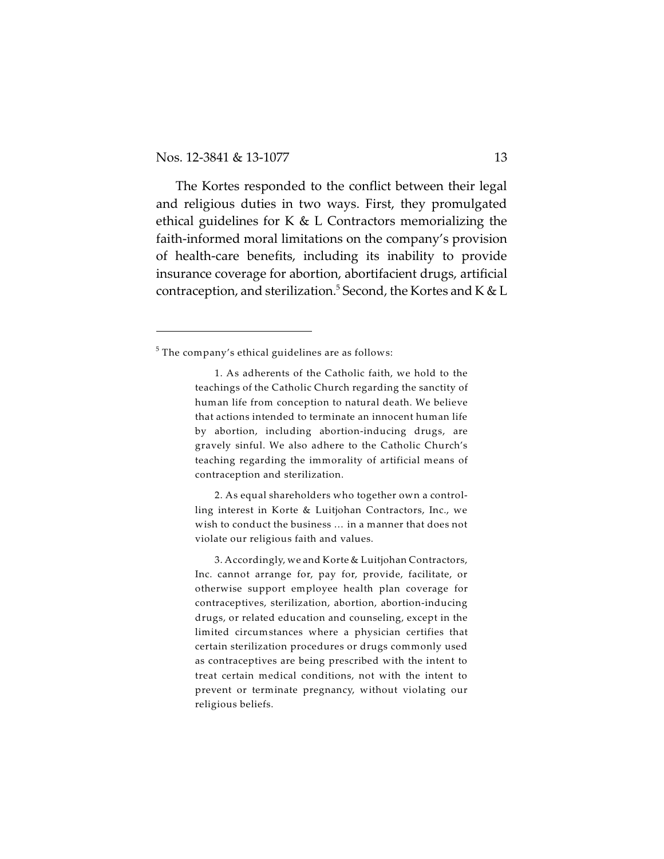The Kortes responded to the conflict between their legal and religious duties in two ways. First, they promulgated ethical guidelines for K  $&$  L Contractors memorializing the faith-informed moral limitations on the company's provision of health-care benefits, including its inability to provide insurance coverage for abortion, abortifacient drugs, artificial contraception, and sterilization. $^5$  Second, the Kortes and K & L

2. As equal shareholders who together own a controlling interest in Korte & Luitjohan Contractors, Inc., we wish to conduct the business … in a manner that does not violate our religious faith and values.

3. Accordingly, we and Korte & Luitjohan Contractors, Inc. cannot arrange for, pay for, provide, facilitate, or otherwise support employee health plan coverage for contraceptives, sterilization, abortion, abortion-inducing drugs, or related education and counseling, except in the limited circumstances where a physician certifies that certain sterilization procedures or drugs commonly used as contraceptives are being prescribed with the intent to treat certain medical conditions, not with the intent to prevent or terminate pregnancy, without violating our religious beliefs.

 $^5$  The company's ethical guidelines are as follows:

<sup>1.</sup> As adherents of the Catholic faith, we hold to the teachings of the Catholic Church regarding the sanctity of human life from conception to natural death. We believe that actions intended to terminate an innocent human life by abortion, including abortion-inducing drugs, are gravely sinful. We also adhere to the Catholic Church's teaching regarding the immorality of artificial means of contraception and sterilization.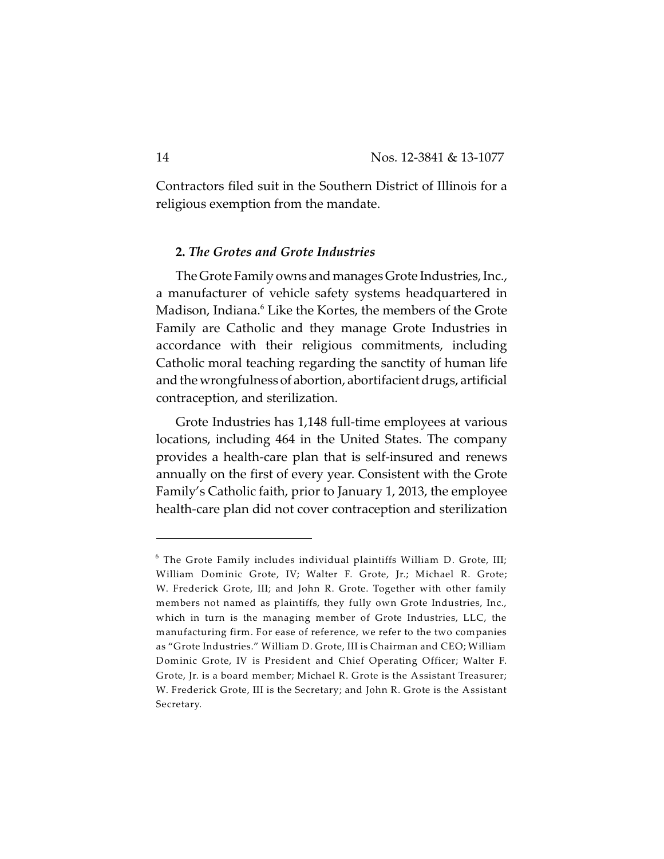Contractors filed suit in the Southern District of Illinois for a religious exemption from the mandate.

## **2.** *The Grotes and Grote Industries*

The Grote Family owns and manages Grote Industries, Inc., a manufacturer of vehicle safety systems headquartered in Madison, Indiana.<sup>6</sup> Like the Kortes, the members of the Grote Family are Catholic and they manage Grote Industries in accordance with their religious commitments, including Catholic moral teaching regarding the sanctity of human life and the wrongfulness of abortion, abortifacient drugs, artificial contraception, and sterilization.

Grote Industries has 1,148 full-time employees at various locations, including 464 in the United States. The company provides a health-care plan that is self-insured and renews annually on the first of every year. Consistent with the Grote Family's Catholic faith, prior to January 1, 2013, the employee health-care plan did not cover contraception and sterilization

 $^6$  The Grote Family includes individual plaintiffs William D. Grote, III; William Dominic Grote, IV; Walter F. Grote, Jr.; Michael R. Grote; W. Frederick Grote, III; and John R. Grote. Together with other family members not named as plaintiffs, they fully own Grote Industries, Inc., which in turn is the managing member of Grote Industries, LLC, the manufacturing firm. For ease of reference, we refer to the two companies as "Grote Industries." William D. Grote, III is Chairman and CEO; William Dominic Grote, IV is President and Chief Operating Officer; Walter F. Grote, Jr. is a board member; Michael R. Grote is the Assistant Treasurer; W. Frederick Grote, III is the Secretary; and John R. Grote is the Assistant Secretary.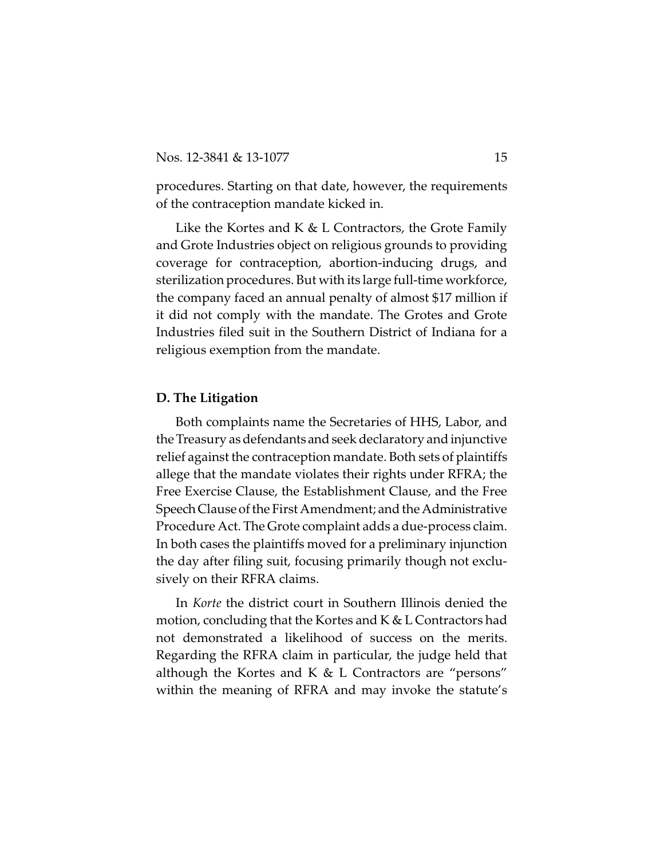procedures. Starting on that date, however, the requirements of the contraception mandate kicked in.

Like the Kortes and K & L Contractors, the Grote Family and Grote Industries object on religious grounds to providing coverage for contraception, abortion-inducing drugs, and sterilization procedures. But with its large full-time workforce, the company faced an annual penalty of almost \$17 million if it did not comply with the mandate. The Grotes and Grote Industries filed suit in the Southern District of Indiana for a religious exemption from the mandate.

#### **D. The Litigation**

Both complaints name the Secretaries of HHS, Labor, and the Treasury as defendantsand seek declaratory and injunctive relief against the contraception mandate. Both sets of plaintiffs allege that the mandate violates their rights under RFRA; the Free Exercise Clause, the Establishment Clause, and the Free SpeechClause of the First Amendment; and the Administrative Procedure Act. The Grote complaint adds a due-process claim. In both cases the plaintiffs moved for a preliminary injunction the day after filing suit, focusing primarily though not exclusively on their RFRA claims.

In *Korte* the district court in Southern Illinois denied the motion, concluding that the Kortes and K & L Contractors had not demonstrated a likelihood of success on the merits. Regarding the RFRA claim in particular, the judge held that although the Kortes and K  $&$  L Contractors are "persons" within the meaning of RFRA and may invoke the statute's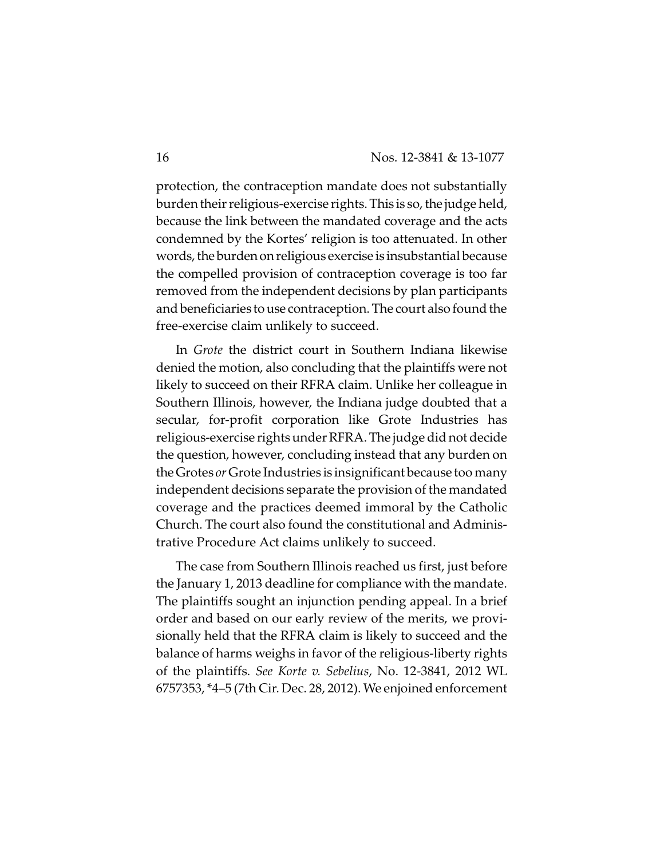protection, the contraception mandate does not substantially burden their religious-exercise rights. This is so, the judge held, because the link between the mandated coverage and the acts condemned by the Kortes' religion is too attenuated. In other words, the burden on religious exercise is insubstantial because the compelled provision of contraception coverage is too far removed from the independent decisions by plan participants and beneficiaries to use contraception. The court also found the free-exercise claim unlikely to succeed.

In *Grote* the district court in Southern Indiana likewise denied the motion, also concluding that the plaintiffs were not likely to succeed on their RFRA claim. Unlike her colleague in Southern Illinois, however, the Indiana judge doubted that a secular, for-profit corporation like Grote Industries has religious-exercise rights under RFRA. The judge did not decide the question, however, concluding instead that any burden on theGrotes *or*Grote Industries is insignificant because too many independent decisions separate the provision of the mandated coverage and the practices deemed immoral by the Catholic Church. The court also found the constitutional and Administrative Procedure Act claims unlikely to succeed.

The case from Southern Illinois reached us first, just before the January 1, 2013 deadline for compliance with the mandate. The plaintiffs sought an injunction pending appeal. In a brief order and based on our early review of the merits, we provisionally held that the RFRA claim is likely to succeed and the balance of harms weighs in favor of the religious-liberty rights of the plaintiffs. *See Korte v. Sebelius*, No. 12-3841, 2012 WL 6757353, \*4–5 (7th Cir. Dec. 28, 2012). We enjoined enforcement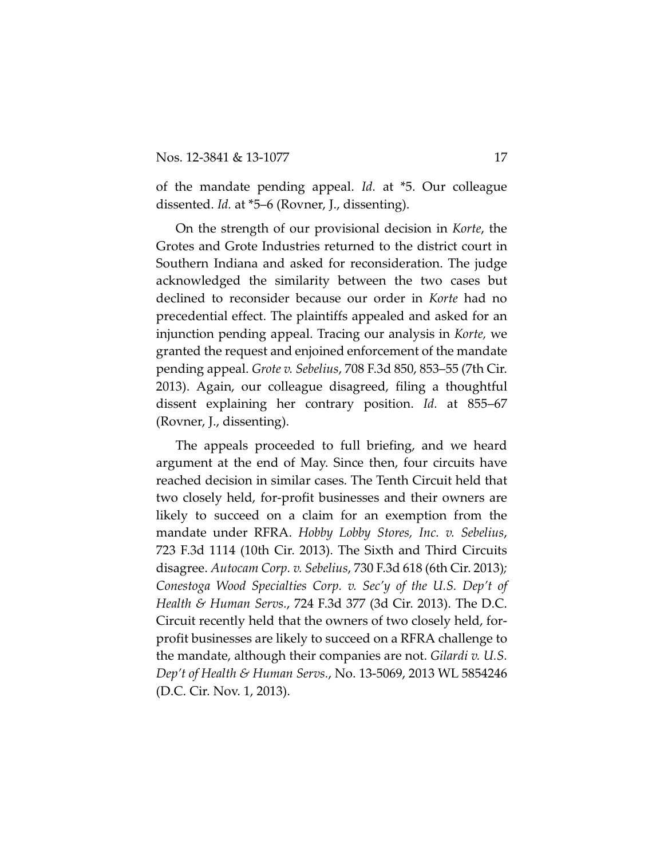of the mandate pending appeal. *Id.* at \*5. Our colleague dissented. *Id.* at \*5–6 (Rovner, J., dissenting).

On the strength of our provisional decision in *Korte*, the Grotes and Grote Industries returned to the district court in Southern Indiana and asked for reconsideration. The judge acknowledged the similarity between the two cases but declined to reconsider because our order in *Korte* had no precedential effect. The plaintiffs appealed and asked for an injunction pending appeal. Tracing our analysis in *Korte,* we granted the request and enjoined enforcement of the mandate pending appeal. *Grote v. Sebelius*, 708 F.3d 850, 853–55 (7th Cir. 2013). Again, our colleague disagreed, filing a thoughtful dissent explaining her contrary position. *Id.* at 855–67 (Rovner, J., dissenting).

The appeals proceeded to full briefing, and we heard argument at the end of May. Since then, four circuits have reached decision in similar cases. The Tenth Circuit held that two closely held, for-profit businesses and their owners are likely to succeed on a claim for an exemption from the mandate under RFRA. *Hobby Lobby Stores, Inc. v. Sebelius*, 723 F.3d 1114 (10th Cir. 2013). The Sixth and Third Circuits disagree. *Autocam Corp. v. Sebelius*, 730 F.3d 618 (6th Cir. 2013)*; Conestoga Wood Specialties Corp. v. Sec'y of the U.S. Dep't of Health & Human Servs.*, 724 F.3d 377 (3d Cir. 2013). The D.C. Circuit recently held that the owners of two closely held, forprofit businesses are likely to succeed on a RFRA challenge to the mandate, although their companies are not. *Gilardi v. U.S. Dep't of Health & Human Servs.*, No. 13-5069, 2013 WL 5854246 (D.C. Cir. Nov. 1, 2013).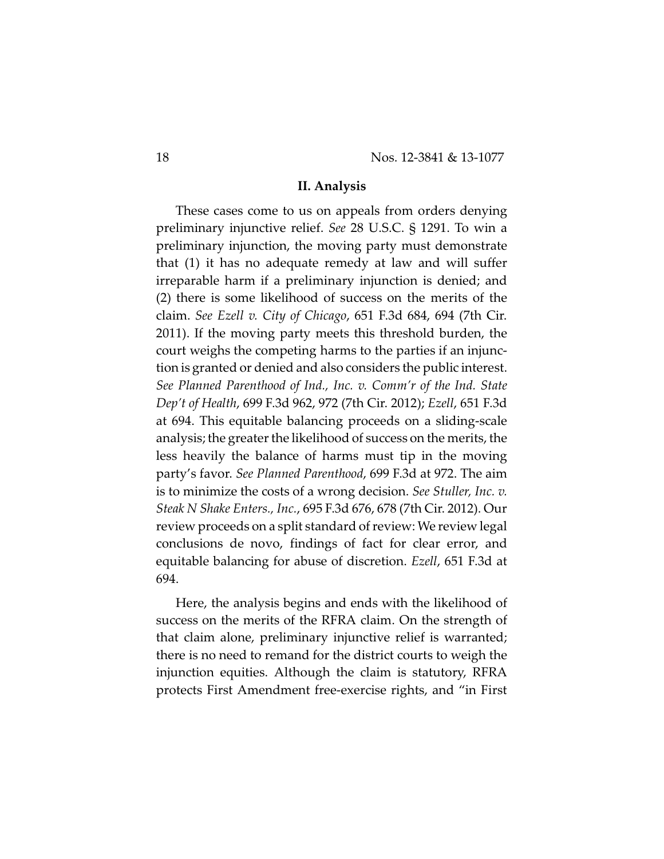#### **II. Analysis**

These cases come to us on appeals from orders denying preliminary injunctive relief. *See* 28 U.S.C. § 1291. To win a preliminary injunction, the moving party must demonstrate that (1) it has no adequate remedy at law and will suffer irreparable harm if a preliminary injunction is denied; and (2) there is some likelihood of success on the merits of the claim. *See Ezell v. City of Chicago*, 651 F.3d 684, 694 (7th Cir. 2011). If the moving party meets this threshold burden, the court weighs the competing harms to the parties if an injunction is granted or denied and also considers the public interest. *See Planned Parenthood of Ind., Inc. v. Comm'r of the Ind. State Dep't of Health*, 699 F.3d 962, 972 (7th Cir. 2012); *Ezell*, 651 F.3d at 694. This equitable balancing proceeds on a sliding-scale analysis; the greater the likelihood of success on the merits, the less heavily the balance of harms must tip in the moving party's favor. *See Planned Parenthood*, 699 F.3d at 972. The aim is to minimize the costs of a wrong decision. *See Stuller, Inc. v. Steak N Shake Enters., Inc.*, 695 F.3d 676, 678 (7th Cir. 2012). Our review proceeds on a split standard of review: We review legal conclusions de novo, findings of fact for clear error, and equitable balancing for abuse of discretion. *Ezell*, 651 F.3d at 694.

Here, the analysis begins and ends with the likelihood of success on the merits of the RFRA claim. On the strength of that claim alone, preliminary injunctive relief is warranted; there is no need to remand for the district courts to weigh the injunction equities. Although the claim is statutory, RFRA protects First Amendment free-exercise rights, and "in First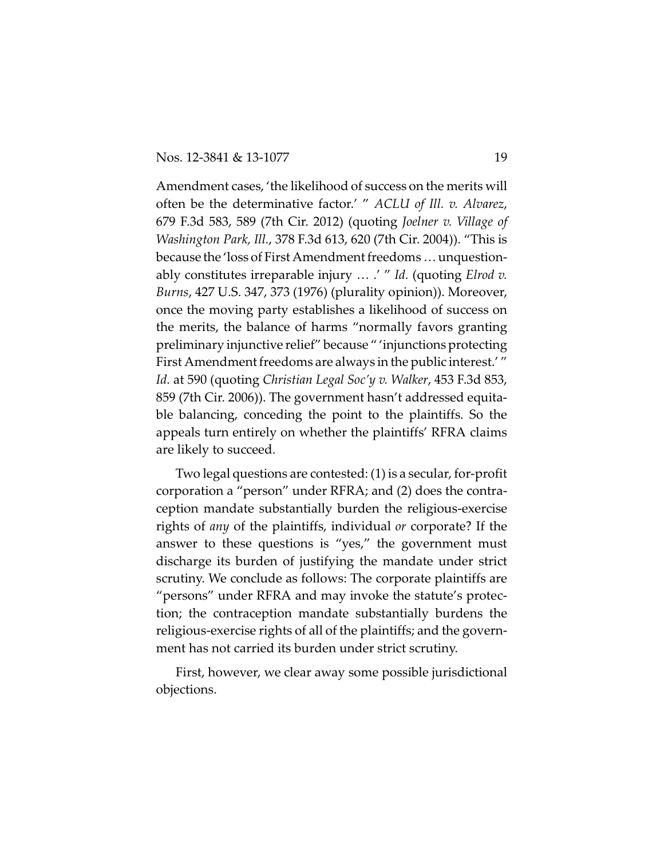Amendment cases, 'the likelihood of success on the merits will often be the determinative factor.' " *ACLU of Ill. v. Alvarez*, 679 F.3d 583, 589 (7th Cir. 2012) (quoting *Joelner v. Village of Washington Park, Ill.*, 378 F.3d 613, 620 (7th Cir. 2004)). "This is because the 'loss of First Amendment freedoms … unquestionably constitutes irreparable injury … .' " *Id.* (quoting *Elrod v. Burns*, 427 U.S. 347, 373 (1976) (plurality opinion)). Moreover, once the moving party establishes a likelihood of success on the merits, the balance of harms "normally favors granting preliminary injunctive relief" because " 'injunctions protecting First Amendment freedoms are always in the public interest.' " *Id.* at 590 (quoting *Christian Legal Soc'y v. Walker*, 453 F.3d 853, 859 (7th Cir. 2006)). The government hasn't addressed equitable balancing, conceding the point to the plaintiffs. So the appeals turn entirely on whether the plaintiffs' RFRA claims are likely to succeed.

Two legal questions are contested: (1) is a secular, for-profit corporation a "person" under RFRA; and (2) does the contraception mandate substantially burden the religious-exercise rights of *any* of the plaintiffs, individual *or* corporate? If the answer to these questions is "yes," the government must discharge its burden of justifying the mandate under strict scrutiny. We conclude as follows: The corporate plaintiffs are "persons" under RFRA and may invoke the statute's protection; the contraception mandate substantially burdens the religious-exercise rights of all of the plaintiffs; and the government has not carried its burden under strict scrutiny.

First, however, we clear away some possible jurisdictional objections.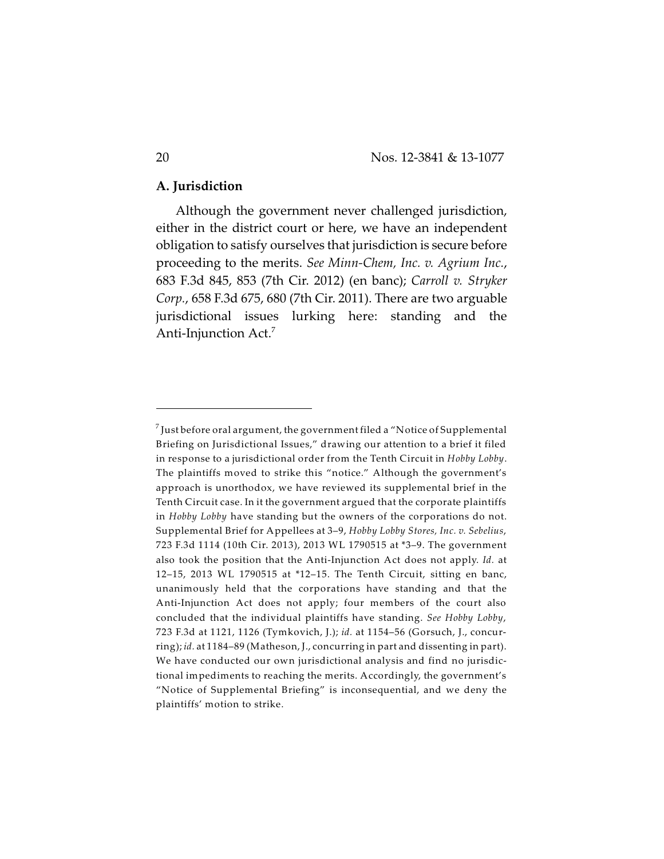#### **A. Jurisdiction**

Although the government never challenged jurisdiction, either in the district court or here, we have an independent obligation to satisfy ourselves that jurisdiction is secure before proceeding to the merits. *See Minn-Chem, Inc. v. Agrium Inc.*, 683 F.3d 845, 853 (7th Cir. 2012) (en banc); *Carroll v. Stryker Corp.*, 658 F.3d 675, 680 (7th Cir. 2011). There are two arguable jurisdictional issues lurking here: standing and the Anti-Injunction Act.<sup>7</sup>

 $^7$  Just before oral argument, the government filed a "Notice of Supplemental Briefing on Jurisdictional Issues," drawing our attention to a brief it filed in response to a jurisdictional order from the Tenth Circuit in *Hobby Lobby*. The plaintiffs moved to strike this "notice." Although the government's approach is unorthodox, we have reviewed its supplemental brief in the Tenth Circuit case. In it the government argued that the corporate plaintiffs in *Hobby Lobby* have standing but the owners of the corporations do not. Supplemental Brief for Appellees at 3–9, *Hobby Lobby Stores, Inc. v. Sebelius*, 723 F.3d 1114 (10th Cir. 2013), 2013 WL 1790515 at \*3–9. The government also took the position that the Anti-Injunction Act does not apply. *Id.* at 12–15, 2013 WL 1790515 at \*12–15. The Tenth Circuit, sitting en banc, unanimously held that the corporations have standing and that the Anti-Injunction Act does not apply; four members of the court also concluded that the individual plaintiffs have standing. *See Hobby Lobby*, 723 F.3d at 1121, 1126 (Tymkovich, J.); *id.* at 1154–56 (Gorsuch, J., concurring); *id.* at 1184–89 (Matheson, J., concurring in part and dissenting in part). We have conducted our own jurisdictional analysis and find no jurisdictional impediments to reaching the merits. Accordingly, the government's "Notice of Supplemental Briefing" is inconsequential, and we deny the plaintiffs' motion to strike.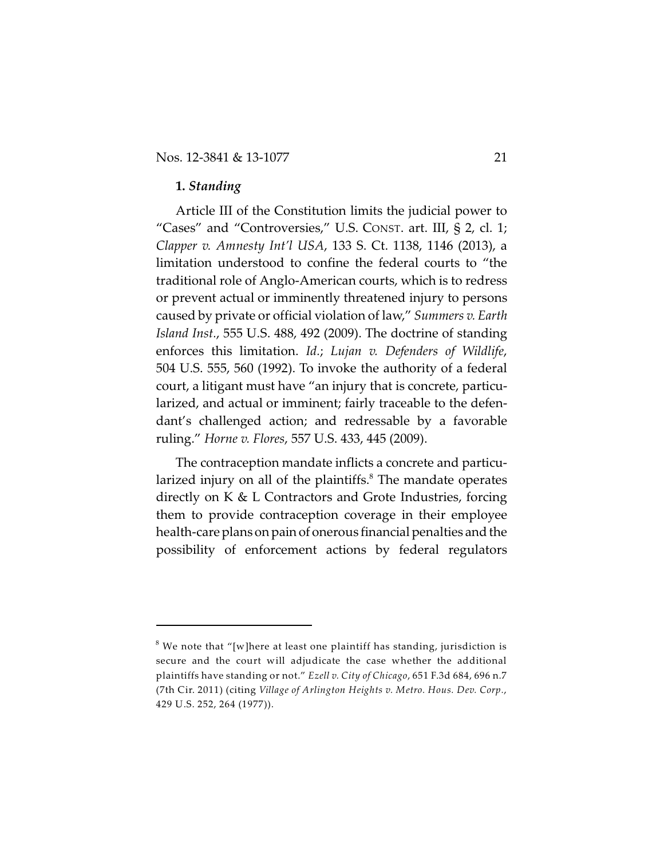#### **1.** *Standing*

Article III of the Constitution limits the judicial power to "Cases" and "Controversies," U.S. CONST. art. III, § 2, cl. 1; *Clapper v. Amnesty Int'l USA*, 133 S. Ct. 1138, 1146 (2013), a limitation understood to confine the federal courts to "the traditional role of Anglo-American courts, which is to redress or prevent actual or imminently threatened injury to persons caused by private or official violation of law," *Summers v. Earth Island Inst.*, 555 U.S. 488, 492 (2009). The doctrine of standing enforces this limitation. *Id.*; *Lujan v. Defenders of Wildlife*, 504 U.S. 555, 560 (1992). To invoke the authority of a federal court, a litigant must have "an injury that is concrete, particularized, and actual or imminent; fairly traceable to the defendant's challenged action; and redressable by a favorable ruling." *Horne v. Flores*, 557 U.S. 433, 445 (2009).

The contraception mandate inflicts a concrete and particularized injury on all of the plaintiffs. $<sup>8</sup>$  The mandate operates</sup> directly on K & L Contractors and Grote Industries, forcing them to provide contraception coverage in their employee health-care plans on pain of onerous financial penalties and the possibility of enforcement actions by federal regulators

 $^8$  We note that "[w]here at least one plaintiff has standing, jurisdiction is secure and the court will adjudicate the case whether the additional plaintiffs have standing or not." *Ezell v. City of Chicago*, 651 F.3d 684, 696 n.7 (7th Cir. 2011) (citing *Village of Arlington Heights v. Metro. Hous. Dev. Corp.*, 429 U.S. 252, 264 (1977)).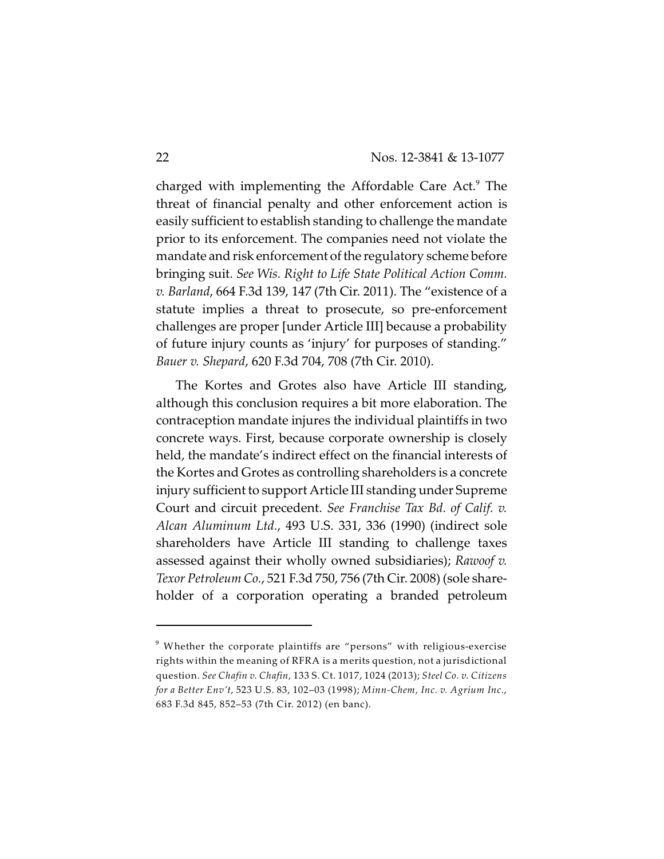charged with implementing the Affordable Care Act.<sup>9</sup> The threat of financial penalty and other enforcement action is easily sufficient to establish standing to challenge the mandate prior to its enforcement. The companies need not violate the mandate and risk enforcement of the regulatory scheme before bringing suit. *See Wis. Right to Life State Political Action Comm. v. Barland*, 664 F.3d 139, 147 (7th Cir. 2011). The "existence of a statute implies a threat to prosecute, so pre-enforcement challenges are proper [under Article III] because a probability of future injury counts as 'injury' for purposes of standing." *Bauer v. Shepard*, 620 F.3d 704, 708 (7th Cir. 2010).

The Kortes and Grotes also have Article III standing, although this conclusion requires a bit more elaboration. The contraception mandate injures the individual plaintiffs in two concrete ways. First, because corporate ownership is closely held, the mandate's indirect effect on the financial interests of the Kortes and Grotes as controlling shareholders is a concrete injury sufficient to support Article III standing under Supreme Court and circuit precedent. *See Franchise Tax Bd. of Calif. v. Alcan Aluminum Ltd.*, 493 U.S. 331, 336 (1990) (indirect sole shareholders have Article III standing to challenge taxes assessed against their wholly owned subsidiaries); *Rawoof v. Texor Petroleum Co.*, 521 F.3d 750, 756 (7th Cir. 2008) (sole shareholder of a corporation operating a branded petroleum

 $^9$  Whether the corporate plaintiffs are "persons" with religious-exercise rights within the meaning of RFRA is a merits question, not a jurisdictional question. *See Chafin v. Chafin,* 133 S. Ct. 1017, 1024 (2013); *Steel Co. v. Citizens for a Better Env't*, 523 U.S. 83, 102–03 (1998); *Minn-Chem, Inc. v. Agrium Inc.*, 683 F.3d 845, 852–53 (7th Cir. 2012) (en banc).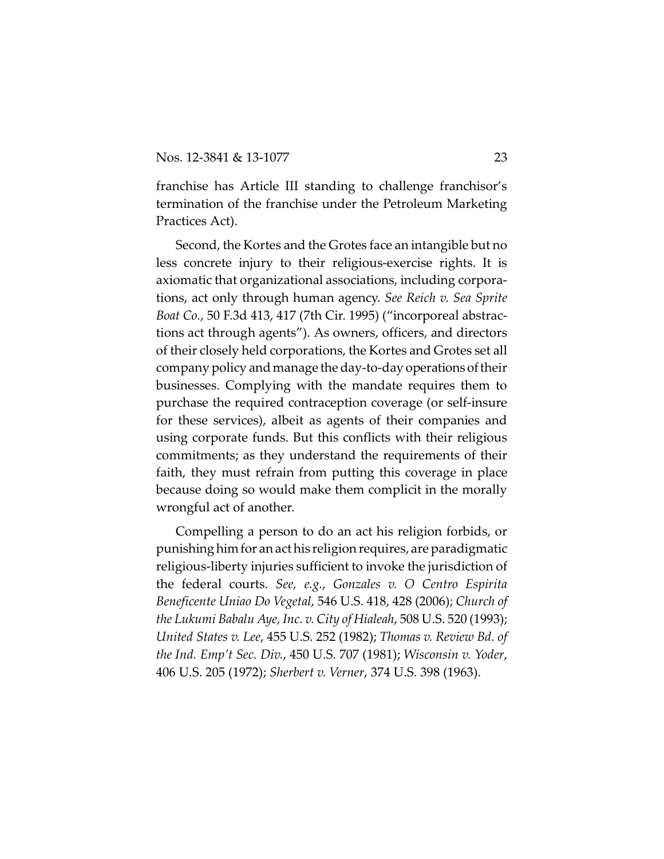franchise has Article III standing to challenge franchisor's termination of the franchise under the Petroleum Marketing Practices Act).

Second, the Kortes and the Grotes face an intangible but no less concrete injury to their religious-exercise rights. It is axiomatic that organizational associations, including corporations, act only through human agency. *See Reich v. Sea Sprite Boat Co.*, 50 F.3d 413, 417 (7th Cir. 1995) ("incorporeal abstractions act through agents"). As owners, officers, and directors of their closely held corporations, the Kortes and Grotes set all company policy and manage the day-to-day operationsoftheir businesses. Complying with the mandate requires them to purchase the required contraception coverage (or self-insure for these services), albeit as agents of their companies and using corporate funds. But this conflicts with their religious commitments; as they understand the requirements of their faith, they must refrain from putting this coverage in place because doing so would make them complicit in the morally wrongful act of another.

Compelling a person to do an act his religion forbids, or punishing himfor an act his religion requires, are paradigmatic religious-liberty injuries sufficient to invoke the jurisdiction of the federal courts. *See, e.g.*, *Gonzales v. O Centro Espirita Beneficente Uniao Do Vegetal*, 546 U.S. 418, 428 (2006); *Church of the Lukumi Babalu Aye, Inc. v. City of Hialeah*, 508 U.S. 520 (1993); *United States v. Lee*, 455 U.S. 252 (1982); *Thomas v. Review Bd. of the Ind. Emp't Sec. Div.*, 450 U.S. 707 (1981); *Wisconsin v. Yoder*, 406 U.S. 205 (1972); *Sherbert v. Verner*, 374 U.S. 398 (1963).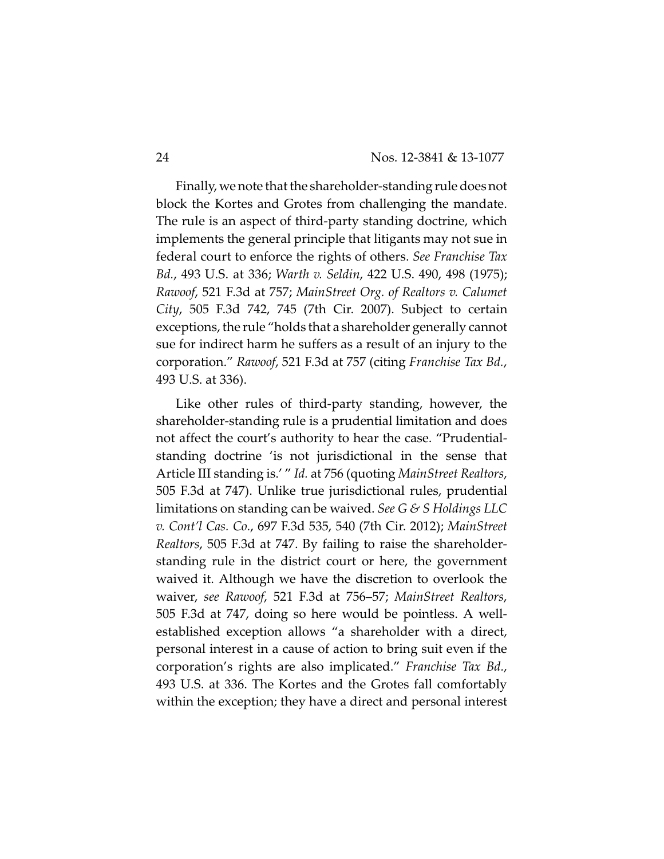Finally, we note that the shareholder-standing rule doesnot block the Kortes and Grotes from challenging the mandate. The rule is an aspect of third-party standing doctrine, which implements the general principle that litigants may not sue in federal court to enforce the rights of others. *See Franchise Tax Bd.*, 493 U.S. at 336; *Warth v. Seldin*, 422 U.S. 490, 498 (1975); *Rawoof*, 521 F.3d at 757; *MainStreet Org. of Realtors v. Calumet City*, 505 F.3d 742, 745 (7th Cir. 2007). Subject to certain exceptions, the rule "holds that a shareholder generally cannot sue for indirect harm he suffers as a result of an injury to the corporation." *Rawoof*, 521 F.3d at 757 (citing *Franchise Tax Bd.*, 493 U.S. at 336).

Like other rules of third-party standing, however, the shareholder-standing rule is a prudential limitation and does not affect the court's authority to hear the case. "Prudentialstanding doctrine 'is not jurisdictional in the sense that Article III standing is.' " *Id.* at 756 (quoting *MainStreet Realtors*, 505 F.3d at 747). Unlike true jurisdictional rules, prudential limitations on standing can be waived. *See G & S Holdings LLC v. Cont'l Cas. Co.*, 697 F.3d 535, 540 (7th Cir. 2012); *MainStreet Realtors*, 505 F.3d at 747. By failing to raise the shareholderstanding rule in the district court or here, the government waived it. Although we have the discretion to overlook the waiver, *see Rawoof*, 521 F.3d at 756–57; *MainStreet Realtors*, 505 F.3d at 747, doing so here would be pointless. A wellestablished exception allows "a shareholder with a direct, personal interest in a cause of action to bring suit even if the corporation's rights are also implicated." *Franchise Tax Bd.*, 493 U.S. at 336. The Kortes and the Grotes fall comfortably within the exception; they have a direct and personal interest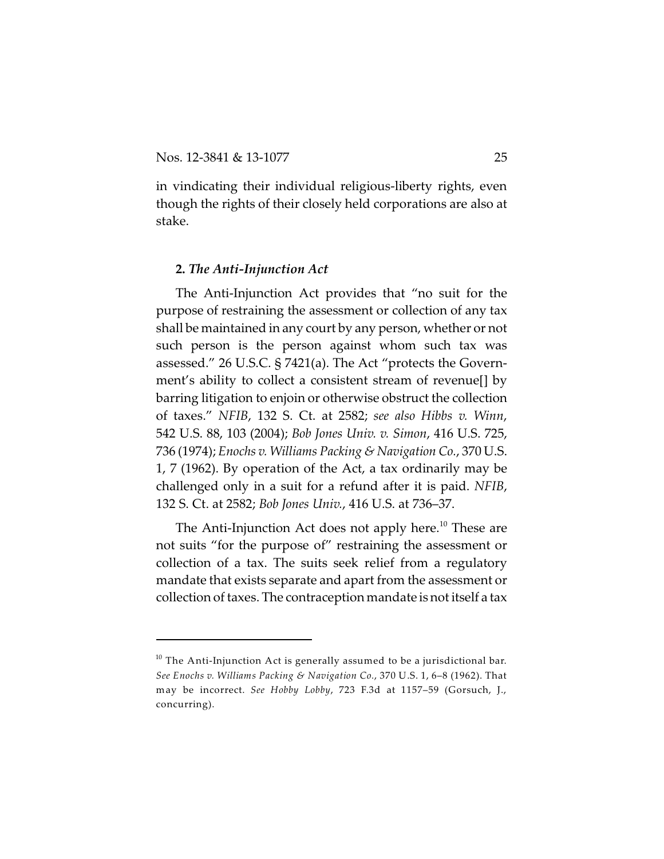in vindicating their individual religious-liberty rights, even though the rights of their closely held corporations are also at stake.

### **2.** *The Anti-Injunction Act*

The Anti-Injunction Act provides that "no suit for the purpose of restraining the assessment or collection of any tax shall be maintained in any court by any person, whether or not such person is the person against whom such tax was assessed." 26 U.S.C. § 7421(a). The Act "protects the Government's ability to collect a consistent stream of revenue[] by barring litigation to enjoin or otherwise obstruct the collection of taxes." *NFIB*, 132 S. Ct. at 2582; *see also Hibbs v. Winn*, 542 U.S. 88, 103 (2004); *Bob Jones Univ. v. Simon*, 416 U.S. 725, 736 (1974); *Enochs v. Williams Packing & Navigation Co.*, 370 U.S. 1, 7 (1962). By operation of the Act, a tax ordinarily may be challenged only in a suit for a refund after it is paid. *NFIB*, 132 S. Ct. at 2582; *Bob Jones Univ.*, 416 U.S. at 736–37.

The Anti-Injunction Act does not apply here.<sup>10</sup> These are not suits "for the purpose of" restraining the assessment or collection of a tax. The suits seek relief from a regulatory mandate that exists separate and apart from the assessment or collection of taxes. The contraception mandate is not itself a tax

 $^{\rm 10}$  The Anti-Injunction Act is generally assumed to be a jurisdictional bar. *See Enochs v. Williams Packing & Navigation Co.*, 370 U.S. 1, 6–8 (1962). That may be incorrect. *See Hobby Lobby*, 723 F.3d at 1157–59 (Gorsuch, J., concurring).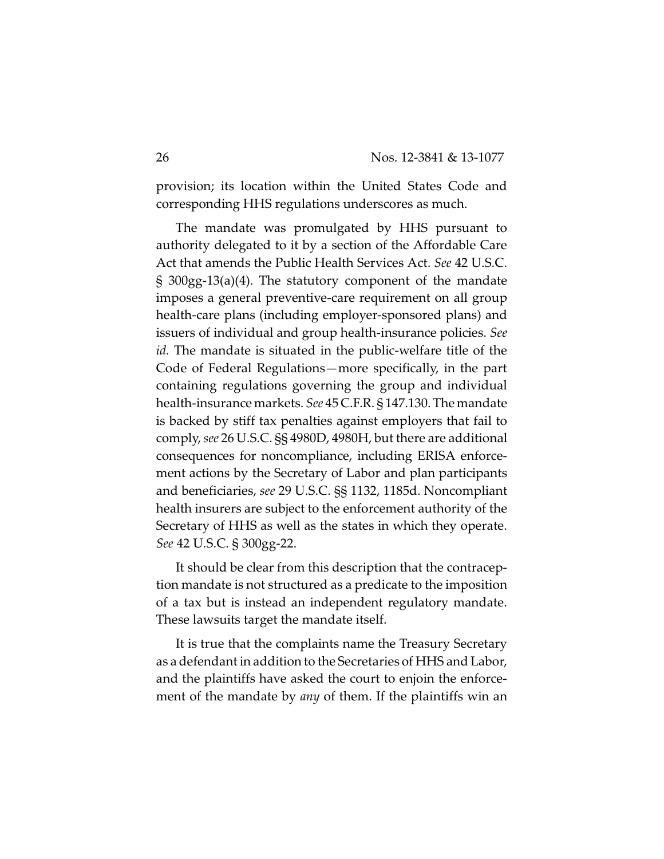provision; its location within the United States Code and corresponding HHS regulations underscores as much.

The mandate was promulgated by HHS pursuant to authority delegated to it by a section of the Affordable Care Act that amends the Public Health Services Act. *See* 42 U.S.C. § 300gg-13(a)(4). The statutory component of the mandate imposes a general preventive-care requirement on all group health-care plans (including employer-sponsored plans) and issuers of individual and group health-insurance policies. *See id.* The mandate is situated in the public-welfare title of the Code of Federal Regulations—more specifically, in the part containing regulations governing the group and individual health-insurance markets. *See* 45 C.F.R. § 147.130. The mandate is backed by stiff tax penalties against employers that fail to comply, *see* 26 U.S.C. §§ 4980D, 4980H, but there are additional consequences for noncompliance, including ERISA enforcement actions by the Secretary of Labor and plan participants and beneficiaries, *see* 29 U.S.C. §§ 1132, 1185d. Noncompliant health insurers are subject to the enforcement authority of the Secretary of HHS as well as the states in which they operate. *See* 42 U.S.C. § 300gg-22.

It should be clear from this description that the contraception mandate is not structured as a predicate to the imposition of a tax but is instead an independent regulatory mandate. These lawsuits target the mandate itself.

It is true that the complaints name the Treasury Secretary as a defendant in addition to the Secretaries of HHS and Labor, and the plaintiffs have asked the court to enjoin the enforcement of the mandate by *any* of them. If the plaintiffs win an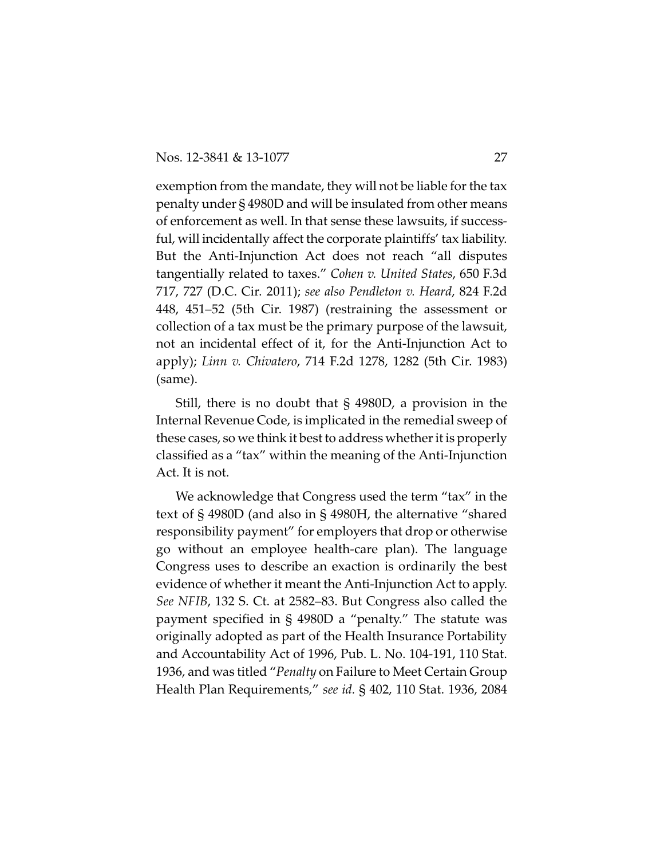exemption from the mandate, they will not be liable for the tax penalty under § 4980D and will be insulated from other means of enforcement as well. In that sense these lawsuits, if successful, will incidentally affect the corporate plaintiffs' tax liability. But the Anti-Injunction Act does not reach "all disputes tangentially related to taxes." *Cohen v. United States*, 650 F.3d 717, 727 (D.C. Cir. 2011); *see also Pendleton v. Heard*, 824 F.2d 448, 451–52 (5th Cir. 1987) (restraining the assessment or collection of a tax must be the primary purpose of the lawsuit, not an incidental effect of it, for the Anti-Injunction Act to apply); *Linn v. Chivatero*, 714 F.2d 1278, 1282 (5th Cir. 1983) (same).

Still, there is no doubt that § 4980D, a provision in the Internal Revenue Code, is implicated in the remedial sweep of these cases, so we think it best to address whether it is properly classified as a "tax" within the meaning of the Anti-Injunction Act. It is not.

We acknowledge that Congress used the term "tax" in the text of § 4980D (and also in § 4980H, the alternative "shared responsibility payment" for employers that drop or otherwise go without an employee health-care plan). The language Congress uses to describe an exaction is ordinarily the best evidence of whether it meant the Anti-Injunction Act to apply. *See NFIB*, 132 S. Ct. at 2582–83. But Congress also called the payment specified in § 4980D a "penalty." The statute was originally adopted as part of the Health Insurance Portability and Accountability Act of 1996, Pub. L. No. 104-191, 110 Stat. 1936, and was titled "*Penalty* on Failure to Meet Certain Group Health Plan Requirements," *see id.* § 402, 110 Stat. 1936, 2084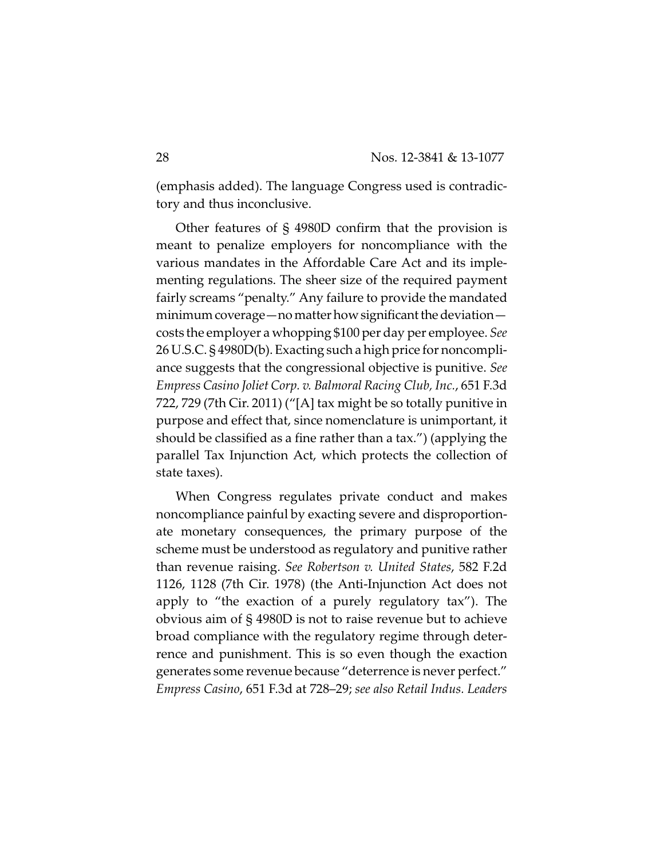(emphasis added). The language Congress used is contradictory and thus inconclusive.

Other features of § 4980D confirm that the provision is meant to penalize employers for noncompliance with the various mandates in the Affordable Care Act and its implementing regulations. The sheer size of the required payment fairly screams "penalty." Any failure to provide the mandated minimum coverage—no matter how significant the deviation costs the employer a whopping \$100 per day per employee. *See* 26 U.S.C. § 4980D(b). Exacting such a high price for noncompliance suggests that the congressional objective is punitive. *See Empress Casino Joliet Corp. v. Balmoral Racing Club, Inc.*, 651 F.3d 722, 729 (7th Cir. 2011) ("[A] tax might be so totally punitive in purpose and effect that, since nomenclature is unimportant, it should be classified as a fine rather than a tax.") (applying the parallel Tax Injunction Act, which protects the collection of state taxes).

When Congress regulates private conduct and makes noncompliance painful by exacting severe and disproportionate monetary consequences, the primary purpose of the scheme must be understood as regulatory and punitive rather than revenue raising. *See Robertson v. United States*, 582 F.2d 1126, 1128 (7th Cir. 1978) (the Anti-Injunction Act does not apply to "the exaction of a purely regulatory tax"). The obvious aim of § 4980D is not to raise revenue but to achieve broad compliance with the regulatory regime through deterrence and punishment. This is so even though the exaction generates some revenue because "deterrence is never perfect." *Empress Casino*, 651 F.3d at 728–29; *see also Retail Indus. Leaders*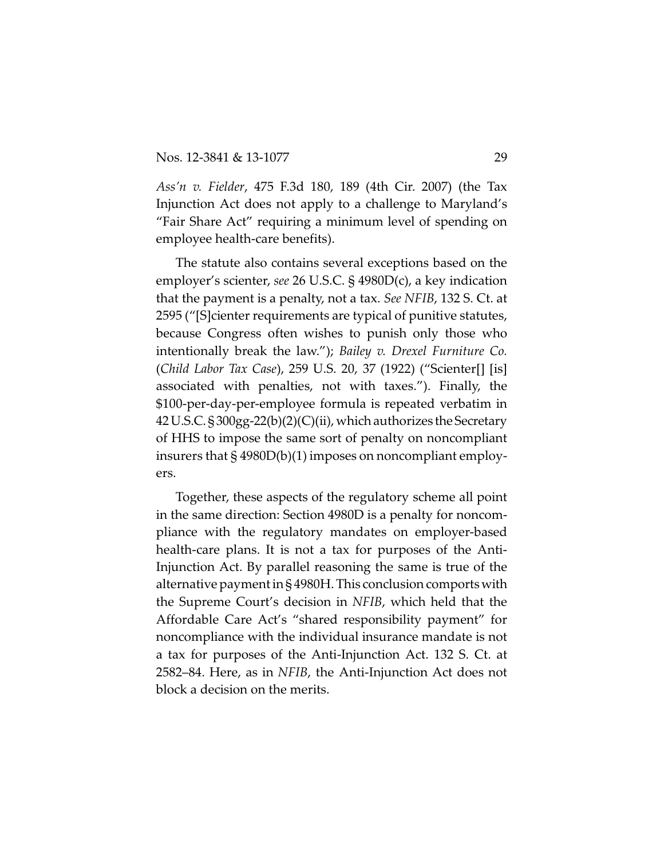*Ass'n v. Fielder*, 475 F.3d 180, 189 (4th Cir. 2007) (the Tax Injunction Act does not apply to a challenge to Maryland's "Fair Share Act" requiring a minimum level of spending on employee health-care benefits).

The statute also contains several exceptions based on the employer's scienter, *see* 26 U.S.C. § 4980D(c), a key indication that the payment is a penalty, not a tax. *See NFIB*, 132 S. Ct. at 2595 ("[S]cienter requirements are typical of punitive statutes, because Congress often wishes to punish only those who intentionally break the law."); *Bailey v. Drexel Furniture Co.* (*Child Labor Tax Case*), 259 U.S. 20, 37 (1922) ("Scienter[] [is] associated with penalties, not with taxes."). Finally, the \$100-per-day-per-employee formula is repeated verbatim in 42U.S.C. § 300gg-22(b)(2)(C)(ii), which authorizes the Secretary of HHS to impose the same sort of penalty on noncompliant insurers that § 4980D(b)(1) imposes on noncompliant employers.

Together, these aspects of the regulatory scheme all point in the same direction: Section 4980D is a penalty for noncompliance with the regulatory mandates on employer-based health-care plans. It is not a tax for purposes of the Anti-Injunction Act. By parallel reasoning the same is true of the alternative payment in § 4980H. This conclusion comportswith the Supreme Court's decision in *NFIB*, which held that the Affordable Care Act's "shared responsibility payment" for noncompliance with the individual insurance mandate is not a tax for purposes of the Anti-Injunction Act. 132 S. Ct. at 2582–84. Here, as in *NFIB*, the Anti-Injunction Act does not block a decision on the merits.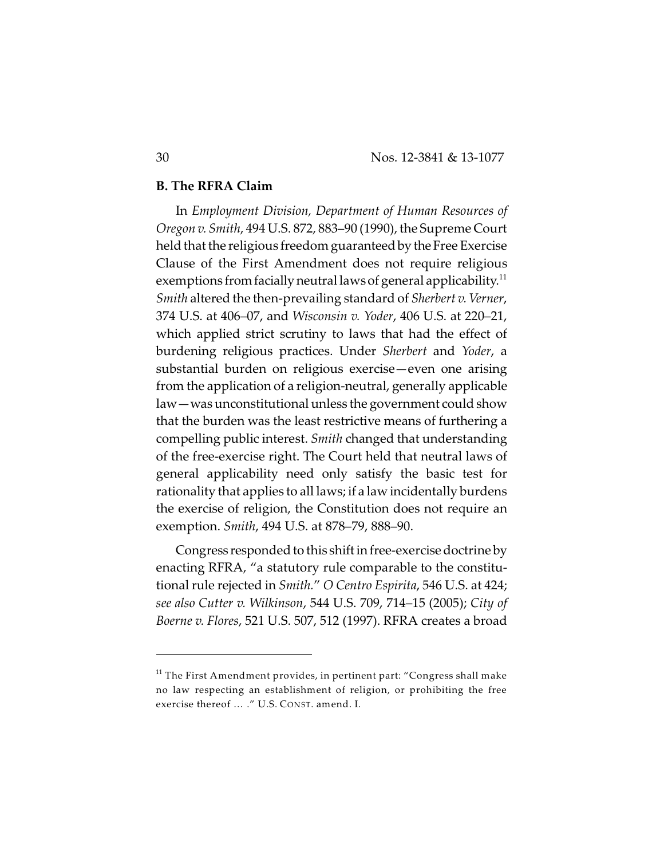#### **B. The RFRA Claim**

In *Employment Division, Department of Human Resources of Oregon v. Smith*, 494 U.S. 872, 883–90 (1990), the Supreme Court held that the religious freedom guaranteed by the Free Exercise Clause of the First Amendment does not require religious exemptions from facially neutral laws of general applicability. $^{\rm 11}$ *Smith* altered the then-prevailing standard of *Sherbert v. Verner*, 374 U.S. at 406–07, and *Wisconsin v. Yoder*, 406 U.S. at 220–21, which applied strict scrutiny to laws that had the effect of burdening religious practices. Under *Sherbert* and *Yoder*, a substantial burden on religious exercise—even one arising from the application of a religion-neutral, generally applicable law—was unconstitutional unless the government could show that the burden was the least restrictive means of furthering a compelling public interest. *Smith* changed that understanding of the free-exercise right. The Court held that neutral laws of general applicability need only satisfy the basic test for rationality that applies to all laws; if a law incidentally burdens the exercise of religion, the Constitution does not require an exemption. *Smith*, 494 U.S. at 878–79, 888–90.

Congress responded to this shift in free-exercise doctrine by enacting RFRA, "a statutory rule comparable to the constitutional rule rejected in *Smith.*" *O Centro Espirita*, 546 U.S. at 424; *see also Cutter v. Wilkinson*, 544 U.S. 709, 714–15 (2005); *City of Boerne v. Flores*, 521 U.S. 507, 512 (1997). RFRA creates a broad

 $^{\rm 11}$  The First Amendment provides, in pertinent part: "Congress shall make no law respecting an establishment of religion, or prohibiting the free exercise thereof … ." U.S. CONST. amend. I.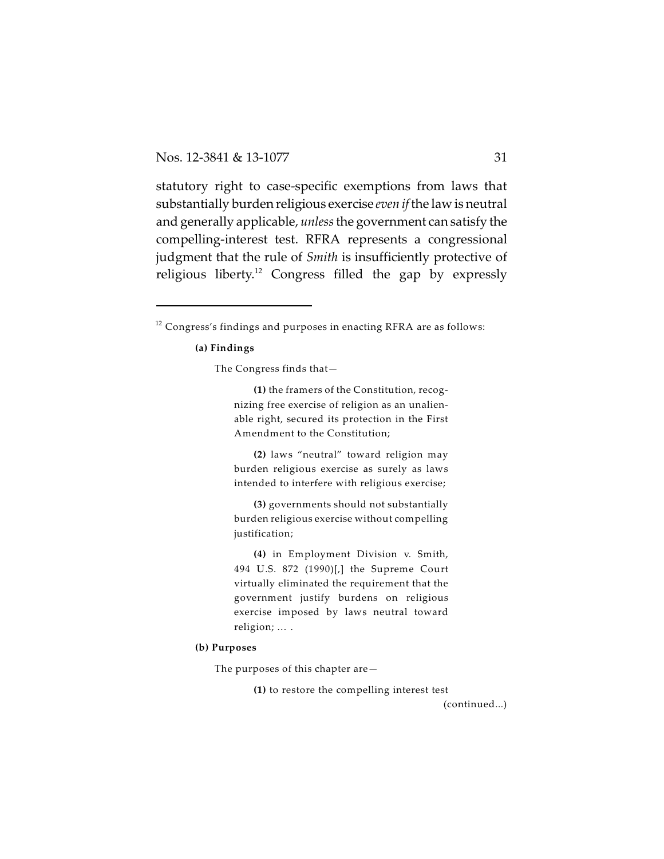statutory right to case-specific exemptions from laws that substantially burden religious exercise *even if* the law is neutral and generally applicable, *unless* the government can satisfy the compelling-interest test. RFRA represents a congressional judgment that the rule of *Smith* is insufficiently protective of religious liberty.<sup>12</sup> Congress filled the gap by expressly

#### **(a) Findings**

The Congress finds that—

**(1)** the framers of the Constitution, recognizing free exercise of religion as an unalienable right, secured its protection in the First Amendment to the Constitution;

**(2)** laws "neutral" toward religion may burden religious exercise as surely as laws intended to interfere with religious exercise;

**(3)** governments should not substantially burden religious exercise without compelling justification;

**(4)** in Employment Division v. Smith, 494 U.S. 872 (1990)[,] the Supreme Court virtually eliminated the requirement that the government justify burdens on religious exercise imposed by laws neutral toward religion; … .

#### **(b) Purposes**

The purposes of this chapter are—

**(1)** to restore the compelling interest test

(continued...)

 $^{12}$  Congress's findings and purposes in enacting RFRA are as follows: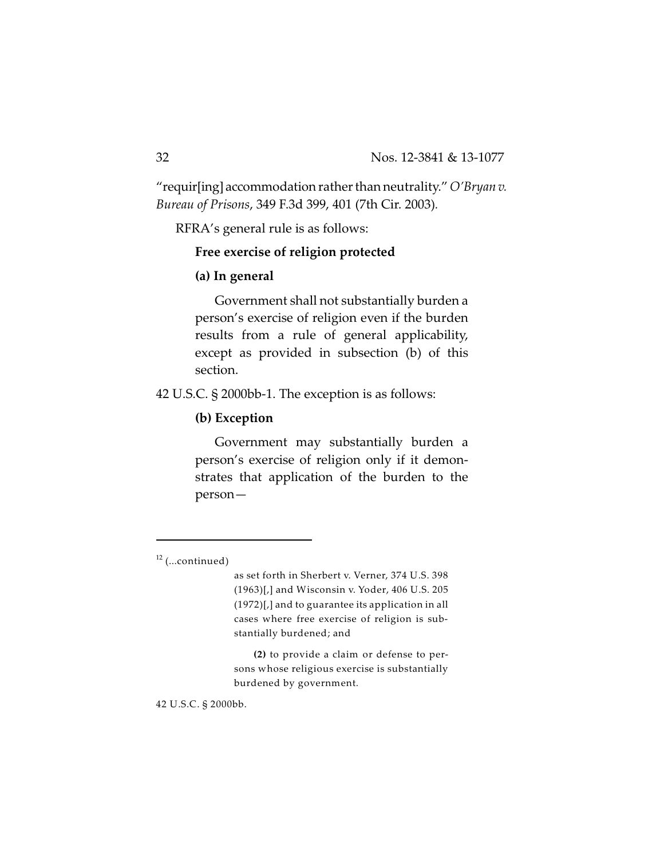"requir[ing]accommodation rather than neutrality." *O'Bryan v. Bureau of Prisons*, 349 F.3d 399, 401 (7th Cir. 2003)*.*

RFRA's general rule is as follows:

# **Free exercise of religion protected**

### **(a) In general**

Government shall not substantially burden a person's exercise of religion even if the burden results from a rule of general applicability, except as provided in subsection (b) of this section.

42 U.S.C. § 2000bb-1. The exception is as follows:

# **(b) Exception**

Government may substantially burden a person's exercise of religion only if it demonstrates that application of the burden to the person—

**(2)** to provide a claim or defense to persons whose religious exercise is substantially burdened by government.

42 U.S.C. § 2000bb.

 $12$  (...continued)

as set forth in Sherbert v. Verner, 374 U.S. 398 (1963)[,] and Wisconsin v. Yoder, 406 U.S. 205 (1972)[,] and to guarantee its application in all cases where free exercise of religion is substantially burdened; and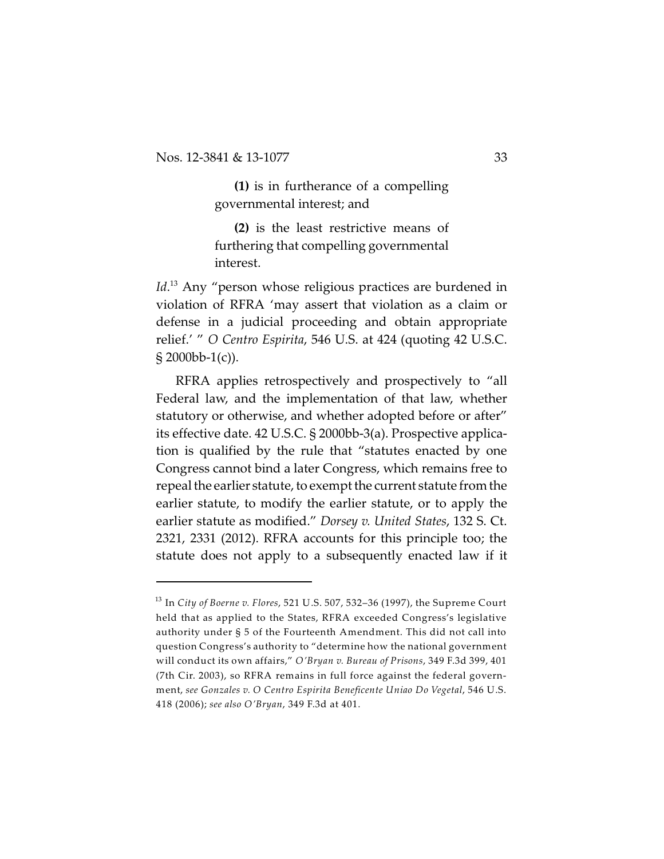**(1)** is in furtherance of a compelling governmental interest; and

**(2)** is the least restrictive means of furthering that compelling governmental interest.

Id.<sup>13</sup> Any "person whose religious practices are burdened in violation of RFRA 'may assert that violation as a claim or defense in a judicial proceeding and obtain appropriate relief.' " *O Centro Espirita*, 546 U.S. at 424 (quoting 42 U.S.C. § 2000bb-1(c)).

RFRA applies retrospectively and prospectively to "all Federal law, and the implementation of that law, whether statutory or otherwise, and whether adopted before or after" its effective date. 42 U.S.C. § 2000bb-3(a). Prospective application is qualified by the rule that "statutes enacted by one Congress cannot bind a later Congress, which remains free to repeal the earlier statute, to exempt the current statute from the earlier statute, to modify the earlier statute, or to apply the earlier statute as modified." *Dorsey v. United States*, 132 S. Ct. 2321, 2331 (2012). RFRA accounts for this principle too; the statute does not apply to a subsequently enacted law if it

In *City of Boerne v. Flores*, 521 U.S. 507, 532–36 (1997), the Supreme Court 13 held that as applied to the States, RFRA exceeded Congress's legislative authority under § 5 of the Fourteenth Amendment. This did not call into question Congress's authority to "determine how the national government will conduct its own affairs," *O'Bryan v. Bureau of Prisons*, 349 F.3d 399, 401 (7th Cir. 2003), so RFRA remains in full force against the federal government, *see Gonzales v. O Centro Espirita Beneficente Uniao Do Vegetal*, 546 U.S. 418 (2006); *see also O'Bryan*, 349 F.3d at 401.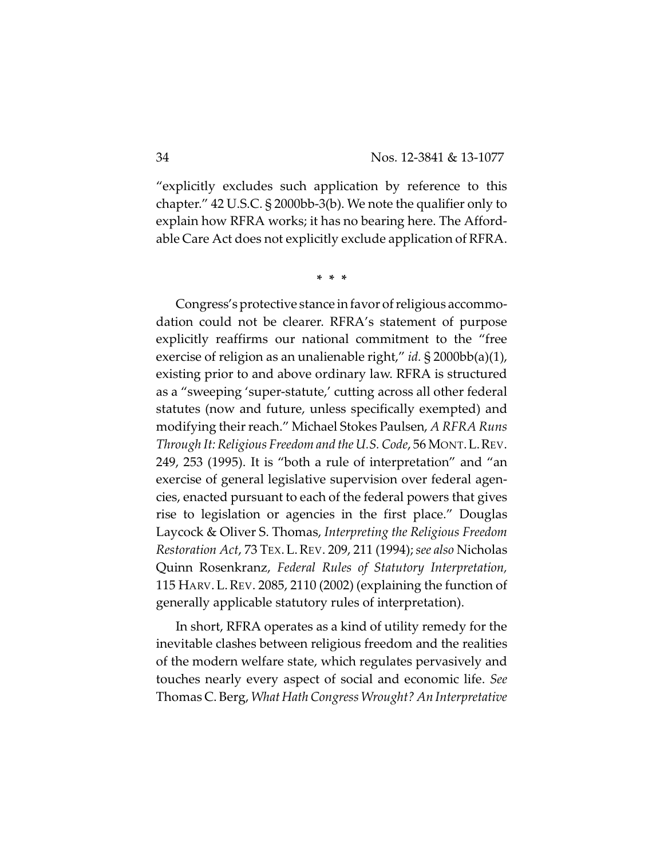"explicitly excludes such application by reference to this chapter." 42 U.S.C. § 2000bb-3(b). We note the qualifier only to explain how RFRA works; it has no bearing here. The Affordable Care Act does not explicitly exclude application of RFRA.

**\* \* \***

Congress's protective stance in favor of religious accommodation could not be clearer. RFRA's statement of purpose explicitly reaffirms our national commitment to the "free exercise of religion as an unalienable right," *id.* § 2000bb(a)(1), existing prior to and above ordinary law. RFRA is structured as a "sweeping 'super-statute,' cutting across all other federal statutes (now and future, unless specifically exempted) and modifying their reach." Michael Stokes Paulsen, *A RFRA Runs Through It: Religious Freedom and the U.S. Code*, 56 MONT.L.REV. 249, 253 (1995). It is "both a rule of interpretation" and "an exercise of general legislative supervision over federal agencies, enacted pursuant to each of the federal powers that gives rise to legislation or agencies in the first place." Douglas Laycock & Oliver S. Thomas, *Interpreting the Religious Freedom Restoration Act*, 73 TEX.L.REV. 209, 211 (1994); *see also* Nicholas Quinn Rosenkranz, *Federal Rules of Statutory Interpretation,* 115 HARV. L.REV. 2085, 2110 (2002) (explaining the function of generally applicable statutory rules of interpretation).

In short, RFRA operates as a kind of utility remedy for the inevitable clashes between religious freedom and the realities of the modern welfare state, which regulates pervasively and touches nearly every aspect of social and economic life. *See* Thomas C. Berg, *WhatHath Congress Wrought? An Interpretative*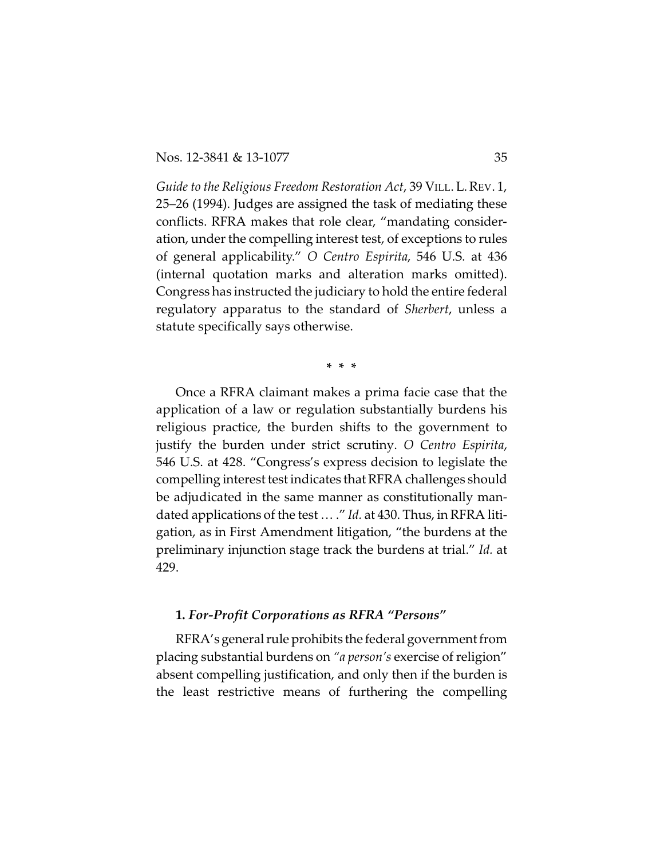*Guide to the Religious Freedom Restoration Act*, 39 VILL. L.REV. 1, 25–26 (1994). Judges are assigned the task of mediating these conflicts. RFRA makes that role clear, "mandating consideration, under the compelling interest test, of exceptions to rules of general applicability." *O Centro Espirita*, 546 U.S. at 436 (internal quotation marks and alteration marks omitted). Congress has instructed the judiciary to hold the entire federal regulatory apparatus to the standard of *Sherbert*, unless a statute specifically says otherwise.

**\* \* \***

Once a RFRA claimant makes a prima facie case that the application of a law or regulation substantially burdens his religious practice, the burden shifts to the government to justify the burden under strict scrutiny. *O Centro Espirita*, 546 U.S. at 428. "Congress's express decision to legislate the compelling interest test indicates that RFRA challenges should be adjudicated in the same manner as constitutionally mandated applications of the test … ." *Id.* at 430. Thus, in RFRA litigation, as in First Amendment litigation, "the burdens at the preliminary injunction stage track the burdens at trial." *Id.* at 429.

#### **1.** *For-Profit Corporations as RFRA "Persons"*

RFRA's general rule prohibits the federal government from placing substantial burdens on *"a person's* exercise of religion" absent compelling justification, and only then if the burden is the least restrictive means of furthering the compelling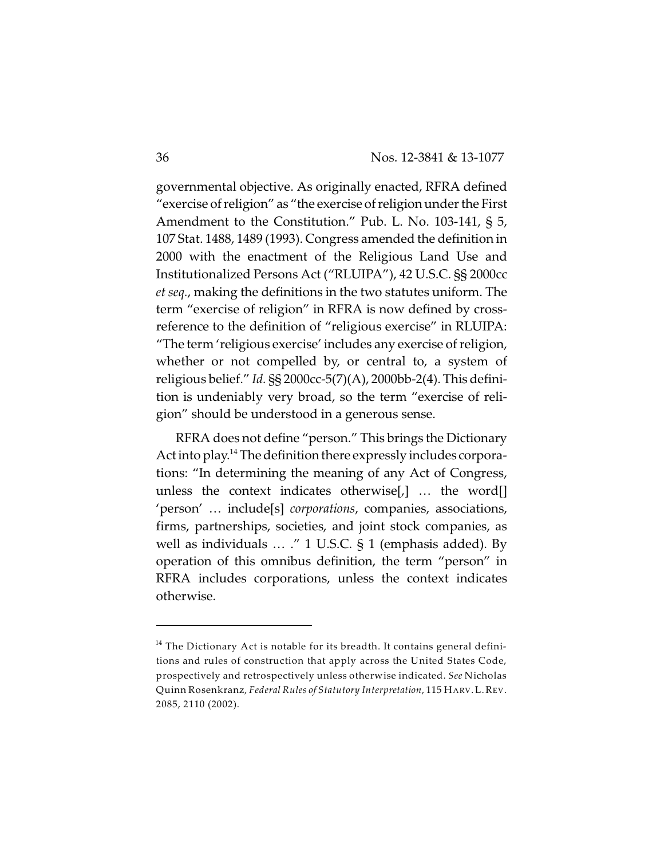governmental objective. As originally enacted, RFRA defined "exercise of religion" as "the exercise of religion under the First Amendment to the Constitution." Pub. L. No. 103-141, § 5, 107 Stat. 1488, 1489 (1993). Congress amended the definition in 2000 with the enactment of the Religious Land Use and Institutionalized Persons Act ("RLUIPA"), 42 U.S.C. §§ 2000cc *et seq.*, making the definitions in the two statutes uniform. The term "exercise of religion" in RFRA is now defined by crossreference to the definition of "religious exercise" in RLUIPA: "The term 'religious exercise' includes any exercise of religion, whether or not compelled by, or central to, a system of religious belief." *Id.* §§ 2000cc-5(7)(A), 2000bb-2(4). This definition is undeniably very broad, so the term "exercise of religion" should be understood in a generous sense.

RFRA does not define "person." This brings the Dictionary Act into play.<sup>14</sup> The definition there expressly includes corporations: "In determining the meaning of any Act of Congress, unless the context indicates otherwise[,] … the word[] 'person' … include[s] *corporations*, companies, associations, firms, partnerships, societies, and joint stock companies, as well as individuals … ." 1 U.S.C. § 1 (emphasis added). By operation of this omnibus definition, the term "person" in RFRA includes corporations, unless the context indicates otherwise.

 $^{\rm 14}$  The Dictionary Act is notable for its breadth. It contains general definitions and rules of construction that apply across the United States Code, prospectively and retrospectively unless otherwise indicated. *See* Nicholas Quinn Rosenkranz, *Federal Rules of Statutory Interpretation*, 115 HARV.L.REV. 2085, 2110 (2002).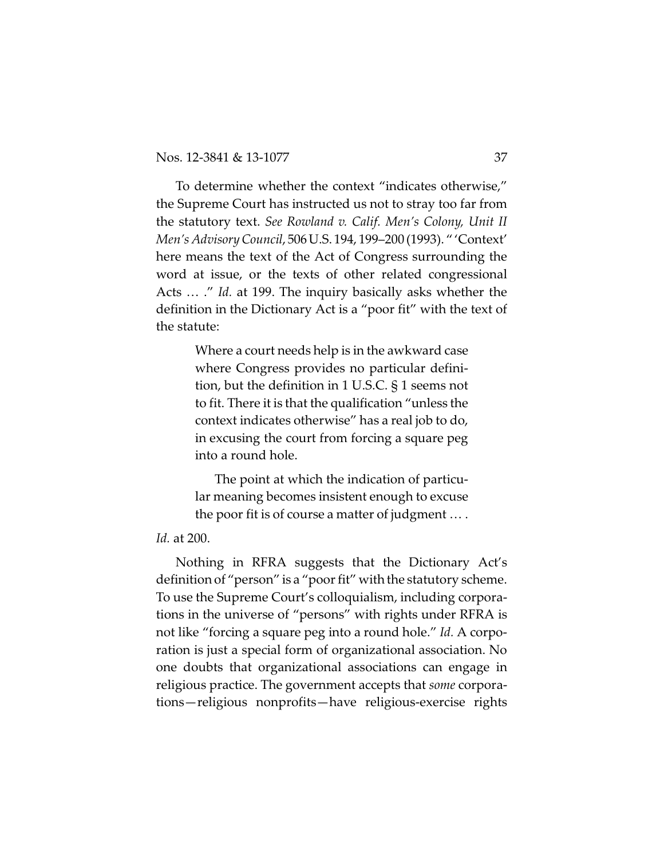To determine whether the context "indicates otherwise," the Supreme Court has instructed us not to stray too far from the statutory text. *See Rowland v. Calif. Men's Colony, Unit II Men's Advisory Council*, 506U.S. 194, 199–200 (1993). " 'Context' here means the text of the Act of Congress surrounding the word at issue, or the texts of other related congressional Acts … ." *Id.* at 199. The inquiry basically asks whether the definition in the Dictionary Act is a "poor fit" with the text of the statute:

> Where a court needs help is in the awkward case where Congress provides no particular definition, but the definition in 1 U.S.C. § 1 seems not to fit. There it is that the qualification "unless the context indicates otherwise" has a real job to do, in excusing the court from forcing a square peg into a round hole.

> The point at which the indication of particular meaning becomes insistent enough to excuse the poor fit is of course a matter of judgment … .

### *Id.* at 200.

Nothing in RFRA suggests that the Dictionary Act's definition of "person" is a "poor fit" with the statutory scheme. To use the Supreme Court's colloquialism, including corporations in the universe of "persons" with rights under RFRA is not like "forcing a square peg into a round hole." *Id.* A corporation is just a special form of organizational association. No one doubts that organizational associations can engage in religious practice. The government accepts that *some* corporations—religious nonprofits—have religious-exercise rights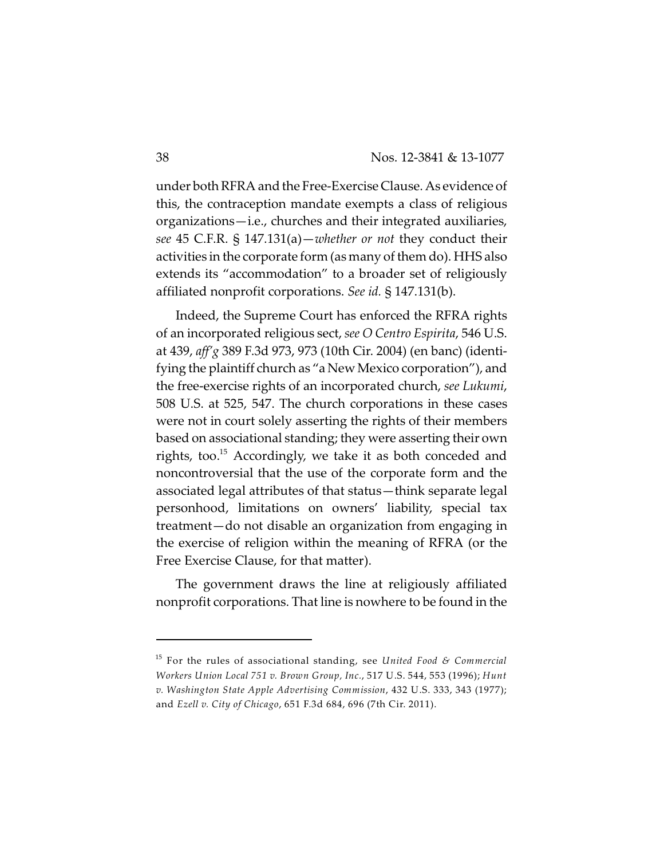under both RFRA and the Free-Exercise Clause. As evidence of this, the contraception mandate exempts a class of religious organizations—i.e., churches and their integrated auxiliaries, *see* 45 C.F.R. § 147.131(a)—*whether or not* they conduct their activities in the corporate form (as many of them do). HHS also extends its "accommodation" to a broader set of religiously affiliated nonprofit corporations. *See id.* § 147.131(b).

Indeed, the Supreme Court has enforced the RFRA rights of an incorporated religious sect, *see O Centro Espirita*, 546 U.S. at 439, *aff'g* 389 F.3d 973, 973 (10th Cir. 2004) (en banc) (identifying the plaintiff church as "a New Mexico corporation"), and the free-exercise rights of an incorporated church, *see Lukumi*, 508 U.S. at 525, 547. The church corporations in these cases were not in court solely asserting the rights of their members based on associational standing; they were asserting their own rights, too.<sup>15</sup> Accordingly, we take it as both conceded and noncontroversial that the use of the corporate form and the associated legal attributes of that status—think separate legal personhood, limitations on owners' liability, special tax treatment—do not disable an organization from engaging in the exercise of religion within the meaning of RFRA (or the Free Exercise Clause, for that matter).

The government draws the line at religiously affiliated nonprofit corporations. That line is nowhere to be found in the

For the rules of associational standing, see *United Food & Commercial* 15 *Workers Union Local 751 v. Brown Group, Inc.*, 517 U.S. 544, 553 (1996); *Hunt v. Washington State Apple Advertising Commission*, 432 U.S. 333, 343 (1977); and *Ezell v. City of Chicago*, 651 F.3d 684, 696 (7th Cir. 2011).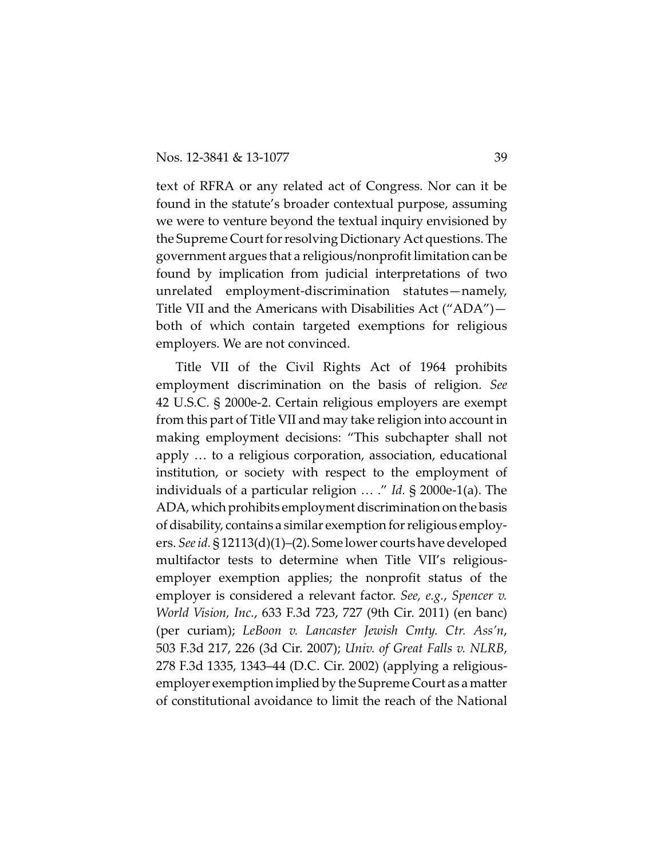text of RFRA or any related act of Congress. Nor can it be found in the statute's broader contextual purpose, assuming we were to venture beyond the textual inquiry envisioned by the Supreme Court for resolving Dictionary Act questions. The government argues that a religious/nonprofit limitation can be found by implication from judicial interpretations of two unrelated employment-discrimination statutes—namely, Title VII and the Americans with Disabilities Act ("ADA") both of which contain targeted exemptions for religious employers. We are not convinced.

Title VII of the Civil Rights Act of 1964 prohibits employment discrimination on the basis of religion. *See* 42 U.S.C. § 2000e-2. Certain religious employers are exempt from this part of Title VII and may take religion into account in making employment decisions: "This subchapter shall not apply … to a religious corporation, association, educational institution, or society with respect to the employment of individuals of a particular religion … ." *Id.* § 2000e-1(a). The ADA,which prohibits employment discrimination on the basis of disability, contains a similar exemption for religious employers. *See id.* § 12113(d)(1)–(2). Some lower courts have developed multifactor tests to determine when Title VII's religiousemployer exemption applies; the nonprofit status of the employer is considered a relevant factor. *See, e.g.*, *Spencer v. World Vision, Inc.*, 633 F.3d 723, 727 (9th Cir. 2011) (en banc) (per curiam); *LeBoon v. Lancaster Jewish Cmty. Ctr. Ass'n*, 503 F.3d 217, 226 (3d Cir. 2007); *Univ. of Great Falls v. NLRB*, 278 F.3d 1335, 1343–44 (D.C. Cir. 2002) (applying a religiousemployer exemption implied by the Supreme Court as a matter of constitutional avoidance to limit the reach of the National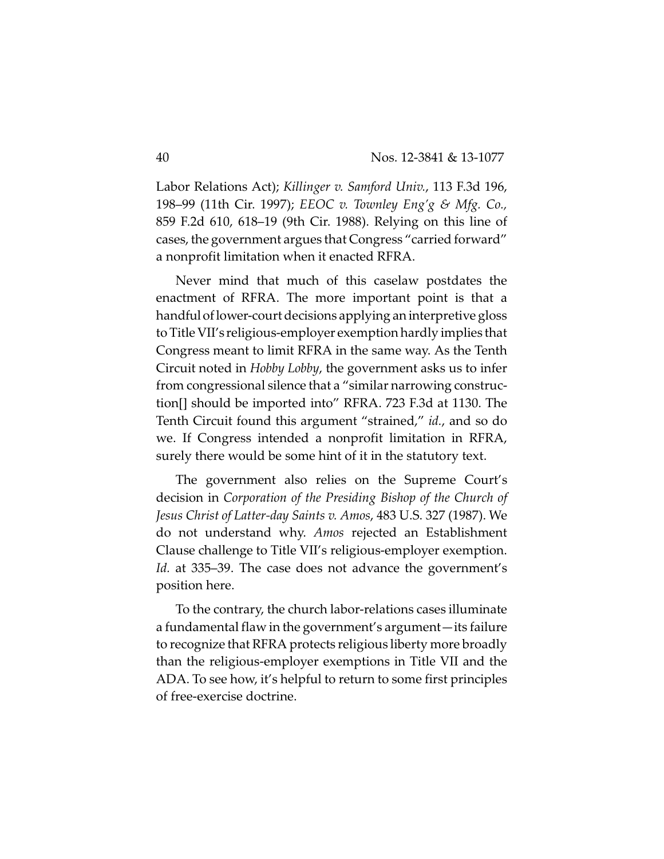Labor Relations Act); *Killinger v. Samford Univ.*, 113 F.3d 196, 198–99 (11th Cir. 1997); *EEOC v. Townley Eng'g & Mfg. Co.,* 859 F.2d 610, 618–19 (9th Cir. 1988). Relying on this line of cases, the government argues that Congress "carried forward" a nonprofit limitation when it enacted RFRA.

Never mind that much of this caselaw postdates the enactment of RFRA. The more important point is that a handful oflower-court decisions applying an interpretive gloss to Title VII's religious-employer exemption hardly implies that Congress meant to limit RFRA in the same way. As the Tenth Circuit noted in *Hobby Lobby*, the government asks us to infer from congressional silence that a "similar narrowing construction[] should be imported into" RFRA. 723 F.3d at 1130. The Tenth Circuit found this argument "strained," *id.*, and so do we. If Congress intended a nonprofit limitation in RFRA, surely there would be some hint of it in the statutory text.

The government also relies on the Supreme Court's decision in *Corporation of the Presiding Bishop of the Church of Jesus Christ of Latter-day Saints v. Amos*, 483 U.S. 327 (1987). We do not understand why. *Amos* rejected an Establishment Clause challenge to Title VII's religious-employer exemption. *Id.* at 335–39. The case does not advance the government's position here.

To the contrary, the church labor-relations cases illuminate a fundamental flaw in the government's argument—its failure to recognize that RFRA protects religious liberty more broadly than the religious-employer exemptions in Title VII and the ADA. To see how, it's helpful to return to some first principles of free-exercise doctrine.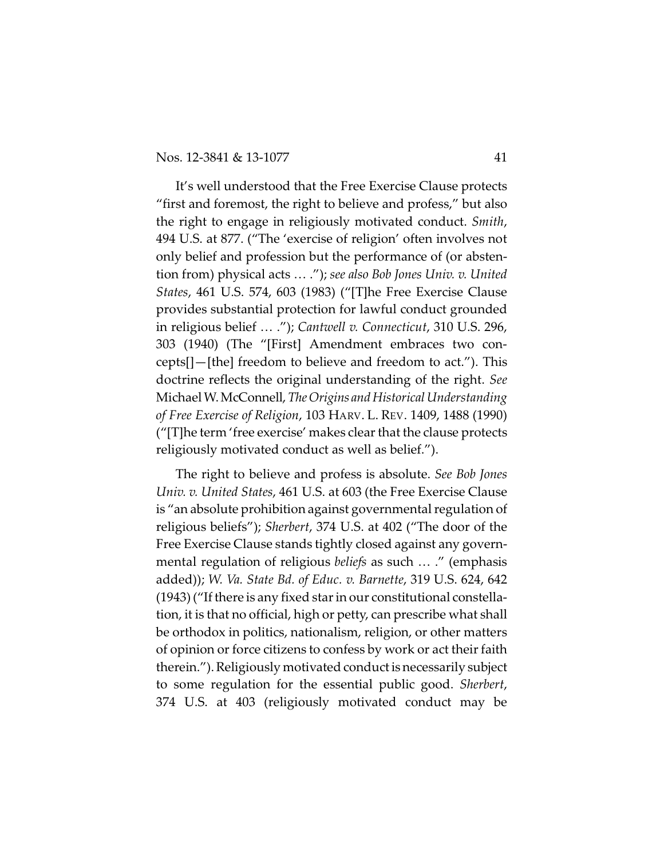It's well understood that the Free Exercise Clause protects "first and foremost, the right to believe and profess," but also the right to engage in religiously motivated conduct. *Smith*, 494 U.S. at 877. ("The 'exercise of religion' often involves not only belief and profession but the performance of (or abstention from) physical acts … ."); *see also Bob Jones Univ. v. United States*, 461 U.S. 574, 603 (1983) ("[T]he Free Exercise Clause provides substantial protection for lawful conduct grounded in religious belief … ."); *Cantwell v. Connecticut*, 310 U.S. 296, 303 (1940) (The "[First] Amendment embraces two concepts[]—[the] freedom to believe and freedom to act."). This doctrine reflects the original understanding of the right. *See* Michael W.McConnell,*TheOrigins and Historical Understanding of Free Exercise of Religion*, 103 HARV. L. REV. 1409, 1488 (1990) ("[T]he term 'free exercise' makes clear that the clause protects religiously motivated conduct as well as belief.").

The right to believe and profess is absolute. *See Bob Jones Univ. v. United States*, 461 U.S. at 603 (the Free Exercise Clause is "an absolute prohibition against governmental regulation of religious beliefs"); *Sherbert*, 374 U.S. at 402 ("The door of the Free Exercise Clause stands tightly closed against any governmental regulation of religious *beliefs* as such … ." (emphasis added)); *W. Va. State Bd. of Educ. v. Barnette*, 319 U.S. 624, 642 (1943) ("If there is any fixed star in our constitutional constellation, it is that no official, high or petty, can prescribe what shall be orthodox in politics, nationalism, religion, or other matters of opinion or force citizens to confess by work or act their faith therein."). Religiously motivated conduct is necessarily subject to some regulation for the essential public good. *Sherbert*, 374 U.S. at 403 (religiously motivated conduct may be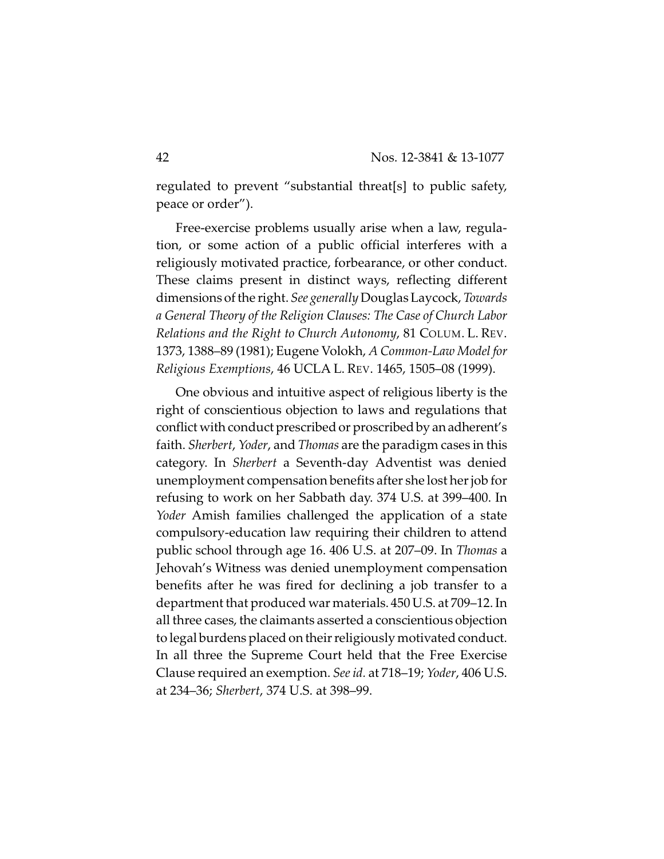regulated to prevent "substantial threat[s] to public safety, peace or order").

Free-exercise problems usually arise when a law, regulation, or some action of a public official interferes with a religiously motivated practice, forbearance, or other conduct. These claims present in distinct ways, reflecting different dimensions of the right. *See generally* Douglas Laycock, *Towards a General Theory of the Religion Clauses: The Case of Church Labor Relations and the Right to Church Autonomy*, 81 COLUM. L. REV. 1373, 1388–89 (1981); Eugene Volokh, *A Common-Law Model for Religious Exemptions*, 46 UCLA L. REV. 1465, 1505–08 (1999).

One obvious and intuitive aspect of religious liberty is the right of conscientious objection to laws and regulations that conflict with conduct prescribed or proscribed by an adherent's faith. *Sherbert*, *Yoder*, and *Thomas* are the paradigm cases in this category. In *Sherbert* a Seventh-day Adventist was denied unemployment compensation benefits after she lost her job for refusing to work on her Sabbath day. 374 U.S. at 399–400. In *Yoder* Amish families challenged the application of a state compulsory-education law requiring their children to attend public school through age 16. 406 U.S. at 207–09. In *Thomas* a Jehovah's Witness was denied unemployment compensation benefits after he was fired for declining a job transfer to a department that produced war materials. 450 U.S. at 709–12. In all three cases, the claimants asserted a conscientious objection to legal burdens placed on their religiously motivated conduct. In all three the Supreme Court held that the Free Exercise Clause required an exemption. *See id.* at 718–19; *Yoder*, 406 U.S. at 234–36; *Sherbert*, 374 U.S. at 398–99.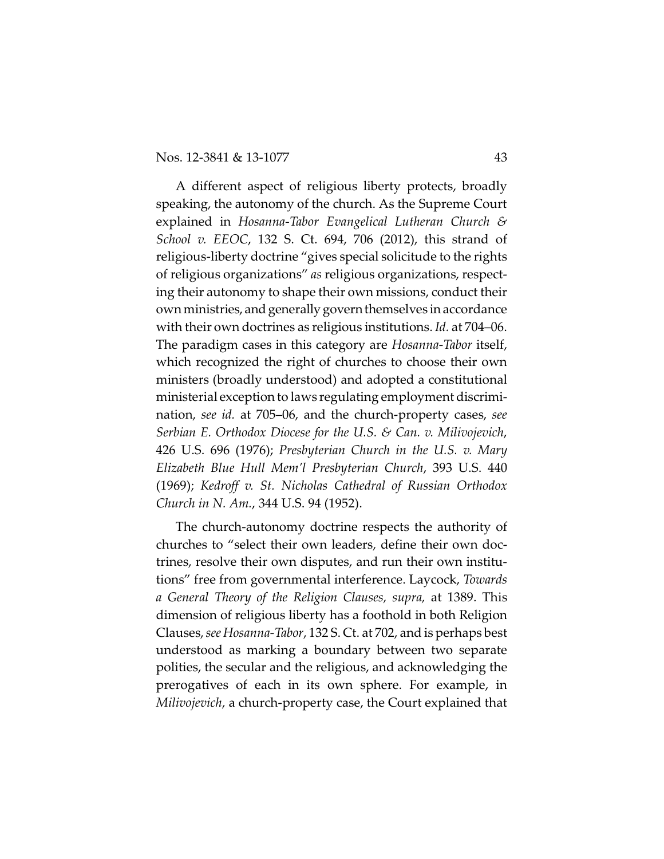A different aspect of religious liberty protects, broadly speaking, the autonomy of the church. As the Supreme Court explained in *Hosanna-Tabor Evangelical Lutheran Church & School v. EEOC*, 132 S. Ct. 694, 706 (2012), this strand of religious-liberty doctrine "gives special solicitude to the rights of religious organizations" *as* religious organizations, respecting their autonomy to shape their own missions, conduct their own ministries, and generally govern themselves in accordance with their own doctrines as religious institutions. *Id.* at 704–06. The paradigm cases in this category are *Hosanna-Tabor* itself, which recognized the right of churches to choose their own ministers (broadly understood) and adopted a constitutional ministerial exception to laws regulating employment discrimination, *see id.* at 705–06, and the church-property cases, *see Serbian E. Orthodox Diocese for the U.S. & Can. v. Milivojevich*, 426 U.S. 696 (1976); *Presbyterian Church in the U.S. v. Mary Elizabeth Blue Hull Mem'l Presbyterian Church*, 393 U.S. 440 (1969); *Kedroff v. St. Nicholas Cathedral of Russian Orthodox Church in N. Am.*, 344 U.S. 94 (1952).

The church-autonomy doctrine respects the authority of churches to "select their own leaders, define their own doctrines, resolve their own disputes, and run their own institutions" free from governmental interference. Laycock, *Towards a General Theory of the Religion Clauses, supra,* at 1389. This dimension of religious liberty has a foothold in both Religion Clauses, *see Hosanna-Tabor*, 132 S. Ct. at 702, and is perhaps best understood as marking a boundary between two separate polities, the secular and the religious, and acknowledging the prerogatives of each in its own sphere. For example, in *Milivojevich*, a church-property case, the Court explained that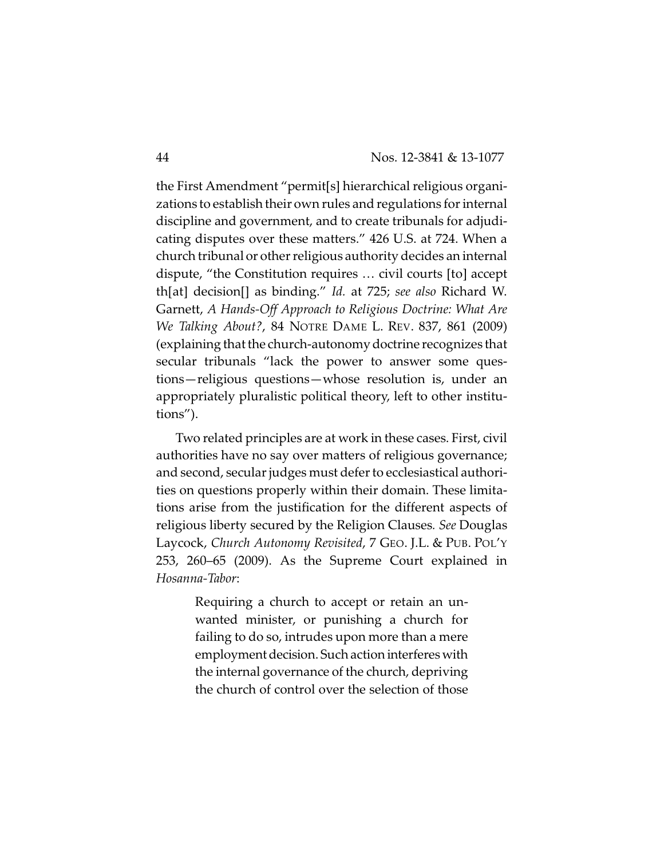the First Amendment "permit[s] hierarchical religious organizations to establish their own rules and regulations for internal discipline and government, and to create tribunals for adjudicating disputes over these matters." 426 U.S. at 724. When a church tribunal or other religious authority decides an internal dispute, "the Constitution requires … civil courts [to] accept th[at] decision[] as binding." *Id.* at 725; *see also* Richard W. Garnett, *A Hands-Off Approach to Religious Doctrine: What Are We Talking About?*, 84 NOTRE DAME L. REV. 837, 861 (2009) (explaining that the church-autonomy doctrine recognizes that secular tribunals "lack the power to answer some questions—religious questions—whose resolution is, under an appropriately pluralistic political theory, left to other institutions").

Two related principles are at work in these cases. First, civil authorities have no say over matters of religious governance; and second, secular judges must defer to ecclesiastical authorities on questions properly within their domain. These limitations arise from the justification for the different aspects of religious liberty secured by the Religion Clauses*. See* Douglas Laycock, *Church Autonomy Revisited*, 7 GEO. J.L. & PUB. POL'Y 253, 260–65 (2009). As the Supreme Court explained in *Hosanna-Tabor*:

> Requiring a church to accept or retain an unwanted minister, or punishing a church for failing to do so, intrudes upon more than a mere employment decision. Such action interferes with the internal governance of the church, depriving the church of control over the selection of those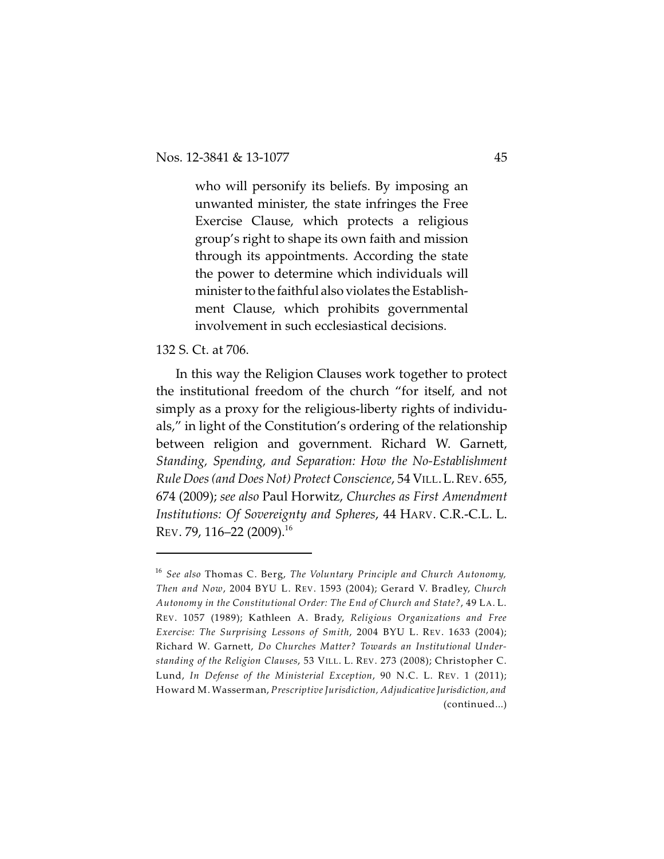who will personify its beliefs. By imposing an unwanted minister, the state infringes the Free Exercise Clause, which protects a religious group's right to shape its own faith and mission through its appointments. According the state the power to determine which individuals will minister tothe faithful also violates the Establishment Clause, which prohibits governmental involvement in such ecclesiastical decisions.

# 132 S. Ct. at 706.

In this way the Religion Clauses work together to protect the institutional freedom of the church "for itself, and not simply as a proxy for the religious-liberty rights of individuals," in light of the Constitution's ordering of the relationship between religion and government. Richard W. Garnett, *Standing, Spending, and Separation: How the No-Establishment Rule Does (and Does Not) Protect Conscience*, 54 VILL.L.REV. 655, 674 (2009); *see also* Paul Horwitz, *Churches as First Amendment Institutions: Of Sovereignty and Spheres*, 44 HARV. C.R.-C.L. L. REV. 79, 116–22 (2009).<sup>16</sup>

*See also* Thomas C. Berg, *The Voluntary Principle and Church Autonomy,* 16 *Then and Now*, 2004 BYU L. REV. 1593 (2004); Gerard V. Bradley, *Church Autonomy in the Constitutional Order: The End of Church and State?*, 49 LA. L. REV. 1057 (1989); Kathleen A. Brady, *Religious Organizations and Free Exercise: The Surprising Lessons of Smith*, 2004 BYU L. REV. 1633 (2004); Richard W. Garnett, *Do Churches Matter? Towards an Institutional Understanding of the Religion Clauses*, 53 VILL. L. REV. 273 (2008); Christopher C. Lund, *In Defense of the Ministerial Exception*, 90 N.C. L. REV. 1 (2011); Howard M. Wasserman, *Prescriptive Jurisdiction, AdjudicativeJurisdiction, and* (continued...)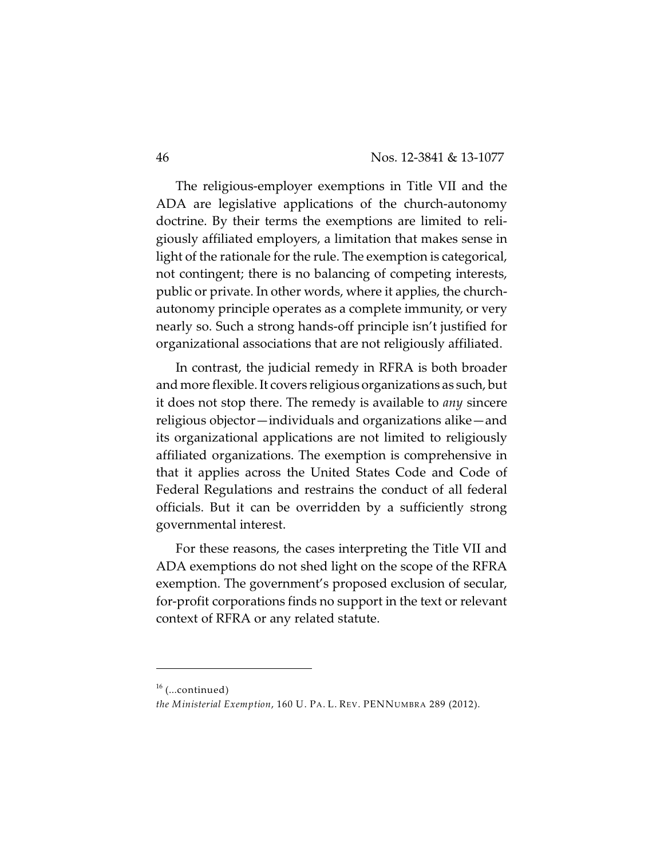The religious-employer exemptions in Title VII and the ADA are legislative applications of the church-autonomy doctrine. By their terms the exemptions are limited to religiously affiliated employers, a limitation that makes sense in light of the rationale for the rule. The exemption is categorical, not contingent; there is no balancing of competing interests, public or private. In other words, where it applies, the churchautonomy principle operates as a complete immunity, or very nearly so. Such a strong hands-off principle isn't justified for organizational associations that are not religiously affiliated.

In contrast, the judicial remedy in RFRA is both broader and more flexible. It covers religious organizations as such, but it does not stop there. The remedy is available to *any* sincere religious objector—individuals and organizations alike—and its organizational applications are not limited to religiously affiliated organizations. The exemption is comprehensive in that it applies across the United States Code and Code of Federal Regulations and restrains the conduct of all federal officials. But it can be overridden by a sufficiently strong governmental interest.

For these reasons, the cases interpreting the Title VII and ADA exemptions do not shed light on the scope of the RFRA exemption. The government's proposed exclusion of secular, for-profit corporations finds no support in the text or relevant context of RFRA or any related statute.

 $16$  (...continued)

*the Ministerial Exemption*, 160 U. PA. L. REV. PENNUMBRA 289 (2012).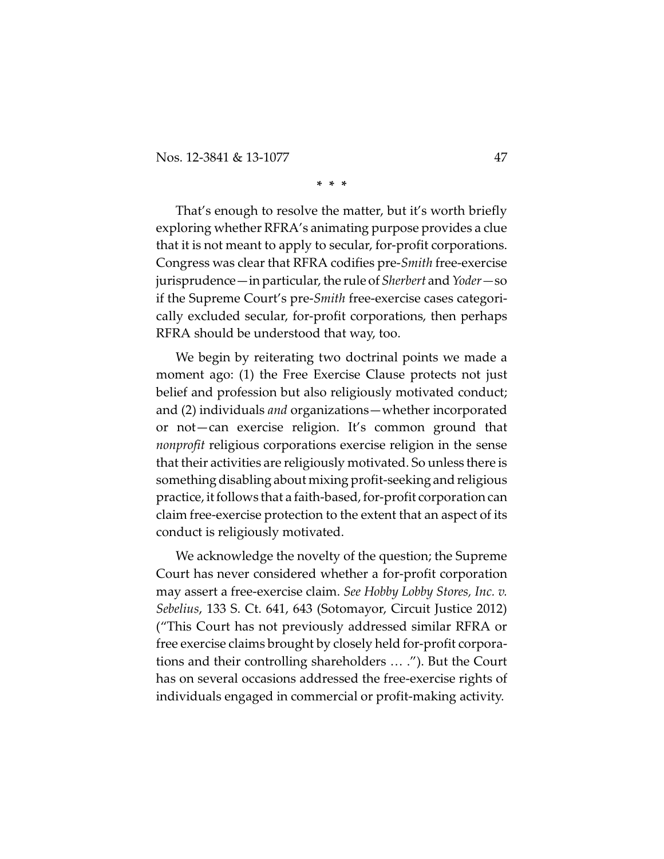Nos. 12-3841 & 13-1077 47

#### **\* \* \***

That's enough to resolve the matter, but it's worth briefly exploring whether RFRA's animating purpose provides a clue that it is not meant to apply to secular, for-profit corporations. Congress was clear that RFRA codifies pre-*Smith* free-exercise jurisprudence—in particular, the rule of *Sherbert* and *Yoder—*so if the Supreme Court's pre-*Smith* free-exercise cases categorically excluded secular, for-profit corporations, then perhaps RFRA should be understood that way, too.

We begin by reiterating two doctrinal points we made a moment ago: (1) the Free Exercise Clause protects not just belief and profession but also religiously motivated conduct; and (2) individuals *and* organizations—whether incorporated or not—can exercise religion. It's common ground that *nonprofit* religious corporations exercise religion in the sense that their activities are religiously motivated. So unless there is something disabling about mixing profit-seeking and religious practice, it follows that a faith-based, for-profit corporation can claim free-exercise protection to the extent that an aspect of its conduct is religiously motivated.

We acknowledge the novelty of the question; the Supreme Court has never considered whether a for-profit corporation may assert a free-exercise claim. *See Hobby Lobby Stores, Inc. v. Sebelius*, 133 S. Ct. 641, 643 (Sotomayor, Circuit Justice 2012) ("This Court has not previously addressed similar RFRA or free exercise claims brought by closely held for-profit corporations and their controlling shareholders … ."). But the Court has on several occasions addressed the free-exercise rights of individuals engaged in commercial or profit-making activity.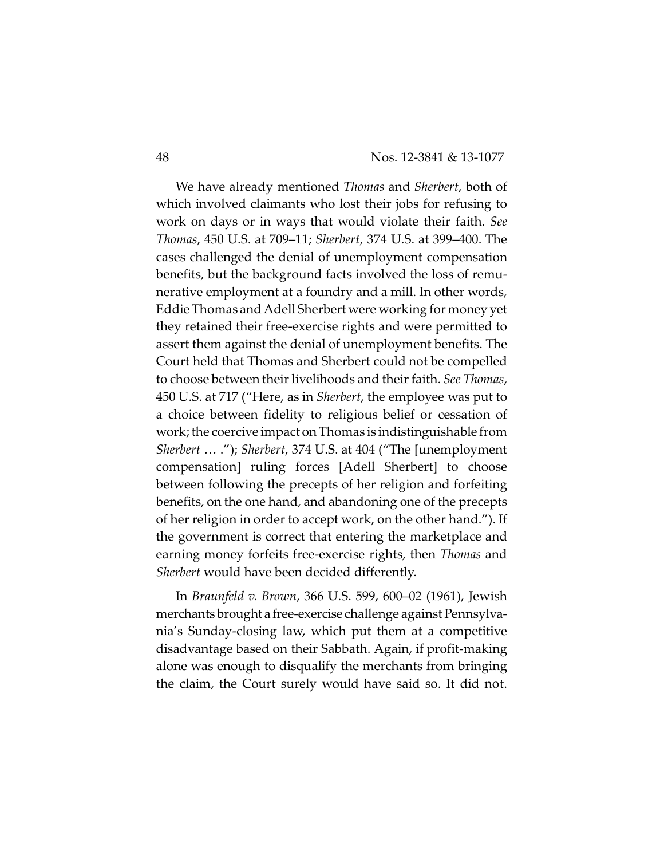We have already mentioned *Thomas* and *Sherbert*, both of which involved claimants who lost their jobs for refusing to work on days or in ways that would violate their faith. *See Thomas*, 450 U.S. at 709–11; *Sherbert*, 374 U.S. at 399–400. The cases challenged the denial of unemployment compensation benefits, but the background facts involved the loss of remunerative employment at a foundry and a mill. In other words, Eddie Thomas and Adell Sherbert were working for money yet they retained their free-exercise rights and were permitted to assert them against the denial of unemployment benefits. The Court held that Thomas and Sherbert could not be compelled to choose between their livelihoods and their faith. *See Thomas*, 450 U.S. at 717 ("Here, as in *Sherbert*, the employee was put to a choice between fidelity to religious belief or cessation of work; the coercive impact on Thomas is indistinguishable from *Sherbert* … ."); *Sherbert*, 374 U.S. at 404 ("The [unemployment compensation] ruling forces [Adell Sherbert] to choose between following the precepts of her religion and forfeiting benefits, on the one hand, and abandoning one of the precepts of her religion in order to accept work, on the other hand."). If the government is correct that entering the marketplace and earning money forfeits free-exercise rights, then *Thomas* and *Sherbert* would have been decided differently.

In *Braunfeld v. Brown*, 366 U.S. 599, 600–02 (1961), Jewish merchantsbrought a free-exercise challenge against Pennsylvania's Sunday-closing law, which put them at a competitive disadvantage based on their Sabbath. Again, if profit-making alone was enough to disqualify the merchants from bringing the claim, the Court surely would have said so. It did not.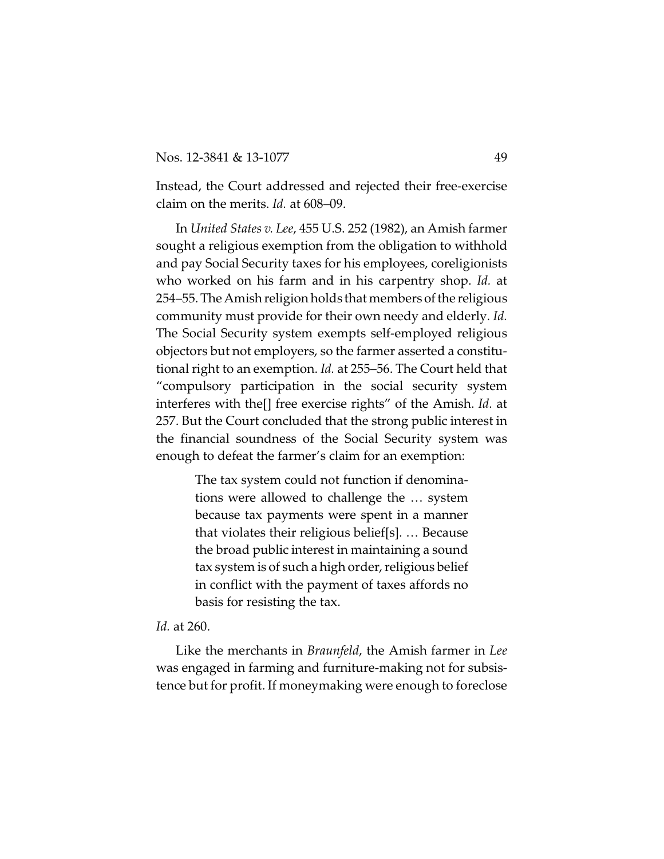Instead, the Court addressed and rejected their free-exercise claim on the merits. *Id.* at 608–09.

In *United States v. Lee*, 455 U.S. 252 (1982), an Amish farmer sought a religious exemption from the obligation to withhold and pay Social Security taxes for his employees, coreligionists who worked on his farm and in his carpentry shop. *Id.* at 254–55. The Amish religion holds that members of the religious community must provide for their own needy and elderly*. Id.* The Social Security system exempts self-employed religious objectors but not employers, so the farmer asserted a constitutional right to an exemption. *Id.* at 255–56. The Court held that "compulsory participation in the social security system interferes with the[] free exercise rights" of the Amish. *Id.* at 257. But the Court concluded that the strong public interest in the financial soundness of the Social Security system was enough to defeat the farmer's claim for an exemption:

> The tax system could not function if denominations were allowed to challenge the … system because tax payments were spent in a manner that violates their religious belief[s]. … Because the broad public interest in maintaining a sound tax system is of such a high order, religious belief in conflict with the payment of taxes affords no basis for resisting the tax.

## *Id.* at 260.

Like the merchants in *Braunfeld*, the Amish farmer in *Lee* was engaged in farming and furniture-making not for subsistence but for profit. If moneymaking were enough to foreclose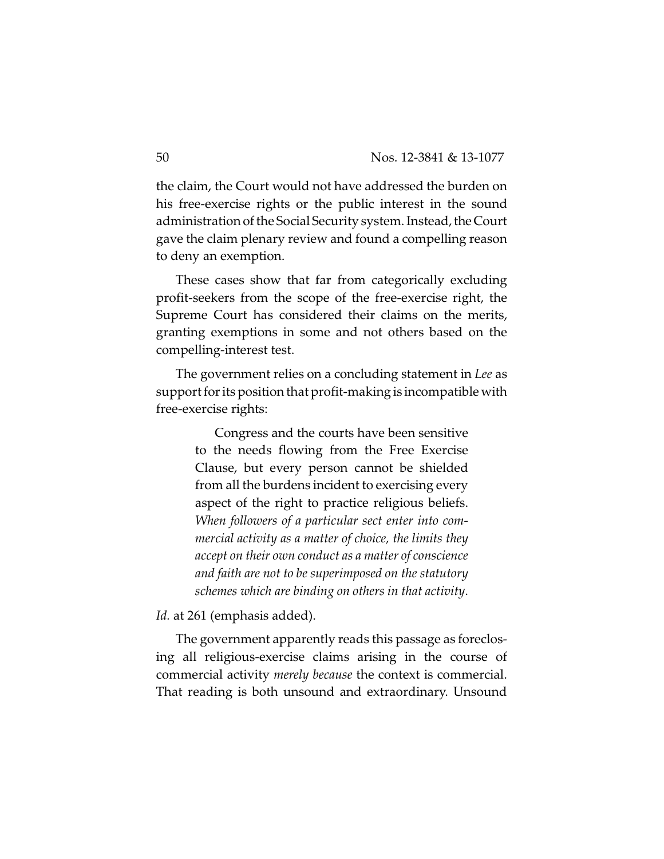the claim, the Court would not have addressed the burden on his free-exercise rights or the public interest in the sound administration of the Social Security system. Instead, the Court gave the claim plenary review and found a compelling reason to deny an exemption.

These cases show that far from categorically excluding profit-seekers from the scope of the free-exercise right, the Supreme Court has considered their claims on the merits, granting exemptions in some and not others based on the compelling-interest test.

The government relies on a concluding statement in *Lee* as support for its position that profit-making is incompatible with free-exercise rights:

> Congress and the courts have been sensitive to the needs flowing from the Free Exercise Clause, but every person cannot be shielded from all the burdens incident to exercising every aspect of the right to practice religious beliefs. *When followers of a particular sect enter into commercial activity as a matter of choice, the limits they accept on their own conduct as a matter of conscience and faith are not to be superimposed on the statutory schemes which are binding on others in that activity*.

Id. at 261 (emphasis added).

The government apparently reads this passage as foreclosing all religious-exercise claims arising in the course of commercial activity *merely because* the context is commercial. That reading is both unsound and extraordinary. Unsound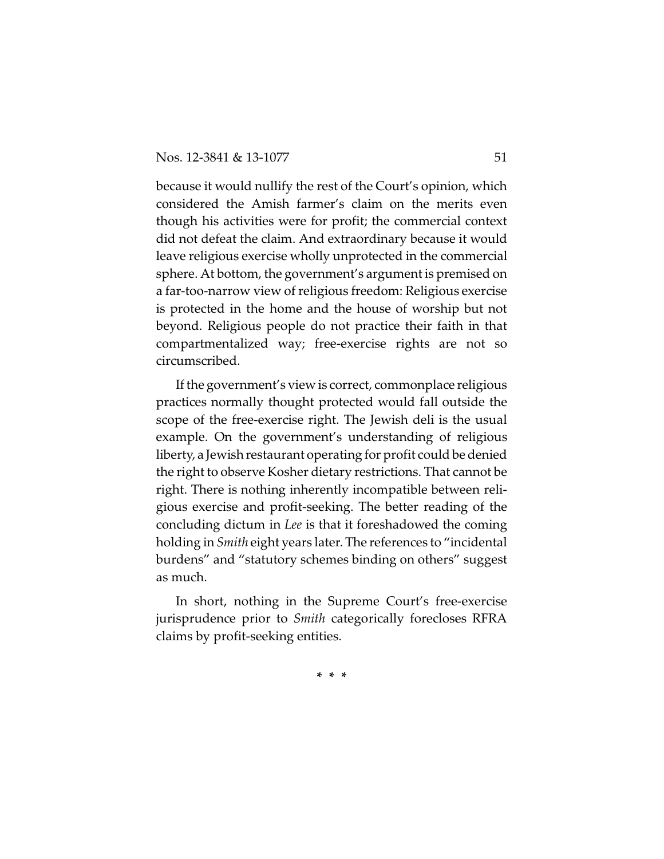because it would nullify the rest of the Court's opinion, which considered the Amish farmer's claim on the merits even though his activities were for profit; the commercial context did not defeat the claim. And extraordinary because it would leave religious exercise wholly unprotected in the commercial sphere. At bottom, the government's argument is premised on a far-too-narrow view of religious freedom: Religious exercise is protected in the home and the house of worship but not beyond. Religious people do not practice their faith in that compartmentalized way; free-exercise rights are not so circumscribed.

If the government's view is correct, commonplace religious practices normally thought protected would fall outside the scope of the free-exercise right. The Jewish deli is the usual example. On the government's understanding of religious liberty, a Jewish restaurant operating for profit could be denied the right to observe Kosher dietary restrictions. That cannot be right. There is nothing inherently incompatible between religious exercise and profit-seeking. The better reading of the concluding dictum in *Lee* is that it foreshadowed the coming holding in *Smith* eight years later. The references to "incidental burdens" and "statutory schemes binding on others" suggest as much.

In short, nothing in the Supreme Court's free-exercise jurisprudence prior to *Smith* categorically forecloses RFRA claims by profit-seeking entities.

**\* \* \***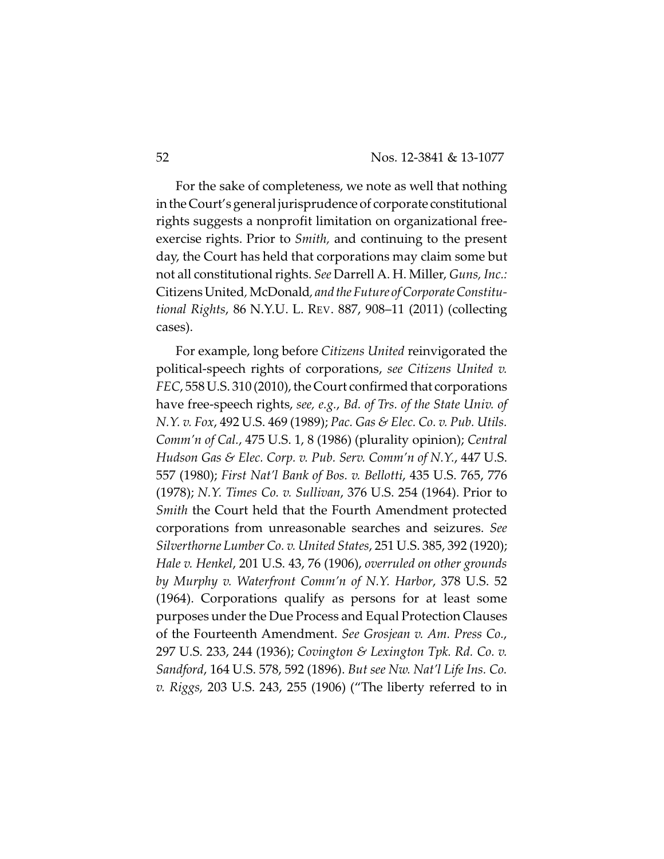For the sake of completeness, we note as well that nothing intheCourt's general jurisprudence of corporate constitutional rights suggests a nonprofit limitation on organizational freeexercise rights. Prior to *Smith,* and continuing to the present day, the Court has held that corporations may claim some but not all constitutional rights. *See* Darrell A. H. Miller, *Guns, Inc.:* CitizensUnited*,*McDonald*, and the Future of Corporate Constitutional Rights*, 86 N.Y.U. L. REV. 887, 908–11 (2011) (collecting cases).

For example, long before *Citizens United* reinvigorated the political-speech rights of corporations, *see Citizens United v. FEC*, 558 U.S. 310 (2010), the Court confirmed that corporations have free-speech rights, *see, e.g.*, *Bd. of Trs. of the State Univ. of N.Y. v. Fox*, 492 U.S. 469 (1989); *Pac. Gas & Elec. Co. v. Pub. Utils. Comm'n of Cal.*, 475 U.S. 1, 8 (1986) (plurality opinion); *Central Hudson Gas & Elec. Corp. v. Pub. Serv. Comm'n of N.Y.*, 447 U.S. 557 (1980); *First Nat'l Bank of Bos. v. Bellotti*, 435 U.S. 765, 776 (1978); *N.Y. Times Co. v. Sullivan*, 376 U.S. 254 (1964). Prior to *Smith* the Court held that the Fourth Amendment protected corporations from unreasonable searches and seizures. *See Silverthorne Lumber Co. v. United States*, 251 U.S. 385, 392 (1920); *Hale v. Henkel*, 201 U.S. 43, 76 (1906), *overruled on other grounds by Murphy v. Waterfront Comm'n of N.Y. Harbor*, 378 U.S. 52 (1964). Corporations qualify as persons for at least some purposes under the Due Process and Equal Protection Clauses of the Fourteenth Amendment. *See Grosjean v. Am. Press Co.*, 297 U.S. 233, 244 (1936); *Covington & Lexington Tpk. Rd. Co. v. Sandford*, 164 U.S. 578, 592 (1896). *But see Nw. Nat'l Life Ins. Co. v. Riggs,* 203 U.S. 243, 255 (1906) ("The liberty referred to in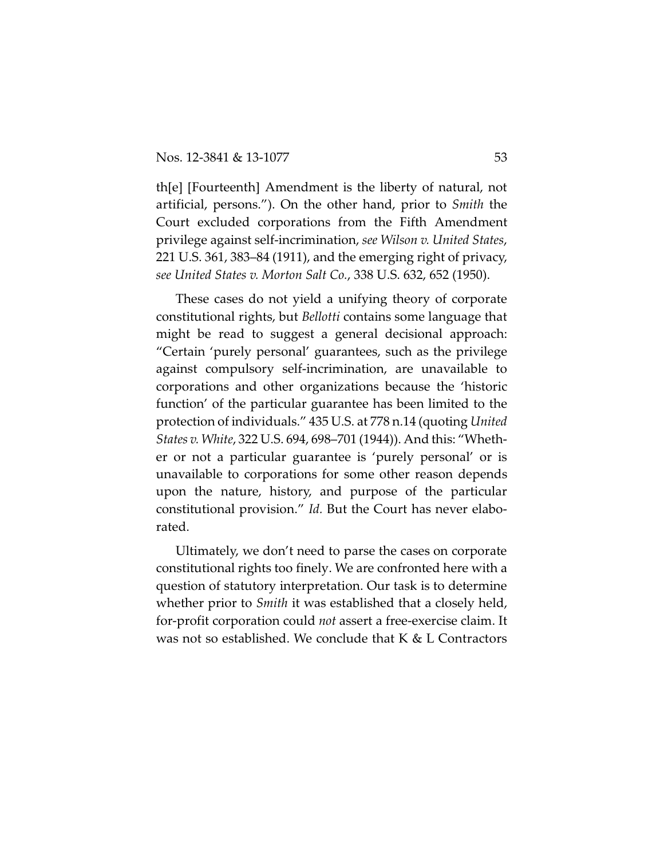th[e] [Fourteenth] Amendment is the liberty of natural, not artificial, persons."). On the other hand, prior to *Smith* the Court excluded corporations from the Fifth Amendment privilege against self-incrimination, *see Wilson v. United States*, 221 U.S. 361, 383–84 (1911), and the emerging right of privacy, *see United States v. Morton Salt Co.*, 338 U.S. 632, 652 (1950).

These cases do not yield a unifying theory of corporate constitutional rights, but *Bellotti* contains some language that might be read to suggest a general decisional approach: "Certain 'purely personal' guarantees, such as the privilege against compulsory self-incrimination, are unavailable to corporations and other organizations because the 'historic function' of the particular guarantee has been limited to the protection of individuals." 435 U.S. at 778 n.14 (quoting *United States v. White*, 322 U.S. 694, 698–701 (1944)). And this: "Whether or not a particular guarantee is 'purely personal' or is unavailable to corporations for some other reason depends upon the nature, history, and purpose of the particular constitutional provision." *Id.* But the Court has never elaborated.

Ultimately, we don't need to parse the cases on corporate constitutional rights too finely. We are confronted here with a question of statutory interpretation. Our task is to determine whether prior to *Smith* it was established that a closely held, for-profit corporation could *not* assert a free-exercise claim. It was not so established. We conclude that K & L Contractors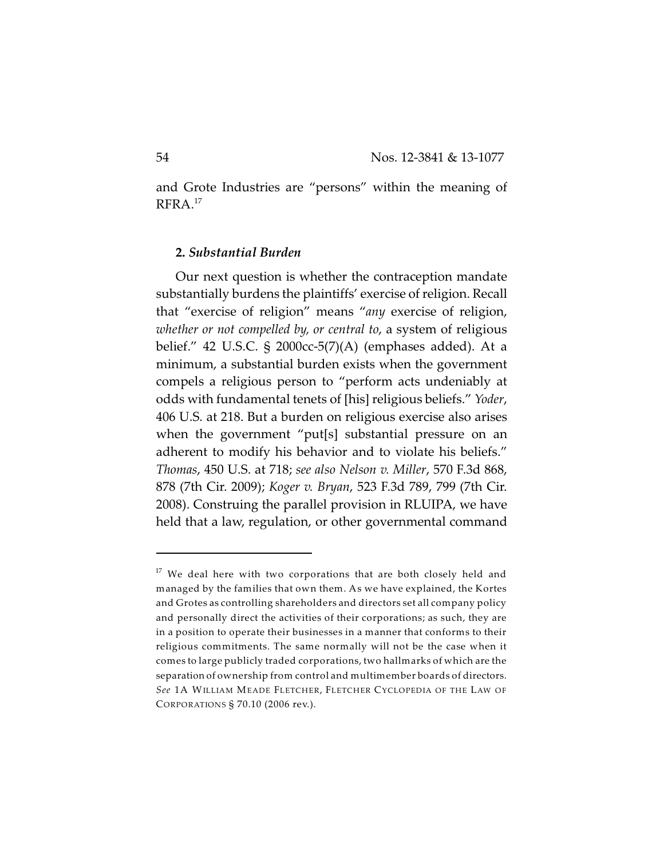and Grote Industries are "persons" within the meaning of RFRA. 17

### **2.** *Substantial Burden*

Our next question is whether the contraception mandate substantially burdens the plaintiffs' exercise of religion. Recall that "exercise of religion" means "*any* exercise of religion, *whether or not compelled by, or central to*, a system of religious belief." 42 U.S.C. § 2000cc-5(7)(A) (emphases added). At a minimum, a substantial burden exists when the government compels a religious person to "perform acts undeniably at odds with fundamental tenets of [his] religious beliefs." *Yoder*, 406 U.S. at 218. But a burden on religious exercise also arises when the government "put[s] substantial pressure on an adherent to modify his behavior and to violate his beliefs." *Thomas*, 450 U.S. at 718; *see also Nelson v. Miller*, 570 F.3d 868, 878 (7th Cir. 2009); *Koger v. Bryan*, 523 F.3d 789, 799 (7th Cir. 2008). Construing the parallel provision in RLUIPA, we have held that a law, regulation, or other governmental command

 $17$  We deal here with two corporations that are both closely held and managed by the families that own them. As we have explained, the Kortes and Grotes as controlling shareholders and directors set all company policy and personally direct the activities of their corporations; as such, they are in a position to operate their businesses in a manner that conforms to their religious commitments. The same normally will not be the case when it comes to large publicly traded corporations, two hallmarks of which are the separation of ownership from control and multimember boards of directors. *See* 1A WILLIAM MEADE FLETCHER, FLETCHER CYCLOPEDIA OF THE LAW OF CORPORATIONS § 70.10 (2006 rev.).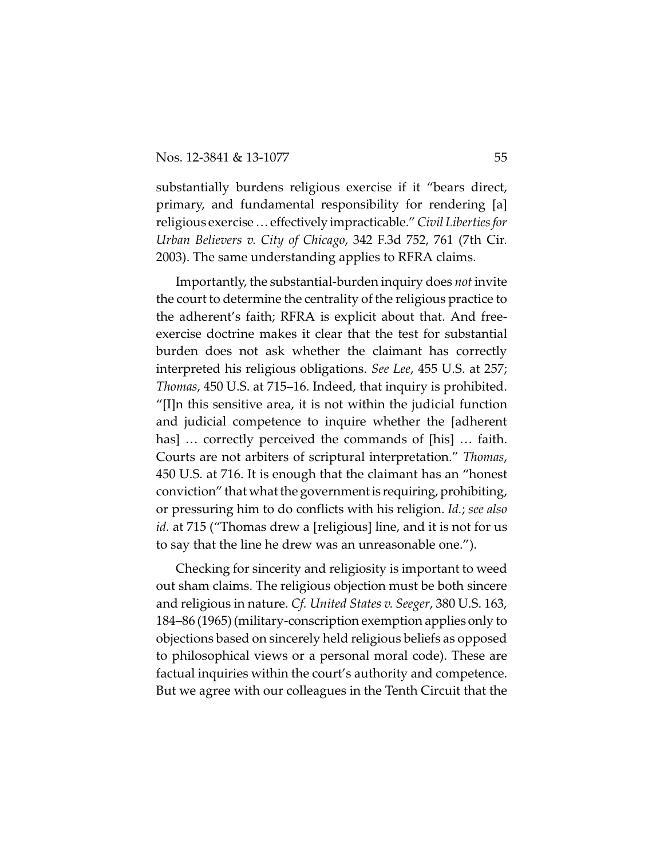substantially burdens religious exercise if it "bears direct, primary, and fundamental responsibility for rendering [a] religious exercise…effectively impracticable." *Civil Liberties for Urban Believers v. City of Chicago*, 342 F.3d 752, 761 (7th Cir. 2003). The same understanding applies to RFRA claims.

Importantly, the substantial-burden inquiry does *not* invite the court to determine the centrality of the religious practice to the adherent's faith; RFRA is explicit about that. And freeexercise doctrine makes it clear that the test for substantial burden does not ask whether the claimant has correctly interpreted his religious obligations. *See Lee*, 455 U.S. at 257; *Thomas*, 450 U.S. at 715–16. Indeed, that inquiry is prohibited. "[I]n this sensitive area, it is not within the judicial function and judicial competence to inquire whether the [adherent has] … correctly perceived the commands of [his] … faith. Courts are not arbiters of scriptural interpretation." *Thomas*, 450 U.S. at 716. It is enough that the claimant has an "honest conviction" that what the government is requiring, prohibiting, or pressuring him to do conflicts with his religion. *Id.*; *see also id.* at 715 ("Thomas drew a [religious] line, and it is not for us to say that the line he drew was an unreasonable one.").

Checking for sincerity and religiosity is important to weed out sham claims. The religious objection must be both sincere and religious in nature. *Cf. United States v. Seeger*, 380 U.S. 163, 184–86 (1965) (military-conscription exemption applies only to objections based on sincerely held religious beliefs as opposed to philosophical views or a personal moral code). These are factual inquiries within the court's authority and competence. But we agree with our colleagues in the Tenth Circuit that the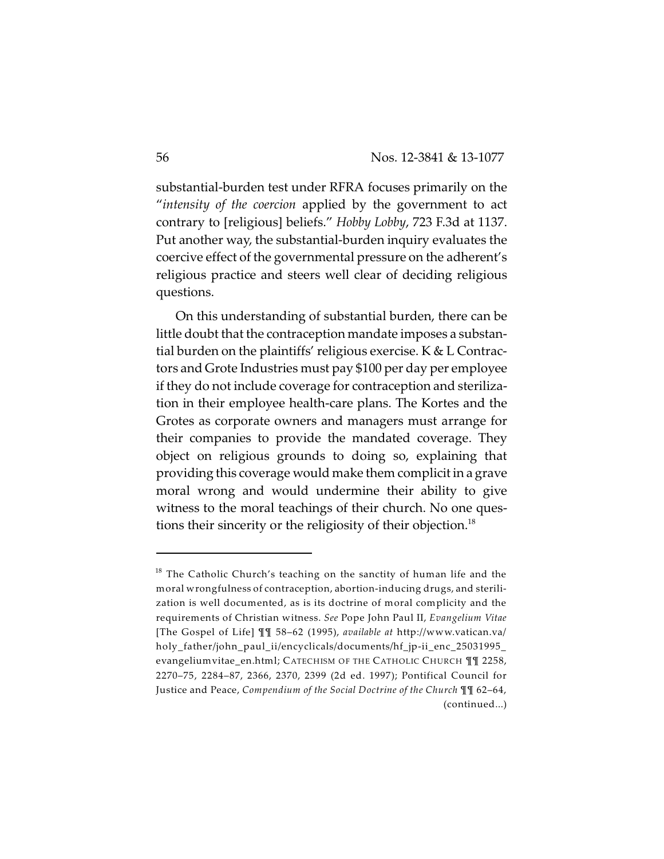substantial-burden test under RFRA focuses primarily on the "*intensity of the coercion* applied by the government to act contrary to [religious] beliefs." *Hobby Lobby*, 723 F.3d at 1137. Put another way, the substantial-burden inquiry evaluates the coercive effect of the governmental pressure on the adherent's religious practice and steers well clear of deciding religious questions.

On this understanding of substantial burden, there can be little doubt that the contraception mandate imposes a substantial burden on the plaintiffs' religious exercise. K & L Contractors and Grote Industries must pay \$100 per day per employee if they do not include coverage for contraception and sterilization in their employee health-care plans. The Kortes and the Grotes as corporate owners and managers must arrange for their companies to provide the mandated coverage. They object on religious grounds to doing so, explaining that providing this coverage would make them complicit in a grave moral wrong and would undermine their ability to give witness to the moral teachings of their church. No one questions their sincerity or the religiosity of their objection.<sup>18</sup>

 $18$  The Catholic Church's teaching on the sanctity of human life and the moral wrongfulness of contraception, abortion-inducing drugs, and sterilization is well documented, as is its doctrine of moral complicity and the requirements of Christian witness. *See* Pope John Paul II, *Evangelium Vitae* [The Gospel of Life] ¶¶ 58–62 (1995), *available at* http://www.vatican.va/ holy\_father/john\_paul\_ii/encyclicals/documents/hf\_jp-ii\_enc\_25031995\_ evangeliumvitae\_en.html; CATECHISM OF THE CATHOLIC CHURCH ¶¶ 2258, 2270–75, 2284–87, 2366, 2370, 2399 (2d ed. 1997); Pontifical Council for Justice and Peace, *Compendium of the Social Doctrine of the Church* ¶¶ 62–64, (continued...)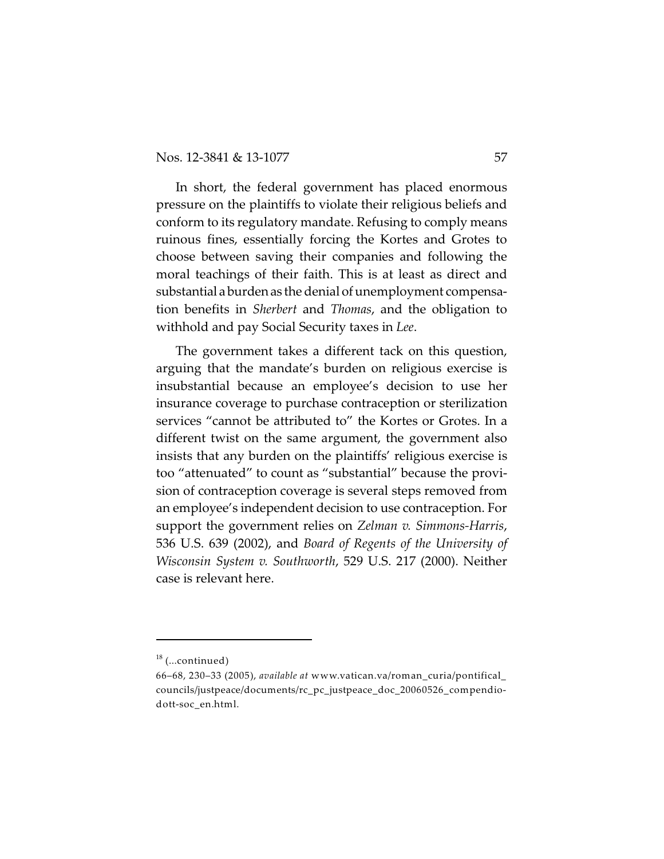In short, the federal government has placed enormous pressure on the plaintiffs to violate their religious beliefs and conform to its regulatory mandate. Refusing to comply means ruinous fines, essentially forcing the Kortes and Grotes to choose between saving their companies and following the moral teachings of their faith. This is at least as direct and substantial aburdenas the denial of unemployment compensation benefits in *Sherbert* and *Thomas*, and the obligation to withhold and pay Social Security taxes in *Lee*.

The government takes a different tack on this question, arguing that the mandate's burden on religious exercise is insubstantial because an employee's decision to use her insurance coverage to purchase contraception or sterilization services "cannot be attributed to" the Kortes or Grotes. In a different twist on the same argument, the government also insists that any burden on the plaintiffs' religious exercise is too "attenuated" to count as "substantial" because the provision of contraception coverage is several steps removed from an employee's independent decision to use contraception. For support the government relies on *Zelman v. Simmons-Harris*, 536 U.S. 639 (2002), and *Board of Regents of the University of Wisconsin System v. Southworth*, 529 U.S. 217 (2000). Neither case is relevant here.

 $18$  (...continued)

<sup>66–68,</sup> 230–33 (2005), *available at* www.vatican.va/roman\_curia/pontifical\_ councils/justpeace/documents/rc\_pc\_justpeace\_doc\_20060526\_compendiodott-soc\_en.html.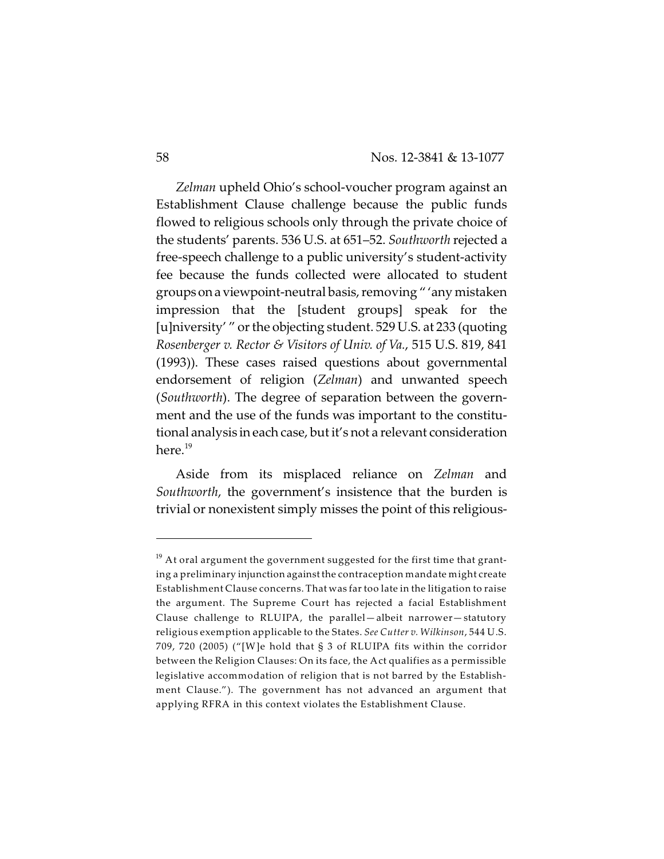*Zelman* upheld Ohio's school-voucher program against an Establishment Clause challenge because the public funds flowed to religious schools only through the private choice of the students' parents. 536 U.S. at 651–52. *Southworth* rejected a free-speech challenge to a public university's student-activity fee because the funds collected were allocated to student groupsonaviewpoint-neutral basis, removing " 'any mistaken impression that the [student groups] speak for the [u]niversity'" or the objecting student. 529 U.S. at 233 (quoting *Rosenberger v. Rector & Visitors of Univ. of Va.*, 515 U.S. 819, 841 (1993)). These cases raised questions about governmental endorsement of religion (*Zelman*) and unwanted speech (*Southworth*). The degree of separation between the government and the use of the funds was important to the constitutional analysis in each case, but it's not a relevant consideration here. $19$ 

Aside from its misplaced reliance on *Zelman* and *Southworth*, the government's insistence that the burden is trivial or nonexistent simply misses the point of this religious-

 $^{\rm 19}$  At oral argument the government suggested for the first time that granting a preliminary injunction against the contraception mandate might create Establishment Clause concerns. That was far too late in the litigation to raise the argument. The Supreme Court has rejected a facial Establishment Clause challenge to RLUIPA, the parallel—albeit narrower—statutory religious exemption applicable to the States. *See Cutter v. Wilkinson*, 544 U.S. 709, 720 (2005) ("[W]e hold that § 3 of RLUIPA fits within the corridor between the Religion Clauses: On its face, the Act qualifies as a permissible legislative accommodation of religion that is not barred by the Establishment Clause."). The government has not advanced an argument that applying RFRA in this context violates the Establishment Clause.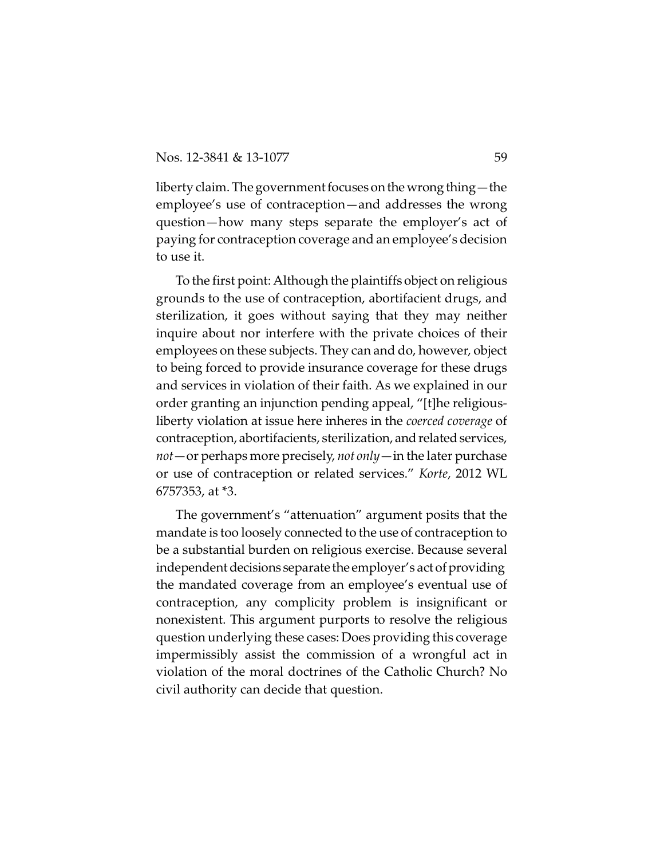liberty claim. The government focuses on the wrong thing—the employee's use of contraception—and addresses the wrong question—how many steps separate the employer's act of paying for contraception coverage and an employee's decision to use it.

To the first point: Although the plaintiffs object on religious grounds to the use of contraception, abortifacient drugs, and sterilization, it goes without saying that they may neither inquire about nor interfere with the private choices of their employees on these subjects. They can and do, however, object to being forced to provide insurance coverage for these drugs and services in violation of their faith. As we explained in our order granting an injunction pending appeal, "[t]he religiousliberty violation at issue here inheres in the *coerced coverage* of contraception, abortifacients, sterilization, and related services, *not*—or perhaps more precisely, *not only*—in the later purchase or use of contraception or related services." *Korte*, 2012 WL 6757353, at \*3.

The government's "attenuation" argument posits that the mandate is too loosely connected to the use of contraception to be a substantial burden on religious exercise. Because several independent decisions separate the employer's act of providing the mandated coverage from an employee's eventual use of contraception, any complicity problem is insignificant or nonexistent. This argument purports to resolve the religious question underlying these cases: Does providing this coverage impermissibly assist the commission of a wrongful act in violation of the moral doctrines of the Catholic Church? No civil authority can decide that question.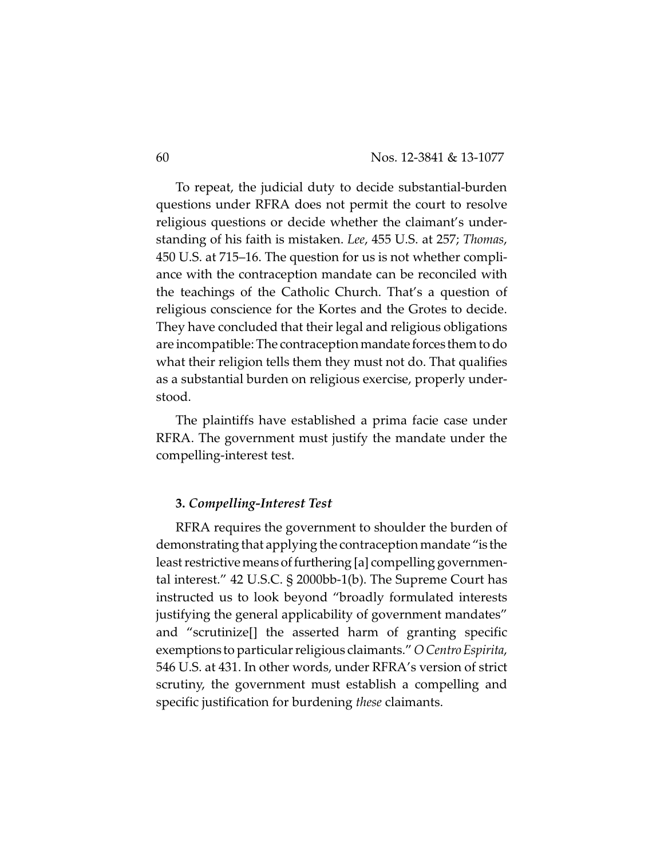To repeat, the judicial duty to decide substantial-burden questions under RFRA does not permit the court to resolve religious questions or decide whether the claimant's understanding of his faith is mistaken. *Lee*, 455 U.S. at 257; *Thomas*, 450 U.S. at 715–16. The question for us is not whether compliance with the contraception mandate can be reconciled with the teachings of the Catholic Church. That's a question of religious conscience for the Kortes and the Grotes to decide. They have concluded that their legal and religious obligations are incompatible: The contraception mandate forces them to do what their religion tells them they must not do. That qualifies as a substantial burden on religious exercise, properly understood.

The plaintiffs have established a prima facie case under RFRA. The government must justify the mandate under the compelling-interest test.

### **3.** *Compelling-Interest Test*

RFRA requires the government to shoulder the burden of demonstrating that applying the contraception mandate "is the least restrictive means of furthering [a] compelling governmental interest." 42 U.S.C. § 2000bb-1(b). The Supreme Court has instructed us to look beyond "broadly formulated interests justifying the general applicability of government mandates" and "scrutinize[] the asserted harm of granting specific exemptions to particular religious claimants." *O CentroEspirita*, 546 U.S. at 431. In other words, under RFRA's version of strict scrutiny, the government must establish a compelling and specific justification for burdening *these* claimants.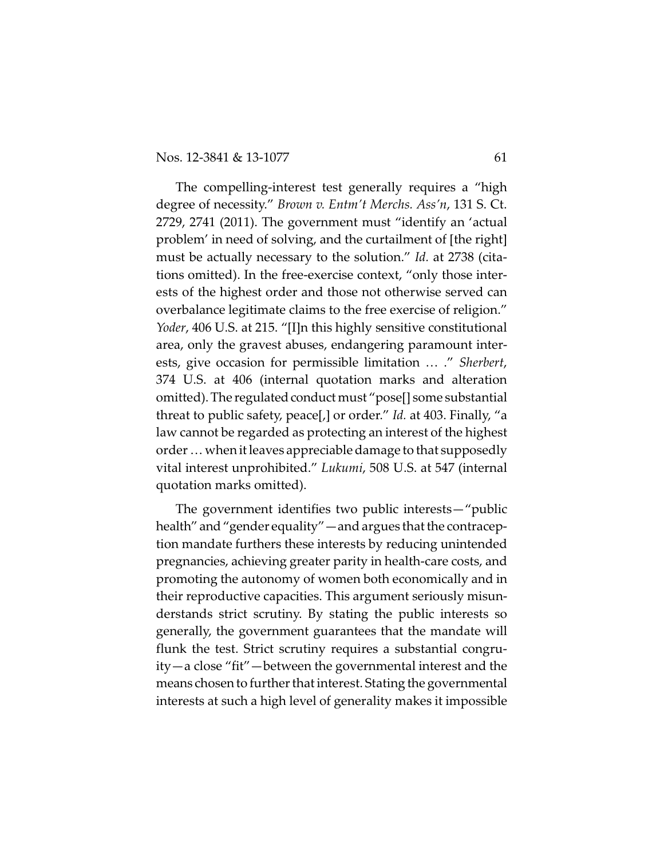The compelling-interest test generally requires a "high degree of necessity." *Brown v. Entm't Merchs. Ass'n*, 131 S. Ct. 2729, 2741 (2011). The government must "identify an 'actual problem' in need of solving, and the curtailment of [the right] must be actually necessary to the solution." *Id.* at 2738 (citations omitted). In the free-exercise context, "only those interests of the highest order and those not otherwise served can overbalance legitimate claims to the free exercise of religion." *Yoder*, 406 U.S. at 215. "[I]n this highly sensitive constitutional area, only the gravest abuses, endangering paramount interests, give occasion for permissible limitation … ." *Sherbert*, 374 U.S. at 406 (internal quotation marks and alteration omitted). The regulated conduct must "pose[] some substantial threat to public safety, peace[,] or order." *Id.* at 403. Finally, "a law cannot be regarded as protecting an interest of the highest order … when it leaves appreciable damage to that supposedly vital interest unprohibited." *Lukumi*, 508 U.S. at 547 (internal quotation marks omitted).

The government identifies two public interests—"public health" and "gender equality" — and argues that the contraception mandate furthers these interests by reducing unintended pregnancies, achieving greater parity in health-care costs, and promoting the autonomy of women both economically and in their reproductive capacities. This argument seriously misunderstands strict scrutiny. By stating the public interests so generally, the government guarantees that the mandate will flunk the test. Strict scrutiny requires a substantial congruity—a close "fit"—between the governmental interest and the means chosen to further that interest. Stating the governmental interests at such a high level of generality makes it impossible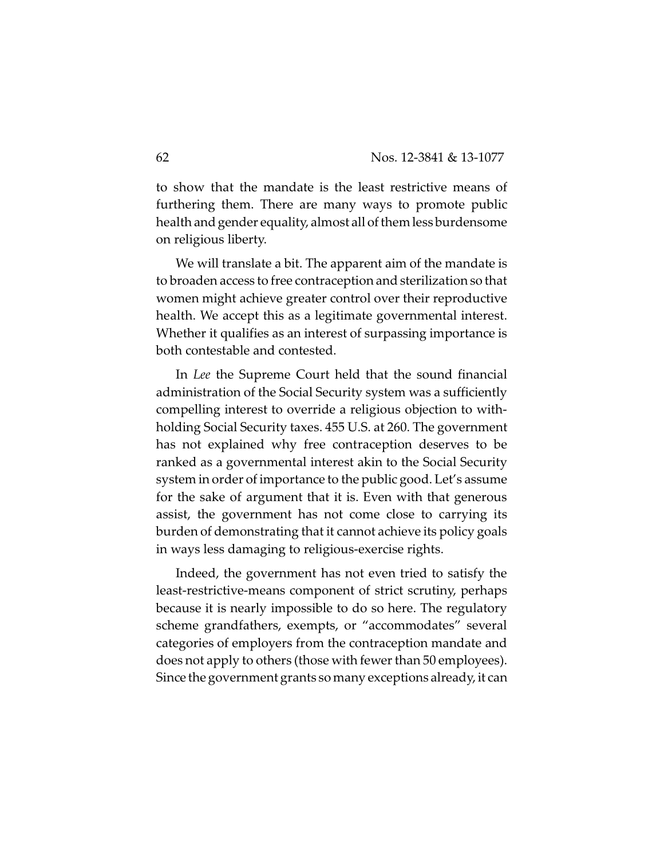to show that the mandate is the least restrictive means of furthering them. There are many ways to promote public health and gender equality, almost all of them less burdensome on religious liberty.

We will translate a bit. The apparent aim of the mandate is to broaden access to free contraception and sterilization so that women might achieve greater control over their reproductive health. We accept this as a legitimate governmental interest. Whether it qualifies as an interest of surpassing importance is both contestable and contested.

In *Lee* the Supreme Court held that the sound financial administration of the Social Security system was a sufficiently compelling interest to override a religious objection to withholding Social Security taxes. 455 U.S. at 260. The government has not explained why free contraception deserves to be ranked as a governmental interest akin to the Social Security system in order of importance to the public good. Let's assume for the sake of argument that it is. Even with that generous assist, the government has not come close to carrying its burden of demonstrating that it cannot achieve its policy goals in ways less damaging to religious-exercise rights.

Indeed, the government has not even tried to satisfy the least-restrictive-means component of strict scrutiny, perhaps because it is nearly impossible to do so here. The regulatory scheme grandfathers, exempts, or "accommodates" several categories of employers from the contraception mandate and does not apply to others (those with fewer than 50 employees). Since the government grants so many exceptions already, it can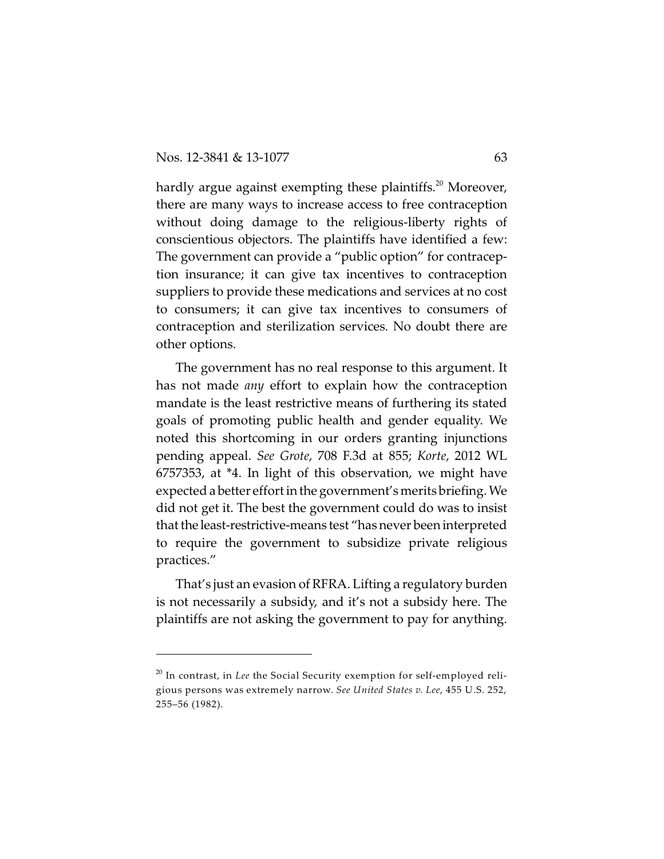hardly argue against exempting these plaintiffs.<sup>20</sup> Moreover, there are many ways to increase access to free contraception without doing damage to the religious-liberty rights of conscientious objectors. The plaintiffs have identified a few: The government can provide a "public option" for contraception insurance; it can give tax incentives to contraception suppliers to provide these medications and services at no cost to consumers; it can give tax incentives to consumers of contraception and sterilization services. No doubt there are other options.

The government has no real response to this argument. It has not made *any* effort to explain how the contraception mandate is the least restrictive means of furthering its stated goals of promoting public health and gender equality. We noted this shortcoming in our orders granting injunctions pending appeal. *See Grote*, 708 F.3d at 855; *Korte*, 2012 WL 6757353, at \*4. In light of this observation, we might have expected a better effort in the government's merits briefing. We did not get it. The best the government could do was to insist that the least-restrictive-means test "has never been interpreted to require the government to subsidize private religious practices."

That's just an evasion of RFRA. Lifting a regulatory burden is not necessarily a subsidy, and it's not a subsidy here. The plaintiffs are not asking the government to pay for anything.

 $^{\rm 20}$  In contrast, in *Lee* the Social Security exemption for self-employed religious persons was extremely narrow. *See United States v. Lee*, 455 U.S. 252, 255–56 (1982).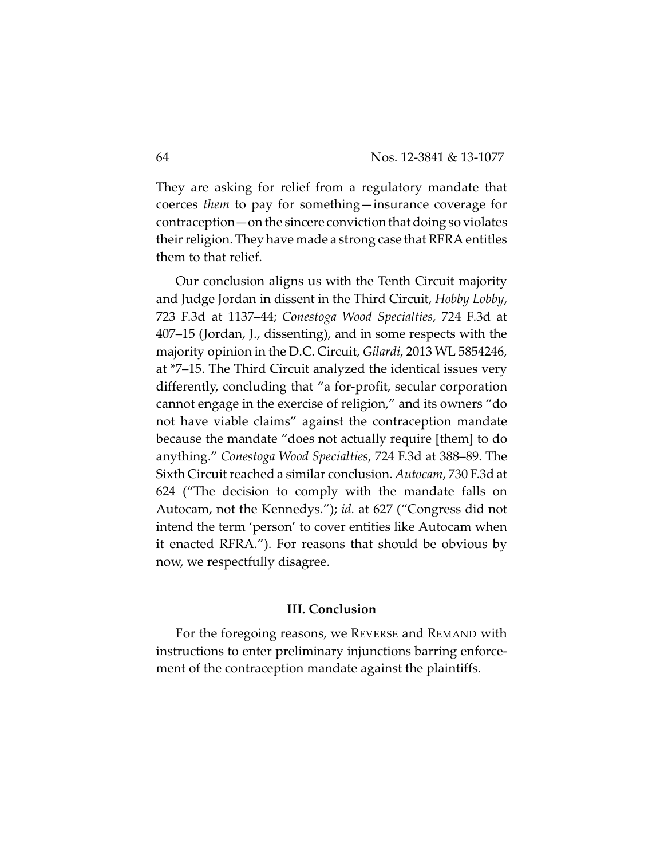They are asking for relief from a regulatory mandate that coerces *them* to pay for something—insurance coverage for contraception—on the sincere conviction that doing so violates their religion. They have made a strong case that RFRA entitles them to that relief.

Our conclusion aligns us with the Tenth Circuit majority and Judge Jordan in dissent in the Third Circuit, *Hobby Lobby*, 723 F.3d at 1137–44; *Conestoga Wood Specialties*, 724 F.3d at 407–15 (Jordan, J., dissenting), and in some respects with the majority opinion in the D.C. Circuit, *Gilardi*, 2013 WL 5854246, at \*7–15. The Third Circuit analyzed the identical issues very differently, concluding that "a for-profit, secular corporation cannot engage in the exercise of religion," and its owners "do not have viable claims" against the contraception mandate because the mandate "does not actually require [them] to do anything." *Conestoga Wood Specialties*, 724 F.3d at 388–89. The Sixth Circuit reached a similar conclusion. *Autocam*, 730 F.3d at 624 ("The decision to comply with the mandate falls on Autocam, not the Kennedys."); *id.* at 627 ("Congress did not intend the term 'person' to cover entities like Autocam when it enacted RFRA."). For reasons that should be obvious by now, we respectfully disagree.

### **III. Conclusion**

For the foregoing reasons, we REVERSE and REMAND with instructions to enter preliminary injunctions barring enforcement of the contraception mandate against the plaintiffs.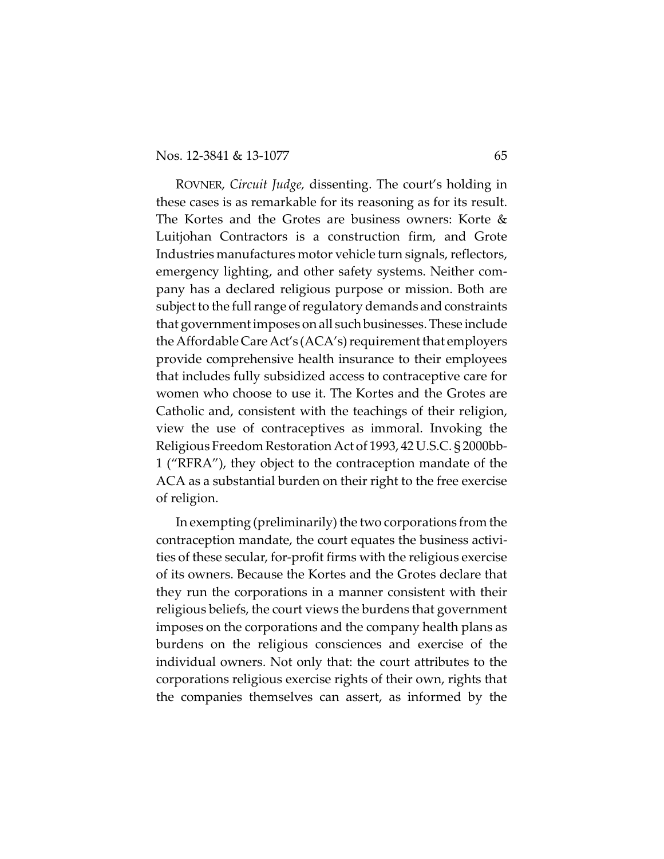ROVNER, *Circuit Judge,* dissenting. The court's holding in these cases is as remarkable for its reasoning as for its result. The Kortes and the Grotes are business owners: Korte & Luitjohan Contractors is a construction firm, and Grote Industries manufactures motor vehicle turn signals, reflectors, emergency lighting, and other safety systems. Neither company has a declared religious purpose or mission. Both are subject to the full range of regulatory demands and constraints that government imposes on all such businesses. These include the Affordable CareAct's (ACA's) requirement that employers provide comprehensive health insurance to their employees that includes fully subsidized access to contraceptive care for women who choose to use it. The Kortes and the Grotes are Catholic and, consistent with the teachings of their religion, view the use of contraceptives as immoral. Invoking the Religious Freedom Restoration Act of 1993, 42 U.S.C. § 2000bb-1 ("RFRA"), they object to the contraception mandate of the ACA as a substantial burden on their right to the free exercise of religion.

In exempting (preliminarily) the two corporations from the contraception mandate, the court equates the business activities of these secular, for-profit firms with the religious exercise of its owners. Because the Kortes and the Grotes declare that they run the corporations in a manner consistent with their religious beliefs, the court views the burdens that government imposes on the corporations and the company health plans as burdens on the religious consciences and exercise of the individual owners. Not only that: the court attributes to the corporations religious exercise rights of their own, rights that the companies themselves can assert, as informed by the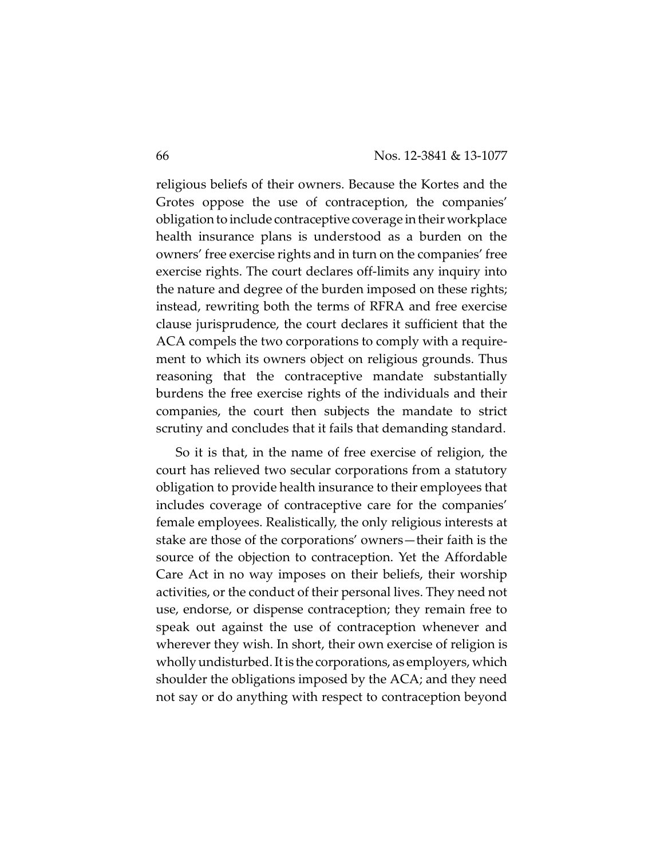religious beliefs of their owners. Because the Kortes and the Grotes oppose the use of contraception, the companies' obligation to include contraceptive coverage in their workplace health insurance plans is understood as a burden on the owners' free exercise rights and in turn on the companies' free exercise rights. The court declares off-limits any inquiry into the nature and degree of the burden imposed on these rights; instead, rewriting both the terms of RFRA and free exercise clause jurisprudence, the court declares it sufficient that the ACA compels the two corporations to comply with a requirement to which its owners object on religious grounds. Thus reasoning that the contraceptive mandate substantially burdens the free exercise rights of the individuals and their companies, the court then subjects the mandate to strict scrutiny and concludes that it fails that demanding standard.

So it is that, in the name of free exercise of religion, the court has relieved two secular corporations from a statutory obligation to provide health insurance to their employees that includes coverage of contraceptive care for the companies' female employees. Realistically, the only religious interests at stake are those of the corporations' owners—their faith is the source of the objection to contraception. Yet the Affordable Care Act in no way imposes on their beliefs, their worship activities, or the conduct of their personal lives. They need not use, endorse, or dispense contraception; they remain free to speak out against the use of contraception whenever and wherever they wish. In short, their own exercise of religion is wholly undisturbed.Itis the corporations, as employers, which shoulder the obligations imposed by the ACA; and they need not say or do anything with respect to contraception beyond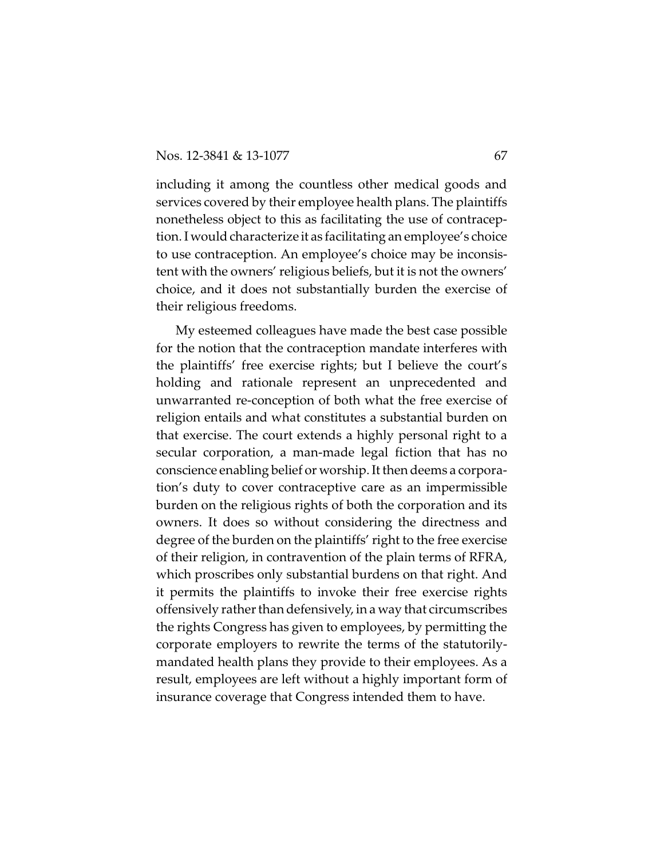including it among the countless other medical goods and services covered by their employee health plans. The plaintiffs nonetheless object to this as facilitating the use of contraception. I would characterize it as facilitating an employee's choice to use contraception. An employee's choice may be inconsistent with the owners' religious beliefs, but it is not the owners' choice, and it does not substantially burden the exercise of their religious freedoms.

My esteemed colleagues have made the best case possible for the notion that the contraception mandate interferes with the plaintiffs' free exercise rights; but I believe the court's holding and rationale represent an unprecedented and unwarranted re-conception of both what the free exercise of religion entails and what constitutes a substantial burden on that exercise. The court extends a highly personal right to a secular corporation, a man-made legal fiction that has no conscience enabling belief or worship. It then deems a corporation's duty to cover contraceptive care as an impermissible burden on the religious rights of both the corporation and its owners. It does so without considering the directness and degree of the burden on the plaintiffs' right to the free exercise of their religion, in contravention of the plain terms of RFRA, which proscribes only substantial burdens on that right. And it permits the plaintiffs to invoke their free exercise rights offensively rather than defensively, in a way that circumscribes the rights Congress has given to employees, by permitting the corporate employers to rewrite the terms of the statutorilymandated health plans they provide to their employees. As a result, employees are left without a highly important form of insurance coverage that Congress intended them to have.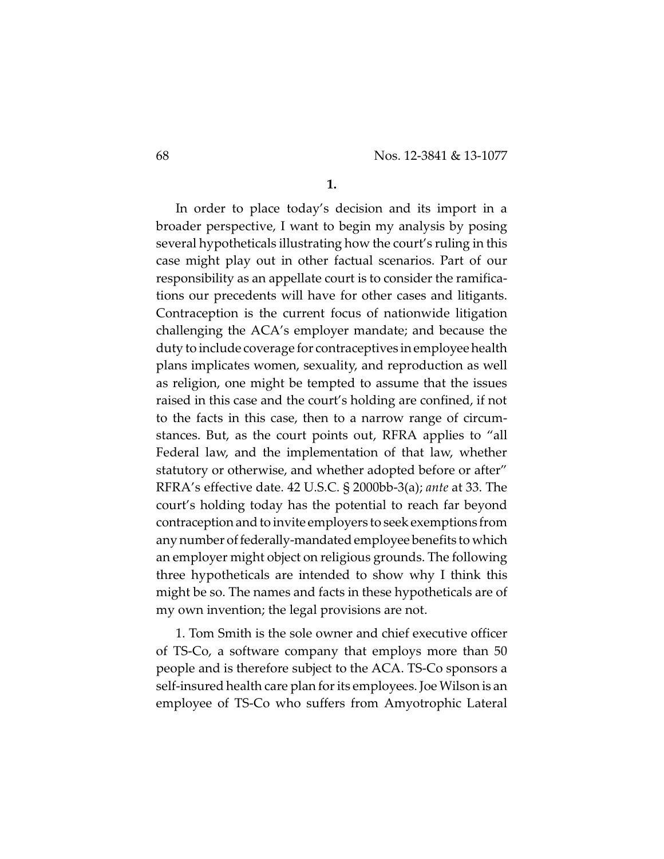**1.**

In order to place today's decision and its import in a broader perspective, I want to begin my analysis by posing several hypotheticals illustrating how the court's ruling in this case might play out in other factual scenarios. Part of our responsibility as an appellate court is to consider the ramifications our precedents will have for other cases and litigants. Contraception is the current focus of nationwide litigation challenging the ACA's employer mandate; and because the duty to include coverage for contraceptives in employee health plans implicates women, sexuality, and reproduction as well as religion, one might be tempted to assume that the issues raised in this case and the court's holding are confined, if not to the facts in this case, then to a narrow range of circumstances. But, as the court points out, RFRA applies to "all Federal law, and the implementation of that law, whether statutory or otherwise, and whether adopted before or after" RFRA's effective date. 42 U.S.C. § 2000bb-3(a); *ante* at 33. The court's holding today has the potential to reach far beyond contraception and to invite employers to seek exemptions from any number of federally-mandated employee benefits to which an employer might object on religious grounds. The following three hypotheticals are intended to show why I think this might be so. The names and facts in these hypotheticals are of my own invention; the legal provisions are not.

1. Tom Smith is the sole owner and chief executive officer of TS-Co, a software company that employs more than 50 people and is therefore subject to the ACA. TS-Co sponsors a self-insured health care plan for its employees. Joe Wilson is an employee of TS-Co who suffers from Amyotrophic Lateral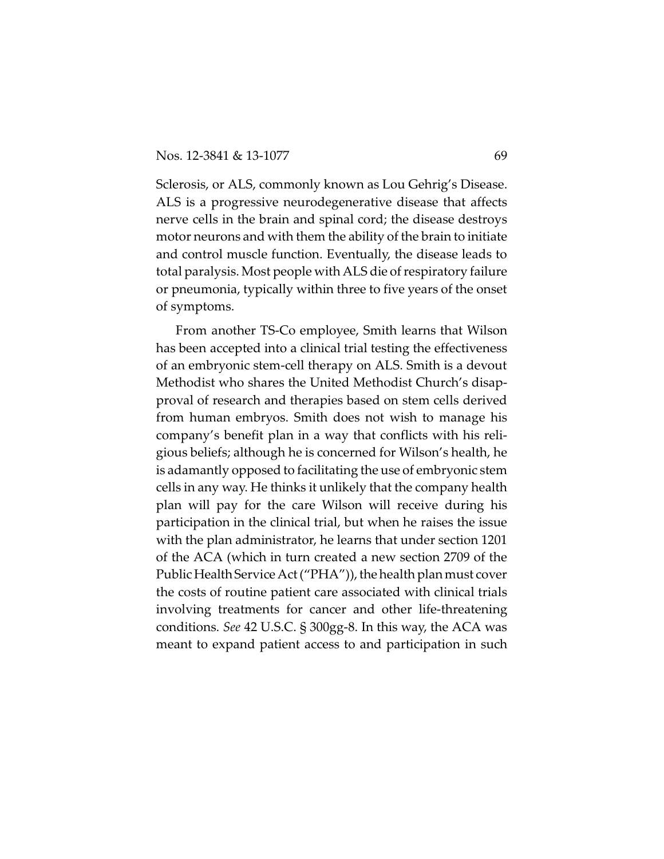Sclerosis, or ALS, commonly known as Lou Gehrig's Disease. ALS is a progressive neurodegenerative disease that affects nerve cells in the brain and spinal cord; the disease destroys motor neurons and with them the ability of the brain to initiate and control muscle function. Eventually, the disease leads to total paralysis. Most people with ALS die of respiratory failure or pneumonia, typically within three to five years of the onset of symptoms.

From another TS-Co employee, Smith learns that Wilson has been accepted into a clinical trial testing the effectiveness of an embryonic stem-cell therapy on ALS. Smith is a devout Methodist who shares the United Methodist Church's disapproval of research and therapies based on stem cells derived from human embryos. Smith does not wish to manage his company's benefit plan in a way that conflicts with his religious beliefs; although he is concerned for Wilson's health, he is adamantly opposed to facilitating the use of embryonic stem cells in any way. He thinks it unlikely that the company health plan will pay for the care Wilson will receive during his participation in the clinical trial, but when he raises the issue with the plan administrator, he learns that under section 1201 of the ACA (which in turn created a new section 2709 of the Public Health Service Act ("PHA")), the health plan must cover the costs of routine patient care associated with clinical trials involving treatments for cancer and other life-threatening conditions. *See* 42 U.S.C. § 300gg-8. In this way, the ACA was meant to expand patient access to and participation in such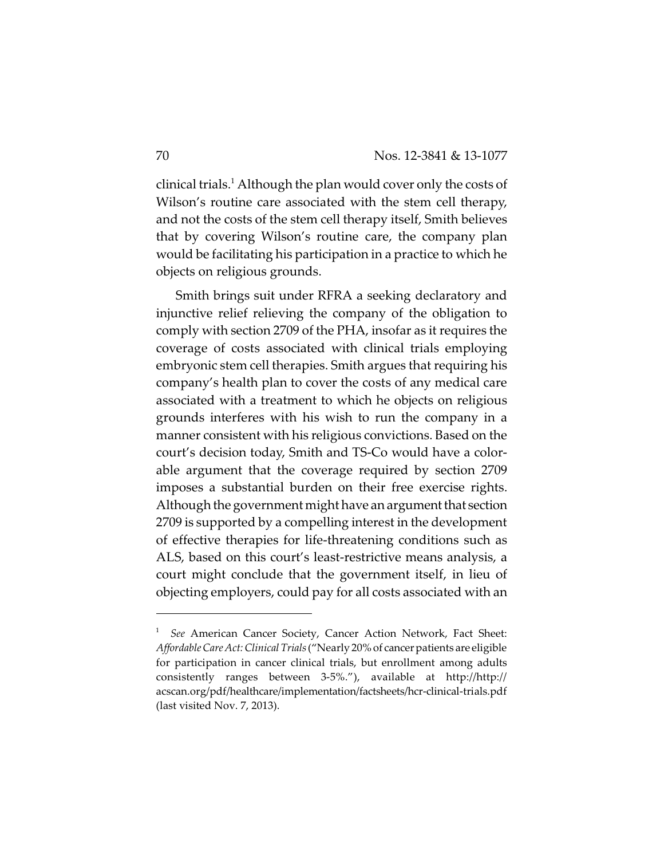clinical trials.<sup>1</sup> Although the plan would cover only the costs of Wilson's routine care associated with the stem cell therapy, and not the costs of the stem cell therapy itself, Smith believes that by covering Wilson's routine care, the company plan would be facilitating his participation in a practice to which he objects on religious grounds.

Smith brings suit under RFRA a seeking declaratory and injunctive relief relieving the company of the obligation to comply with section 2709 of the PHA, insofar as it requires the coverage of costs associated with clinical trials employing embryonic stem cell therapies. Smith argues that requiring his company's health plan to cover the costs of any medical care associated with a treatment to which he objects on religious grounds interferes with his wish to run the company in a manner consistent with his religious convictions. Based on the court's decision today, Smith and TS-Co would have a colorable argument that the coverage required by section 2709 imposes a substantial burden on their free exercise rights. Although the government might have an argument that section 2709 is supported by a compelling interest in the development of effective therapies for life-threatening conditions such as ALS, based on this court's least-restrictive means analysis, a court might conclude that the government itself, in lieu of objecting employers, could pay for all costs associated with an

<sup>&</sup>lt;sup>1</sup> See American Cancer Society, Cancer Action Network, Fact Sheet: *Affordable Care Act:Clinical Trials*("Nearly 20% of cancer patients are eligible for participation in cancer clinical trials, but enrollment among adults consistently ranges between 3-5%."), available at http://http:// acscan.org/pdf/healthcare/implementation/factsheets/hcr-clinical-trials.pdf (last visited Nov. 7, 2013).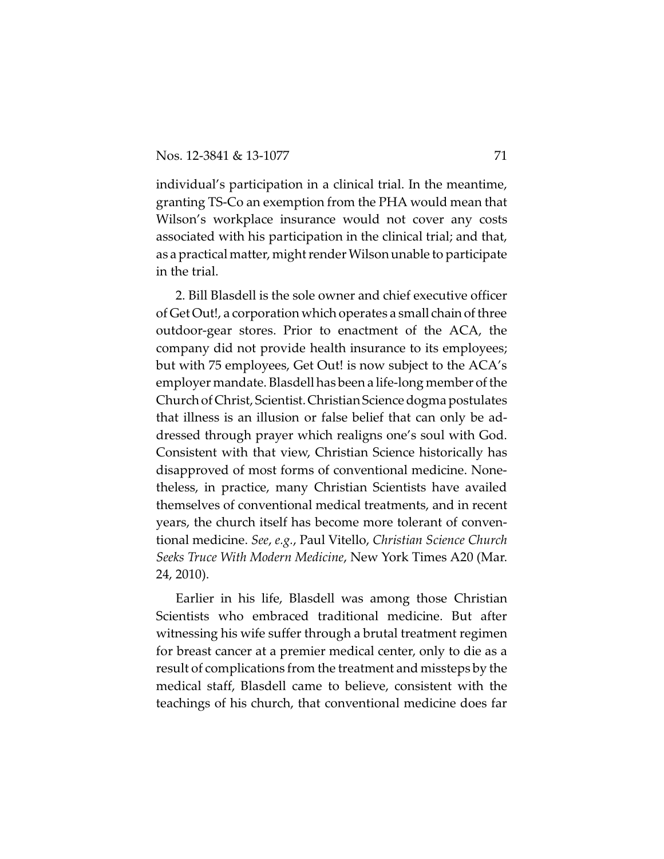individual's participation in a clinical trial. In the meantime, granting TS-Co an exemption from the PHA would mean that Wilson's workplace insurance would not cover any costs associated with his participation in the clinical trial; and that, as a practical matter, might render Wilson unable to participate in the trial.

2. Bill Blasdell is the sole owner and chief executive officer of Get Out!, a corporation which operates a small chain of three outdoor-gear stores. Prior to enactment of the ACA, the company did not provide health insurance to its employees; but with 75 employees, Get Out! is now subject to the ACA's employer mandate. Blasdell has been a life-long member of the Church of Christ, Scientist.ChristianScience dogma postulates that illness is an illusion or false belief that can only be addressed through prayer which realigns one's soul with God. Consistent with that view, Christian Science historically has disapproved of most forms of conventional medicine. Nonetheless, in practice, many Christian Scientists have availed themselves of conventional medical treatments, and in recent years, the church itself has become more tolerant of conventional medicine. *See*, *e.g.*, Paul Vitello, *Christian Science Church Seeks Truce With Modern Medicine*, New York Times A20 (Mar. 24, 2010).

Earlier in his life, Blasdell was among those Christian Scientists who embraced traditional medicine. But after witnessing his wife suffer through a brutal treatment regimen for breast cancer at a premier medical center, only to die as a result of complications from the treatment and missteps by the medical staff, Blasdell came to believe, consistent with the teachings of his church, that conventional medicine does far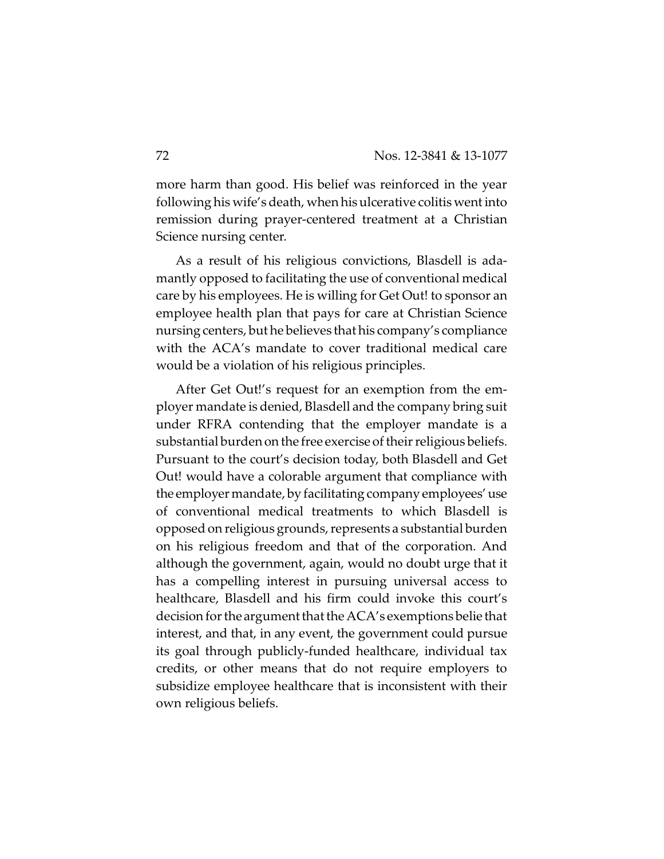more harm than good. His belief was reinforced in the year following his wife's death, when his ulcerative colitis went into remission during prayer-centered treatment at a Christian Science nursing center.

As a result of his religious convictions, Blasdell is adamantly opposed to facilitating the use of conventional medical care by his employees. He is willing for Get Out! to sponsor an employee health plan that pays for care at Christian Science nursing centers, but he believes that his company's compliance with the ACA's mandate to cover traditional medical care would be a violation of his religious principles.

After Get Out!'s request for an exemption from the employer mandate is denied, Blasdell and the company bring suit under RFRA contending that the employer mandate is a substantial burden on the free exercise of their religious beliefs. Pursuant to the court's decision today, both Blasdell and Get Out! would have a colorable argument that compliance with the employer mandate, by facilitating company employees' use of conventional medical treatments to which Blasdell is opposed on religious grounds, represents a substantial burden on his religious freedom and that of the corporation. And although the government, again, would no doubt urge that it has a compelling interest in pursuing universal access to healthcare, Blasdell and his firm could invoke this court's decision for the argument that the ACA's exemptions belie that interest, and that, in any event, the government could pursue its goal through publicly-funded healthcare, individual tax credits, or other means that do not require employers to subsidize employee healthcare that is inconsistent with their own religious beliefs.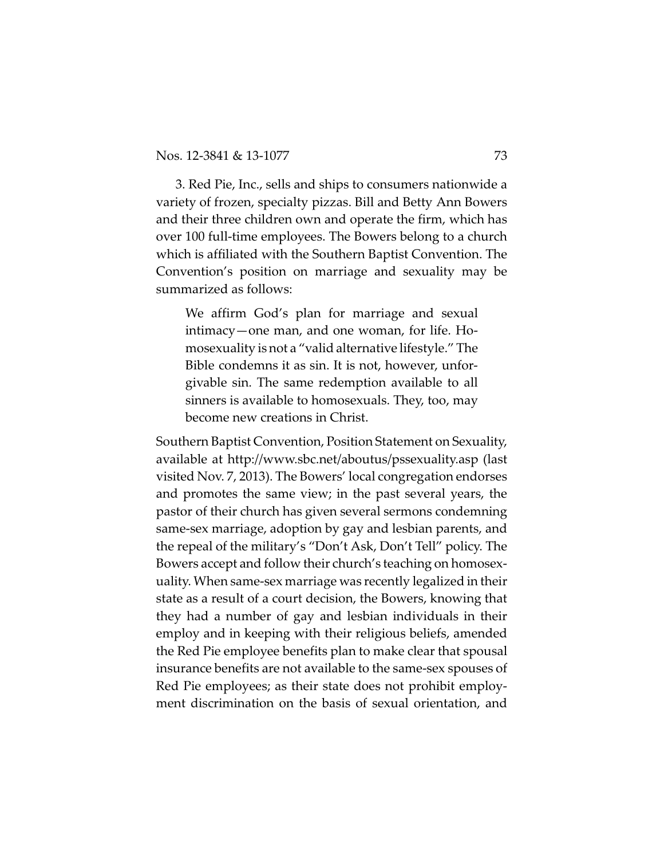3. Red Pie, Inc., sells and ships to consumers nationwide a variety of frozen, specialty pizzas. Bill and Betty Ann Bowers and their three children own and operate the firm, which has over 100 full-time employees. The Bowers belong to a church which is affiliated with the Southern Baptist Convention. The Convention's position on marriage and sexuality may be summarized as follows:

We affirm God's plan for marriage and sexual intimacy—one man, and one woman, for life. Homosexuality is not a "valid alternative lifestyle." The Bible condemns it as sin. It is not, however, unforgivable sin. The same redemption available to all sinners is available to homosexuals. They, too, may become new creations in Christ.

Southern Baptist Convention, Position Statement on Sexuality, available at http://www.sbc.net/aboutus/pssexuality.asp (last visited Nov. 7, 2013). The Bowers' local congregation endorses and promotes the same view; in the past several years, the pastor of their church has given several sermons condemning same-sex marriage, adoption by gay and lesbian parents, and the repeal of the military's "Don't Ask, Don't Tell" policy. The Bowers accept and follow their church's teaching on homosexuality. When same-sex marriage was recently legalized in their state as a result of a court decision, the Bowers, knowing that they had a number of gay and lesbian individuals in their employ and in keeping with their religious beliefs, amended the Red Pie employee benefits plan to make clear that spousal insurance benefits are not available to the same-sex spouses of Red Pie employees; as their state does not prohibit employment discrimination on the basis of sexual orientation, and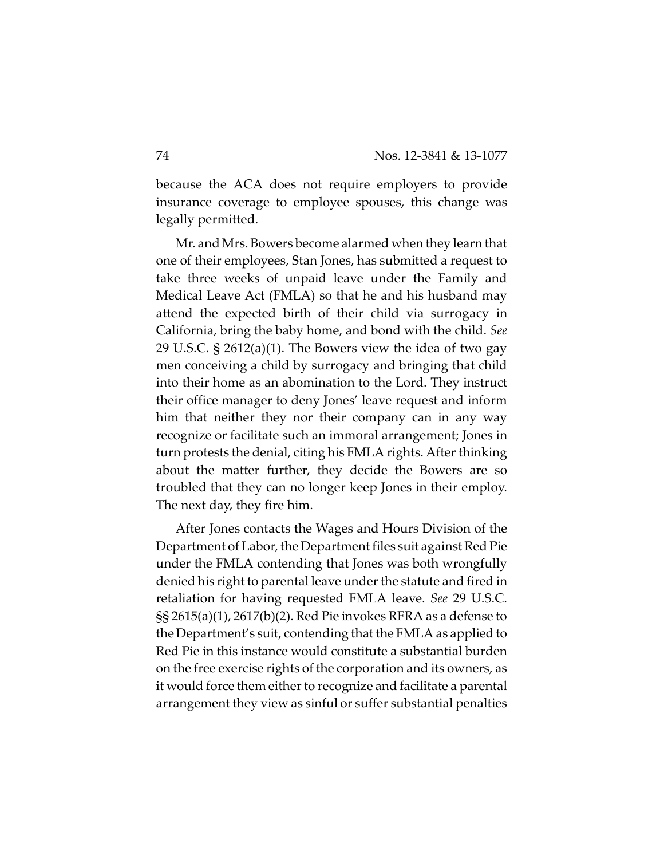because the ACA does not require employers to provide insurance coverage to employee spouses, this change was legally permitted.

Mr. and Mrs. Bowers become alarmed when they learn that one of their employees, Stan Jones, has submitted a request to take three weeks of unpaid leave under the Family and Medical Leave Act (FMLA) so that he and his husband may attend the expected birth of their child via surrogacy in California, bring the baby home, and bond with the child. *See* 29 U.S.C. § 2612(a)(1). The Bowers view the idea of two gay men conceiving a child by surrogacy and bringing that child into their home as an abomination to the Lord. They instruct their office manager to deny Jones' leave request and inform him that neither they nor their company can in any way recognize or facilitate such an immoral arrangement; Jones in turn protests the denial, citing his FMLA rights. After thinking about the matter further, they decide the Bowers are so troubled that they can no longer keep Jones in their employ. The next day, they fire him.

After Jones contacts the Wages and Hours Division of the Department of Labor, the Department files suit against Red Pie under the FMLA contending that Jones was both wrongfully denied his right to parental leave under the statute and fired in retaliation for having requested FMLA leave. *See* 29 U.S.C. §§ 2615(a)(1), 2617(b)(2). Red Pie invokes RFRA as a defense to the Department's suit, contending that the FMLA as applied to Red Pie in this instance would constitute a substantial burden on the free exercise rights of the corporation and its owners, as it would force them either to recognize and facilitate a parental arrangement they view as sinful or suffer substantial penalties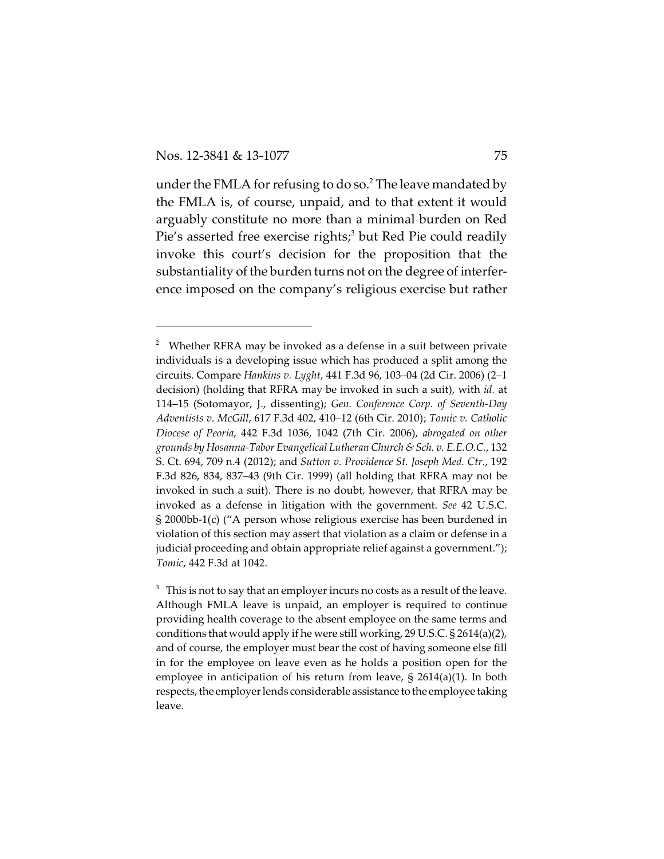under the FMLA for refusing to do so.<sup>2</sup> The leave mandated by the FMLA is, of course, unpaid, and to that extent it would arguably constitute no more than a minimal burden on Red Pie's asserted free exercise rights;<sup>3</sup> but Red Pie could readily invoke this court's decision for the proposition that the substantiality of the burden turns not on the degree of interference imposed on the company's religious exercise but rather

 $2$  Whether RFRA may be invoked as a defense in a suit between private individuals is a developing issue which has produced a split among the circuits. Compare *Hankins v. Lyght*, 441 F.3d 96, 103–04 (2d Cir. 2006) (2–1 decision) (holding that RFRA may be invoked in such a suit), with *id.* at 114–15 (Sotomayor, J., dissenting); *Gen. Conference Corp. of Seventh-Day Adventists v. McGill*, 617 F.3d 402, 410–12 (6th Cir. 2010); *Tomic v. Catholic Diocese of Peoria*, 442 F.3d 1036, 1042 (7th Cir. 2006), *abrogated on other grounds by Hosanna-Tabor Evangelical Lutheran Church & Sch. v. E.E.O.C.*, 132 S. Ct. 694, 709 n.4 (2012); and *Sutton v. Providence St. Joseph Med. Ctr.*, 192 F.3d 826, 834, 837–43 (9th Cir. 1999) (all holding that RFRA may not be invoked in such a suit). There is no doubt, however, that RFRA may be invoked as a defense in litigation with the government. *See* 42 U.S.C. § 2000bb-1(c) ("A person whose religious exercise has been burdened in violation of this section may assert that violation as a claim or defense in a judicial proceeding and obtain appropriate relief against a government."); *Tomic*, 442 F.3d at 1042.

 $^3\;$  This is not to say that an employer incurs no costs as a result of the leave. Although FMLA leave is unpaid, an employer is required to continue providing health coverage to the absent employee on the same terms and conditions that would apply if he were still working, 29 U.S.C. § 2614(a)(2), and of course, the employer must bear the cost of having someone else fill in for the employee on leave even as he holds a position open for the employee in anticipation of his return from leave, § 2614(a)(1). In both respects, the employer lends considerable assistance to the employee taking leave.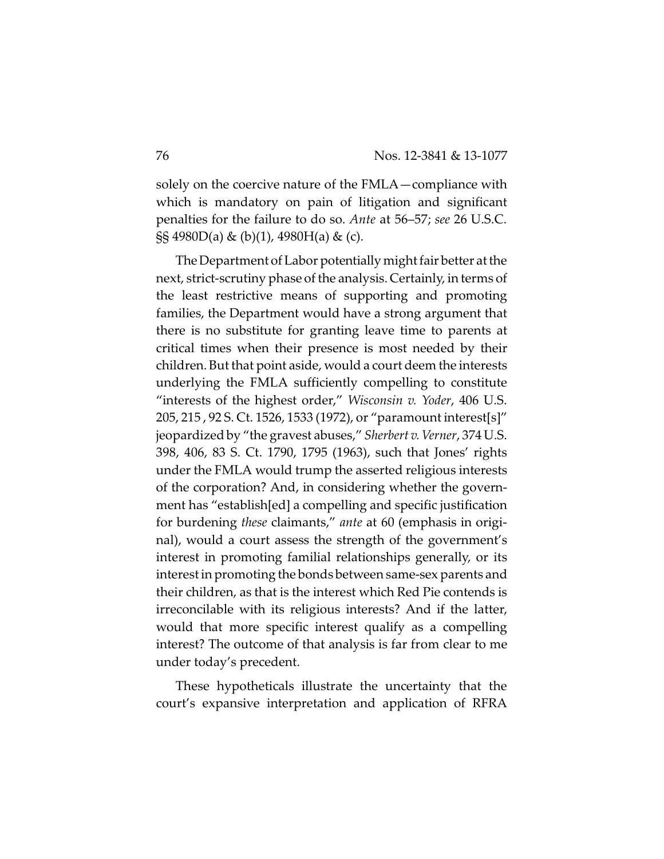solely on the coercive nature of the FMLA—compliance with which is mandatory on pain of litigation and significant penalties for the failure to do so. *Ante* at 56–57; *see* 26 U.S.C.  $\S$ § 4980D(a) & (b)(1), 4980H(a) & (c).

The Department of Labor potentially might fair better at the next, strict-scrutiny phase of the analysis. Certainly, in terms of the least restrictive means of supporting and promoting families, the Department would have a strong argument that there is no substitute for granting leave time to parents at critical times when their presence is most needed by their children. But that point aside, would a court deem the interests underlying the FMLA sufficiently compelling to constitute "interests of the highest order," *Wisconsin v. Yoder*, 406 U.S. 205, 215 , 92 S. Ct. 1526, 1533 (1972), or "paramount interest[s]" jeopardized by "the gravest abuses," *Sherbert v. Verner*, 374 U.S. 398, 406, 83 S. Ct. 1790, 1795 (1963), such that Jones' rights under the FMLA would trump the asserted religious interests of the corporation? And, in considering whether the government has "establish[ed] a compelling and specific justification for burdening *these* claimants," *ante* at 60 (emphasis in original), would a court assess the strength of the government's interest in promoting familial relationships generally, or its interest in promoting the bonds between same-sex parents and their children, as that is the interest which Red Pie contends is irreconcilable with its religious interests? And if the latter, would that more specific interest qualify as a compelling interest? The outcome of that analysis is far from clear to me under today's precedent.

These hypotheticals illustrate the uncertainty that the court's expansive interpretation and application of RFRA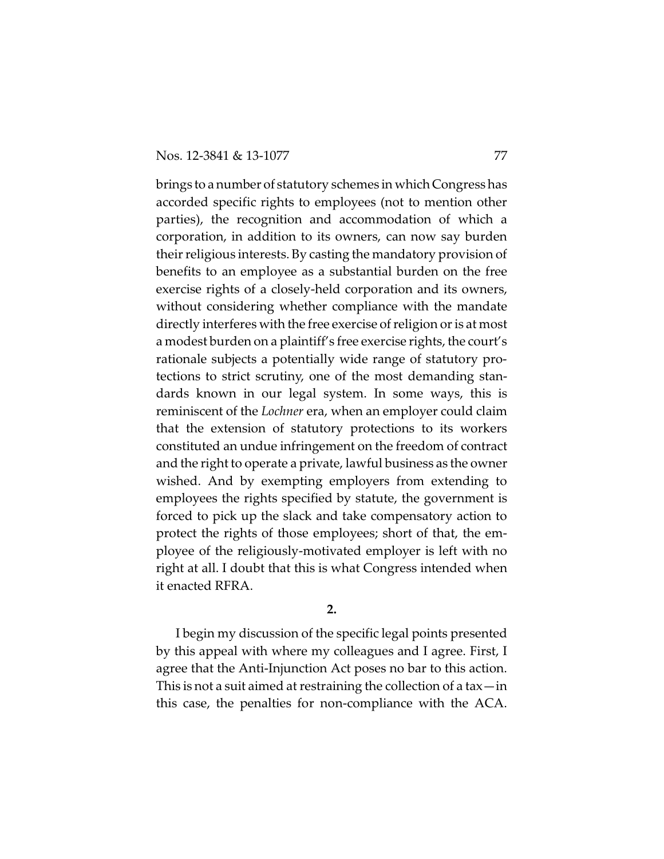brings to a number of statutory schemes in which Congress has accorded specific rights to employees (not to mention other parties), the recognition and accommodation of which a corporation, in addition to its owners, can now say burden their religious interests. By casting the mandatory provision of benefits to an employee as a substantial burden on the free exercise rights of a closely-held corporation and its owners, without considering whether compliance with the mandate directly interferes with the free exercise of religion or is at most a modest burden on a plaintiff's free exercise rights, the court's rationale subjects a potentially wide range of statutory protections to strict scrutiny, one of the most demanding standards known in our legal system. In some ways, this is reminiscent of the *Lochner* era, when an employer could claim that the extension of statutory protections to its workers constituted an undue infringement on the freedom of contract and the right to operate a private, lawful business as the owner wished. And by exempting employers from extending to employees the rights specified by statute, the government is forced to pick up the slack and take compensatory action to protect the rights of those employees; short of that, the employee of the religiously-motivated employer is left with no right at all. I doubt that this is what Congress intended when it enacted RFRA.

**2.**

I begin my discussion of the specific legal points presented by this appeal with where my colleagues and I agree. First, I agree that the Anti-Injunction Act poses no bar to this action. This is not a suit aimed at restraining the collection of a tax—in this case, the penalties for non-compliance with the ACA.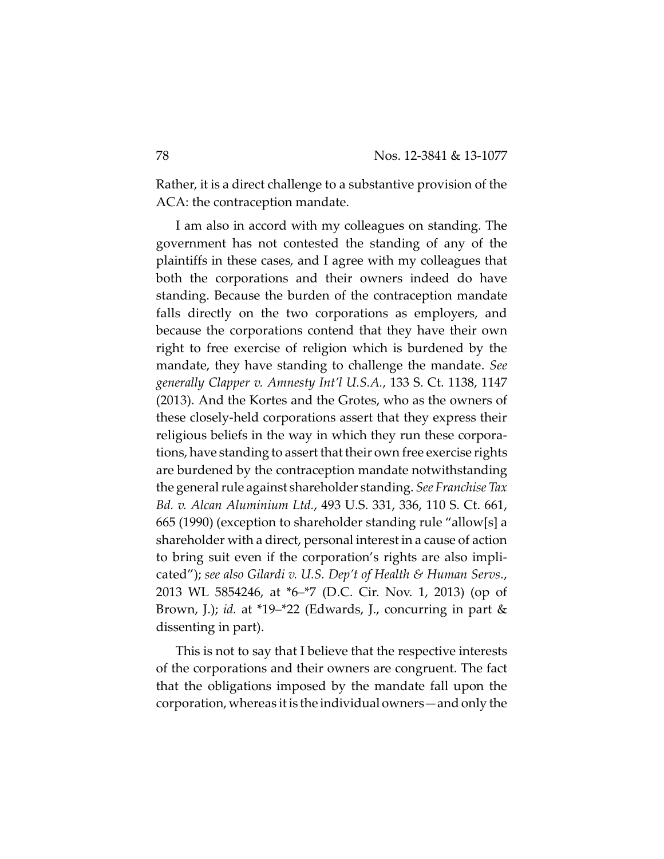Rather, it is a direct challenge to a substantive provision of the ACA: the contraception mandate.

I am also in accord with my colleagues on standing. The government has not contested the standing of any of the plaintiffs in these cases, and I agree with my colleagues that both the corporations and their owners indeed do have standing. Because the burden of the contraception mandate falls directly on the two corporations as employers, and because the corporations contend that they have their own right to free exercise of religion which is burdened by the mandate, they have standing to challenge the mandate. *See generally Clapper v. Amnesty Int'l U.S.A.*, 133 S. Ct. 1138, 1147 (2013). And the Kortes and the Grotes, who as the owners of these closely-held corporations assert that they express their religious beliefs in the way in which they run these corporations, have standing to assert that their own free exercise rights are burdened by the contraception mandate notwithstanding the general rule against shareholder standing. *See Franchise Tax Bd. v. Alcan Aluminium Ltd.*, 493 U.S. 331, 336, 110 S. Ct. 661, 665 (1990) (exception to shareholder standing rule "allow[s] a shareholder with a direct, personal interest in a cause of action to bring suit even if the corporation's rights are also implicated"); *see also Gilardi v. U.S. Dep't of Health & Human Servs.*, 2013 WL 5854246, at \*6–\*7 (D.C. Cir. Nov. 1, 2013) (op of Brown, J.); *id.* at \*19–\*22 (Edwards, J., concurring in part & dissenting in part).

This is not to say that I believe that the respective interests of the corporations and their owners are congruent. The fact that the obligations imposed by the mandate fall upon the corporation, whereas it is the individual owners—and only the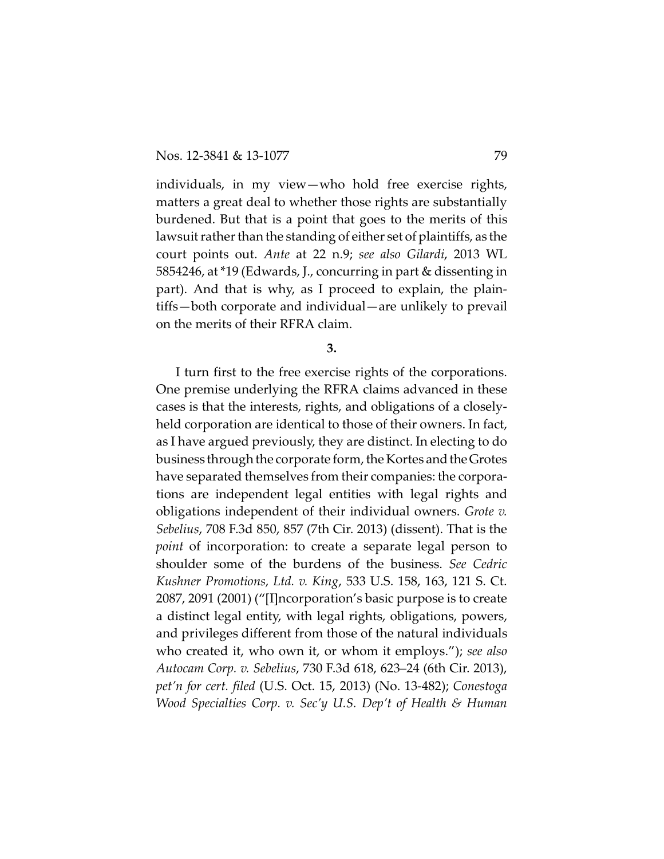individuals, in my view—who hold free exercise rights, matters a great deal to whether those rights are substantially burdened. But that is a point that goes to the merits of this lawsuit rather than the standing of either set of plaintiffs, as the court points out. *Ante* at 22 n.9; *see also Gilardi*, 2013 WL 5854246, at \*19 (Edwards, J., concurring in part & dissenting in part). And that is why, as I proceed to explain, the plaintiffs—both corporate and individual—are unlikely to prevail on the merits of their RFRA claim.

**3.**

I turn first to the free exercise rights of the corporations. One premise underlying the RFRA claims advanced in these cases is that the interests, rights, and obligations of a closelyheld corporation are identical to those of their owners. In fact, as I have argued previously, they are distinct. In electing to do business through the corporate form, the Kortes and the Grotes have separated themselves from their companies: the corporations are independent legal entities with legal rights and obligations independent of their individual owners. *Grote v. Sebelius*, 708 F.3d 850, 857 (7th Cir. 2013) (dissent). That is the *point* of incorporation: to create a separate legal person to shoulder some of the burdens of the business. *See Cedric Kushner Promotions, Ltd. v. King*, 533 U.S. 158, 163, 121 S. Ct. 2087, 2091 (2001) ("[I]ncorporation's basic purpose is to create a distinct legal entity, with legal rights, obligations, powers, and privileges different from those of the natural individuals who created it, who own it, or whom it employs."); *see also Autocam Corp. v. Sebelius*, 730 F.3d 618, 623–24 (6th Cir. 2013), *pet'n for cert. filed* (U.S. Oct. 15, 2013) (No. 13-482); *Conestoga Wood Specialties Corp. v. Sec'y U.S. Dep't of Health & Human*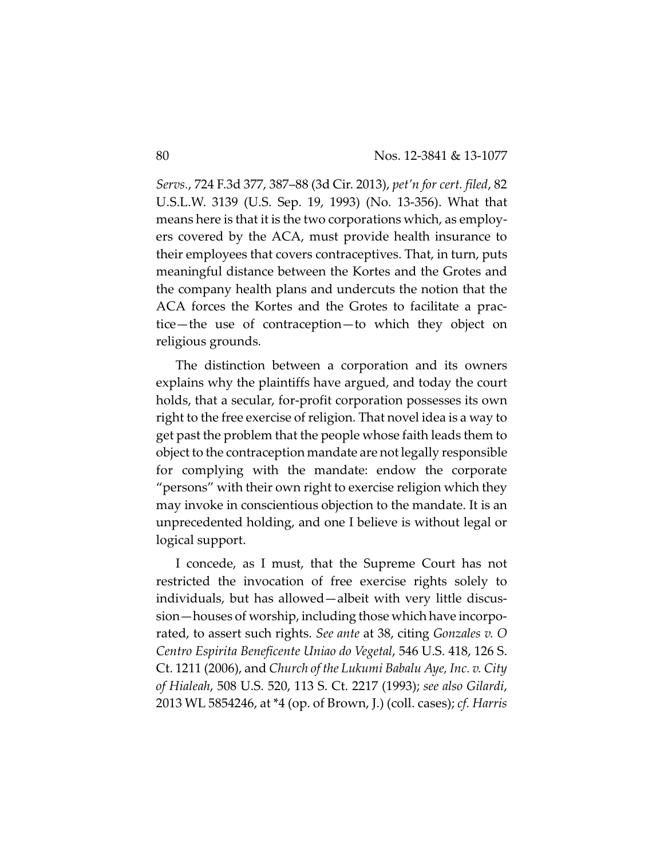*Servs.*, 724 F.3d 377, 387–88 (3d Cir. 2013), *pet'n for cert. filed*, 82 U.S.L.W. 3139 (U.S. Sep. 19, 1993) (No. 13-356). What that means here is that it is the two corporations which, as employers covered by the ACA, must provide health insurance to their employees that covers contraceptives. That, in turn, puts meaningful distance between the Kortes and the Grotes and the company health plans and undercuts the notion that the ACA forces the Kortes and the Grotes to facilitate a practice—the use of contraception—to which they object on religious grounds.

The distinction between a corporation and its owners explains why the plaintiffs have argued, and today the court holds, that a secular, for-profit corporation possesses its own right to the free exercise of religion. That novel idea is a way to get past the problem that the people whose faith leads them to object to the contraception mandate are not legally responsible for complying with the mandate: endow the corporate "persons" with their own right to exercise religion which they may invoke in conscientious objection to the mandate. It is an unprecedented holding, and one I believe is without legal or logical support.

I concede, as I must, that the Supreme Court has not restricted the invocation of free exercise rights solely to individuals, but has allowed—albeit with very little discussion—houses of worship, including those which have incorporated, to assert such rights. *See ante* at 38, citing *Gonzales v. O Centro Espirita Beneficente Uniao do Vegetal*, 546 U.S. 418, 126 S. Ct. 1211 (2006), and *Church of the Lukumi Babalu Aye, Inc. v. City of Hialeah*, 508 U.S. 520, 113 S. Ct. 2217 (1993); *see also Gilardi*, 2013 WL 5854246, at \*4 (op. of Brown, J.) (coll. cases); *cf. Harris*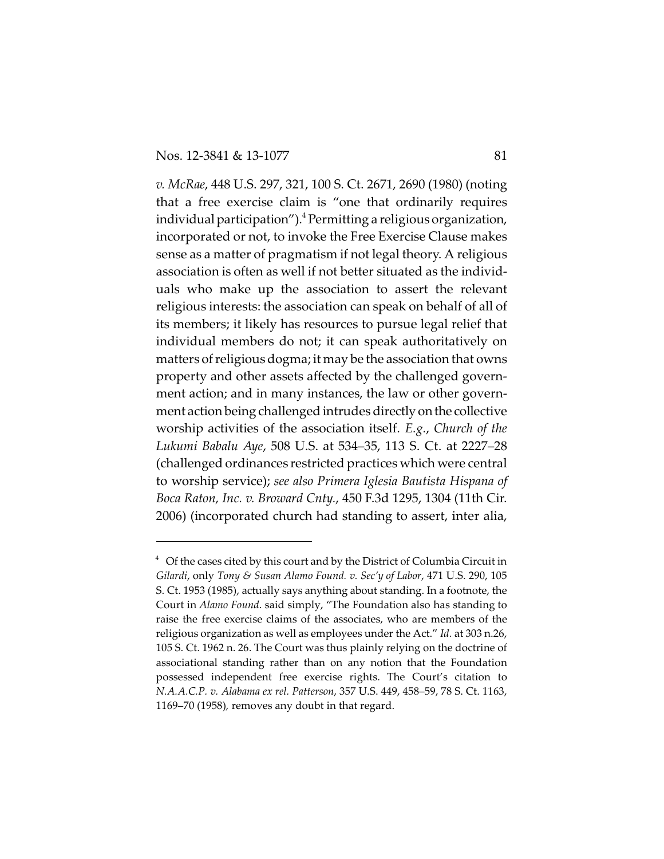*v. McRae*, 448 U.S. 297, 321, 100 S. Ct. 2671, 2690 (1980) (noting that a free exercise claim is "one that ordinarily requires individual participation"). $^4$  Permitting a religious organization, incorporated or not, to invoke the Free Exercise Clause makes sense as a matter of pragmatism if not legal theory. A religious association is often as well if not better situated as the individuals who make up the association to assert the relevant religious interests: the association can speak on behalf of all of its members; it likely has resources to pursue legal relief that individual members do not; it can speak authoritatively on matters of religious dogma; it may be the association that owns property and other assets affected by the challenged government action; and in many instances, the law or other government action being challenged intrudes directly onthe collective worship activities of the association itself. *E.g.*, *Church of the Lukumi Babalu Aye*, 508 U.S. at 534–35, 113 S. Ct. at 2227–28 (challenged ordinances restricted practices which were central to worship service); *see also Primera Iglesia Bautista Hispana of Boca Raton, Inc. v. Broward Cnty.*, 450 F.3d 1295, 1304 (11th Cir. 2006) (incorporated church had standing to assert, inter alia,

 $4$  Of the cases cited by this court and by the District of Columbia Circuit in *Gilardi*, only *Tony & Susan Alamo Found. v. Sec'y of Labor*, 471 U.S. 290, 105 S. Ct. 1953 (1985), actually says anything about standing. In a footnote, the Court in *Alamo Found*. said simply, "The Foundation also has standing to raise the free exercise claims of the associates, who are members of the religious organization as well as employees under the Act." *Id.* at 303 n.26, 105 S. Ct. 1962 n. 26. The Court was thus plainly relying on the doctrine of associational standing rather than on any notion that the Foundation possessed independent free exercise rights. The Court's citation to *N.A.A.C.P. v. Alabama ex rel. Patterson*, 357 U.S. 449, 458–59, 78 S. Ct. 1163, 1169–70 (1958)*,* removes any doubt in that regard.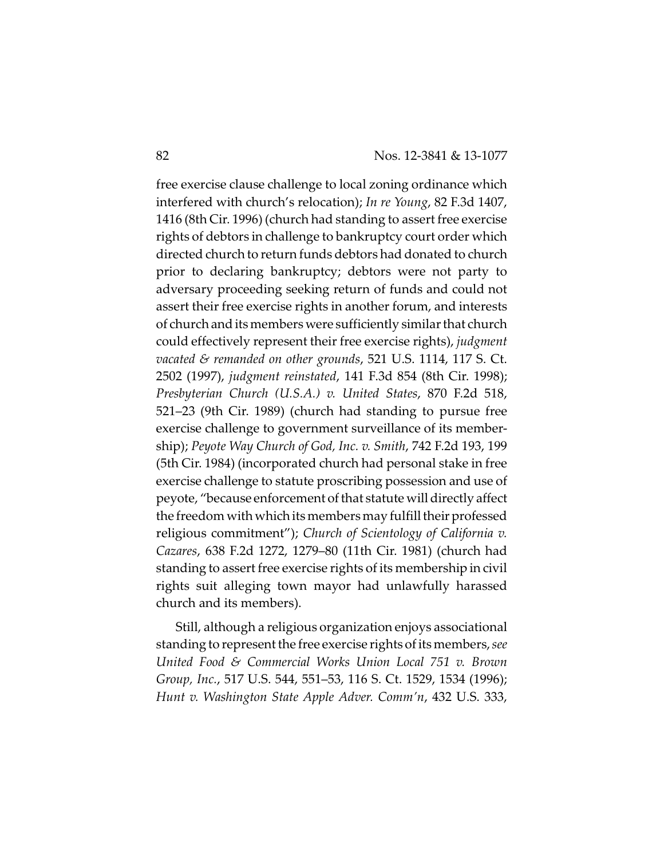free exercise clause challenge to local zoning ordinance which interfered with church's relocation); *In re Young*, 82 F.3d 1407, 1416 (8th Cir. 1996) (church had standing to assert free exercise rights of debtors in challenge to bankruptcy court order which directed church to return funds debtors had donated to church prior to declaring bankruptcy; debtors were not party to adversary proceeding seeking return of funds and could not assert their free exercise rights in another forum, and interests of church and its members were sufficiently similar that church could effectively represent their free exercise rights), *judgment vacated & remanded on other grounds*, 521 U.S. 1114, 117 S. Ct. 2502 (1997), *judgment reinstated*, 141 F.3d 854 (8th Cir. 1998); *Presbyterian Church (U.S.A.) v. United States*, 870 F.2d 518, 521–23 (9th Cir. 1989) (church had standing to pursue free exercise challenge to government surveillance of its membership); *Peyote Way Church of God, Inc. v. Smith*, 742 F.2d 193, 199 (5th Cir. 1984) (incorporated church had personal stake in free exercise challenge to statute proscribing possession and use of peyote, "because enforcement of that statute will directly affect the freedom with which its members may fulfill their professed religious commitment"); *Church of Scientology of California v. Cazares*, 638 F.2d 1272, 1279–80 (11th Cir. 1981) (church had standing to assert free exercise rights of its membership in civil rights suit alleging town mayor had unlawfully harassed church and its members).

Still, although a religious organization enjoys associational standing to represent the free exercise rights of its members, *see United Food & Commercial Works Union Local 751 v. Brown Group, Inc.*, 517 U.S. 544, 551–53, 116 S. Ct. 1529, 1534 (1996); *Hunt v. Washington State Apple Adver. Comm'n*, 432 U.S. 333,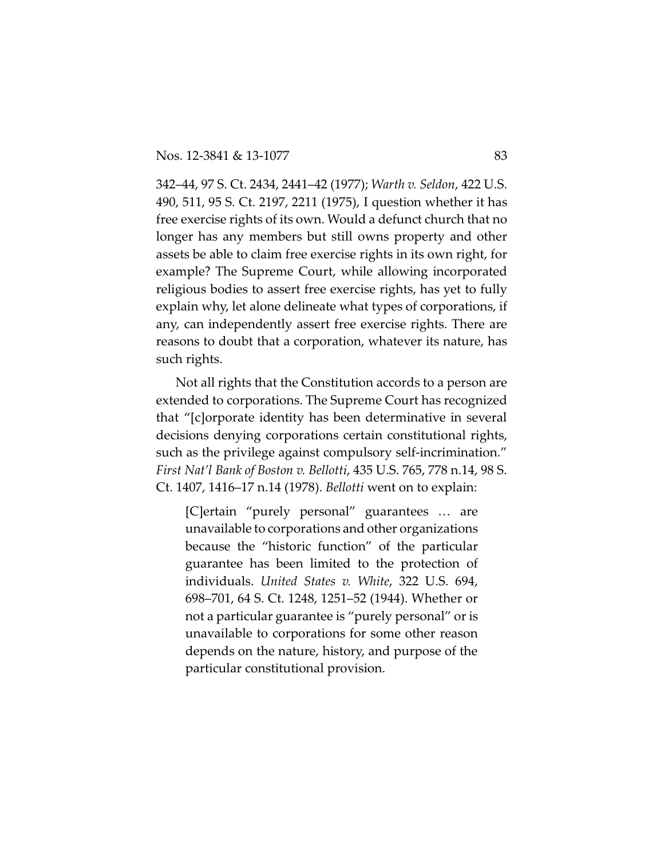342–44, 97 S. Ct. 2434, 2441–42 (1977); *Warth v. Seldon*, 422 U.S. 490, 511, 95 S. Ct. 2197, 2211 (1975), I question whether it has free exercise rights of its own. Would a defunct church that no longer has any members but still owns property and other assets be able to claim free exercise rights in its own right, for example? The Supreme Court, while allowing incorporated religious bodies to assert free exercise rights, has yet to fully explain why, let alone delineate what types of corporations, if any, can independently assert free exercise rights. There are reasons to doubt that a corporation, whatever its nature, has such rights.

Not all rights that the Constitution accords to a person are extended to corporations. The Supreme Court has recognized that "[c]orporate identity has been determinative in several decisions denying corporations certain constitutional rights, such as the privilege against compulsory self-incrimination." *First Nat'l Bank of Boston v. Bellotti*, 435 U.S. 765, 778 n.14, 98 S. Ct. 1407, 1416–17 n.14 (1978). *Bellotti* went on to explain:

[C]ertain "purely personal" guarantees … are unavailable to corporations and other organizations because the "historic function" of the particular guarantee has been limited to the protection of individuals. *United States v. White*, 322 U.S. 694, 698–701, 64 S. Ct. 1248, 1251–52 (1944). Whether or not a particular guarantee is "purely personal" or is unavailable to corporations for some other reason depends on the nature, history, and purpose of the particular constitutional provision.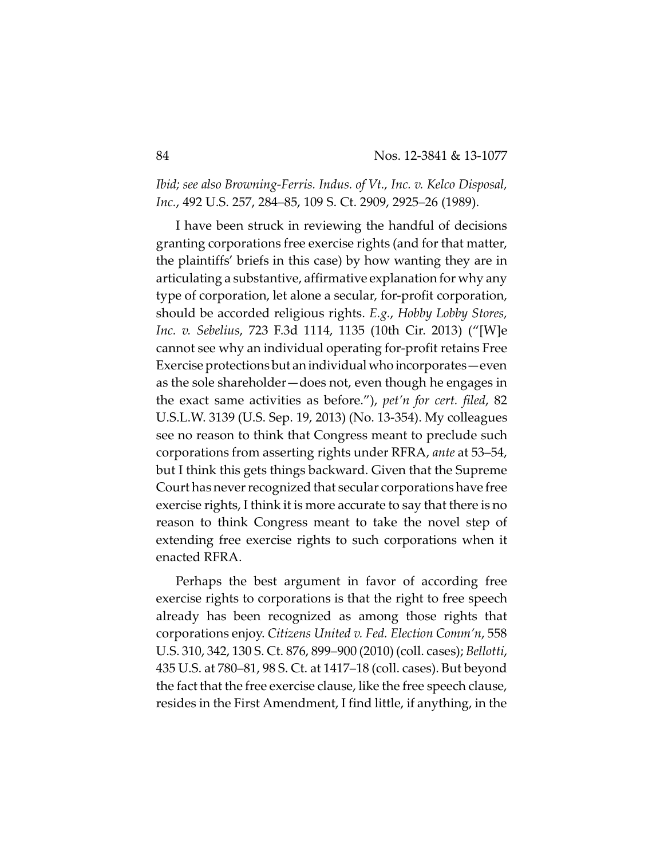*Ibid; see also Browning-Ferris. Indus. of Vt., Inc. v. Kelco Disposal, Inc.*, 492 U.S. 257, 284–85, 109 S. Ct. 2909, 2925–26 (1989).

I have been struck in reviewing the handful of decisions granting corporations free exercise rights (and for that matter, the plaintiffs' briefs in this case) by how wanting they are in articulating a substantive, affirmative explanation for why any type of corporation, let alone a secular, for-profit corporation, should be accorded religious rights. *E.g.*, *Hobby Lobby Stores, Inc. v. Sebelius*, 723 F.3d 1114, 1135 (10th Cir. 2013) ("[W]e cannot see why an individual operating for-profit retains Free Exercise protections but an individual who incorporates—even as the sole shareholder—does not, even though he engages in the exact same activities as before."), *pet'n for cert. filed*, 82 U.S.L.W. 3139 (U.S. Sep. 19, 2013) (No. 13-354). My colleagues see no reason to think that Congress meant to preclude such corporations from asserting rights under RFRA, *ante* at 53–54, but I think this gets things backward. Given that the Supreme Court has never recognized that secular corporations have free exercise rights, I think it is more accurate to say that there is no reason to think Congress meant to take the novel step of extending free exercise rights to such corporations when it enacted RFRA.

Perhaps the best argument in favor of according free exercise rights to corporations is that the right to free speech already has been recognized as among those rights that corporations enjoy. *Citizens United v. Fed. Election Comm'n*, 558 U.S. 310, 342, 130 S. Ct. 876, 899–900 (2010) (coll. cases); *Bellotti*, 435 U.S. at 780–81, 98 S. Ct. at 1417–18 (coll. cases). But beyond the fact that the free exercise clause, like the free speech clause, resides in the First Amendment, I find little, if anything, in the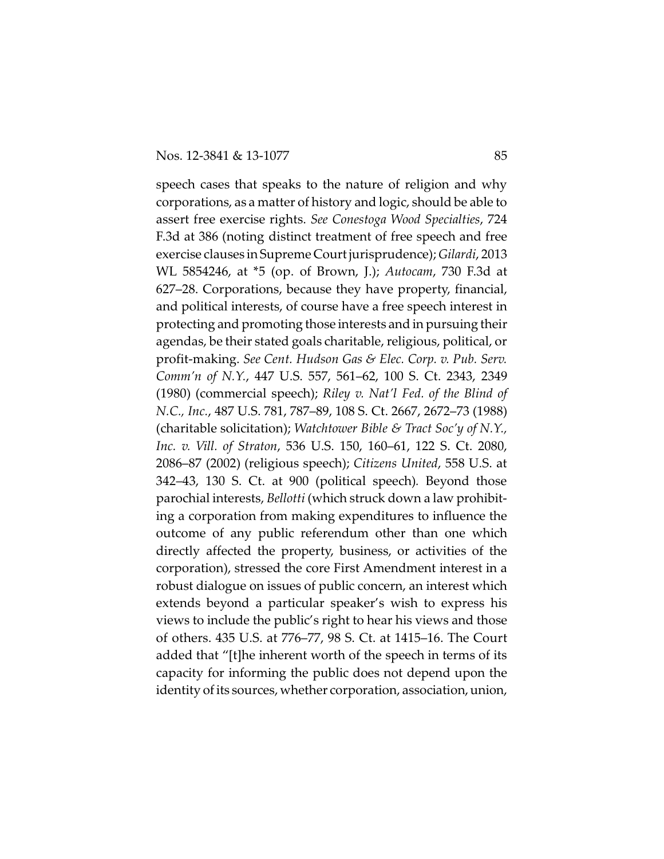speech cases that speaks to the nature of religion and why corporations, as a matter of history and logic, should be able to assert free exercise rights. *See Conestoga Wood Specialties*, 724 F.3d at 386 (noting distinct treatment of free speech and free exercise clauses in Supreme Courtjurisprudence); *Gilardi*, 2013 WL 5854246, at \*5 (op. of Brown, J.); *Autocam*, 730 F.3d at 627–28. Corporations, because they have property, financial, and political interests, of course have a free speech interest in protecting and promoting those interests and in pursuing their agendas, be their stated goals charitable, religious, political, or profit-making. *See Cent. Hudson Gas & Elec. Corp. v. Pub. Serv. Comm'n of N.Y.*, 447 U.S. 557, 561–62, 100 S. Ct. 2343, 2349 (1980) (commercial speech); *Riley v. Nat'l Fed. of the Blind of N.C., Inc.*, 487 U.S. 781, 787–89, 108 S. Ct. 2667, 2672–73 (1988) (charitable solicitation); *Watchtower Bible & Tract Soc'y of N.Y., Inc. v. Vill. of Straton*, 536 U.S. 150, 160–61, 122 S. Ct. 2080, 2086–87 (2002) (religious speech); *Citizens United*, 558 U.S. at 342–43, 130 S. Ct. at 900 (political speech)*.* Beyond those parochial interests, *Bellotti* (which struck down a law prohibiting a corporation from making expenditures to influence the outcome of any public referendum other than one which directly affected the property, business, or activities of the corporation), stressed the core First Amendment interest in a robust dialogue on issues of public concern, an interest which extends beyond a particular speaker's wish to express his views to include the public's right to hear his views and those of others. 435 U.S. at 776–77, 98 S. Ct. at 1415–16. The Court added that "[t]he inherent worth of the speech in terms of its capacity for informing the public does not depend upon the identity of its sources, whether corporation, association, union,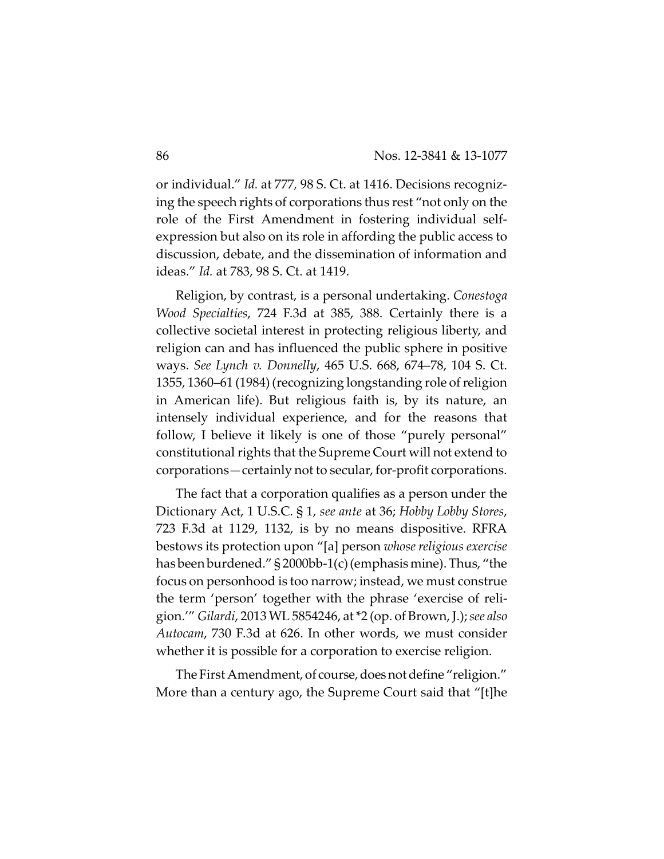or individual." *Id.* at 777*,* 98 S. Ct. at 1416. Decisions recognizing the speech rights of corporations thus rest "not only on the role of the First Amendment in fostering individual selfexpression but also on its role in affording the public access to discussion, debate, and the dissemination of information and ideas." *Id.* at 783, 98 S. Ct. at 1419.

Religion, by contrast, is a personal undertaking. *Conestoga Wood Specialties*, 724 F.3d at 385, 388. Certainly there is a collective societal interest in protecting religious liberty, and religion can and has influenced the public sphere in positive ways. *See Lynch v. Donnelly*, 465 U.S. 668, 674–78, 104 S. Ct. 1355, 1360–61 (1984) (recognizing longstanding role of religion in American life). But religious faith is, by its nature, an intensely individual experience, and for the reasons that follow, I believe it likely is one of those "purely personal" constitutional rights that the Supreme Court will not extend to corporations—certainly not to secular, for-profit corporations.

The fact that a corporation qualifies as a person under the Dictionary Act, 1 U.S.C. § 1, *see ante* at 36; *Hobby Lobby Stores*, 723 F.3d at 1129, 1132, is by no means dispositive. RFRA bestows its protection upon "[a] person *whose religious exercise* has been burdened." § 2000bb-1(c)(emphasis mine). Thus, "the focus on personhood is too narrow; instead, we must construe the term 'person' together with the phrase 'exercise of religion.'" *Gilardi*, 2013 WL 5854246, at \*2 (op. of Brown, J.); *see also Autocam*, 730 F.3d at 626. In other words, we must consider whether it is possible for a corporation to exercise religion.

The First Amendment, of course, does not define "religion." More than a century ago, the Supreme Court said that "[t]he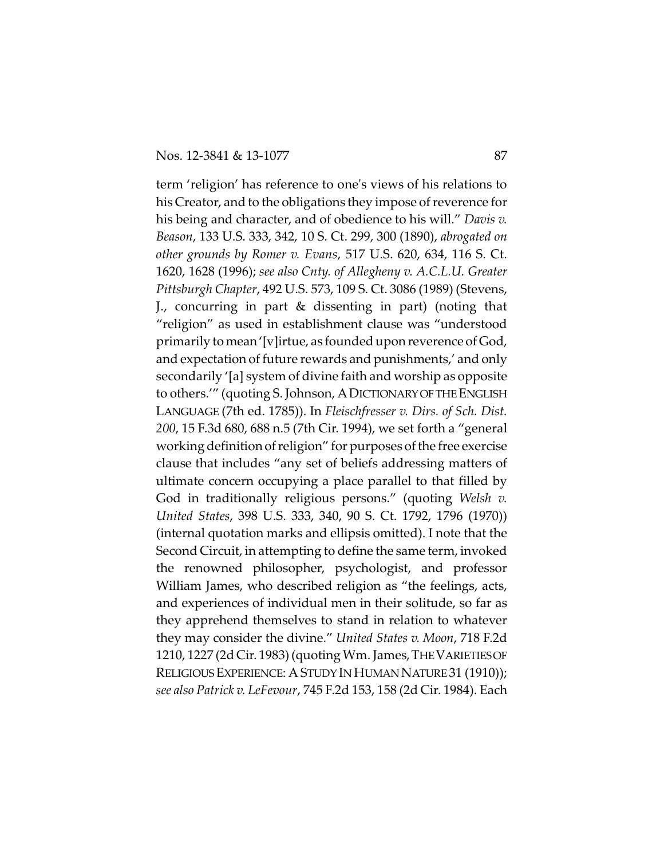term 'religion' has reference to one's views of his relations to his Creator, and to the obligations they impose of reverence for his being and character, and of obedience to his will." *Davis v. Beason*, 133 U.S. 333, 342, 10 S. Ct. 299, 300 (1890), *abrogated on other grounds by Romer v. Evans*, 517 U.S. 620, 634, 116 S. Ct. 1620, 1628 (1996); *see also Cnty. of Allegheny v. A.C.L.U. Greater Pittsburgh Chapter*, 492 U.S. 573, 109 S. Ct. 3086 (1989) (Stevens, J., concurring in part & dissenting in part) (noting that "religion" as used in establishment clause was "understood primarily to mean'[v]irtue, as founded upon reverence of God, and expectation of future rewards and punishments,' and only secondarily '[a] system of divine faith and worship as opposite to others.'" (quoting S. Johnson, A DICTIONARY OF THE ENGLISH LANGUAGE (7th ed. 1785)). In *Fleischfresser v. Dirs. of Sch. Dist. 200*, 15 F.3d 680, 688 n.5 (7th Cir. 1994), we set forth a "general working definition of religion" for purposes of the free exercise clause that includes "any set of beliefs addressing matters of ultimate concern occupying a place parallel to that filled by God in traditionally religious persons." (quoting *Welsh v. United States*, 398 U.S. 333, 340, 90 S. Ct. 1792, 1796 (1970)) (internal quotation marks and ellipsis omitted). I note that the Second Circuit, in attempting to define the same term, invoked the renowned philosopher, psychologist, and professor William James, who described religion as "the feelings, acts, and experiences of individual men in their solitude, so far as they apprehend themselves to stand in relation to whatever they may consider the divine." *United States v. Moon*, 718 F.2d 1210, 1227 (2d Cir. 1983) (quoting Wm. James,THEVARIETIESOF RELIGIOUS EXPERIENCE: A STUDY IN HUMAN NATURE 31 (1910)); *see also Patrick v. LeFevour*, 745 F.2d 153, 158 (2d Cir. 1984). Each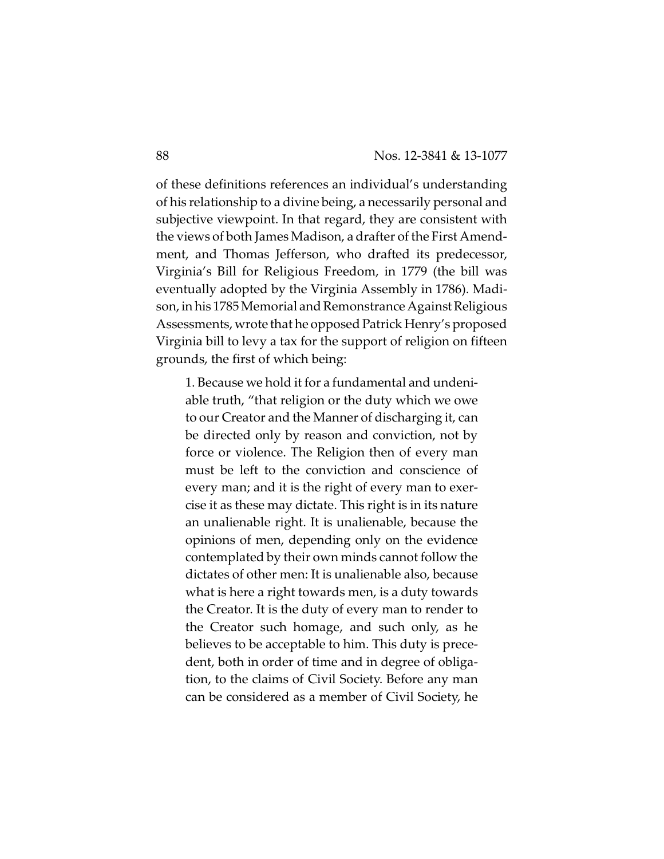of these definitions references an individual's understanding of his relationship to a divine being, a necessarily personal and subjective viewpoint. In that regard, they are consistent with the views of both James Madison, a drafter of the First Amendment, and Thomas Jefferson, who drafted its predecessor, Virginia's Bill for Religious Freedom, in 1779 (the bill was eventually adopted by the Virginia Assembly in 1786). Madison, in his 1785 Memorial and Remonstrance Against Religious Assessments, wrote that he opposed Patrick Henry's proposed Virginia bill to levy a tax for the support of religion on fifteen grounds, the first of which being:

1. Because we hold it for a fundamental and undeniable truth, "that religion or the duty which we owe to our Creator and the Manner of discharging it, can be directed only by reason and conviction, not by force or violence. The Religion then of every man must be left to the conviction and conscience of every man; and it is the right of every man to exercise it as these may dictate. This right is in its nature an unalienable right. It is unalienable, because the opinions of men, depending only on the evidence contemplated by their own minds cannot follow the dictates of other men: It is unalienable also, because what is here a right towards men, is a duty towards the Creator. It is the duty of every man to render to the Creator such homage, and such only, as he believes to be acceptable to him. This duty is precedent, both in order of time and in degree of obligation, to the claims of Civil Society. Before any man can be considered as a member of Civil Society, he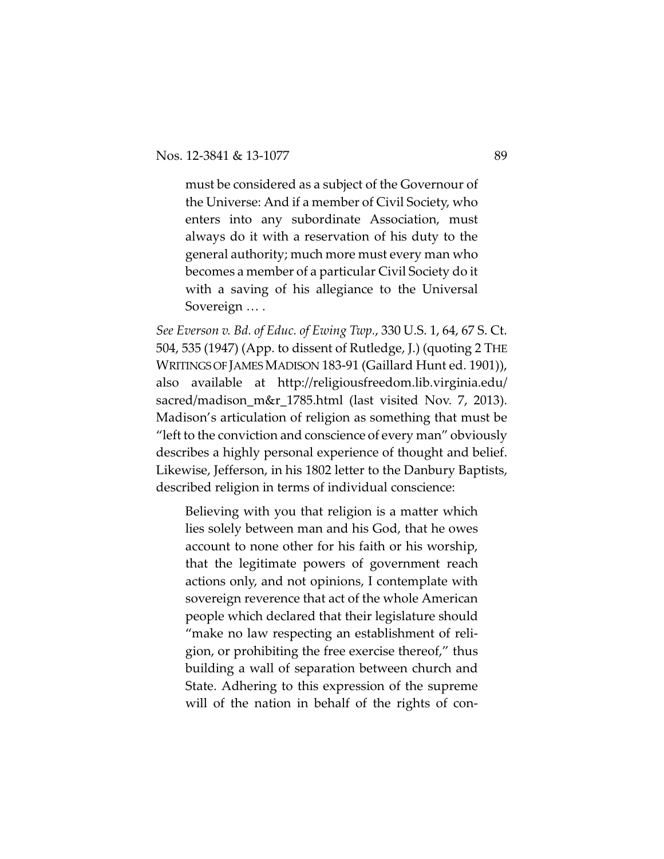must be considered as a subject of the Governour of the Universe: And if a member of Civil Society, who enters into any subordinate Association, must always do it with a reservation of his duty to the general authority; much more must every man who becomes a member of a particular Civil Society do it with a saving of his allegiance to the Universal Sovereign … .

*See Everson v. Bd. of Educ. of Ewing Twp.*, 330 U.S. 1, 64, 67 S. Ct. 504, 535 (1947) (App. to dissent of Rutledge, J.) (quoting 2 THE WRITINGS OF JAMES MADISON 183-91 (Gaillard Hunt ed. 1901)), also available at http://religiousfreedom.lib.virginia.edu/ sacred/madison\_m&r\_1785.html (last visited Nov. 7, 2013). Madison's articulation of religion as something that must be "left to the conviction and conscience of every man" obviously describes a highly personal experience of thought and belief. Likewise, Jefferson, in his 1802 letter to the Danbury Baptists, described religion in terms of individual conscience:

Believing with you that religion is a matter which lies solely between man and his God, that he owes account to none other for his faith or his worship, that the legitimate powers of government reach actions only, and not opinions, I contemplate with sovereign reverence that act of the whole American people which declared that their legislature should "make no law respecting an establishment of religion, or prohibiting the free exercise thereof," thus building a wall of separation between church and State. Adhering to this expression of the supreme will of the nation in behalf of the rights of con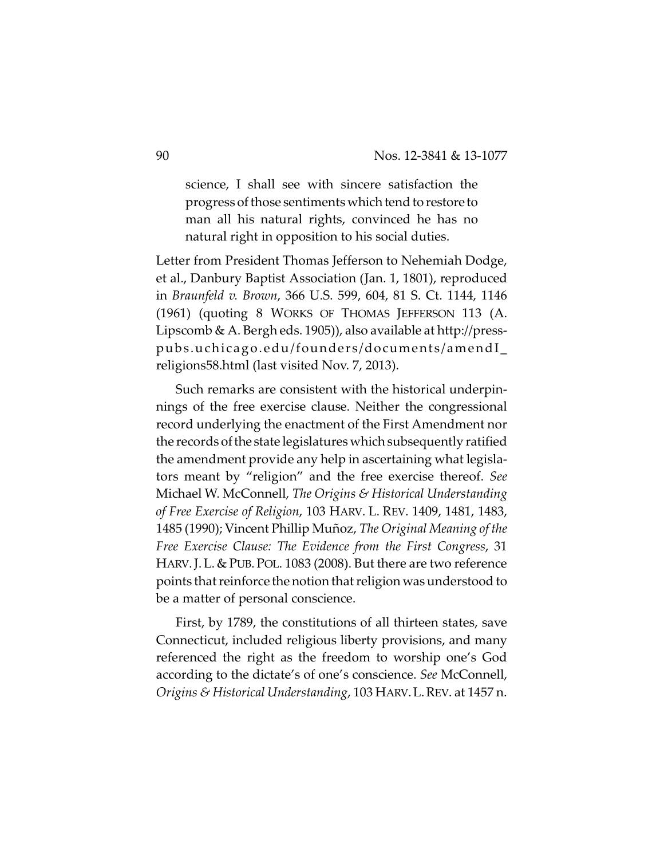science, I shall see with sincere satisfaction the progress of those sentiments which tend to restore to man all his natural rights, convinced he has no natural right in opposition to his social duties.

Letter from President Thomas Jefferson to Nehemiah Dodge, et al., Danbury Baptist Association (Jan. 1, 1801), reproduced in *Braunfeld v. Brown*, 366 U.S. 599, 604, 81 S. Ct. 1144, 1146 (1961) (quoting 8 WORKS OF THOMAS JEFFERSON 113 (A. Lipscomb & A. Bergh eds. 1905)), also available at http://presspubs.uchicago.edu/founders/documents/amendI\_ religions58.html (last visited Nov. 7, 2013).

Such remarks are consistent with the historical underpinnings of the free exercise clause. Neither the congressional record underlying the enactment of the First Amendment nor the records of the state legislatures which subsequently ratified the amendment provide any help in ascertaining what legislators meant by "religion" and the free exercise thereof. *See* Michael W. McConnell, *The Origins & Historical Understanding of Free Exercise of Religion*, 103 HARV. L. REV. 1409, 1481, 1483, 1485 (1990); Vincent Phillip Muñoz, *The Original Meaning of the Free Exercise Clause: The Evidence from the First Congress*, 31 HARV.J.L. & PUB. POL. 1083 (2008). But there are two reference points that reinforce the notion that religion was understood to be a matter of personal conscience.

First, by 1789, the constitutions of all thirteen states, save Connecticut, included religious liberty provisions, and many referenced the right as the freedom to worship one's God according to the dictate's of one's conscience. *See* McConnell, *Origins & Historical Understanding*, 103 HARV.L.REV. at 1457 n.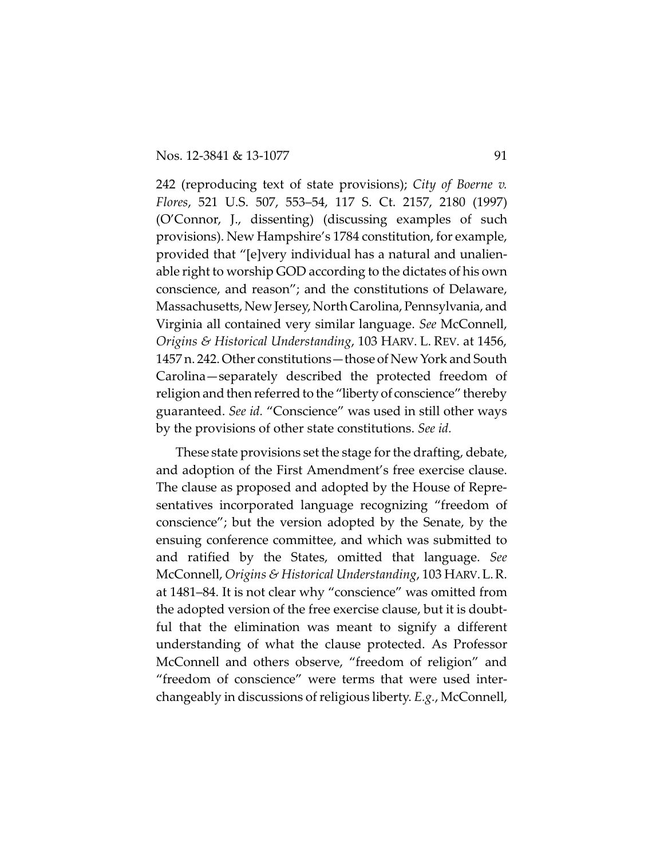242 (reproducing text of state provisions); *City of Boerne v. Flores*, 521 U.S. 507, 553–54, 117 S. Ct. 2157, 2180 (1997) (O'Connor, J., dissenting) (discussing examples of such provisions). New Hampshire's 1784 constitution, for example, provided that "[e]very individual has a natural and unalienable right to worship GOD according to the dictates of his own conscience, and reason"; and the constitutions of Delaware, Massachusetts, New Jersey, North Carolina, Pennsylvania, and Virginia all contained very similar language. *See* McConnell, *Origins & Historical Understanding*, 103 HARV. L. REV. at 1456, 1457 n. 242. Other constitutions—those of New York and South Carolina—separately described the protected freedom of religion and then referred to the "liberty of conscience" thereby guaranteed. *See id.* "Conscience" was used in still other ways by the provisions of other state constitutions. *See id.*

These state provisions set the stage for the drafting, debate, and adoption of the First Amendment's free exercise clause. The clause as proposed and adopted by the House of Representatives incorporated language recognizing "freedom of conscience"; but the version adopted by the Senate, by the ensuing conference committee, and which was submitted to and ratified by the States, omitted that language. *See* McConnell, *Origins & Historical Understanding*, 103 HARV.L.R. at 1481–84. It is not clear why "conscience" was omitted from the adopted version of the free exercise clause, but it is doubtful that the elimination was meant to signify a different understanding of what the clause protected. As Professor McConnell and others observe, "freedom of religion" and "freedom of conscience" were terms that were used interchangeably in discussions of religious liberty. *E.g.*, McConnell,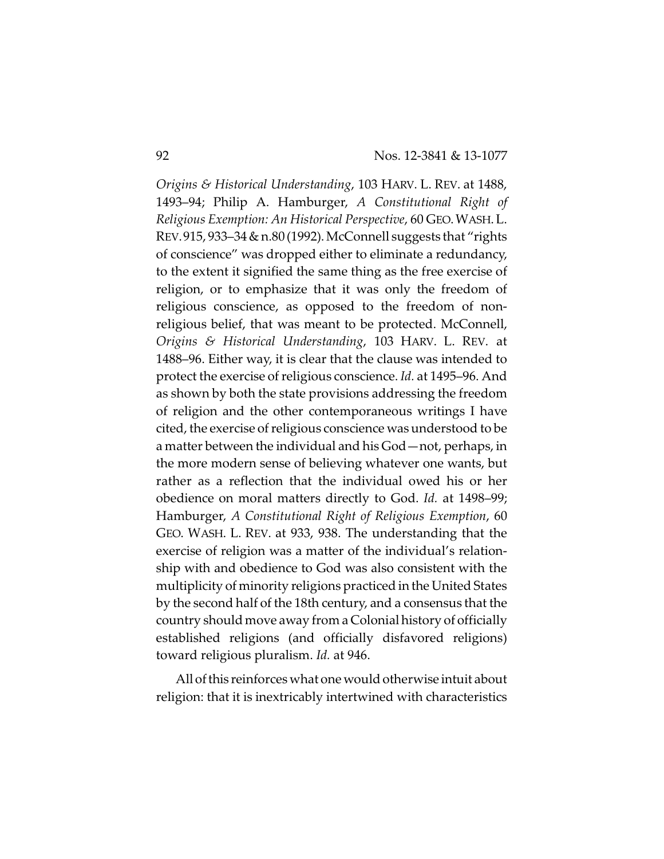*Origins & Historical Understanding*, 103 HARV. L. REV. at 1488, 1493–94; Philip A. Hamburger, *A Constitutional Right of Religious Exemption: An Historical Perspective*, 60 GEO.WASH.L. REV.915, 933–34 & n.80 (1992).McConnell suggests that "rights of conscience" was dropped either to eliminate a redundancy, to the extent it signified the same thing as the free exercise of religion, or to emphasize that it was only the freedom of religious conscience, as opposed to the freedom of nonreligious belief, that was meant to be protected. McConnell, *Origins & Historical Understanding*, 103 HARV. L. REV. at 1488–96. Either way, it is clear that the clause was intended to protect the exercise of religious conscience. *Id.* at 1495–96. And as shown by both the state provisions addressing the freedom of religion and the other contemporaneous writings I have cited, the exercise of religious conscience was understood to be a matter between the individual and his God—not, perhaps, in the more modern sense of believing whatever one wants, but rather as a reflection that the individual owed his or her obedience on moral matters directly to God. *Id.* at 1498–99; Hamburger, *A Constitutional Right of Religious Exemption*, 60 GEO. WASH. L. REV. at 933, 938. The understanding that the exercise of religion was a matter of the individual's relationship with and obedience to God was also consistent with the multiplicity of minority religions practiced in the United States by the second half of the 18th century, and a consensus that the country should move away from a Colonial history of officially established religions (and officially disfavored religions) toward religious pluralism. *Id.* at 946.

All of this reinforces what one would otherwise intuit about religion: that it is inextricably intertwined with characteristics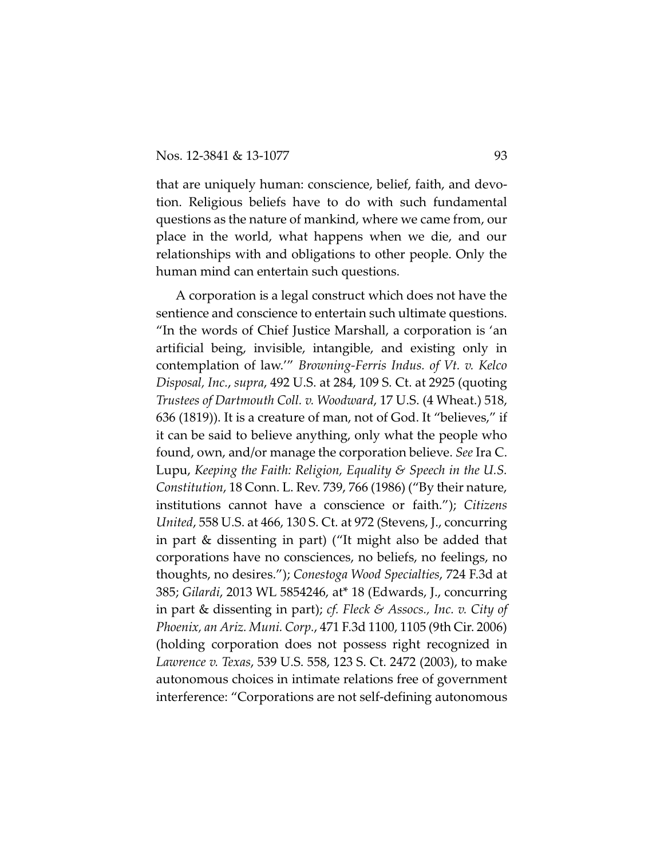that are uniquely human: conscience, belief, faith, and devotion. Religious beliefs have to do with such fundamental questions as the nature of mankind, where we came from, our place in the world, what happens when we die, and our relationships with and obligations to other people. Only the human mind can entertain such questions.

A corporation is a legal construct which does not have the sentience and conscience to entertain such ultimate questions. "In the words of Chief Justice Marshall, a corporation is 'an artificial being, invisible, intangible, and existing only in contemplation of law.'" *Browning-Ferris Indus. of Vt. v. Kelco Disposal, Inc.*, *supra*, 492 U.S. at 284, 109 S. Ct. at 2925 (quoting *Trustees of Dartmouth Coll. v. Woodward*, 17 U.S. (4 Wheat.) 518, 636 (1819)). It is a creature of man, not of God. It "believes," if it can be said to believe anything, only what the people who found, own, and/or manage the corporation believe. *See* Ira C. Lupu, *Keeping the Faith: Religion, Equality & Speech in the U.S. Constitution*, 18 Conn. L. Rev. 739, 766 (1986) ("By their nature, institutions cannot have a conscience or faith."); *Citizens United*, 558 U.S. at 466, 130 S. Ct. at 972 (Stevens, J., concurring in part & dissenting in part) ("It might also be added that corporations have no consciences, no beliefs, no feelings, no thoughts, no desires."); *Conestoga Wood Specialties*, 724 F.3d at 385; *Gilardi*, 2013 WL 5854246, at\* 18 (Edwards, J., concurring in part & dissenting in part); *cf. Fleck & Assocs., Inc. v. City of Phoenix, an Ariz. Muni. Corp.*, 471 F.3d 1100, 1105 (9th Cir. 2006) (holding corporation does not possess right recognized in *Lawrence v. Texas*, 539 U.S. 558, 123 S. Ct. 2472 (2003), to make autonomous choices in intimate relations free of government interference: "Corporations are not self-defining autonomous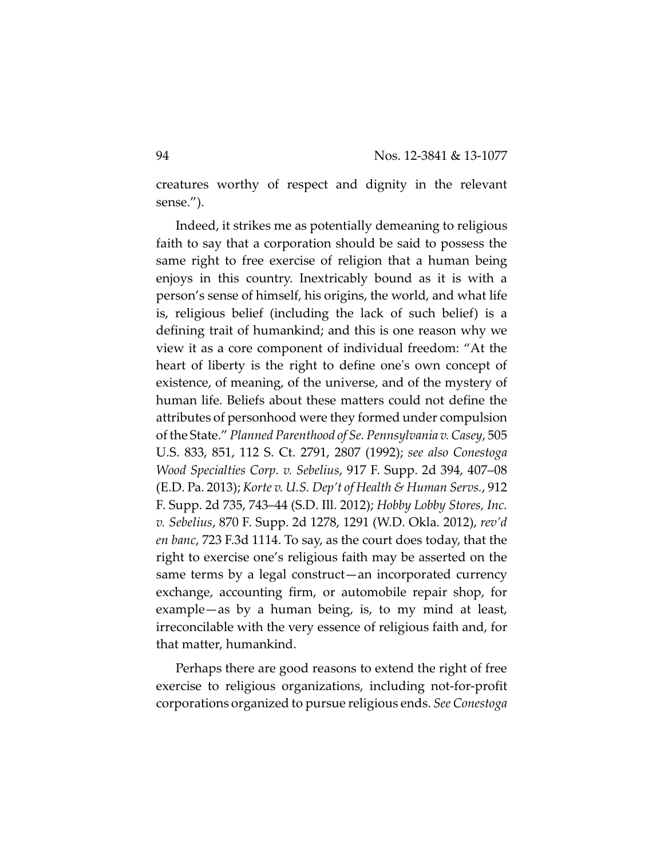creatures worthy of respect and dignity in the relevant sense.").

Indeed, it strikes me as potentially demeaning to religious faith to say that a corporation should be said to possess the same right to free exercise of religion that a human being enjoys in this country. Inextricably bound as it is with a person's sense of himself, his origins, the world, and what life is, religious belief (including the lack of such belief) is a defining trait of humankind; and this is one reason why we view it as a core component of individual freedom: "At the heart of liberty is the right to define one's own concept of existence, of meaning, of the universe, and of the mystery of human life. Beliefs about these matters could not define the attributes of personhood were they formed under compulsion of the State." *Planned Parenthood of Se. Pennsylvania v. Casey*, 505 U.S. 833, 851, 112 S. Ct. 2791, 2807 (1992); *see also Conestoga Wood Specialties Corp. v. Sebelius*, 917 F. Supp. 2d 394, 407–08 (E.D. Pa. 2013); *Korte v. U.S. Dep't of Health & Human Servs.*, 912 F. Supp. 2d 735, 743–44 (S.D. Ill. 2012); *Hobby Lobby Stores, Inc. v. Sebelius*, 870 F. Supp. 2d 1278, 1291 (W.D. Okla. 2012), *rev'd en banc*, 723 F.3d 1114. To say, as the court does today, that the right to exercise one's religious faith may be asserted on the same terms by a legal construct—an incorporated currency exchange, accounting firm, or automobile repair shop, for example—as by a human being, is, to my mind at least, irreconcilable with the very essence of religious faith and, for that matter, humankind.

Perhaps there are good reasons to extend the right of free exercise to religious organizations, including not-for-profit corporations organized to pursue religious ends. *See Conestoga*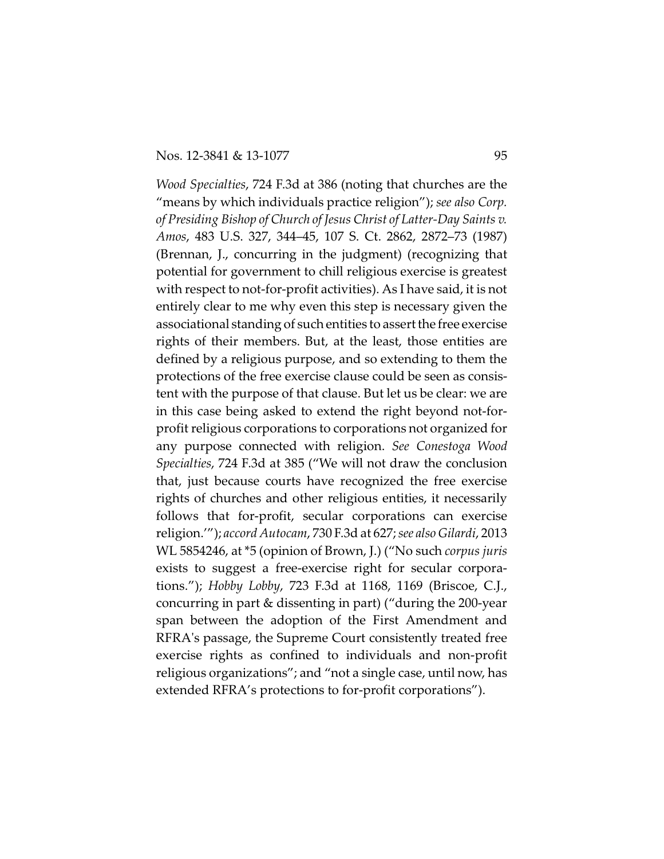*Wood Specialties*, 724 F.3d at 386 (noting that churches are the "means by which individuals practice religion"); *see also Corp. of Presiding Bishop of Church of Jesus Christ of Latter-Day Saints v. Amos*, 483 U.S. 327, 344–45, 107 S. Ct. 2862, 2872–73 (1987) (Brennan, J., concurring in the judgment) (recognizing that potential for government to chill religious exercise is greatest with respect to not-for-profit activities). As I have said, it is not entirely clear to me why even this step is necessary given the associational standing of such entities to assert the free exercise rights of their members. But, at the least, those entities are defined by a religious purpose, and so extending to them the protections of the free exercise clause could be seen as consistent with the purpose of that clause. But let us be clear: we are in this case being asked to extend the right beyond not-forprofit religious corporations to corporations not organized for any purpose connected with religion. *See Conestoga Wood Specialties*, 724 F.3d at 385 ("We will not draw the conclusion that, just because courts have recognized the free exercise rights of churches and other religious entities, it necessarily follows that for-profit, secular corporations can exercise religion.'"); *accord Autocam*, 730 F.3d at 627; *see also Gilardi*, 2013 WL 5854246, at \*5 (opinion of Brown, J.) ("No such *corpus juris* exists to suggest a free-exercise right for secular corporations."); *Hobby Lobby*, 723 F.3d at 1168, 1169 (Briscoe, C.J., concurring in part & dissenting in part) ("during the 200-year span between the adoption of the First Amendment and RFRA's passage, the Supreme Court consistently treated free exercise rights as confined to individuals and non-profit religious organizations"; and "not a single case, until now, has extended RFRA's protections to for-profit corporations").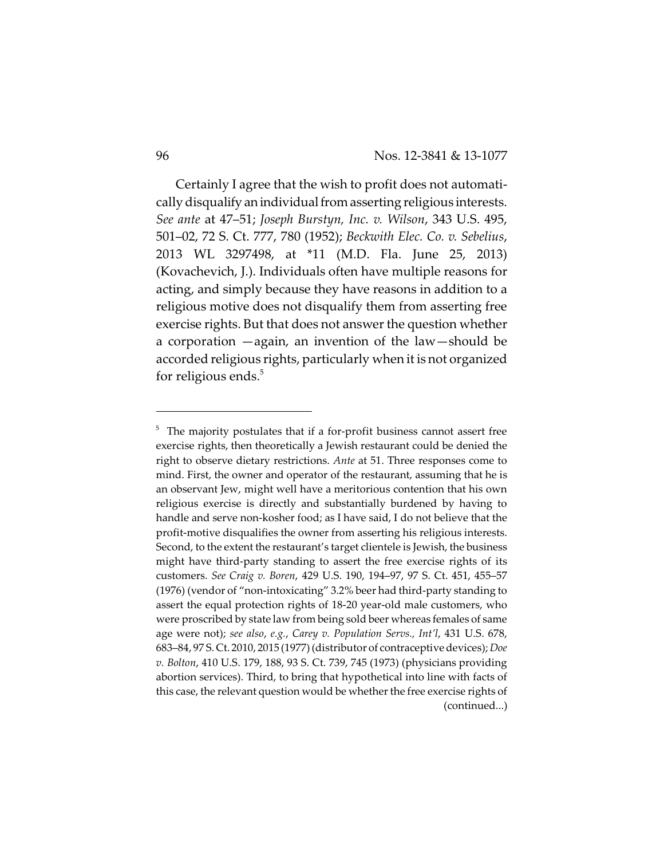Certainly I agree that the wish to profit does not automatically disqualify an individual from asserting religious interests. *See ante* at 47–51; *Joseph Burstyn, Inc. v. Wilson*, 343 U.S. 495, 501–02, 72 S. Ct. 777, 780 (1952); *Beckwith Elec. Co. v. Sebelius*, 2013 WL 3297498, at \*11 (M.D. Fla. June 25, 2013) (Kovachevich, J.). Individuals often have multiple reasons for acting, and simply because they have reasons in addition to a religious motive does not disqualify them from asserting free exercise rights. But that does not answer the question whether a corporation —again, an invention of the law—should be accorded religious rights, particularly when it is not organized for religious ends. $5$ 

 $5$  The majority postulates that if a for-profit business cannot assert free exercise rights, then theoretically a Jewish restaurant could be denied the right to observe dietary restrictions. *Ante* at 51. Three responses come to mind. First, the owner and operator of the restaurant, assuming that he is an observant Jew, might well have a meritorious contention that his own religious exercise is directly and substantially burdened by having to handle and serve non-kosher food; as I have said, I do not believe that the profit-motive disqualifies the owner from asserting his religious interests. Second, to the extent the restaurant's target clientele is Jewish, the business might have third-party standing to assert the free exercise rights of its customers. *See Craig v. Boren*, 429 U.S. 190, 194–97, 97 S. Ct. 451, 455–57 (1976) (vendor of "non-intoxicating" 3.2% beer had third-party standing to assert the equal protection rights of 18-20 year-old male customers, who were proscribed by state law from being sold beer whereas females of same age were not); *see also*, *e.g.*, *Carey v. Population Servs., Int'l*, 431 U.S. 678, 683–84, 97 S. Ct. 2010, 2015 (1977)(distributor of contraceptive devices); *Doe v. Bolton*, 410 U.S. 179, 188, 93 S. Ct. 739, 745 (1973) (physicians providing abortion services). Third, to bring that hypothetical into line with facts of this case, the relevant question would be whether the free exercise rights of (continued...)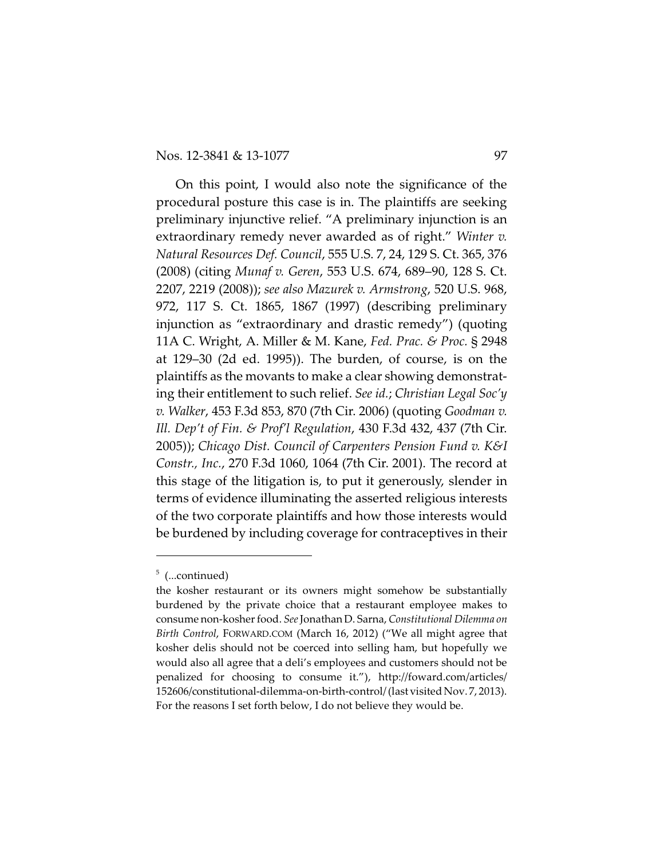On this point, I would also note the significance of the procedural posture this case is in. The plaintiffs are seeking preliminary injunctive relief. "A preliminary injunction is an extraordinary remedy never awarded as of right." *Winter v. Natural Resources Def. Council*, 555 U.S. 7, 24, 129 S. Ct. 365, 376 (2008) (citing *Munaf v. Geren*, 553 U.S. 674, 689–90, 128 S. Ct. 2207, 2219 (2008)); *see also Mazurek v. Armstrong*, 520 U.S. 968, 972, 117 S. Ct. 1865, 1867 (1997) (describing preliminary injunction as "extraordinary and drastic remedy") (quoting 11A C. Wright, A. Miller & M. Kane, *Fed. Prac. & Proc.* § 2948 at 129–30 (2d ed. 1995)). The burden, of course, is on the plaintiffs as the movants to make a clear showing demonstrating their entitlement to such relief. *See id.*; *Christian Legal Soc'y v. Walker*, 453 F.3d 853, 870 (7th Cir. 2006) (quoting *Goodman v. Ill. Dep't of Fin. & Prof'l Regulation*, 430 F.3d 432, 437 (7th Cir. 2005)); *Chicago Dist. Council of Carpenters Pension Fund v. K&I Constr., Inc.*, 270 F.3d 1060, 1064 (7th Cir. 2001). The record at this stage of the litigation is, to put it generously, slender in terms of evidence illuminating the asserted religious interests of the two corporate plaintiffs and how those interests would be burdened by including coverage for contraceptives in their

 $5$  (...continued)

the kosher restaurant or its owners might somehow be substantially burdened by the private choice that a restaurant employee makes to consume non-kosher food. *See*Jonathan D. Sarna, *Constitutional Dilemma on Birth Control*, FORWARD.COM (March 16, 2012) ("We all might agree that kosher delis should not be coerced into selling ham, but hopefully we would also all agree that a deli's employees and customers should not be penalized for choosing to consume it."), http://foward.com/articles/ 152606/constitutional-dilemma-on-birth-control/ (last visited Nov. 7, 2013). For the reasons I set forth below, I do not believe they would be.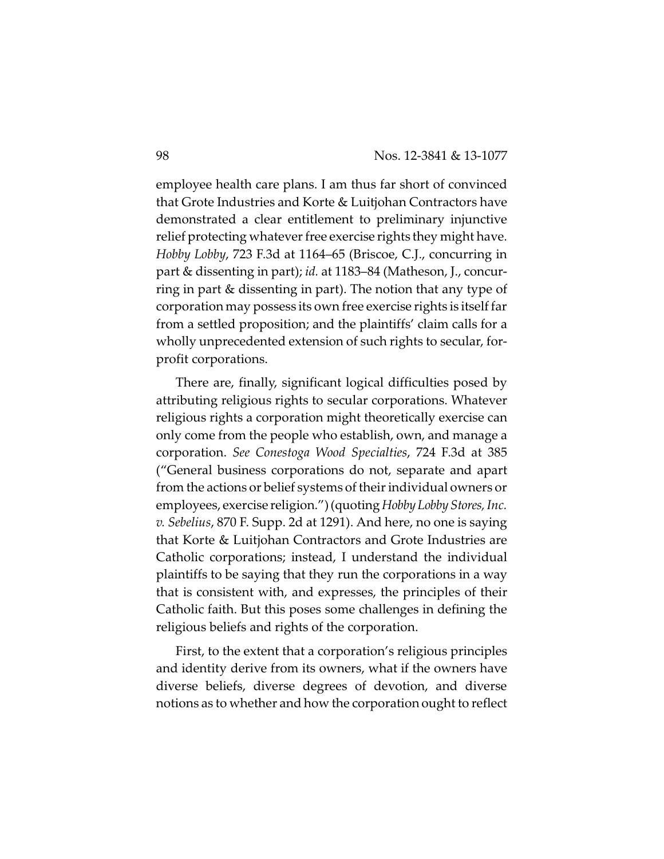employee health care plans. I am thus far short of convinced that Grote Industries and Korte & Luitjohan Contractors have demonstrated a clear entitlement to preliminary injunctive relief protecting whatever free exercise rights they might have. *Hobby Lobby*, 723 F.3d at 1164–65 (Briscoe, C.J., concurring in part & dissenting in part); *id.* at 1183–84 (Matheson, J., concurring in part & dissenting in part). The notion that any type of corporation may possess its own free exercise rights is itself far from a settled proposition; and the plaintiffs' claim calls for a wholly unprecedented extension of such rights to secular, forprofit corporations.

There are, finally, significant logical difficulties posed by attributing religious rights to secular corporations. Whatever religious rights a corporation might theoretically exercise can only come from the people who establish, own, and manage a corporation. *See Conestoga Wood Specialties*, 724 F.3d at 385 ("General business corporations do not, separate and apart from the actions or belief systems of their individual owners or employees, exercise religion.") (quoting *Hobby Lobby Stores, Inc. v. Sebelius*, 870 F. Supp. 2d at 1291). And here, no one is saying that Korte & Luitjohan Contractors and Grote Industries are Catholic corporations; instead, I understand the individual plaintiffs to be saying that they run the corporations in a way that is consistent with, and expresses, the principles of their Catholic faith. But this poses some challenges in defining the religious beliefs and rights of the corporation.

First, to the extent that a corporation's religious principles and identity derive from its owners, what if the owners have diverse beliefs, diverse degrees of devotion, and diverse notions as to whether and how the corporation ought to reflect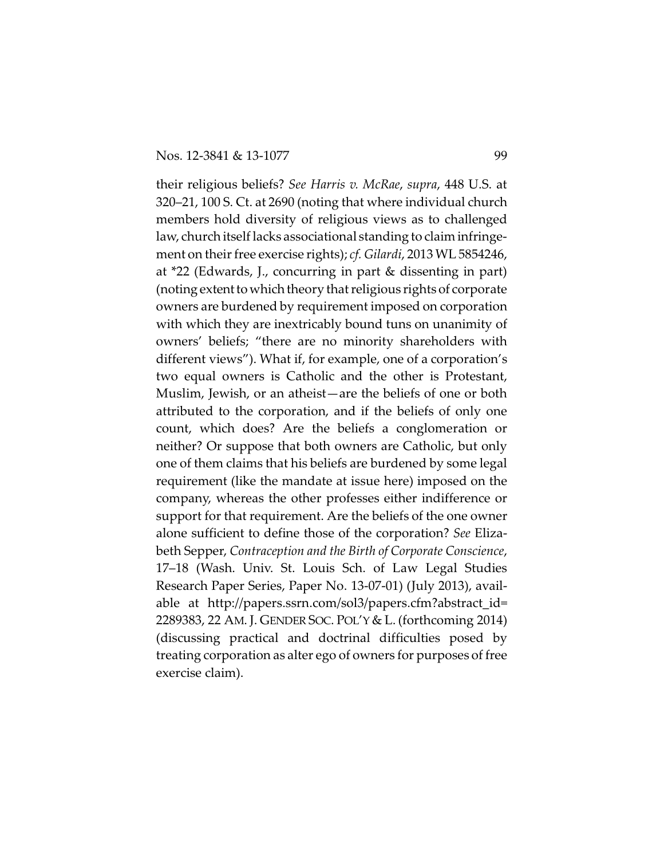their religious beliefs? *See Harris v. McRae*, *supra*, 448 U.S. at 320–21, 100 S. Ct. at 2690 (noting that where individual church members hold diversity of religious views as to challenged law, church itself lacks associational standing to claim infringement on their free exercise rights); *cf. Gilardi*, 2013 WL 5854246, at \*22 (Edwards, J., concurring in part & dissenting in part) (noting extent towhich theory that religious rights of corporate owners are burdened by requirement imposed on corporation with which they are inextricably bound tuns on unanimity of owners' beliefs; "there are no minority shareholders with different views"). What if, for example, one of a corporation's two equal owners is Catholic and the other is Protestant, Muslim, Jewish, or an atheist—are the beliefs of one or both attributed to the corporation, and if the beliefs of only one count, which does? Are the beliefs a conglomeration or neither? Or suppose that both owners are Catholic, but only one of them claims that his beliefs are burdened by some legal requirement (like the mandate at issue here) imposed on the company, whereas the other professes either indifference or support for that requirement. Are the beliefs of the one owner alone sufficient to define those of the corporation? *See* Elizabeth Sepper, *Contraception and the Birth of Corporate Conscience*, 17–18 (Wash. Univ. St. Louis Sch. of Law Legal Studies Research Paper Series, Paper No. 13-07-01) (July 2013), available at http://papers.ssrn.com/sol3/papers.cfm?abstract\_id= 2289383, 22 AM. J. GENDER SOC. POL'Y & L. (forthcoming 2014) (discussing practical and doctrinal difficulties posed by treating corporation as alter ego of owners for purposes of free exercise claim).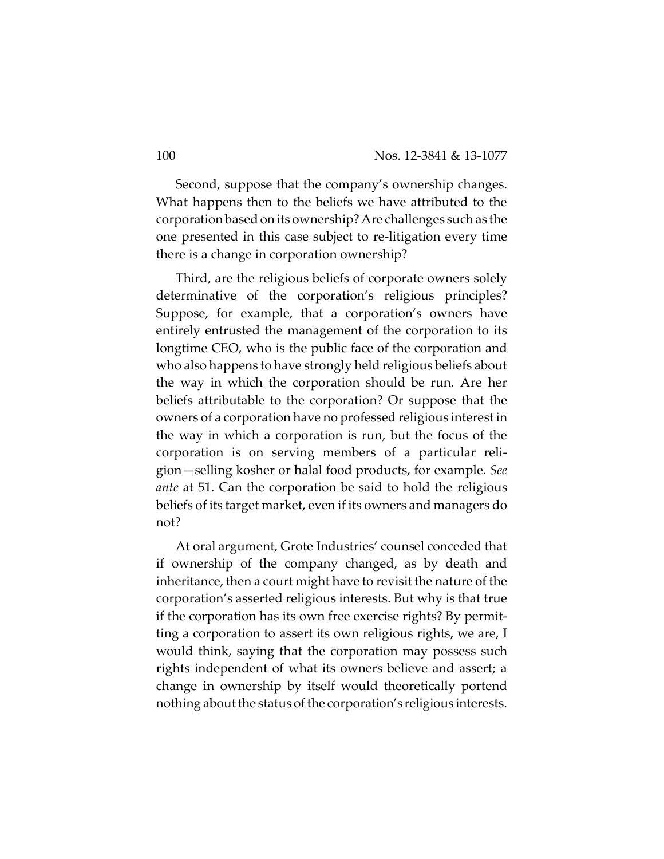Second, suppose that the company's ownership changes. What happens then to the beliefs we have attributed to the corporation based on its ownership? Are challenges such as the one presented in this case subject to re-litigation every time there is a change in corporation ownership?

Third, are the religious beliefs of corporate owners solely determinative of the corporation's religious principles? Suppose, for example, that a corporation's owners have entirely entrusted the management of the corporation to its longtime CEO, who is the public face of the corporation and who also happens to have strongly held religious beliefs about the way in which the corporation should be run. Are her beliefs attributable to the corporation? Or suppose that the owners of a corporation have no professed religious interest in the way in which a corporation is run, but the focus of the corporation is on serving members of a particular religion—selling kosher or halal food products, for example. *See ante* at 51. Can the corporation be said to hold the religious beliefs of its target market, even if its owners and managers do not?

At oral argument, Grote Industries' counsel conceded that if ownership of the company changed, as by death and inheritance, then a court might have to revisit the nature of the corporation's asserted religious interests. But why is that true if the corporation has its own free exercise rights? By permitting a corporation to assert its own religious rights, we are, I would think, saying that the corporation may possess such rights independent of what its owners believe and assert; a change in ownership by itself would theoretically portend nothing about the status of the corporation's religious interests.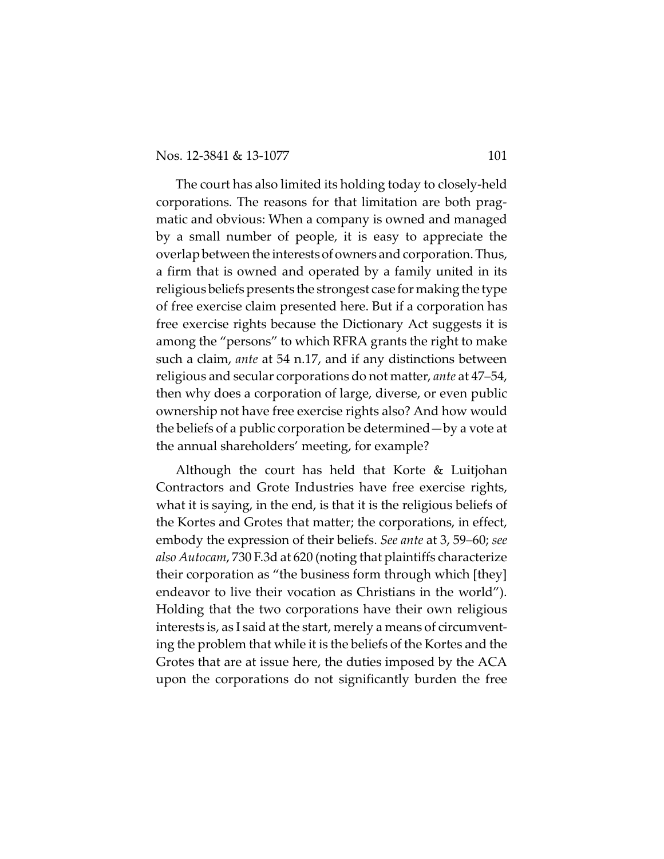The court has also limited its holding today to closely-held corporations. The reasons for that limitation are both pragmatic and obvious: When a company is owned and managed by a small number of people, it is easy to appreciate the overlap between the interestsofowners and corporation. Thus, a firm that is owned and operated by a family united in its religious beliefs presents the strongest case for making the type of free exercise claim presented here. But if a corporation has free exercise rights because the Dictionary Act suggests it is among the "persons" to which RFRA grants the right to make such a claim, *ante* at 54 n.17, and if any distinctions between religious and secular corporations do not matter, *ante* at 47–54, then why does a corporation of large, diverse, or even public ownership not have free exercise rights also? And how would the beliefs of a public corporation be determined—by a vote at the annual shareholders' meeting, for example?

Although the court has held that Korte & Luitjohan Contractors and Grote Industries have free exercise rights, what it is saying, in the end, is that it is the religious beliefs of the Kortes and Grotes that matter; the corporations, in effect, embody the expression of their beliefs. *See ante* at 3, 59–60; *see also Autocam*, 730 F.3d at 620 (noting that plaintiffs characterize their corporation as "the business form through which [they] endeavor to live their vocation as Christians in the world"). Holding that the two corporations have their own religious interests is, as I said at the start, merely a means of circumventing the problem that while it is the beliefs of the Kortes and the Grotes that are at issue here, the duties imposed by the ACA upon the corporations do not significantly burden the free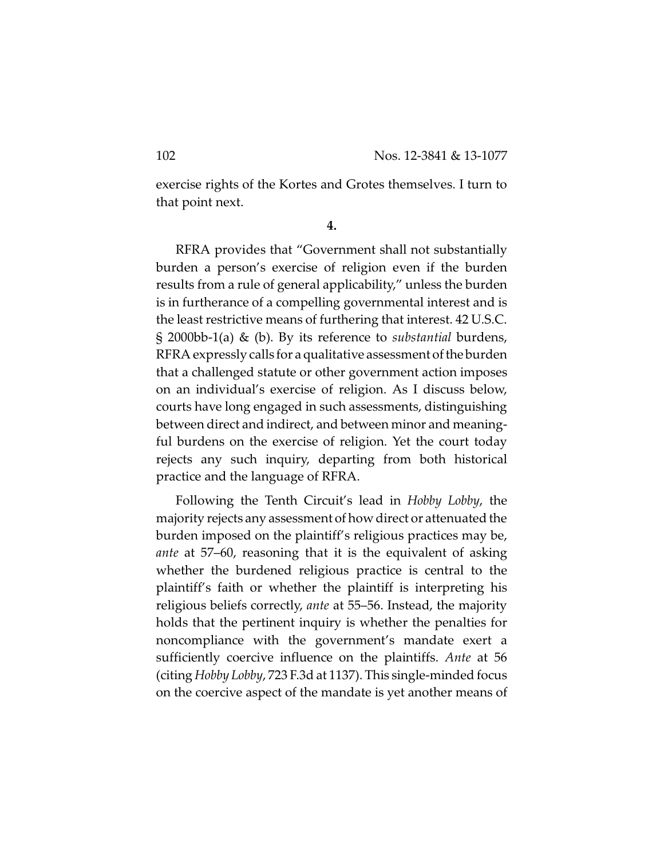exercise rights of the Kortes and Grotes themselves. I turn to that point next.

**4.**

RFRA provides that "Government shall not substantially burden a person's exercise of religion even if the burden results from a rule of general applicability," unless the burden is in furtherance of a compelling governmental interest and is the least restrictive means of furthering that interest. 42 U.S.C. § 2000bb-1(a) & (b). By its reference to *substantial* burdens, RFRA expressly calls for a qualitative assessment of the burden that a challenged statute or other government action imposes on an individual's exercise of religion. As I discuss below, courts have long engaged in such assessments, distinguishing between direct and indirect, and between minor and meaningful burdens on the exercise of religion. Yet the court today rejects any such inquiry, departing from both historical practice and the language of RFRA.

Following the Tenth Circuit's lead in *Hobby Lobby*, the majority rejects any assessment of how direct or attenuated the burden imposed on the plaintiff's religious practices may be, *ante* at 57–60, reasoning that it is the equivalent of asking whether the burdened religious practice is central to the plaintiff's faith or whether the plaintiff is interpreting his religious beliefs correctly, *ante* at 55–56. Instead, the majority holds that the pertinent inquiry is whether the penalties for noncompliance with the government's mandate exert a sufficiently coercive influence on the plaintiffs. *Ante* at 56 (citing *Hobby Lobby*, 723 F.3d at 1137). This single-minded focus on the coercive aspect of the mandate is yet another means of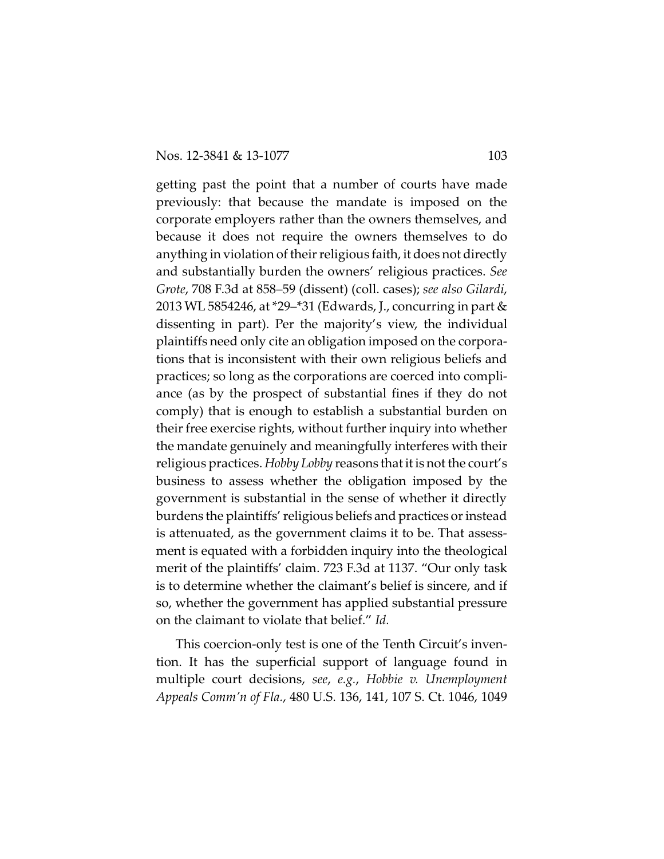getting past the point that a number of courts have made previously: that because the mandate is imposed on the corporate employers rather than the owners themselves, and because it does not require the owners themselves to do anything in violation of their religious faith, it does not directly and substantially burden the owners' religious practices. *See Grote*, 708 F.3d at 858–59 (dissent) (coll. cases); *see also Gilardi*, 2013 WL 5854246, at \*29–\*31 (Edwards, J., concurring in part & dissenting in part). Per the majority's view, the individual plaintiffs need only cite an obligation imposed on the corporations that is inconsistent with their own religious beliefs and practices; so long as the corporations are coerced into compliance (as by the prospect of substantial fines if they do not comply) that is enough to establish a substantial burden on their free exercise rights, without further inquiry into whether the mandate genuinely and meaningfully interferes with their religious practices. *Hobby Lobby* reasons that it is not the court's business to assess whether the obligation imposed by the government is substantial in the sense of whether it directly burdens the plaintiffs' religious beliefs and practices or instead is attenuated, as the government claims it to be. That assessment is equated with a forbidden inquiry into the theological merit of the plaintiffs' claim. 723 F.3d at 1137. "Our only task is to determine whether the claimant's belief is sincere, and if so, whether the government has applied substantial pressure on the claimant to violate that belief." *Id.*

This coercion-only test is one of the Tenth Circuit's invention. It has the superficial support of language found in multiple court decisions, *see*, *e.g.*, *Hobbie v. Unemployment Appeals Comm'n of Fla.*, 480 U.S. 136, 141, 107 S. Ct. 1046, 1049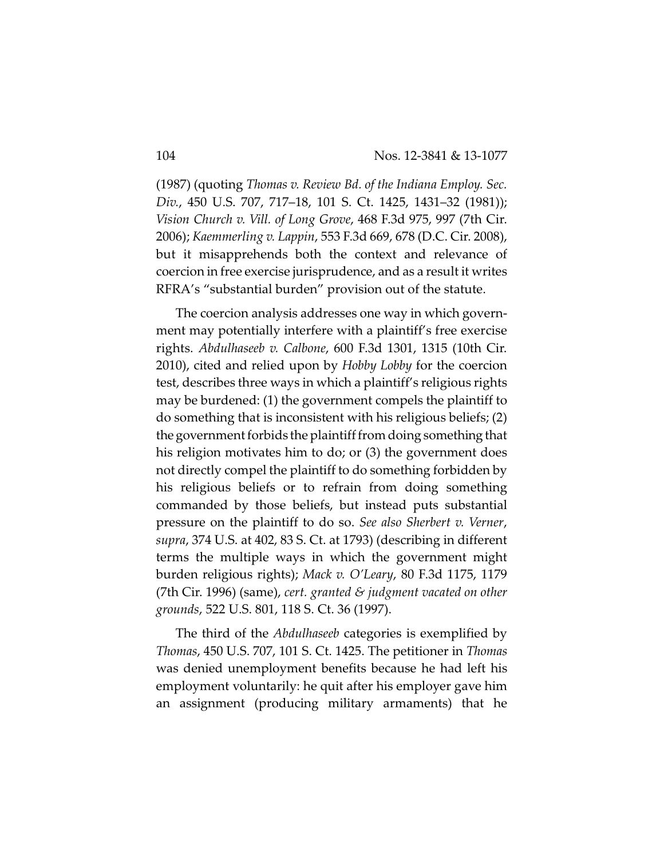(1987) (quoting *Thomas v. Review Bd. of the Indiana Employ. Sec. Div.*, 450 U.S. 707, 717–18, 101 S. Ct. 1425, 1431–32 (1981)); *Vision Church v. Vill. of Long Grove*, 468 F.3d 975, 997 (7th Cir. 2006); *Kaemmerling v. Lappin*, 553 F.3d 669, 678 (D.C. Cir. 2008), but it misapprehends both the context and relevance of coercion in free exercise jurisprudence, and as a result it writes RFRA's "substantial burden" provision out of the statute.

The coercion analysis addresses one way in which government may potentially interfere with a plaintiff's free exercise rights. *Abdulhaseeb v. Calbone*, 600 F.3d 1301, 1315 (10th Cir. 2010), cited and relied upon by *Hobby Lobby* for the coercion test, describes three ways in which a plaintiff's religious rights may be burdened: (1) the government compels the plaintiff to do something that is inconsistent with his religious beliefs; (2) the government forbids the plaintiff from doing something that his religion motivates him to do; or (3) the government does not directly compel the plaintiff to do something forbidden by his religious beliefs or to refrain from doing something commanded by those beliefs, but instead puts substantial pressure on the plaintiff to do so. *See also Sherbert v. Verner*, *supra*, 374 U.S. at 402, 83 S. Ct. at 1793) (describing in different terms the multiple ways in which the government might burden religious rights); *Mack v. O'Leary*, 80 F.3d 1175, 1179 (7th Cir. 1996) (same), *cert. granted & judgment vacated on other grounds*, 522 U.S. 801, 118 S. Ct. 36 (1997).

The third of the *Abdulhaseeb* categories is exemplified by *Thomas*, 450 U.S. 707, 101 S. Ct. 1425. The petitioner in *Thomas* was denied unemployment benefits because he had left his employment voluntarily: he quit after his employer gave him an assignment (producing military armaments) that he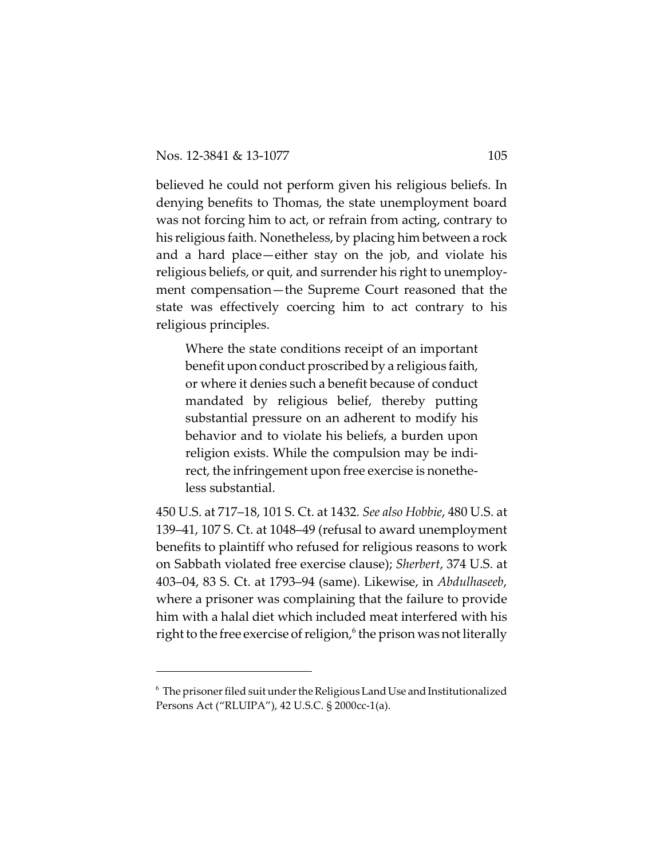believed he could not perform given his religious beliefs. In denying benefits to Thomas, the state unemployment board was not forcing him to act, or refrain from acting, contrary to his religious faith. Nonetheless, by placing him between a rock and a hard place—either stay on the job, and violate his religious beliefs, or quit, and surrender his right to unemployment compensation—the Supreme Court reasoned that the state was effectively coercing him to act contrary to his religious principles.

Where the state conditions receipt of an important benefit upon conduct proscribed by a religious faith, or where it denies such a benefit because of conduct mandated by religious belief, thereby putting substantial pressure on an adherent to modify his behavior and to violate his beliefs, a burden upon religion exists. While the compulsion may be indirect, the infringement upon free exercise is nonetheless substantial.

450 U.S. at 717–18, 101 S. Ct. at 1432. *See also Hobbie*, 480 U.S. at 139–41, 107 S. Ct. at 1048–49 (refusal to award unemployment benefits to plaintiff who refused for religious reasons to work on Sabbath violated free exercise clause); *Sherbert*, 374 U.S. at 403–04, 83 S. Ct. at 1793–94 (same). Likewise, in *Abdulhaseeb*, where a prisoner was complaining that the failure to provide him with a halal diet which included meat interfered with his right to the free exercise of religion, $\delta$  the prison was not literally

 $6$  The prisoner filed suit under the Religious Land Use and Institutionalized Persons Act ("RLUIPA"), 42 U.S.C. § 2000cc-1(a).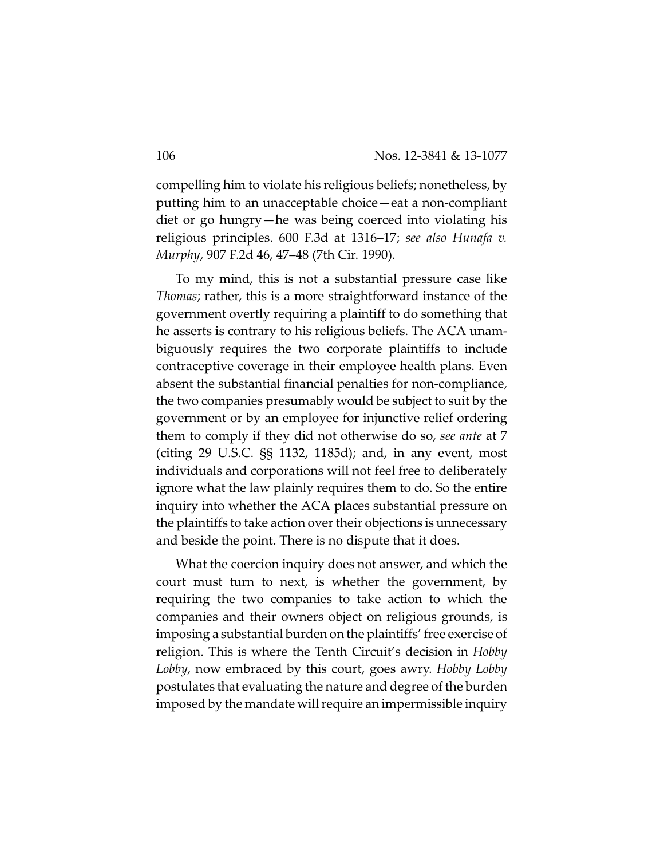compelling him to violate his religious beliefs; nonetheless, by putting him to an unacceptable choice—eat a non-compliant diet or go hungry—he was being coerced into violating his religious principles. 600 F.3d at 1316–17; *see also Hunafa v. Murphy*, 907 F.2d 46, 47–48 (7th Cir. 1990).

To my mind, this is not a substantial pressure case like *Thomas*; rather, this is a more straightforward instance of the government overtly requiring a plaintiff to do something that he asserts is contrary to his religious beliefs. The ACA unambiguously requires the two corporate plaintiffs to include contraceptive coverage in their employee health plans. Even absent the substantial financial penalties for non-compliance, the two companies presumably would be subject to suit by the government or by an employee for injunctive relief ordering them to comply if they did not otherwise do so, *see ante* at 7 (citing 29 U.S.C. §§ 1132, 1185d); and, in any event, most individuals and corporations will not feel free to deliberately ignore what the law plainly requires them to do. So the entire inquiry into whether the ACA places substantial pressure on the plaintiffs to take action over their objections is unnecessary and beside the point. There is no dispute that it does.

What the coercion inquiry does not answer, and which the court must turn to next, is whether the government, by requiring the two companies to take action to which the companies and their owners object on religious grounds, is imposing a substantial burden on the plaintiffs' free exercise of religion. This is where the Tenth Circuit's decision in *Hobby Lobby*, now embraced by this court, goes awry. *Hobby Lobby* postulates that evaluating the nature and degree of the burden imposed by the mandate will require an impermissible inquiry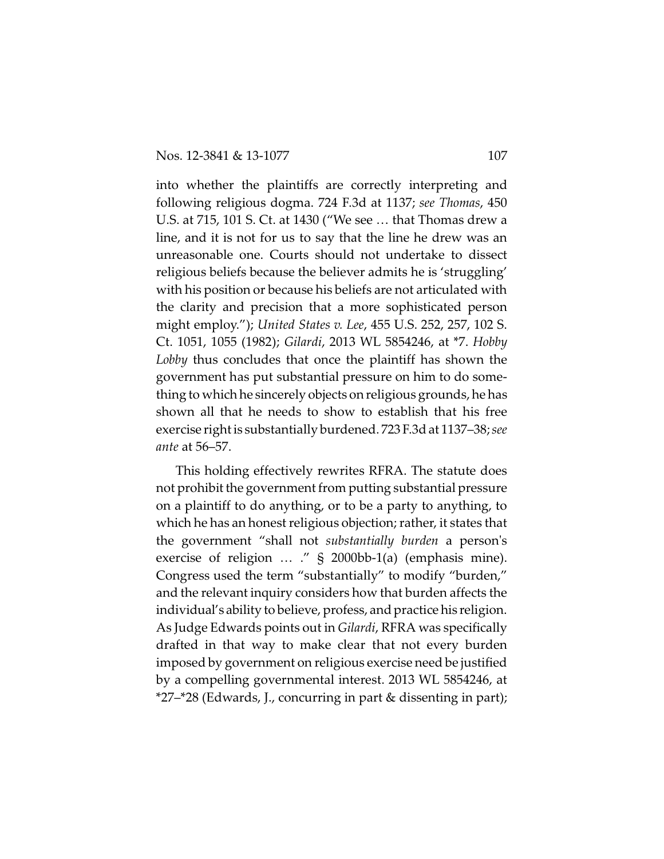into whether the plaintiffs are correctly interpreting and following religious dogma. 724 F.3d at 1137; *see Thomas*, 450 U.S. at 715, 101 S. Ct. at 1430 ("We see … that Thomas drew a line, and it is not for us to say that the line he drew was an unreasonable one. Courts should not undertake to dissect religious beliefs because the believer admits he is 'struggling' with his position or because his beliefs are not articulated with the clarity and precision that a more sophisticated person might employ."); *United States v. Lee*, 455 U.S. 252, 257, 102 S. Ct. 1051, 1055 (1982); *Gilardi*, 2013 WL 5854246, at \*7. *Hobby Lobby* thus concludes that once the plaintiff has shown the government has put substantial pressure on him to do something to which he sincerely objects on religious grounds, he has shown all that he needs to show to establish that his free exercise right is substantially burdened. 723 F.3d at 1137–38; *see ante* at 56–57.

This holding effectively rewrites RFRA. The statute does not prohibit the government from putting substantial pressure on a plaintiff to do anything, or to be a party to anything, to which he has an honest religious objection; rather, it states that the government "shall not *substantially burden* a person's exercise of religion … ." § 2000bb-1(a) (emphasis mine). Congress used the term "substantially" to modify "burden," and the relevant inquiry considers how that burden affects the individual's ability to believe, profess, and practice his religion. As Judge Edwards points out in *Gilardi*, RFRA was specifically drafted in that way to make clear that not every burden imposed by government on religious exercise need be justified by a compelling governmental interest. 2013 WL 5854246, at \*27–\*28 (Edwards, J., concurring in part & dissenting in part);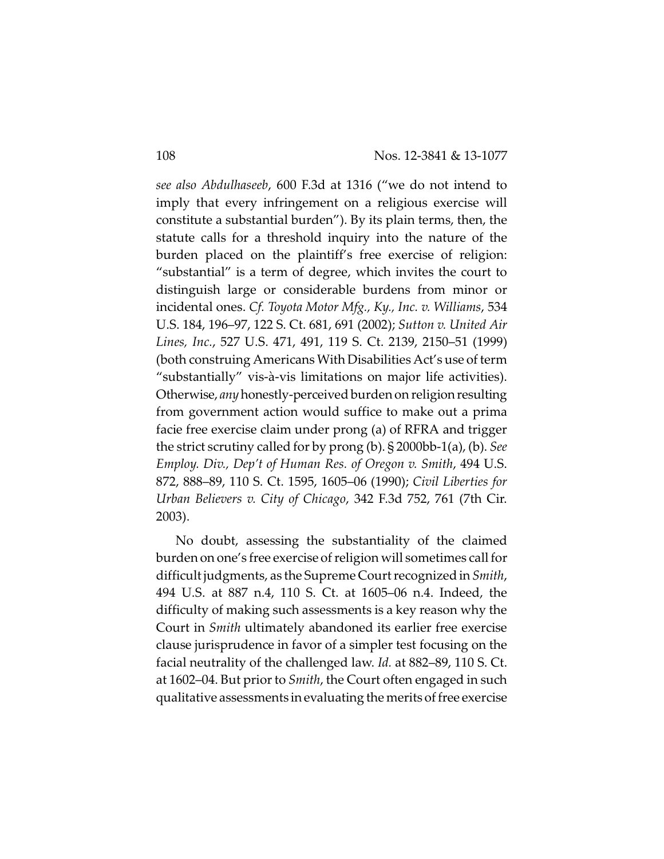*see also Abdulhaseeb*, 600 F.3d at 1316 ("we do not intend to imply that every infringement on a religious exercise will constitute a substantial burden"). By its plain terms, then, the statute calls for a threshold inquiry into the nature of the burden placed on the plaintiff's free exercise of religion: "substantial" is a term of degree, which invites the court to distinguish large or considerable burdens from minor or incidental ones. *Cf. Toyota Motor Mfg., Ky., Inc. v. Williams*, 534 U.S. 184, 196–97, 122 S. Ct. 681, 691 (2002); *Sutton v. United Air Lines, Inc.*, 527 U.S. 471, 491, 119 S. Ct. 2139, 2150–51 (1999) (both construing Americans With Disabilities Act's use of term "substantially" vis-à-vis limitations on major life activities). Otherwise, *any*honestly-perceived burden on religionresulting from government action would suffice to make out a prima facie free exercise claim under prong (a) of RFRA and trigger the strict scrutiny called for by prong (b). § 2000bb-1(a), (b). *See Employ. Div., Dep't of Human Res. of Oregon v. Smith*, 494 U.S. 872, 888–89, 110 S. Ct. 1595, 1605–06 (1990); *Civil Liberties for Urban Believers v. City of Chicago*, 342 F.3d 752, 761 (7th Cir. 2003).

No doubt, assessing the substantiality of the claimed burden on one's free exercise of religion will sometimes call for difficult judgments, as the Supreme Courtrecognized in *Smith*, 494 U.S. at 887 n.4, 110 S. Ct. at 1605–06 n.4. Indeed, the difficulty of making such assessments is a key reason why the Court in *Smith* ultimately abandoned its earlier free exercise clause jurisprudence in favor of a simpler test focusing on the facial neutrality of the challenged law. *Id.* at 882–89, 110 S. Ct. at 1602–04. But prior to *Smith*, the Court often engaged in such qualitative assessments in evaluating the merits of free exercise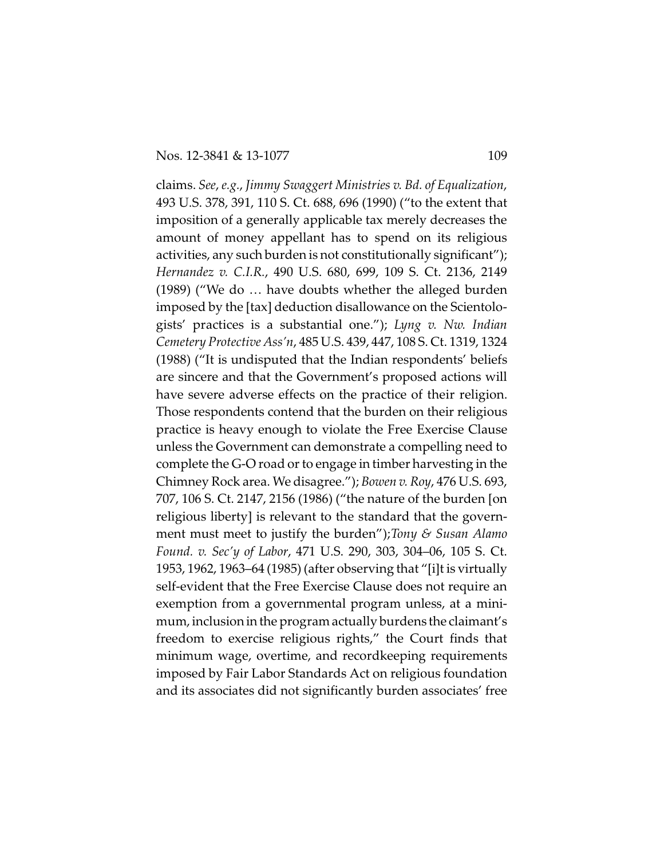claims. *See*, *e.g.*, *Jimmy Swaggert Ministries v. Bd. of Equalization*, 493 U.S. 378, 391, 110 S. Ct. 688, 696 (1990) ("to the extent that imposition of a generally applicable tax merely decreases the amount of money appellant has to spend on its religious activities, any such burden is not constitutionally significant"); *Hernandez v. C.I.R.*, 490 U.S. 680, 699, 109 S. Ct. 2136, 2149 (1989) ("We do … have doubts whether the alleged burden imposed by the [tax] deduction disallowance on the Scientologists' practices is a substantial one."); *Lyng v. Nw. Indian Cemetery Protective Ass'n*, 485 U.S. 439, 447, 108 S. Ct. 1319, 1324 (1988) ("It is undisputed that the Indian respondents' beliefs are sincere and that the Government's proposed actions will have severe adverse effects on the practice of their religion. Those respondents contend that the burden on their religious practice is heavy enough to violate the Free Exercise Clause unless the Government can demonstrate a compelling need to complete the G-O road or to engage in timber harvesting in the Chimney Rock area. We disagree."); *Bowen v. Roy*, 476 U.S. 693, 707, 106 S. Ct. 2147, 2156 (1986) ("the nature of the burden [on religious liberty] is relevant to the standard that the government must meet to justify the burden");*Tony & Susan Alamo Found. v. Sec'y of Labor*, 471 U.S. 290, 303, 304–06, 105 S. Ct. 1953, 1962, 1963–64 (1985) (after observing that "[i]t is virtually self-evident that the Free Exercise Clause does not require an exemption from a governmental program unless, at a minimum, inclusion in the program actually burdens the claimant's freedom to exercise religious rights," the Court finds that minimum wage, overtime, and recordkeeping requirements imposed by Fair Labor Standards Act on religious foundation and its associates did not significantly burden associates' free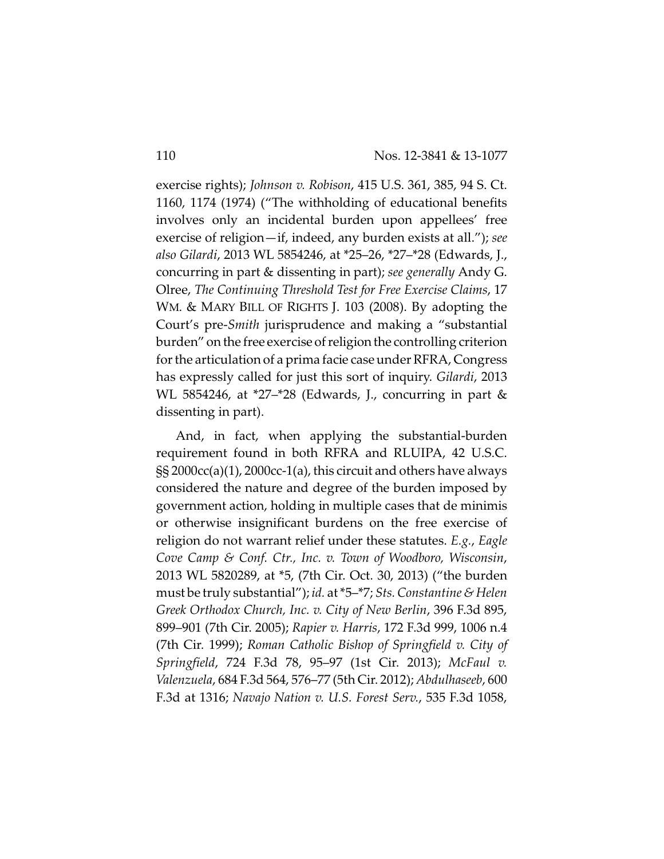exercise rights); *Johnson v. Robison*, 415 U.S. 361, 385, 94 S. Ct. 1160, 1174 (1974) ("The withholding of educational benefits involves only an incidental burden upon appellees' free exercise of religion—if, indeed, any burden exists at all."); *see also Gilardi*, 2013 WL 5854246, at \*25–26, \*27–\*28 (Edwards, J., concurring in part & dissenting in part); *see generally* Andy G. Olree, *The Continuing Threshold Test for Free Exercise Claims*, 17 WM. & MARY BILL OF RIGHTS J. 103 (2008). By adopting the Court's pre-*Smith* jurisprudence and making a "substantial burden" on the free exercise of religion the controlling criterion for the articulation of a prima facie case under RFRA, Congress has expressly called for just this sort of inquiry. *Gilardi*, 2013 WL 5854246, at \*27–\*28 (Edwards, J., concurring in part & dissenting in part).

And, in fact, when applying the substantial-burden requirement found in both RFRA and RLUIPA, 42 U.S.C. §§ 2000cc(a)(1), 2000cc-1(a), this circuit and others have always considered the nature and degree of the burden imposed by government action, holding in multiple cases that de minimis or otherwise insignificant burdens on the free exercise of religion do not warrant relief under these statutes. *E.g.*, *Eagle Cove Camp & Conf. Ctr., Inc. v. Town of Woodboro, Wisconsin*, 2013 WL 5820289, at \*5, (7th Cir. Oct. 30, 2013) ("the burden must be truly substantial"); *id.* at \*5–\*7; *Sts. Constantine & Helen Greek Orthodox Church, Inc. v. City of New Berlin*, 396 F.3d 895, 899–901 (7th Cir. 2005); *Rapier v. Harris*, 172 F.3d 999, 1006 n.4 (7th Cir. 1999); *Roman Catholic Bishop of Springfield v. City of Springfield*, 724 F.3d 78, 95–97 (1st Cir. 2013); *McFaul v. Valenzuela*, 684 F.3d 564, 576–77 (5th Cir. 2012); *Abdulhaseeb*, 600 F.3d at 1316; *Navajo Nation v. U.S. Forest Serv.*, 535 F.3d 1058,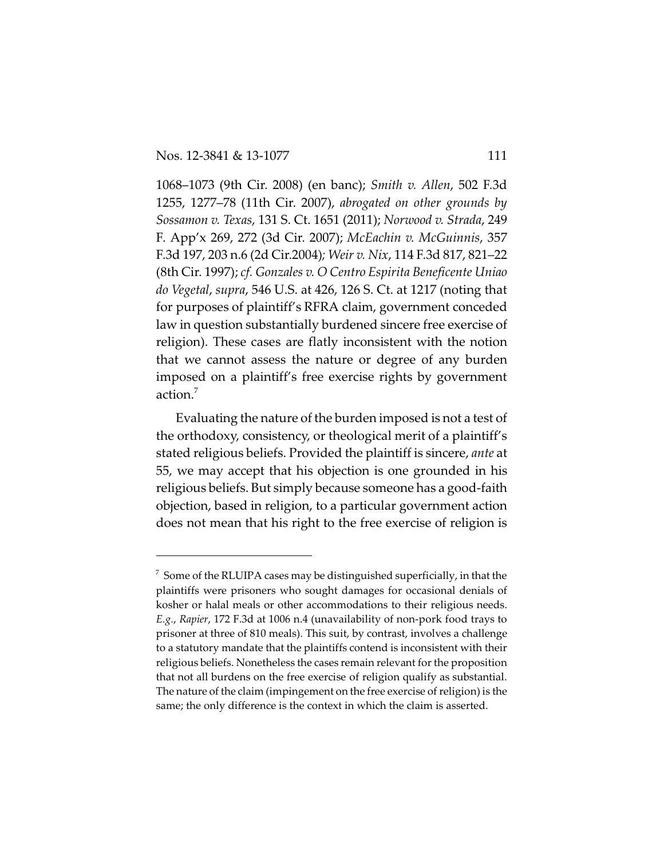1068–1073 (9th Cir. 2008) (en banc); *Smith v. Allen*, 502 F.3d 1255, 1277–78 (11th Cir. 2007), *abrogated on other grounds by Sossamon v. Texas*, 131 S. Ct. 1651 (2011); *Norwood v. Strada*, 249 F. App'x 269, 272 (3d Cir. 2007); *McEachin v. McGuinnis*, 357 F.3d 197, 203 n.6 (2d Cir.2004)*; Weir v. Nix*, 114 F.3d 817, 821–22 (8th Cir. 1997); *cf. Gonzales v. O Centro Espirita Beneficente Uniao do Vegetal*, *supra*, 546 U.S. at 426, 126 S. Ct. at 1217 (noting that for purposes of plaintiff's RFRA claim, government conceded law in question substantially burdened sincere free exercise of religion). These cases are flatly inconsistent with the notion that we cannot assess the nature or degree of any burden imposed on a plaintiff's free exercise rights by government action.<sup>7</sup>

Evaluating the nature of the burden imposed is not a test of the orthodoxy, consistency, or theological merit of a plaintiff's stated religious beliefs. Provided the plaintiff is sincere, *ante* at 55, we may accept that his objection is one grounded in his religious beliefs. But simply because someone has a good-faith objection, based in religion, to a particular government action does not mean that his right to the free exercise of religion is

 $\frac{1}{2}$  Some of the RLUIPA cases may be distinguished superficially, in that the plaintiffs were prisoners who sought damages for occasional denials of kosher or halal meals or other accommodations to their religious needs. *E.g.*, *Rapier*, 172 F.3d at 1006 n.4 (unavailability of non-pork food trays to prisoner at three of 810 meals). This suit, by contrast, involves a challenge to a statutory mandate that the plaintiffs contend is inconsistent with their religious beliefs. Nonetheless the cases remain relevant for the proposition that not all burdens on the free exercise of religion qualify as substantial. The nature of the claim (impingement on the free exercise of religion) is the same; the only difference is the context in which the claim is asserted.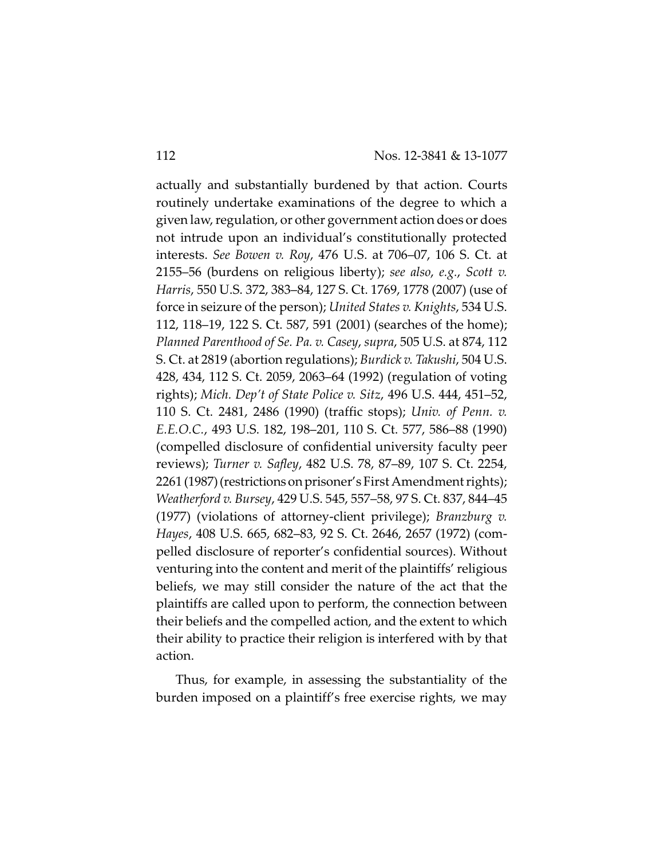actually and substantially burdened by that action. Courts routinely undertake examinations of the degree to which a given law, regulation, or other government action does or does not intrude upon an individual's constitutionally protected interests. *See Bowen v. Roy*, 476 U.S. at 706–07, 106 S. Ct. at 2155–56 (burdens on religious liberty); *see also*, *e.g.*, *Scott v. Harris*, 550 U.S. 372, 383–84, 127 S. Ct. 1769, 1778 (2007) (use of force in seizure of the person); *United States v. Knights*, 534 U.S. 112, 118–19, 122 S. Ct. 587, 591 (2001) (searches of the home); *Planned Parenthood of Se. Pa. v. Casey*, *supra*, 505 U.S. at 874, 112 S. Ct. at 2819 (abortion regulations); *Burdick v. Takushi*, 504 U.S. 428, 434, 112 S. Ct. 2059, 2063–64 (1992) (regulation of voting rights); *Mich. Dep't of State Police v. Sitz*, 496 U.S. 444, 451–52, 110 S. Ct. 2481, 2486 (1990) (traffic stops); *Univ. of Penn. v. E.E.O.C.*, 493 U.S. 182, 198–201, 110 S. Ct. 577, 586–88 (1990) (compelled disclosure of confidential university faculty peer reviews); *Turner v. Safley*, 482 U.S. 78, 87–89, 107 S. Ct. 2254, 2261 (1987) (restrictions on prisoner's First Amendment rights); *Weatherford v. Bursey*, 429 U.S. 545, 557–58, 97 S. Ct. 837, 844–45 (1977) (violations of attorney-client privilege); *Branzburg v. Hayes*, 408 U.S. 665, 682–83, 92 S. Ct. 2646, 2657 (1972) (compelled disclosure of reporter's confidential sources). Without venturing into the content and merit of the plaintiffs' religious beliefs, we may still consider the nature of the act that the plaintiffs are called upon to perform, the connection between their beliefs and the compelled action, and the extent to which their ability to practice their religion is interfered with by that action.

Thus, for example, in assessing the substantiality of the burden imposed on a plaintiff's free exercise rights, we may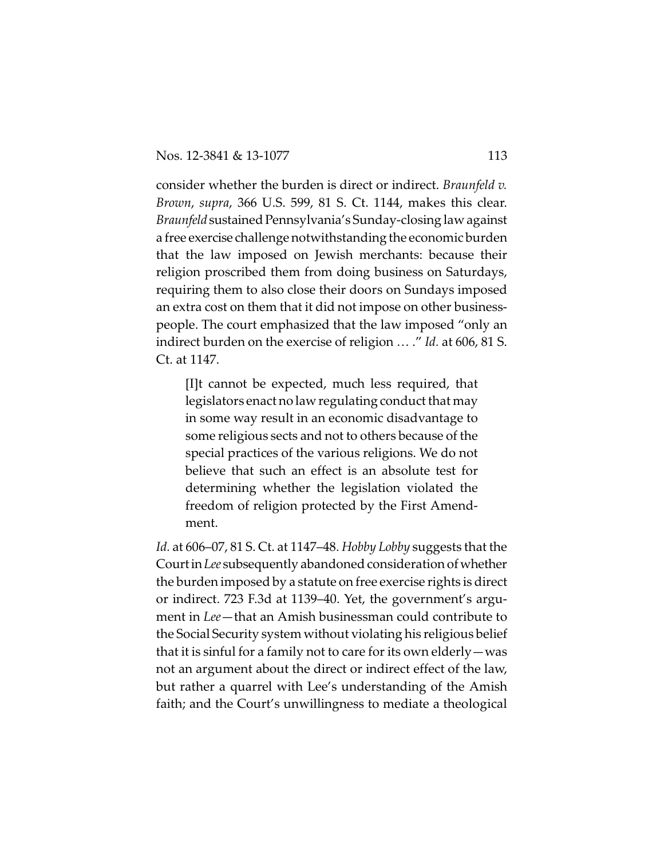consider whether the burden is direct or indirect. *Braunfeld v. Brown*, *supra*, 366 U.S. 599, 81 S. Ct. 1144, makes this clear. *Braunfeld* sustained Pennsylvania's Sunday-closing law against a free exercise challenge notwithstanding the economic burden that the law imposed on Jewish merchants: because their religion proscribed them from doing business on Saturdays, requiring them to also close their doors on Sundays imposed an extra cost on them that it did not impose on other businesspeople. The court emphasized that the law imposed "only an indirect burden on the exercise of religion … ." *Id.* at 606, 81 S. Ct. at 1147.

[I]t cannot be expected, much less required, that legislators enact no law regulating conduct that may in some way result in an economic disadvantage to some religious sects and not to others because of the special practices of the various religions. We do not believe that such an effect is an absolute test for determining whether the legislation violated the freedom of religion protected by the First Amendment.

*Id.* at 606–07, 81 S. Ct. at 1147–48. *Hobby Lobby* suggests that the Court in Lee subsequently abandoned consideration of whether the burden imposed by a statute on free exercise rights is direct or indirect. 723 F.3d at 1139–40. Yet, the government's argument in *Lee*—that an Amish businessman could contribute to the Social Security system without violating his religious belief that it is sinful for a family not to care for its own elderly—was not an argument about the direct or indirect effect of the law, but rather a quarrel with Lee's understanding of the Amish faith; and the Court's unwillingness to mediate a theological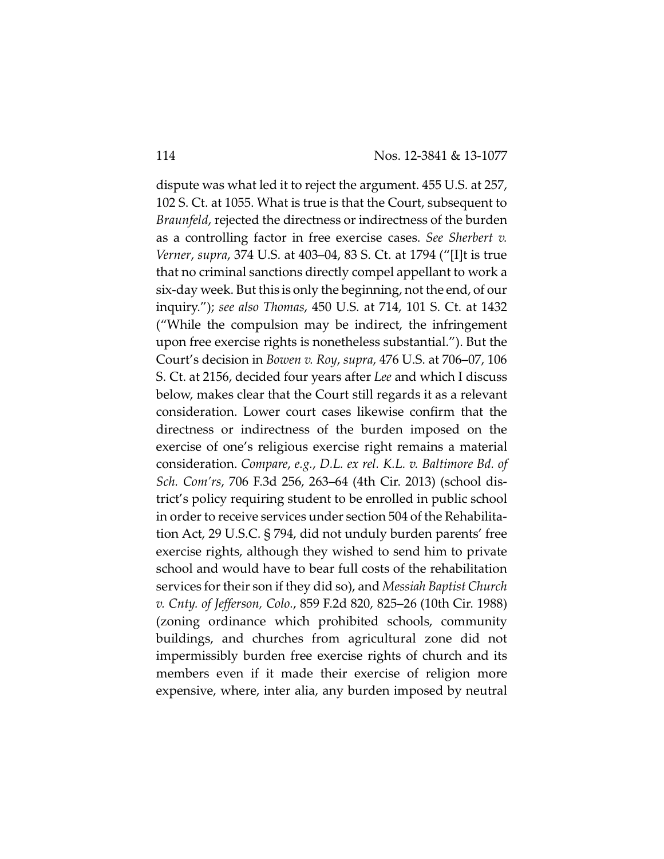dispute was what led it to reject the argument. 455 U.S. at 257, 102 S. Ct. at 1055. What is true is that the Court, subsequent to *Braunfeld*, rejected the directness or indirectness of the burden as a controlling factor in free exercise cases. *See Sherbert v. Verner*, *supra*, 374 U.S. at 403–04, 83 S. Ct. at 1794 ("[I]t is true that no criminal sanctions directly compel appellant to work a six-day week. But this is only the beginning, not the end, of our inquiry."); *see also Thomas*, 450 U.S. at 714, 101 S. Ct. at 1432 ("While the compulsion may be indirect, the infringement upon free exercise rights is nonetheless substantial."). But the Court's decision in *Bowen v. Roy*, *supra*, 476 U.S. at 706–07, 106 S. Ct. at 2156, decided four years after *Lee* and which I discuss below, makes clear that the Court still regards it as a relevant consideration. Lower court cases likewise confirm that the directness or indirectness of the burden imposed on the exercise of one's religious exercise right remains a material consideration. *Compare*, *e.g.*, *D.L. ex rel. K.L. v. Baltimore Bd. of Sch. Com'rs*, 706 F.3d 256, 263–64 (4th Cir. 2013) (school district's policy requiring student to be enrolled in public school in order to receive services under section 504 of the Rehabilitation Act, 29 U.S.C. § 794, did not unduly burden parents' free exercise rights, although they wished to send him to private school and would have to bear full costs of the rehabilitation services for their son if they did so), and *Messiah Baptist Church v. Cnty. of Jefferson, Colo.*, 859 F.2d 820, 825–26 (10th Cir. 1988) (zoning ordinance which prohibited schools, community buildings, and churches from agricultural zone did not impermissibly burden free exercise rights of church and its members even if it made their exercise of religion more expensive, where, inter alia, any burden imposed by neutral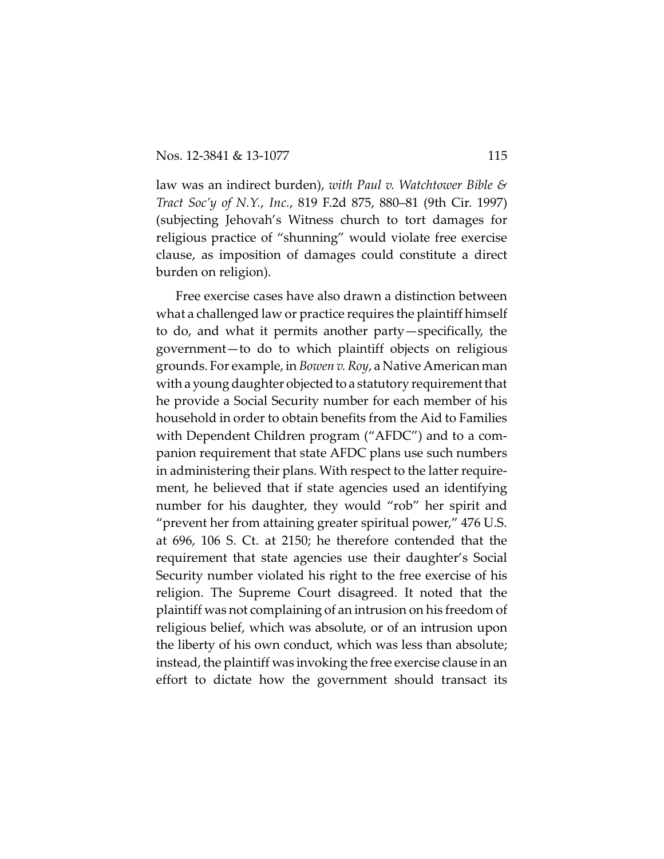law was an indirect burden), *with Paul v. Watchtower Bible & Tract Soc'y of N.Y.*, *Inc.*, 819 F.2d 875, 880–81 (9th Cir. 1997) (subjecting Jehovah's Witness church to tort damages for religious practice of "shunning" would violate free exercise clause, as imposition of damages could constitute a direct burden on religion).

Free exercise cases have also drawn a distinction between what a challenged law or practice requires the plaintiff himself to do, and what it permits another party—specifically, the government—to do to which plaintiff objects on religious grounds. For example, in *Bowen v. Roy*, a Native American man with a young daughter objected to a statutory requirement that he provide a Social Security number for each member of his household in order to obtain benefits from the Aid to Families with Dependent Children program ("AFDC") and to a companion requirement that state AFDC plans use such numbers in administering their plans. With respect to the latter requirement, he believed that if state agencies used an identifying number for his daughter, they would "rob" her spirit and "prevent her from attaining greater spiritual power," 476 U.S. at 696, 106 S. Ct. at 2150; he therefore contended that the requirement that state agencies use their daughter's Social Security number violated his right to the free exercise of his religion. The Supreme Court disagreed. It noted that the plaintiff was not complaining of an intrusion on his freedom of religious belief, which was absolute, or of an intrusion upon the liberty of his own conduct, which was less than absolute; instead, the plaintiff was invoking the free exercise clause in an effort to dictate how the government should transact its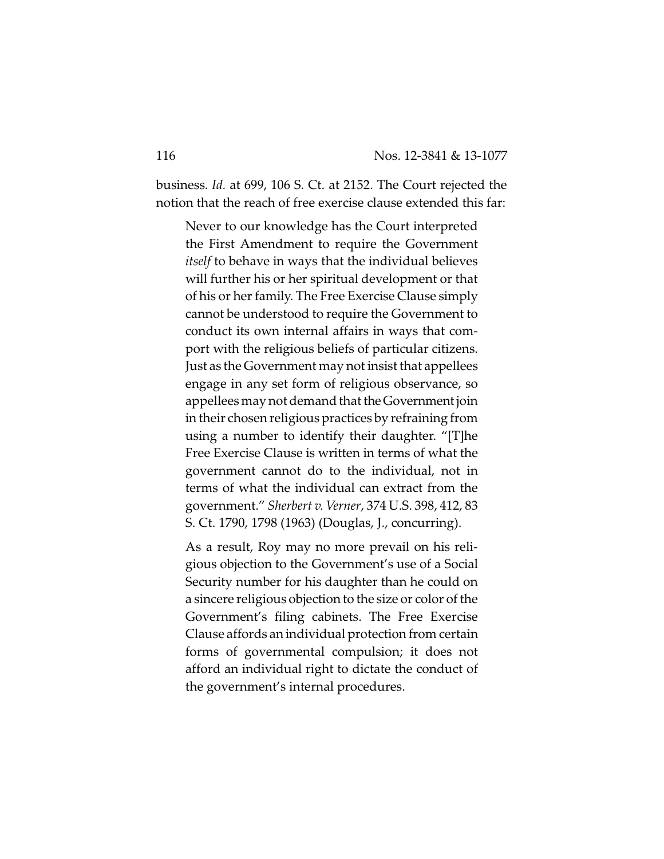business. *Id.* at 699, 106 S. Ct. at 2152. The Court rejected the notion that the reach of free exercise clause extended this far:

Never to our knowledge has the Court interpreted the First Amendment to require the Government *itself* to behave in ways that the individual believes will further his or her spiritual development or that of his or her family. The Free Exercise Clause simply cannot be understood to require the Government to conduct its own internal affairs in ways that comport with the religious beliefs of particular citizens. Just as the Government may not insist that appellees engage in any set form of religious observance, so appellees may not demand that theGovernment join in their chosen religious practices by refraining from using a number to identify their daughter. "[T]he Free Exercise Clause is written in terms of what the government cannot do to the individual, not in terms of what the individual can extract from the government." *Sherbert v. Verner*, 374 U.S. 398, 412, 83 S. Ct. 1790, 1798 (1963) (Douglas, J., concurring).

As a result, Roy may no more prevail on his religious objection to the Government's use of a Social Security number for his daughter than he could on a sincere religious objection to the size or color of the Government's filing cabinets. The Free Exercise Clause affords an individual protection from certain forms of governmental compulsion; it does not afford an individual right to dictate the conduct of the government's internal procedures.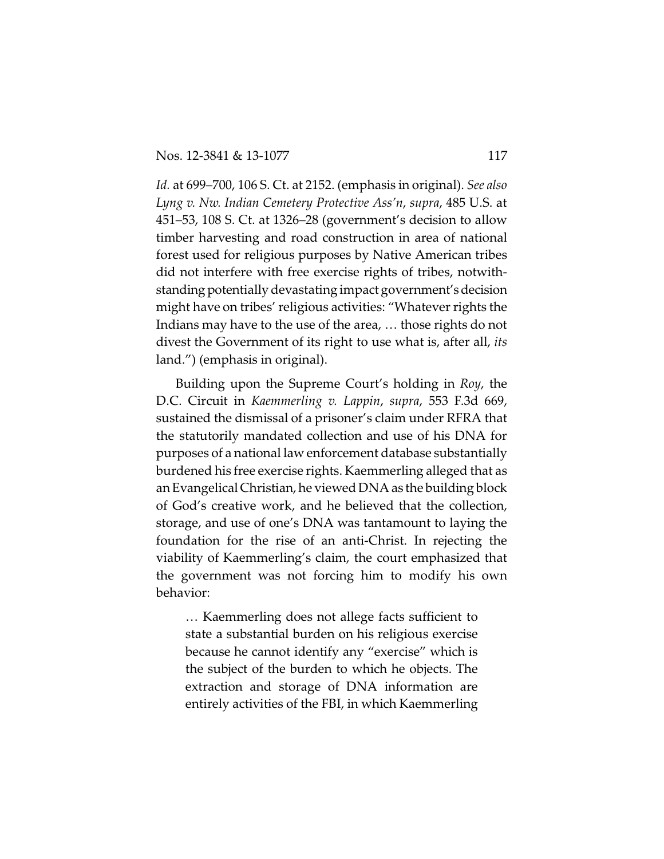*Id.* at 699–700, 106 S. Ct. at 2152. (emphasis in original). *See also Lyng v. Nw. Indian Cemetery Protective Ass'n*, *supra*, 485 U.S. at 451–53, 108 S. Ct. at 1326–28 (government's decision to allow timber harvesting and road construction in area of national forest used for religious purposes by Native American tribes did not interfere with free exercise rights of tribes, notwithstanding potentially devastating impact government'sdecision might have on tribes' religious activities: "Whatever rights the Indians may have to the use of the area, … those rights do not divest the Government of its right to use what is, after all, *its* land.") (emphasis in original).

Building upon the Supreme Court's holding in *Roy*, the D.C. Circuit in *Kaemmerling v. Lappin*, *supra*, 553 F.3d 669, sustained the dismissal of a prisoner's claim under RFRA that the statutorily mandated collection and use of his DNA for purposes of a national law enforcement database substantially burdened his free exercise rights. Kaemmerling alleged that as an Evangelical Christian, he viewed DNA as the building block of God's creative work, and he believed that the collection, storage, and use of one's DNA was tantamount to laying the foundation for the rise of an anti-Christ. In rejecting the viability of Kaemmerling's claim, the court emphasized that the government was not forcing him to modify his own behavior:

… Kaemmerling does not allege facts sufficient to state a substantial burden on his religious exercise because he cannot identify any "exercise" which is the subject of the burden to which he objects. The extraction and storage of DNA information are entirely activities of the FBI, in which Kaemmerling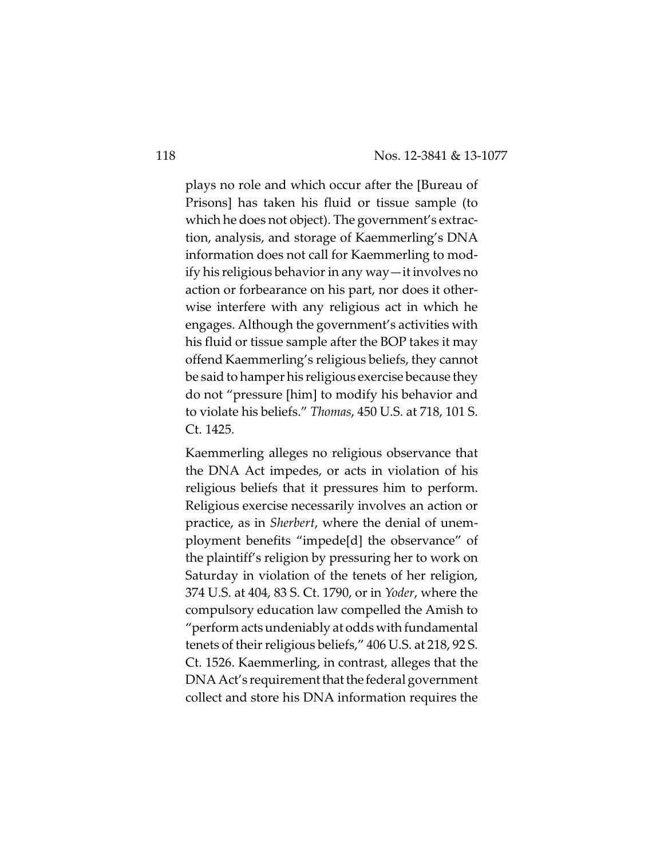plays no role and which occur after the [Bureau of Prisons] has taken his fluid or tissue sample (to which he does not object). The government's extraction, analysis, and storage of Kaemmerling's DNA information does not call for Kaemmerling to modify his religious behavior in any way—it involves no action or forbearance on his part, nor does it otherwise interfere with any religious act in which he engages. Although the government's activities with his fluid or tissue sample after the BOP takes it may offend Kaemmerling's religious beliefs, they cannot be said to hamper his religious exercise because they do not "pressure [him] to modify his behavior and to violate his beliefs." *Thomas*, 450 U.S. at 718, 101 S. Ct. 1425.

Kaemmerling alleges no religious observance that the DNA Act impedes, or acts in violation of his religious beliefs that it pressures him to perform. Religious exercise necessarily involves an action or practice, as in *Sherbert*, where the denial of unemployment benefits "impede[d] the observance" of the plaintiff's religion by pressuring her to work on Saturday in violation of the tenets of her religion, 374 U.S. at 404, 83 S. Ct. 1790, or in *Yoder*, where the compulsory education law compelled the Amish to "perform acts undeniably at odds with fundamental tenets of their religious beliefs," 406 U.S. at 218, 92 S. Ct. 1526. Kaemmerling, in contrast, alleges that the DNA Act's requirement that the federal government collect and store his DNA information requires the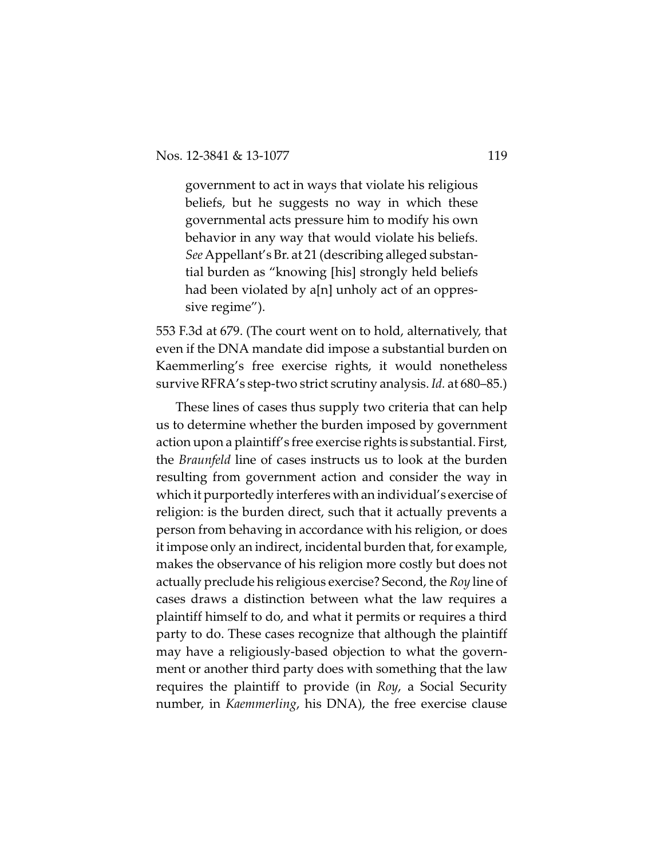government to act in ways that violate his religious beliefs, but he suggests no way in which these governmental acts pressure him to modify his own behavior in any way that would violate his beliefs. *See*Appellant's Br. at 21 (describing alleged substantial burden as "knowing [his] strongly held beliefs had been violated by a[n] unholy act of an oppressive regime").

553 F.3d at 679. (The court went on to hold, alternatively, that even if the DNA mandate did impose a substantial burden on Kaemmerling's free exercise rights, it would nonetheless survive RFRA's step-two strict scrutiny analysis. *Id.* at 680–85.)

These lines of cases thus supply two criteria that can help us to determine whether the burden imposed by government action upon a plaintiff's free exercise rights is substantial. First, the *Braunfeld* line of cases instructs us to look at the burden resulting from government action and consider the way in which it purportedly interferes with an individual's exercise of religion: is the burden direct, such that it actually prevents a person from behaving in accordance with his religion, or does it impose only an indirect, incidental burden that, for example, makes the observance of his religion more costly but does not actually preclude his religious exercise? Second, the *Roy* line of cases draws a distinction between what the law requires a plaintiff himself to do, and what it permits or requires a third party to do. These cases recognize that although the plaintiff may have a religiously-based objection to what the government or another third party does with something that the law requires the plaintiff to provide (in *Roy*, a Social Security number, in *Kaemmerling*, his DNA), the free exercise clause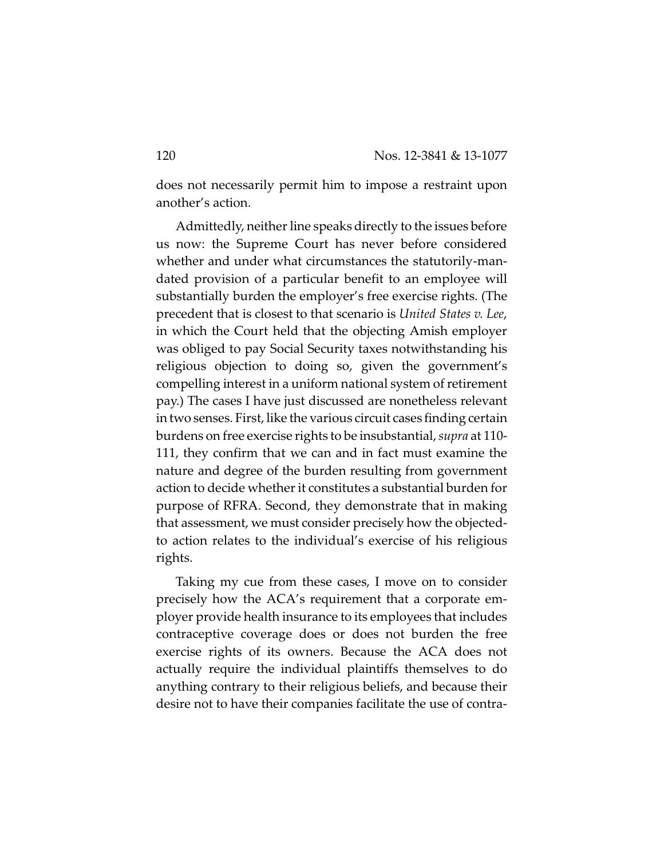does not necessarily permit him to impose a restraint upon another's action.

Admittedly, neither line speaks directly to the issues before us now: the Supreme Court has never before considered whether and under what circumstances the statutorily-mandated provision of a particular benefit to an employee will substantially burden the employer's free exercise rights. (The precedent that is closest to that scenario is *United States v. Lee*, in which the Court held that the objecting Amish employer was obliged to pay Social Security taxes notwithstanding his religious objection to doing so, given the government's compelling interest in a uniform national system of retirement pay.) The cases I have just discussed are nonetheless relevant in two senses. First, like the various circuit cases finding certain burdens on free exercise rights to be insubstantial, *supra* at 110- 111, they confirm that we can and in fact must examine the nature and degree of the burden resulting from government action to decide whether it constitutes a substantial burden for purpose of RFRA. Second, they demonstrate that in making that assessment, we must consider precisely how the objectedto action relates to the individual's exercise of his religious rights.

Taking my cue from these cases, I move on to consider precisely how the ACA's requirement that a corporate employer provide health insurance to its employees that includes contraceptive coverage does or does not burden the free exercise rights of its owners. Because the ACA does not actually require the individual plaintiffs themselves to do anything contrary to their religious beliefs, and because their desire not to have their companies facilitate the use of contra-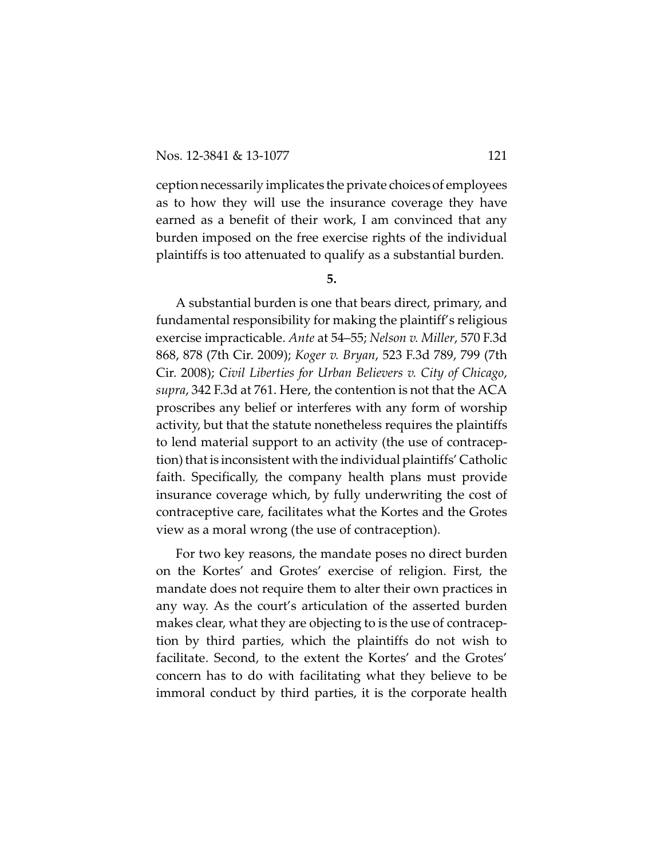ception necessarily implicates the private choices of employees as to how they will use the insurance coverage they have earned as a benefit of their work, I am convinced that any burden imposed on the free exercise rights of the individual plaintiffs is too attenuated to qualify as a substantial burden.

## **5.**

A substantial burden is one that bears direct, primary, and fundamental responsibility for making the plaintiff's religious exercise impracticable. *Ante* at 54–55; *Nelson v. Miller*, 570 F.3d 868, 878 (7th Cir. 2009); *Koger v. Bryan*, 523 F.3d 789, 799 (7th Cir. 2008); *Civil Liberties for Urban Believers v. City of Chicago*, *supra*, 342 F.3d at 761. Here, the contention is not that the ACA proscribes any belief or interferes with any form of worship activity, but that the statute nonetheless requires the plaintiffs to lend material support to an activity (the use of contraception) that is inconsistent with the individual plaintiffs' Catholic faith. Specifically, the company health plans must provide insurance coverage which, by fully underwriting the cost of contraceptive care, facilitates what the Kortes and the Grotes view as a moral wrong (the use of contraception).

For two key reasons, the mandate poses no direct burden on the Kortes' and Grotes' exercise of religion. First, the mandate does not require them to alter their own practices in any way. As the court's articulation of the asserted burden makes clear, what they are objecting to is the use of contraception by third parties, which the plaintiffs do not wish to facilitate. Second, to the extent the Kortes' and the Grotes' concern has to do with facilitating what they believe to be immoral conduct by third parties, it is the corporate health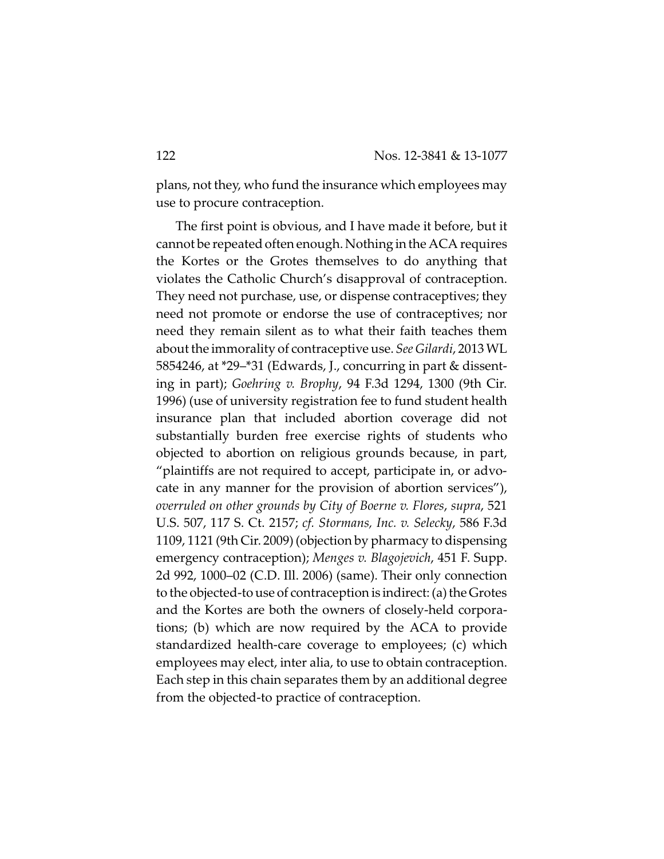plans, not they, who fund the insurance which employees may use to procure contraception.

The first point is obvious, and I have made it before, but it cannot be repeated often enough. Nothing in the ACA requires the Kortes or the Grotes themselves to do anything that violates the Catholic Church's disapproval of contraception. They need not purchase, use, or dispense contraceptives; they need not promote or endorse the use of contraceptives; nor need they remain silent as to what their faith teaches them about the immorality of contraceptive use. *See Gilardi*, 2013 WL 5854246, at \*29–\*31 (Edwards, J., concurring in part & dissenting in part); *Goehring v. Brophy*, 94 F.3d 1294, 1300 (9th Cir. 1996) (use of university registration fee to fund student health insurance plan that included abortion coverage did not substantially burden free exercise rights of students who objected to abortion on religious grounds because, in part, "plaintiffs are not required to accept, participate in, or advocate in any manner for the provision of abortion services"), *overruled on other grounds by City of Boerne v. Flores*, *supra*, 521 U.S. 507, 117 S. Ct. 2157; *cf. Stormans, Inc. v. Selecky*, 586 F.3d 1109, 1121 (9th Cir. 2009) (objection by pharmacy to dispensing emergency contraception); *Menges v. Blagojevich*, 451 F. Supp. 2d 992, 1000–02 (C.D. Ill. 2006) (same). Their only connection to the objected-to use of contraception is indirect: (a) the Grotes and the Kortes are both the owners of closely-held corporations; (b) which are now required by the ACA to provide standardized health-care coverage to employees; (c) which employees may elect, inter alia, to use to obtain contraception. Each step in this chain separates them by an additional degree from the objected-to practice of contraception.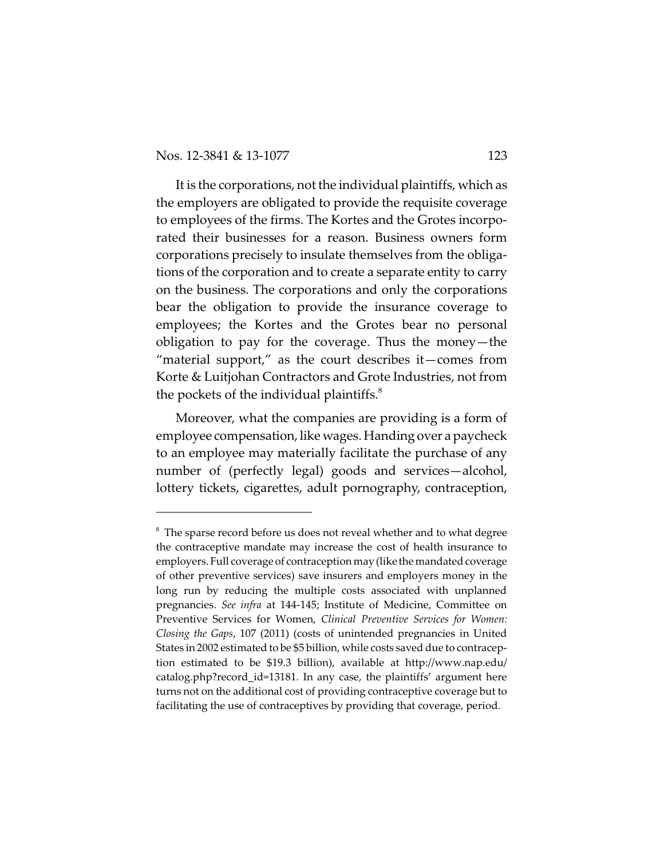It is the corporations, not the individual plaintiffs, which as the employers are obligated to provide the requisite coverage to employees of the firms. The Kortes and the Grotes incorporated their businesses for a reason. Business owners form corporations precisely to insulate themselves from the obligations of the corporation and to create a separate entity to carry on the business. The corporations and only the corporations bear the obligation to provide the insurance coverage to employees; the Kortes and the Grotes bear no personal obligation to pay for the coverage. Thus the money—the "material support," as the court describes it—comes from Korte & Luitjohan Contractors and Grote Industries, not from the pockets of the individual plaintiffs. $^8$ 

Moreover, what the companies are providing is a form of employee compensation, like wages. Handing over a paycheck to an employee may materially facilitate the purchase of any number of (perfectly legal) goods and services—alcohol, lottery tickets, cigarettes, adult pornography, contraception,

 $8$  The sparse record before us does not reveal whether and to what degree the contraceptive mandate may increase the cost of health insurance to employers. Full coverage of contraception may(like the mandated coverage of other preventive services) save insurers and employers money in the long run by reducing the multiple costs associated with unplanned pregnancies. *See infra* at 144-145; Institute of Medicine, Committee on Preventive Services for Women, *Clinical Preventive Services for Women: Closing the Gaps*, 107 (2011) (costs of unintended pregnancies in United States in 2002 estimated to be \$5 billion, while costs saved due to contraception estimated to be \$19.3 billion), available at http://www.nap.edu/ catalog.php?record\_id=13181. In any case, the plaintiffs' argument here turns not on the additional cost of providing contraceptive coverage but to facilitating the use of contraceptives by providing that coverage, period.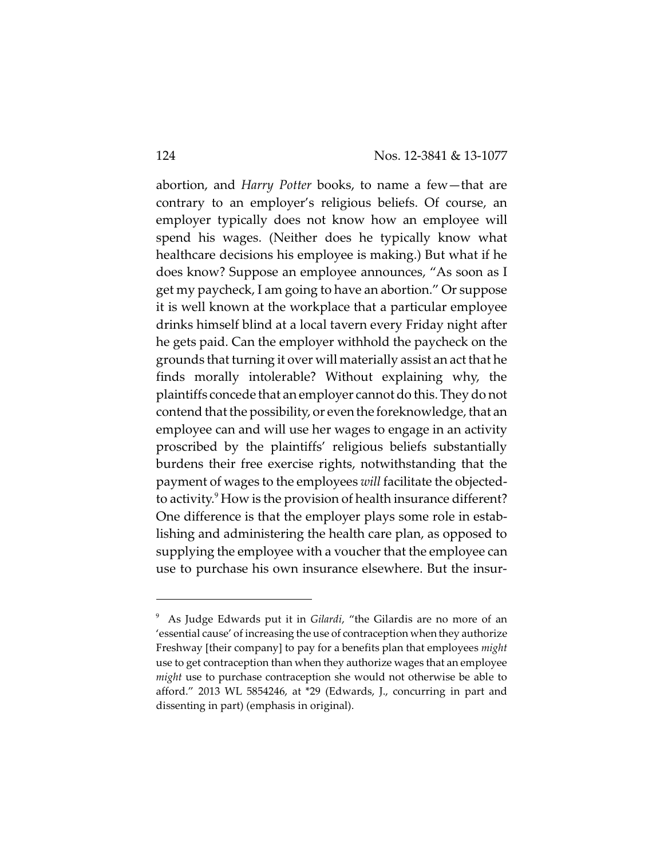abortion, and *Harry Potter* books, to name a few—that are contrary to an employer's religious beliefs. Of course, an employer typically does not know how an employee will spend his wages. (Neither does he typically know what healthcare decisions his employee is making.) But what if he does know? Suppose an employee announces, "As soon as I get my paycheck, I am going to have an abortion." Or suppose it is well known at the workplace that a particular employee drinks himself blind at a local tavern every Friday night after he gets paid. Can the employer withhold the paycheck on the grounds that turning it over will materially assist an act that he finds morally intolerable? Without explaining why, the plaintiffs concede that an employer cannot do this. They do not contend that the possibility, or even the foreknowledge, that an employee can and will use her wages to engage in an activity proscribed by the plaintiffs' religious beliefs substantially burdens their free exercise rights, notwithstanding that the payment of wages to the employees *will* facilitate the objectedto activity.<sup>9</sup> How is the provision of health insurance different? One difference is that the employer plays some role in establishing and administering the health care plan, as opposed to supplying the employee with a voucher that the employee can use to purchase his own insurance elsewhere. But the insur-

<sup>&</sup>lt;sup>9</sup> As Judge Edwards put it in *Gilardi*, "the Gilardis are no more of an 'essential cause' of increasing the use of contraception when they authorize Freshway [their company] to pay for a benefits plan that employees *might* use to get contraception than when they authorize wages that an employee *might* use to purchase contraception she would not otherwise be able to afford." 2013 WL 5854246, at \*29 (Edwards, J., concurring in part and dissenting in part) (emphasis in original).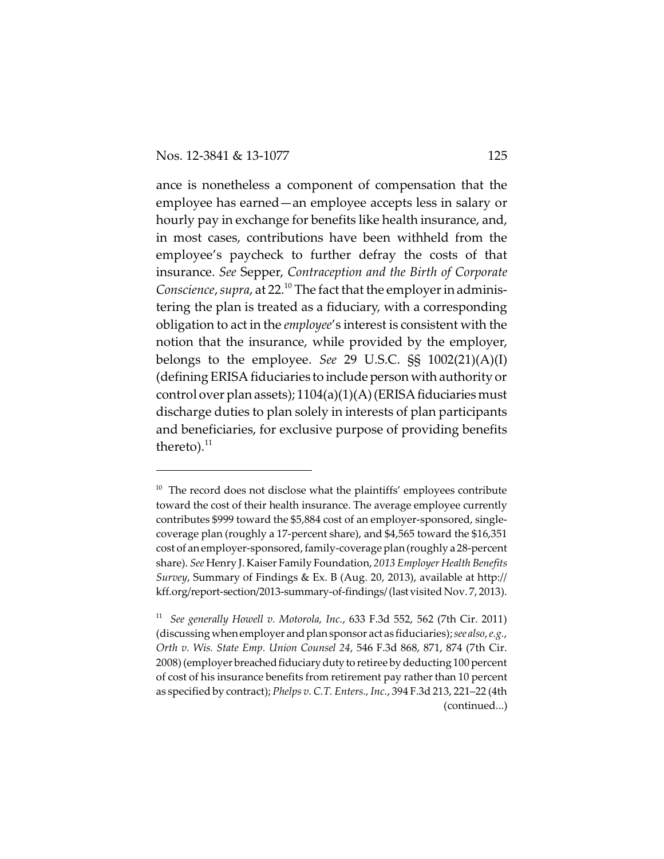ance is nonetheless a component of compensation that the employee has earned—an employee accepts less in salary or hourly pay in exchange for benefits like health insurance, and, in most cases, contributions have been withheld from the employee's paycheck to further defray the costs of that insurance. *See* Sepper, *Contraception and the Birth of Corporate Conscience, supra,* at 22.<sup>10</sup> The fact that the employer in administering the plan is treated as a fiduciary, with a corresponding obligation to act in the *employee*'s interest is consistent with the notion that the insurance, while provided by the employer, belongs to the employee. *See* 29 U.S.C. §§ 1002(21)(A)(I) (defining ERISA fiduciaries to include person with authority or control over plan assets);  $1104(a)(1)(A)$ (ERISA fiduciaries must discharge duties to plan solely in interests of plan participants and beneficiaries, for exclusive purpose of providing benefits thereto). $^{11}$ 

 $10$  The record does not disclose what the plaintiffs' employees contribute toward the cost of their health insurance. The average employee currently contributes \$999 toward the \$5,884 cost of an employer-sponsored, singlecoverage plan (roughly a 17-percent share), and \$4,565 toward the \$16,351 cost of an employer-sponsored, family-coverage plan (roughly a 28-percent share). *See* Henry J. Kaiser Family Foundation, *2013 Employer Health Benefits Survey*, Summary of Findings & Ex. B (Aug. 20, 2013), available at http:// kff.org/report-section/2013-summary-of-findings/ (lastvisited Nov. 7, 2013).

<sup>&</sup>lt;sup>11</sup> See generally Howell v. Motorola, Inc., 633 F.3d 552, 562 (7th Cir. 2011) (discussing whenemployer and plan sponsor act as fiduciaries); *see also*, *e.g.*, *Orth v. Wis. State Emp. Union Counsel 24*, 546 F.3d 868, 871, 874 (7th Cir. 2008) (employer breached fiduciary duty to retiree by deducting 100 percent of cost of his insurance benefits from retirement pay rather than 10 percent as specified by contract); *Phelps v. C.T. Enters., Inc.*, 394 F.3d 213, 221–22 (4th (continued...)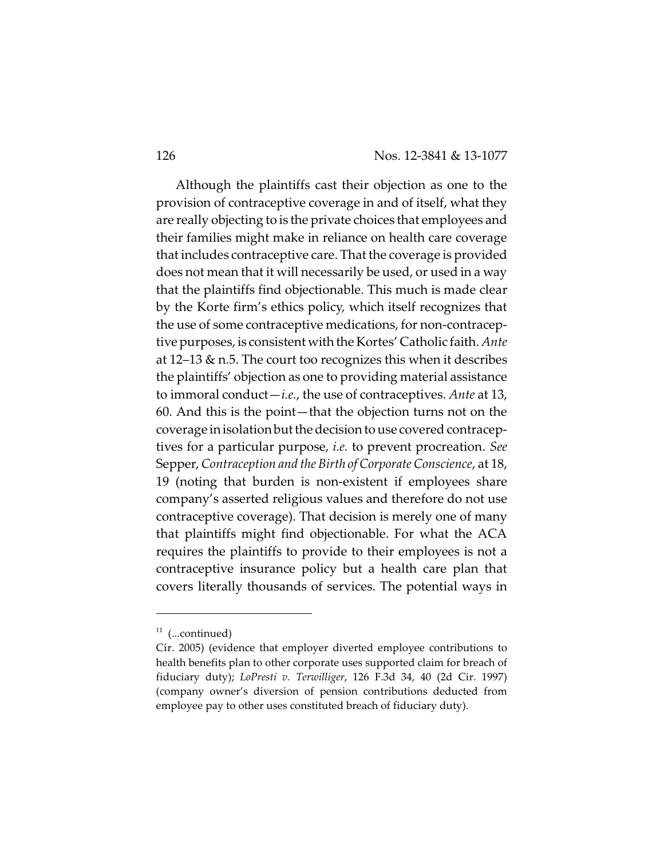Although the plaintiffs cast their objection as one to the provision of contraceptive coverage in and of itself, what they are really objecting to is the private choices that employees and their families might make in reliance on health care coverage that includes contraceptive care. That the coverage is provided does not mean that it will necessarily be used, or used in a way that the plaintiffs find objectionable. This much is made clear by the Korte firm's ethics policy, which itself recognizes that the use of some contraceptive medications, for non-contraceptive purposes, is consistent with the Kortes' Catholic faith. *Ante* at 12–13 & n.5. The court too recognizes this when it describes the plaintiffs' objection as one to providing material assistance to immoral conduct—*i.e.*, the use of contraceptives. *Ante* at 13, 60. And this is the point—that the objection turns not on the coverage in isolation but the decision to use covered contraceptives for a particular purpose, *i.e.* to prevent procreation. *See* Sepper, *Contraception and the Birth of Corporate Conscience*, at 18, 19 (noting that burden is non-existent if employees share company's asserted religious values and therefore do not use contraceptive coverage). That decision is merely one of many that plaintiffs might find objectionable. For what the ACA requires the plaintiffs to provide to their employees is not a contraceptive insurance policy but a health care plan that covers literally thousands of services. The potential ways in

 $11$  (...continued)

Cir. 2005) (evidence that employer diverted employee contributions to health benefits plan to other corporate uses supported claim for breach of fiduciary duty); *LoPresti v. Terwilliger*, 126 F.3d 34, 40 (2d Cir. 1997) (company owner's diversion of pension contributions deducted from employee pay to other uses constituted breach of fiduciary duty).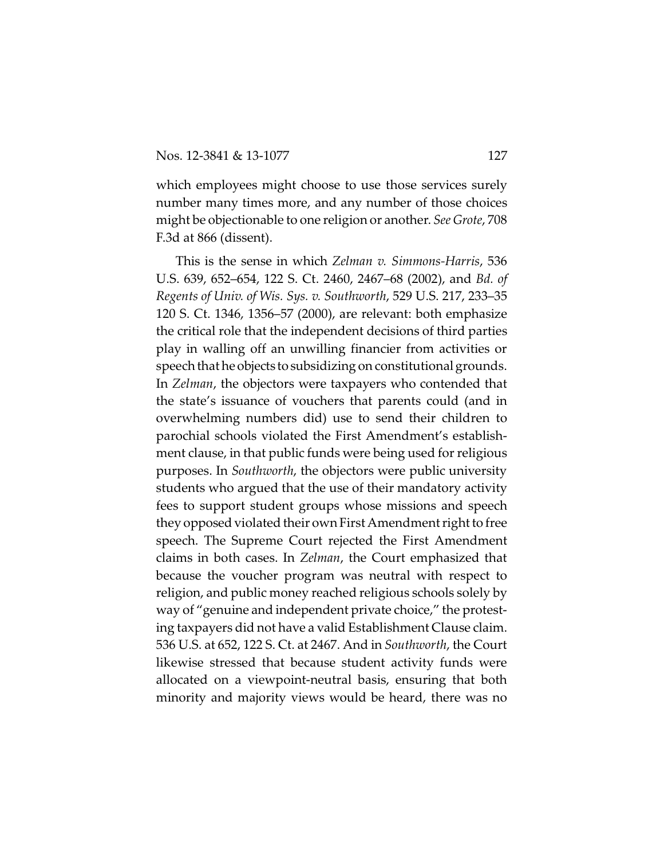which employees might choose to use those services surely number many times more, and any number of those choices might be objectionable to one religion or another. *See Grote*, 708 F.3d at 866 (dissent).

This is the sense in which *Zelman v. Simmons-Harris*, 536 U.S. 639, 652–654, 122 S. Ct. 2460, 2467–68 (2002), and *Bd. of Regents of Univ. of Wis. Sys. v. Southworth*, 529 U.S. 217, 233–35 120 S. Ct. 1346, 1356–57 (2000), are relevant: both emphasize the critical role that the independent decisions of third parties play in walling off an unwilling financier from activities or speech that he objects to subsidizing on constitutional grounds. In *Zelman*, the objectors were taxpayers who contended that the state's issuance of vouchers that parents could (and in overwhelming numbers did) use to send their children to parochial schools violated the First Amendment's establishment clause, in that public funds were being used for religious purposes. In *Southworth*, the objectors were public university students who argued that the use of their mandatory activity fees to support student groups whose missions and speech they opposed violated their own First Amendment right to free speech. The Supreme Court rejected the First Amendment claims in both cases. In *Zelman*, the Court emphasized that because the voucher program was neutral with respect to religion, and public money reached religious schools solely by way of "genuine and independent private choice," the protesting taxpayers did not have a valid Establishment Clause claim. 536 U.S. at 652, 122 S. Ct. at 2467. And in *Southworth*, the Court likewise stressed that because student activity funds were allocated on a viewpoint-neutral basis, ensuring that both minority and majority views would be heard, there was no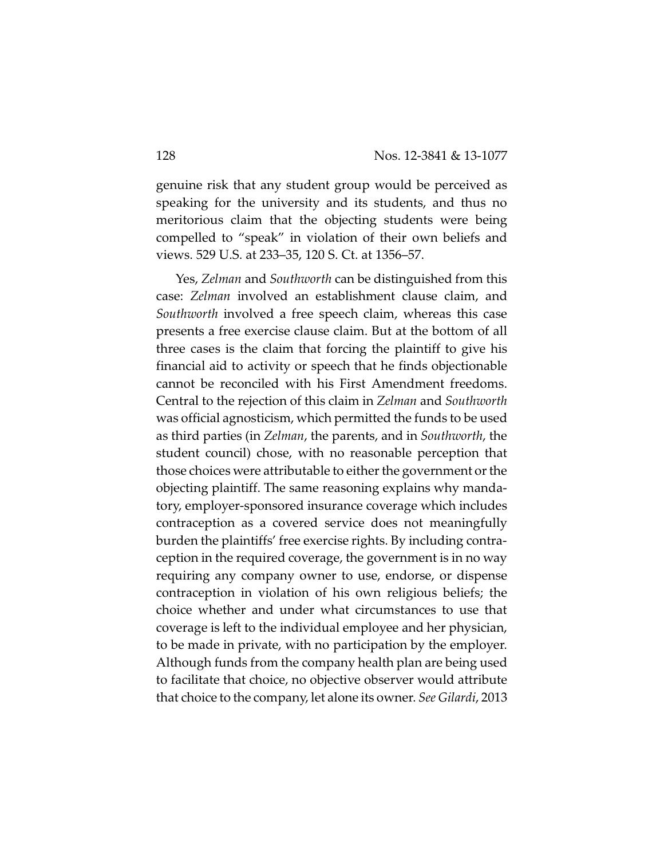genuine risk that any student group would be perceived as speaking for the university and its students, and thus no meritorious claim that the objecting students were being compelled to "speak" in violation of their own beliefs and views. 529 U.S. at 233–35, 120 S. Ct. at 1356–57.

Yes, *Zelman* and *Southworth* can be distinguished from this case: *Zelman* involved an establishment clause claim, and *Southworth* involved a free speech claim, whereas this case presents a free exercise clause claim. But at the bottom of all three cases is the claim that forcing the plaintiff to give his financial aid to activity or speech that he finds objectionable cannot be reconciled with his First Amendment freedoms. Central to the rejection of this claim in *Zelman* and *Southworth* was official agnosticism, which permitted the funds to be used as third parties (in *Zelman*, the parents, and in *Southworth*, the student council) chose, with no reasonable perception that those choices were attributable to either the government or the objecting plaintiff. The same reasoning explains why mandatory, employer-sponsored insurance coverage which includes contraception as a covered service does not meaningfully burden the plaintiffs' free exercise rights. By including contraception in the required coverage, the government is in no way requiring any company owner to use, endorse, or dispense contraception in violation of his own religious beliefs; the choice whether and under what circumstances to use that coverage is left to the individual employee and her physician, to be made in private, with no participation by the employer. Although funds from the company health plan are being used to facilitate that choice, no objective observer would attribute that choice to the company, let alone its owner. *See Gilardi*, 2013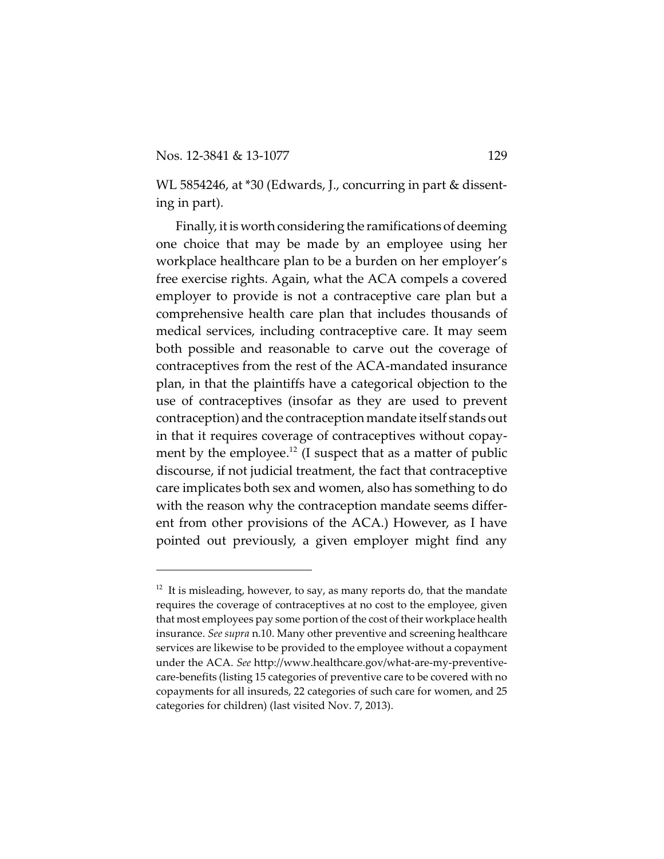WL 5854246, at \*30 (Edwards, J., concurring in part & dissenting in part).

Finally, it is worth considering the ramifications of deeming one choice that may be made by an employee using her workplace healthcare plan to be a burden on her employer's free exercise rights. Again, what the ACA compels a covered employer to provide is not a contraceptive care plan but a comprehensive health care plan that includes thousands of medical services, including contraceptive care. It may seem both possible and reasonable to carve out the coverage of contraceptives from the rest of the ACA-mandated insurance plan, in that the plaintiffs have a categorical objection to the use of contraceptives (insofar as they are used to prevent contraception) and the contraception mandate itself stands out in that it requires coverage of contraceptives without copayment by the employee. $^{12}$  (I suspect that as a matter of public discourse, if not judicial treatment, the fact that contraceptive care implicates both sex and women, also has something to do with the reason why the contraception mandate seems different from other provisions of the ACA.) However, as I have pointed out previously, a given employer might find any

 $12$  It is misleading, however, to say, as many reports do, that the mandate requires the coverage of contraceptives at no cost to the employee, given that most employees pay some portion of the cost of their workplace health insurance. *See supra* n.10. Many other preventive and screening healthcare services are likewise to be provided to the employee without a copayment under the ACA. *See* http://www.healthcare.gov/what-are-my-preventivecare-benefits (listing 15 categories of preventive care to be covered with no copayments for all insureds, 22 categories of such care for women, and 25 categories for children) (last visited Nov. 7, 2013).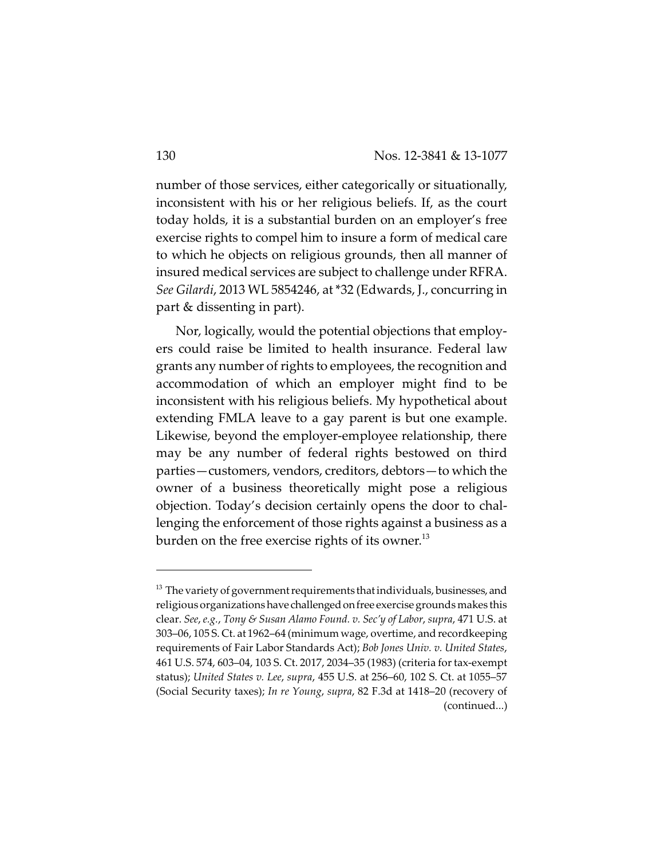number of those services, either categorically or situationally, inconsistent with his or her religious beliefs. If, as the court today holds, it is a substantial burden on an employer's free exercise rights to compel him to insure a form of medical care to which he objects on religious grounds, then all manner of insured medical services are subject to challenge under RFRA. *See Gilardi*, 2013 WL 5854246, at \*32 (Edwards, J., concurring in part & dissenting in part).

Nor, logically, would the potential objections that employers could raise be limited to health insurance. Federal law grants any number of rights to employees, the recognition and accommodation of which an employer might find to be inconsistent with his religious beliefs. My hypothetical about extending FMLA leave to a gay parent is but one example. Likewise, beyond the employer-employee relationship, there may be any number of federal rights bestowed on third parties—customers, vendors, creditors, debtors—to which the owner of a business theoretically might pose a religious objection. Today's decision certainly opens the door to challenging the enforcement of those rights against a business as a burden on the free exercise rights of its owner.<sup>13</sup>

 $^{13}$  The variety of government requirements that individuals, businesses, and religious organizations have challenged on free exercise grounds makes this clear. *See*, *e.g.*, *Tony & Susan Alamo Found. v. Sec'y of Labor*, *supra*, 471 U.S. at 303–06, 105 S. Ct. at 1962–64 (minimum wage, overtime, and recordkeeping requirements of Fair Labor Standards Act); *Bob Jones Univ. v. United States*, 461 U.S. 574, 603–04, 103 S. Ct. 2017, 2034–35 (1983) (criteria for tax-exempt status); *United States v. Lee*, *supra*, 455 U.S. at 256–60, 102 S. Ct. at 1055–57 (Social Security taxes); *In re Young*, *supra*, 82 F.3d at 1418–20 (recovery of (continued...)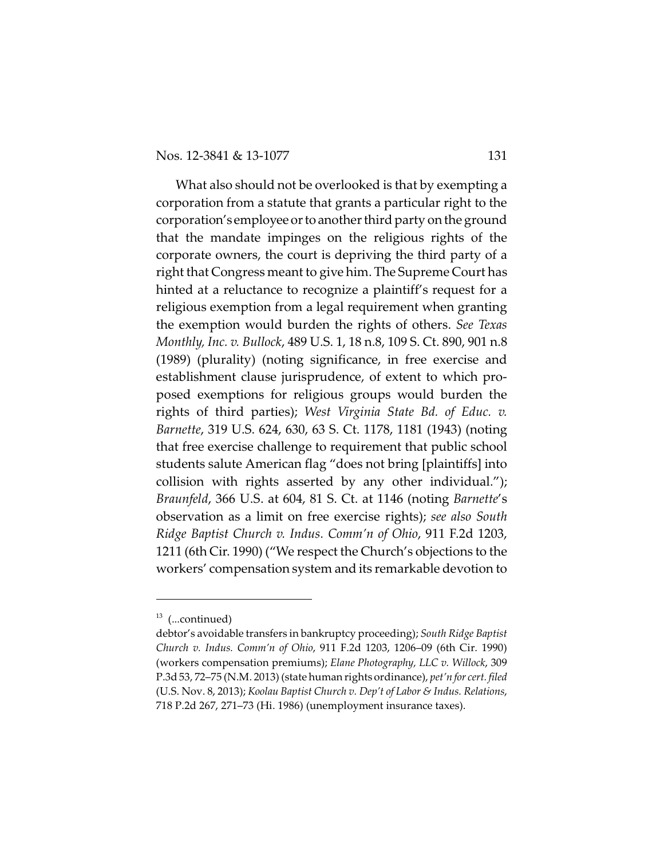What also should not be overlooked is that by exempting a corporation from a statute that grants a particular right to the corporation's employee or to another third party on the ground that the mandate impinges on the religious rights of the corporate owners, the court is depriving the third party of a right that Congress meant to give him. The Supreme Court has hinted at a reluctance to recognize a plaintiff's request for a religious exemption from a legal requirement when granting the exemption would burden the rights of others. *See Texas Monthly, Inc. v. Bullock*, 489 U.S. 1, 18 n.8, 109 S. Ct. 890, 901 n.8 (1989) (plurality) (noting significance, in free exercise and establishment clause jurisprudence, of extent to which proposed exemptions for religious groups would burden the rights of third parties); *West Virginia State Bd. of Educ. v. Barnette*, 319 U.S. 624, 630, 63 S. Ct. 1178, 1181 (1943) (noting that free exercise challenge to requirement that public school students salute American flag "does not bring [plaintiffs] into collision with rights asserted by any other individual."); *Braunfeld*, 366 U.S. at 604, 81 S. Ct. at 1146 (noting *Barnette*'s observation as a limit on free exercise rights); *see also South Ridge Baptist Church v. Indus. Comm'n of Ohio*, 911 F.2d 1203, 1211 (6th Cir. 1990) ("We respect the Church's objections to the workers' compensation system and its remarkable devotion to

 $13$  (...continued)

debtor's avoidable transfers in bankruptcy proceeding); *South Ridge Baptist Church v. Indus. Comm'n of Ohio*, 911 F.2d 1203, 1206–09 (6th Cir. 1990) (workers compensation premiums); *Elane Photography, LLC v. Willock*, 309 P.3d 53, 72–75 (N.M. 2013) (state human rights ordinance), *pet'n for cert. filed* (U.S. Nov. 8, 2013); *Koolau Baptist Church v. Dep't of Labor & Indus. Relations*, 718 P.2d 267, 271–73 (Hi. 1986) (unemployment insurance taxes).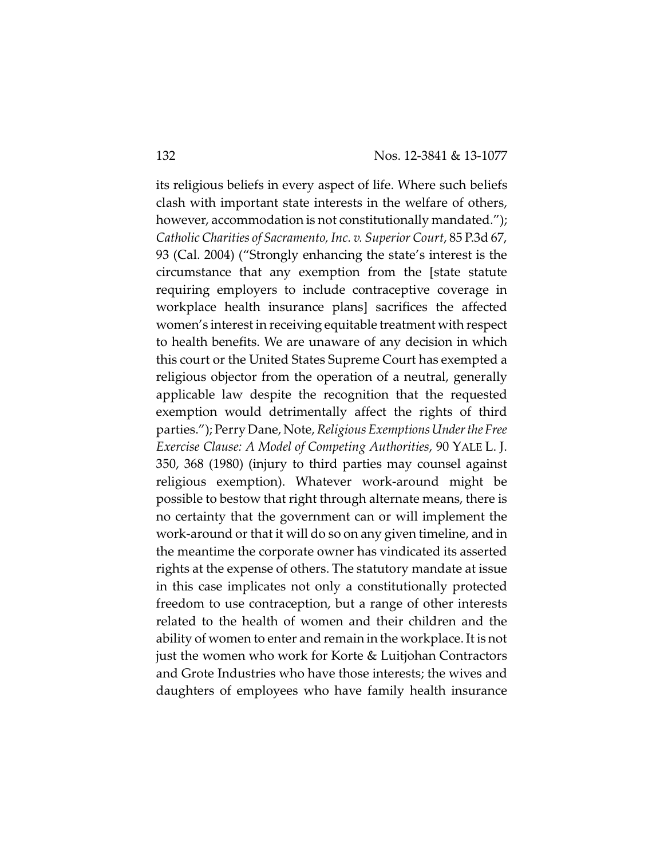its religious beliefs in every aspect of life. Where such beliefs clash with important state interests in the welfare of others, however, accommodation is not constitutionally mandated."); *Catholic Charities of Sacramento, Inc. v. Superior Court*, 85 P.3d 67, 93 (Cal. 2004) ("Strongly enhancing the state's interest is the circumstance that any exemption from the [state statute requiring employers to include contraceptive coverage in workplace health insurance plans] sacrifices the affected women's interest in receiving equitable treatment with respect to health benefits. We are unaware of any decision in which this court or the United States Supreme Court has exempted a religious objector from the operation of a neutral, generally applicable law despite the recognition that the requested exemption would detrimentally affect the rights of third parties."); Perry Dane, Note, *Religious ExemptionsUnderthe Free Exercise Clause: A Model of Competing Authorities*, 90 YALE L. J. 350, 368 (1980) (injury to third parties may counsel against religious exemption). Whatever work-around might be possible to bestow that right through alternate means, there is no certainty that the government can or will implement the work-around or that it will do so on any given timeline, and in the meantime the corporate owner has vindicated its asserted rights at the expense of others. The statutory mandate at issue in this case implicates not only a constitutionally protected freedom to use contraception, but a range of other interests related to the health of women and their children and the ability of women to enter and remain in the workplace. It is not just the women who work for Korte & Luitjohan Contractors and Grote Industries who have those interests; the wives and daughters of employees who have family health insurance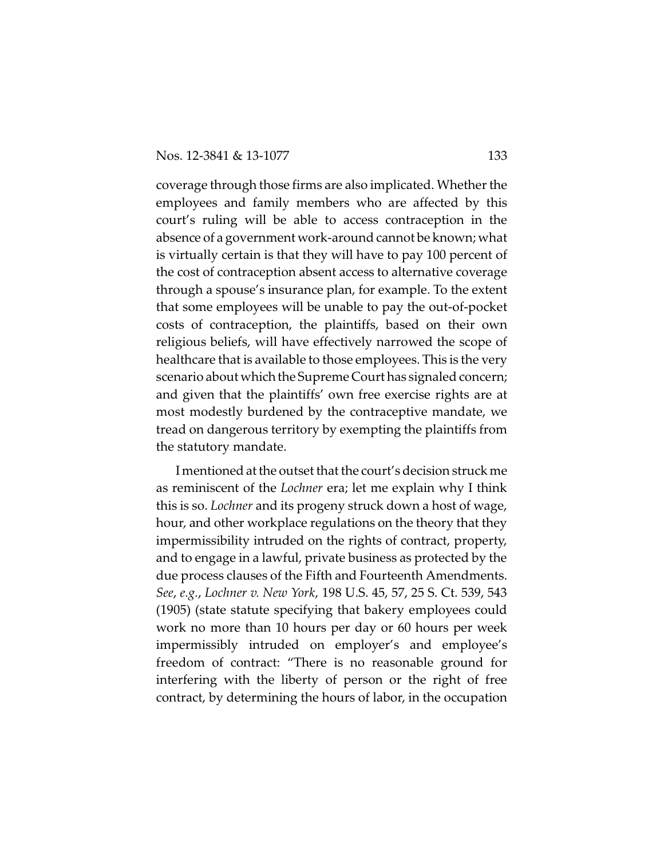coverage through those firms are also implicated. Whether the employees and family members who are affected by this court's ruling will be able to access contraception in the absence of a government work-around cannot be known; what is virtually certain is that they will have to pay 100 percent of the cost of contraception absent access to alternative coverage through a spouse's insurance plan, for example. To the extent that some employees will be unable to pay the out-of-pocket costs of contraception, the plaintiffs, based on their own religious beliefs, will have effectively narrowed the scope of healthcare that is available to those employees. This is the very scenario about which the Supreme Court has signaled concern; and given that the plaintiffs' own free exercise rights are at most modestly burdened by the contraceptive mandate, we tread on dangerous territory by exempting the plaintiffs from the statutory mandate.

I mentioned at the outset that the court's decision struck me as reminiscent of the *Lochner* era; let me explain why I think this is so. *Lochner* and its progeny struck down a host of wage, hour, and other workplace regulations on the theory that they impermissibility intruded on the rights of contract, property, and to engage in a lawful, private business as protected by the due process clauses of the Fifth and Fourteenth Amendments. *See*, *e.g.*, *Lochner v. New York*, 198 U.S. 45, 57, 25 S. Ct. 539, 543 (1905) (state statute specifying that bakery employees could work no more than 10 hours per day or 60 hours per week impermissibly intruded on employer's and employee's freedom of contract: "There is no reasonable ground for interfering with the liberty of person or the right of free contract, by determining the hours of labor, in the occupation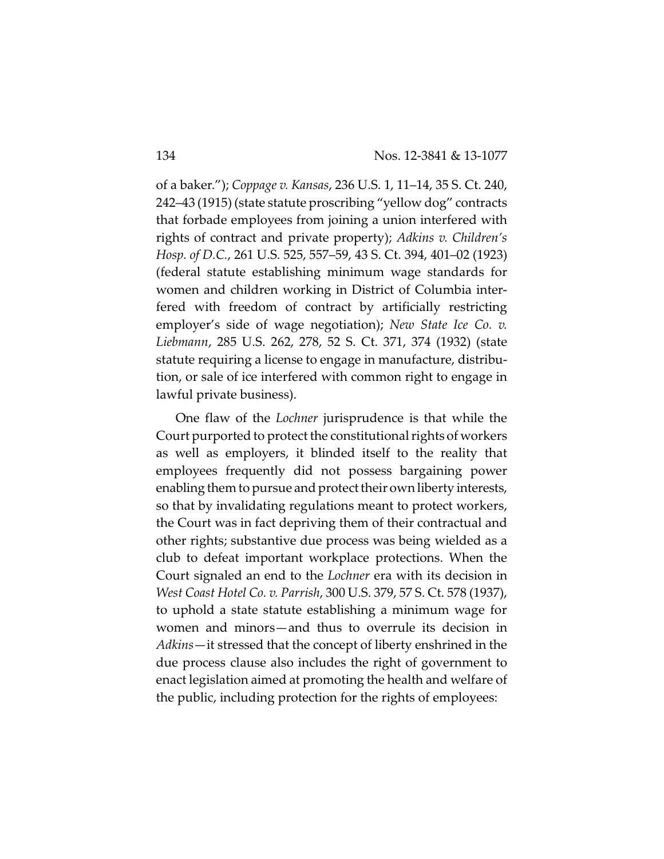of a baker."); *Coppage v. Kansas*, 236 U.S. 1, 11–14, 35 S. Ct. 240, 242–43 (1915) (state statute proscribing "yellow dog" contracts that forbade employees from joining a union interfered with rights of contract and private property); *Adkins v. Children's Hosp. of D.C.*, 261 U.S. 525, 557–59, 43 S. Ct. 394, 401–02 (1923) (federal statute establishing minimum wage standards for women and children working in District of Columbia interfered with freedom of contract by artificially restricting employer's side of wage negotiation); *New State Ice Co. v. Liebmann*, 285 U.S. 262, 278, 52 S. Ct. 371, 374 (1932) (state statute requiring a license to engage in manufacture, distribution, or sale of ice interfered with common right to engage in lawful private business).

One flaw of the *Lochner* jurisprudence is that while the Court purported to protect the constitutional rights of workers as well as employers, it blinded itself to the reality that employees frequently did not possess bargaining power enabling them to pursue and protect their own liberty interests, so that by invalidating regulations meant to protect workers, the Court was in fact depriving them of their contractual and other rights; substantive due process was being wielded as a club to defeat important workplace protections. When the Court signaled an end to the *Lochner* era with its decision in *West Coast Hotel Co. v. Parrish*, 300 U.S. 379, 57 S. Ct. 578 (1937), to uphold a state statute establishing a minimum wage for women and minors—and thus to overrule its decision in *Adkins*—it stressed that the concept of liberty enshrined in the due process clause also includes the right of government to enact legislation aimed at promoting the health and welfare of the public, including protection for the rights of employees: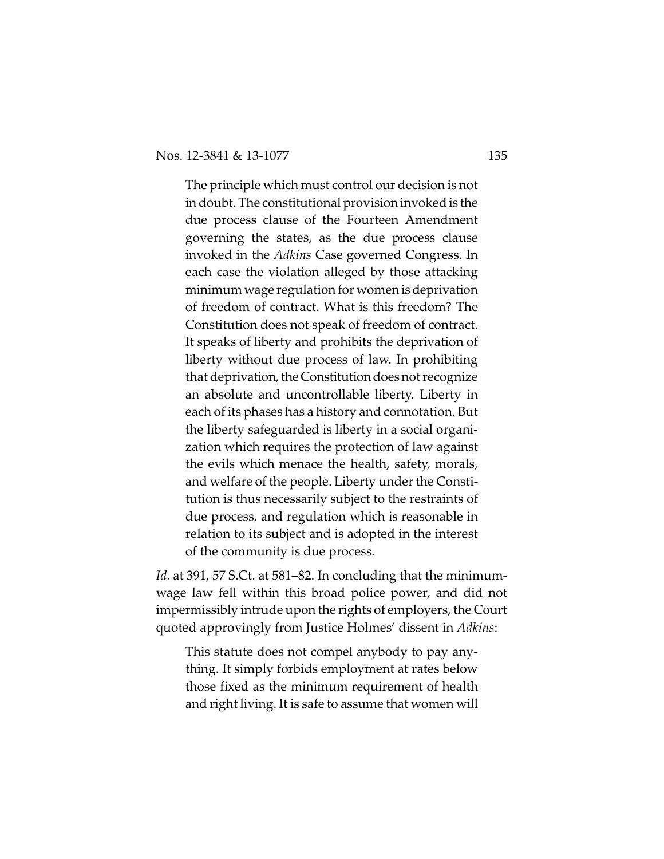The principle which must control our decision is not in doubt. The constitutional provision invoked is the due process clause of the Fourteen Amendment governing the states, as the due process clause invoked in the *Adkins* Case governed Congress. In each case the violation alleged by those attacking minimumwage regulation for women is deprivation of freedom of contract. What is this freedom? The Constitution does not speak of freedom of contract. It speaks of liberty and prohibits the deprivation of liberty without due process of law. In prohibiting that deprivation, the Constitution does not recognize an absolute and uncontrollable liberty. Liberty in each of its phases has a history and connotation. But the liberty safeguarded is liberty in a social organization which requires the protection of law against the evils which menace the health, safety, morals, and welfare of the people. Liberty under the Constitution is thus necessarily subject to the restraints of due process, and regulation which is reasonable in relation to its subject and is adopted in the interest of the community is due process.

*Id.* at 391, 57 S.Ct. at 581–82. In concluding that the minimumwage law fell within this broad police power, and did not impermissibly intrude upon the rights of employers, the Court quoted approvingly from Justice Holmes' dissent in *Adkins*:

This statute does not compel anybody to pay anything. It simply forbids employment at rates below those fixed as the minimum requirement of health and right living. It is safe to assume that women will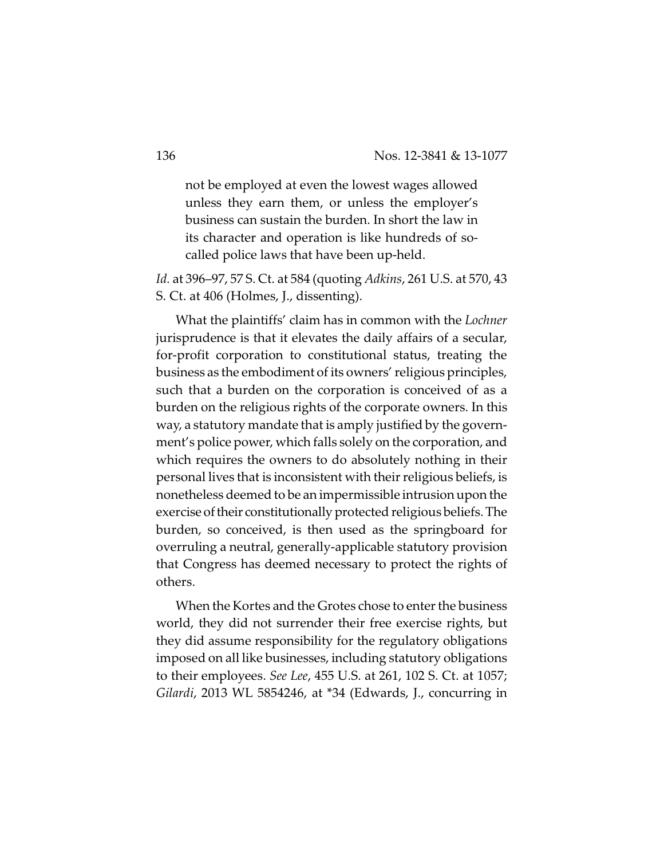not be employed at even the lowest wages allowed unless they earn them, or unless the employer's business can sustain the burden. In short the law in its character and operation is like hundreds of socalled police laws that have been up-held.

*Id.* at 396–97, 57 S. Ct. at 584 (quoting *Adkins*, 261 U.S. at 570, 43 S. Ct. at 406 (Holmes, J., dissenting).

What the plaintiffs' claim has in common with the *Lochner* jurisprudence is that it elevates the daily affairs of a secular, for-profit corporation to constitutional status, treating the business as the embodiment of its owners' religious principles, such that a burden on the corporation is conceived of as a burden on the religious rights of the corporate owners. In this way, a statutory mandate that is amply justified by the government's police power, which falls solely on the corporation, and which requires the owners to do absolutely nothing in their personal lives that is inconsistent with their religious beliefs, is nonetheless deemed to be an impermissible intrusion upon the exercise of their constitutionally protected religious beliefs. The burden, so conceived, is then used as the springboard for overruling a neutral, generally-applicable statutory provision that Congress has deemed necessary to protect the rights of others.

When the Kortes and the Grotes chose to enter the business world, they did not surrender their free exercise rights, but they did assume responsibility for the regulatory obligations imposed on all like businesses, including statutory obligations to their employees. *See Lee*, 455 U.S. at 261, 102 S. Ct. at 1057; *Gilardi*, 2013 WL 5854246, at \*34 (Edwards, J., concurring in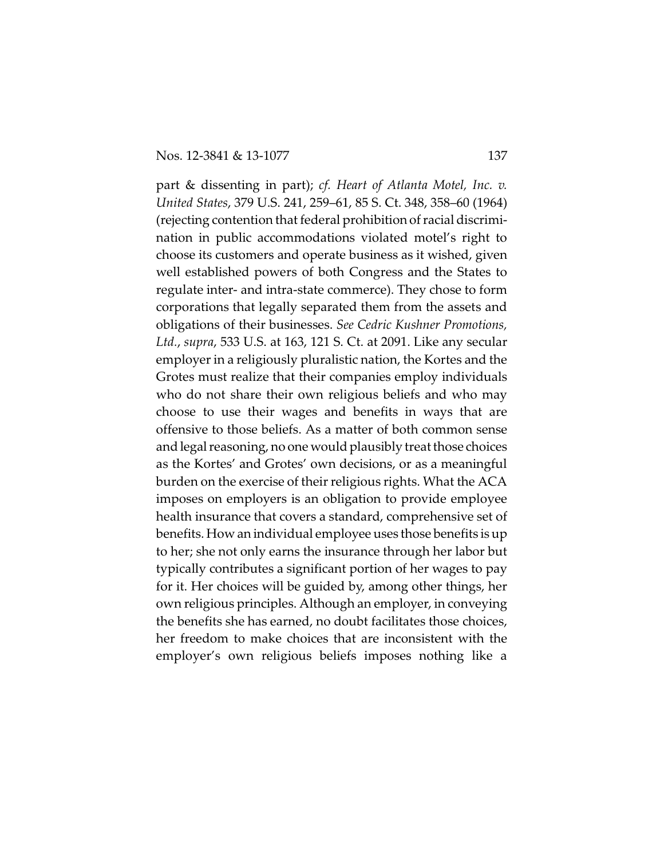part & dissenting in part); *cf. Heart of Atlanta Motel, Inc. v. United States*, 379 U.S. 241, 259–61, 85 S. Ct. 348, 358–60 (1964) (rejecting contention that federal prohibition of racial discrimination in public accommodations violated motel's right to choose its customers and operate business as it wished, given well established powers of both Congress and the States to regulate inter- and intra-state commerce). They chose to form corporations that legally separated them from the assets and obligations of their businesses. *See Cedric Kushner Promotions, Ltd.*, *supra*, 533 U.S. at 163, 121 S. Ct. at 2091. Like any secular employer in a religiously pluralistic nation, the Kortes and the Grotes must realize that their companies employ individuals who do not share their own religious beliefs and who may choose to use their wages and benefits in ways that are offensive to those beliefs. As a matter of both common sense and legal reasoning, no one would plausibly treat those choices as the Kortes' and Grotes' own decisions, or as a meaningful burden on the exercise of their religious rights. What the ACA imposes on employers is an obligation to provide employee health insurance that covers a standard, comprehensive set of benefits. How an individual employee uses those benefits is up to her; she not only earns the insurance through her labor but typically contributes a significant portion of her wages to pay for it. Her choices will be guided by, among other things, her own religious principles. Although an employer, in conveying the benefits she has earned, no doubt facilitates those choices, her freedom to make choices that are inconsistent with the employer's own religious beliefs imposes nothing like a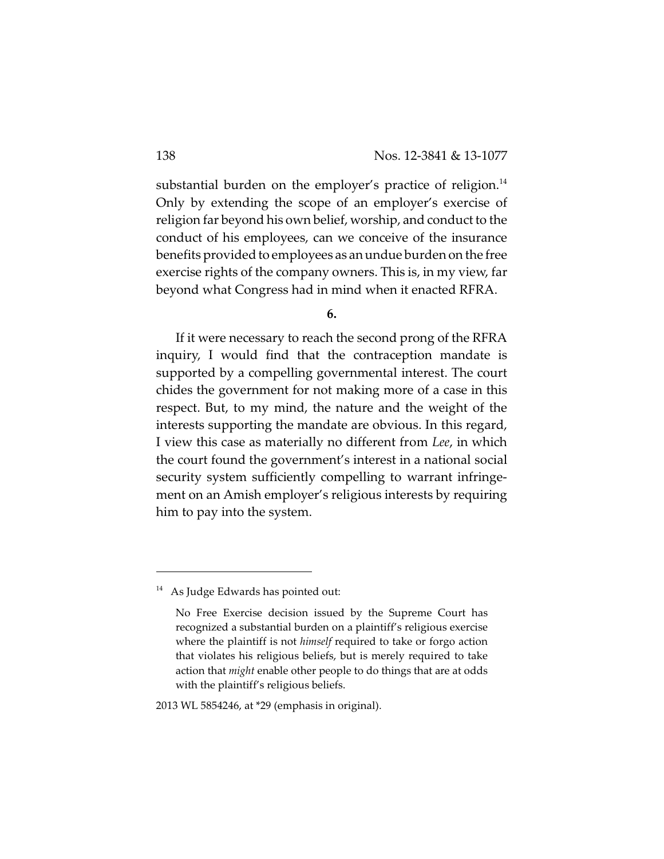substantial burden on the employer's practice of religion.<sup>14</sup> Only by extending the scope of an employer's exercise of religion far beyond his own belief, worship, and conduct to the conduct of his employees, can we conceive of the insurance benefits provided to employees as an undue burden on the free exercise rights of the company owners. This is, in my view, far beyond what Congress had in mind when it enacted RFRA.

**6.**

If it were necessary to reach the second prong of the RFRA inquiry, I would find that the contraception mandate is supported by a compelling governmental interest. The court chides the government for not making more of a case in this respect. But, to my mind, the nature and the weight of the interests supporting the mandate are obvious. In this regard, I view this case as materially no different from *Lee*, in which the court found the government's interest in a national social security system sufficiently compelling to warrant infringement on an Amish employer's religious interests by requiring him to pay into the system.

2013 WL 5854246, at \*29 (emphasis in original).

 $14$  As Judge Edwards has pointed out:

No Free Exercise decision issued by the Supreme Court has recognized a substantial burden on a plaintiff's religious exercise where the plaintiff is not *himself* required to take or forgo action that violates his religious beliefs, but is merely required to take action that *might* enable other people to do things that are at odds with the plaintiff's religious beliefs.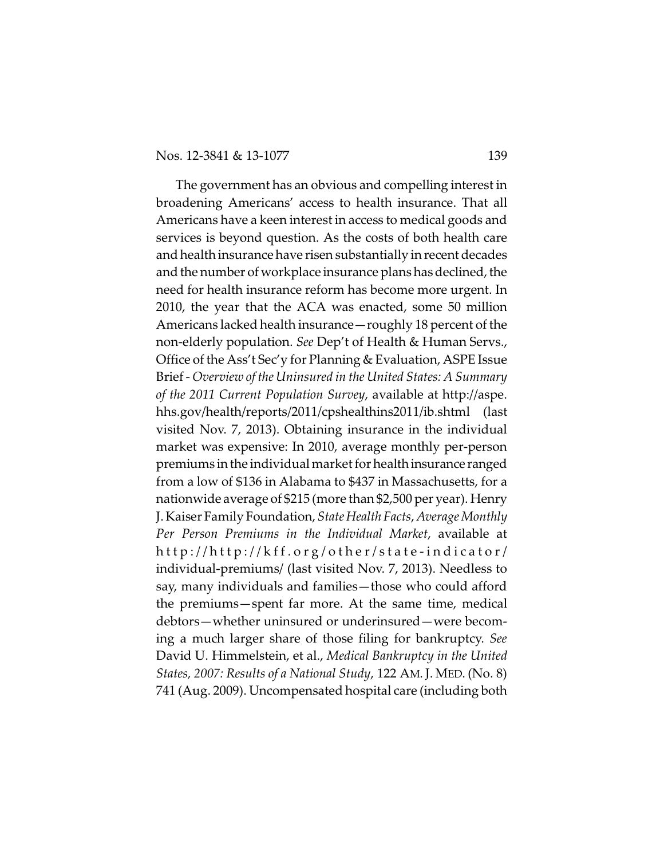The government has an obvious and compelling interest in broadening Americans' access to health insurance. That all Americans have a keen interest in access to medical goods and services is beyond question. As the costs of both health care and health insurance have risen substantially in recent decades and the number of workplace insurance plans has declined, the need for health insurance reform has become more urgent. In 2010, the year that the ACA was enacted, some 50 million Americans lacked health insurance—roughly 18 percent of the non-elderly population. *See* Dep't of Health & Human Servs., Office of the Ass't Sec'y for Planning & Evaluation, ASPE Issue Brief *- Overview of the Uninsured in the United States: A Summary of the 2011 Current Population Survey*, available at http://aspe. hhs.gov/health/reports/2011/cpshealthins2011/ib.shtml (last visited Nov. 7, 2013). Obtaining insurance in the individual market was expensive: In 2010, average monthly per-person premiums in the individual market for health insurance ranged from a low of \$136 in Alabama to \$437 in Massachusetts, for a nationwide average of \$215 (more than \$2,500 per year). Henry J. Kaiser Family Foundation, *State Health Facts*, *Average Monthly Per Person Premiums in the Individual Market*, available at http://http://kff.org/other/state-indicator/ individual-premiums/ (last visited Nov. 7, 2013). Needless to say, many individuals and families—those who could afford the premiums—spent far more. At the same time, medical debtors—whether uninsured or underinsured—were becoming a much larger share of those filing for bankruptcy. *See* David U. Himmelstein, et al., *Medical Bankruptcy in the United States, 2007: Results of a National Study*, 122 AM. J. MED. (No. 8) 741 (Aug. 2009). Uncompensated hospital care (including both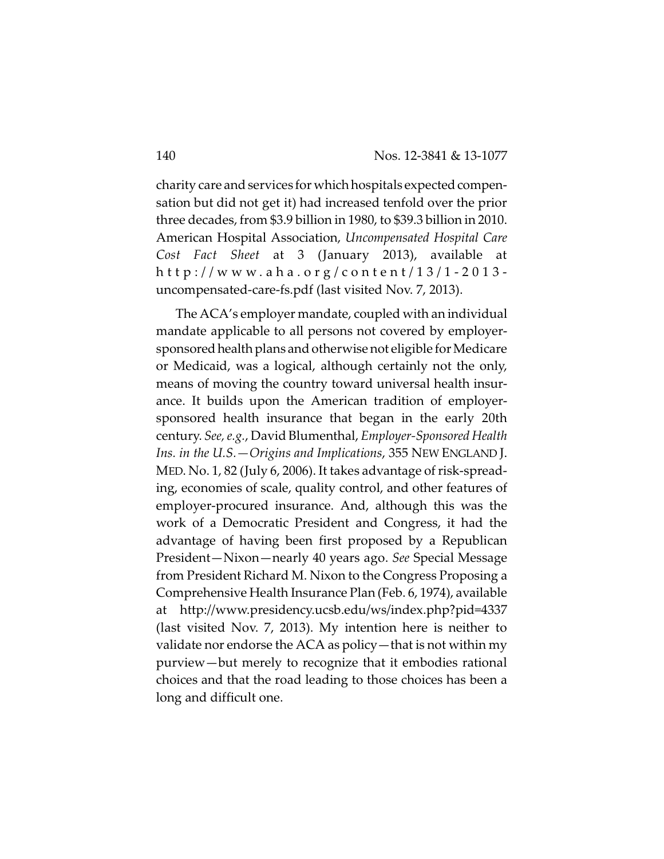charity care and services for which hospitals expected compensation but did not get it) had increased tenfold over the prior three decades, from \$3.9 billion in 1980, to \$39.3 billion in 2010. American Hospital Association, *Uncompensated Hospital Care Cost Fact Sheet* at 3 (January 2013), available at h t t p : / / w w w . a h a . o r g / c o n t e n t / 1 3 / 1 - 2 0 1 3 uncompensated-care-fs.pdf (last visited Nov. 7, 2013).

The ACA's employer mandate, coupled with an individual mandate applicable to all persons not covered by employersponsored health plans and otherwise not eligible for Medicare or Medicaid, was a logical, although certainly not the only, means of moving the country toward universal health insurance. It builds upon the American tradition of employersponsored health insurance that began in the early 20th century. *See, e.g.*, David Blumenthal, *Employer-Sponsored Health Ins. in the U.S.—Origins and Implications*, 355 NEW ENGLAND J. MED. No. 1, 82 (July 6, 2006). It takes advantage of risk-spreading, economies of scale, quality control, and other features of employer-procured insurance. And, although this was the work of a Democratic President and Congress, it had the advantage of having been first proposed by a Republican President—Nixon—nearly 40 years ago. *See* Special Message from President Richard M. Nixon to the Congress Proposing a Comprehensive Health Insurance Plan (Feb. 6, 1974), available at http://www.presidency.ucsb.edu/ws/index.php?pid=4337 (last visited Nov. 7, 2013). My intention here is neither to validate nor endorse the ACA as policy—that is not within my purview—but merely to recognize that it embodies rational choices and that the road leading to those choices has been a long and difficult one.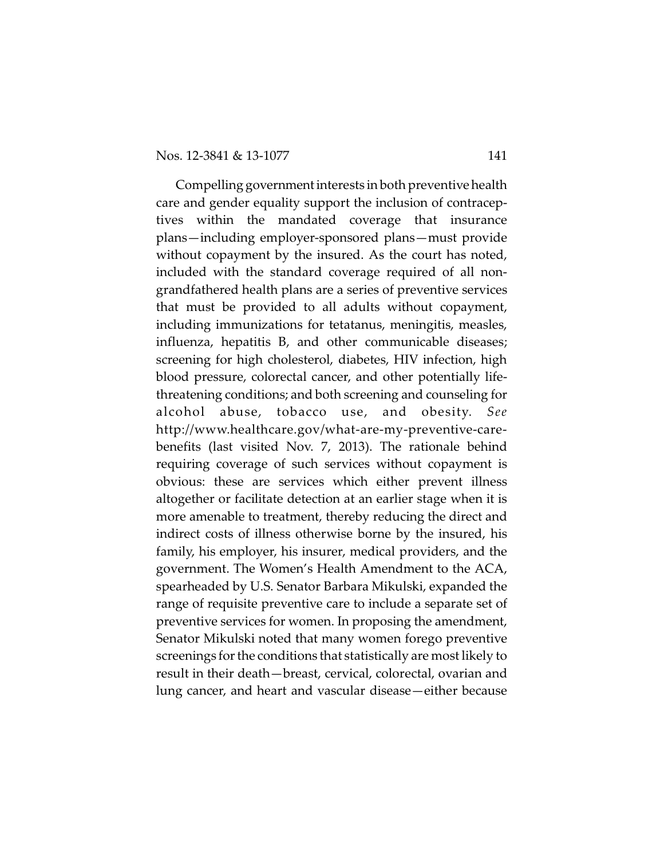Compelling government interests in both preventive health care and gender equality support the inclusion of contraceptives within the mandated coverage that insurance plans—including employer-sponsored plans—must provide without copayment by the insured. As the court has noted, included with the standard coverage required of all nongrandfathered health plans are a series of preventive services that must be provided to all adults without copayment, including immunizations for tetatanus, meningitis, measles, influenza, hepatitis B, and other communicable diseases; screening for high cholesterol, diabetes, HIV infection, high blood pressure, colorectal cancer, and other potentially lifethreatening conditions; and both screening and counseling for alcohol abuse, tobacco use, and obesity. *See* http://www.healthcare.gov/what-are-my-preventive-carebenefits (last visited Nov. 7, 2013). The rationale behind requiring coverage of such services without copayment is obvious: these are services which either prevent illness altogether or facilitate detection at an earlier stage when it is more amenable to treatment, thereby reducing the direct and indirect costs of illness otherwise borne by the insured, his family, his employer, his insurer, medical providers, and the government. The Women's Health Amendment to the ACA, spearheaded by U.S. Senator Barbara Mikulski, expanded the range of requisite preventive care to include a separate set of preventive services for women. In proposing the amendment, Senator Mikulski noted that many women forego preventive screenings for the conditions that statistically are most likely to result in their death—breast, cervical, colorectal, ovarian and lung cancer, and heart and vascular disease—either because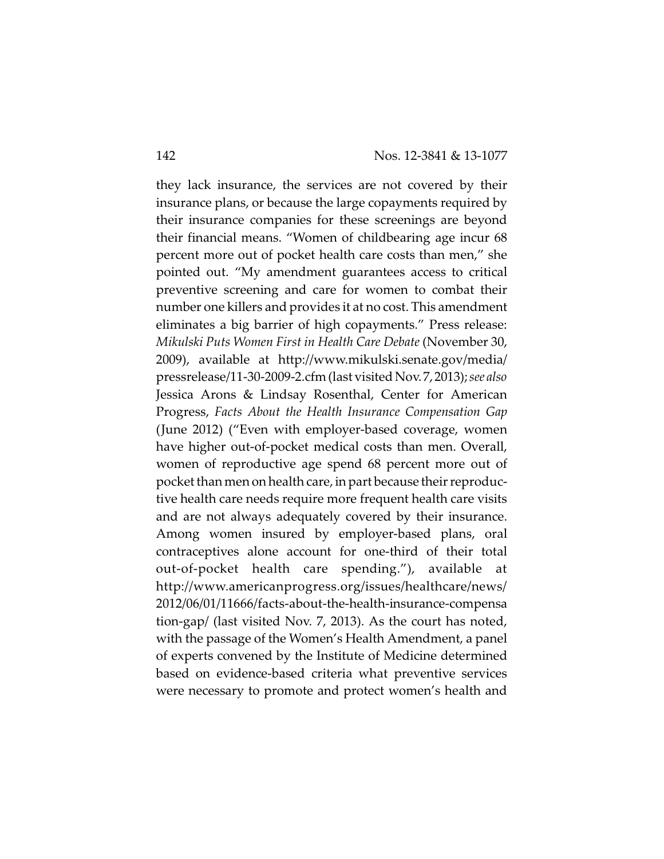they lack insurance, the services are not covered by their insurance plans, or because the large copayments required by their insurance companies for these screenings are beyond their financial means. "Women of childbearing age incur 68 percent more out of pocket health care costs than men," she pointed out. "My amendment guarantees access to critical preventive screening and care for women to combat their number one killers and provides it at no cost. This amendment eliminates a big barrier of high copayments." Press release: *Mikulski Puts Women First in Health Care Debate* (November 30, 2009), available at http://www.mikulski.senate.gov/media/ pressrelease/11-30-2009-2.cfm(last visited Nov. 7, 2013); *see also* Jessica Arons & Lindsay Rosenthal, Center for American Progress, *Facts About the Health Insurance Compensation Gap* (June 2012) ("Even with employer-based coverage, women have higher out-of-pocket medical costs than men. Overall, women of reproductive age spend 68 percent more out of pocket than men on health care, in part because their reproductive health care needs require more frequent health care visits and are not always adequately covered by their insurance. Among women insured by employer-based plans, oral contraceptives alone account for one-third of their total out-of-pocket health care spending."), available at http://www.americanprogress.org/issues/healthcare/news/ 2012/06/01/11666/facts-about-the-health-insurance-compensa tion-gap/ (last visited Nov. 7, 2013). As the court has noted, with the passage of the Women's Health Amendment, a panel of experts convened by the Institute of Medicine determined based on evidence-based criteria what preventive services were necessary to promote and protect women's health and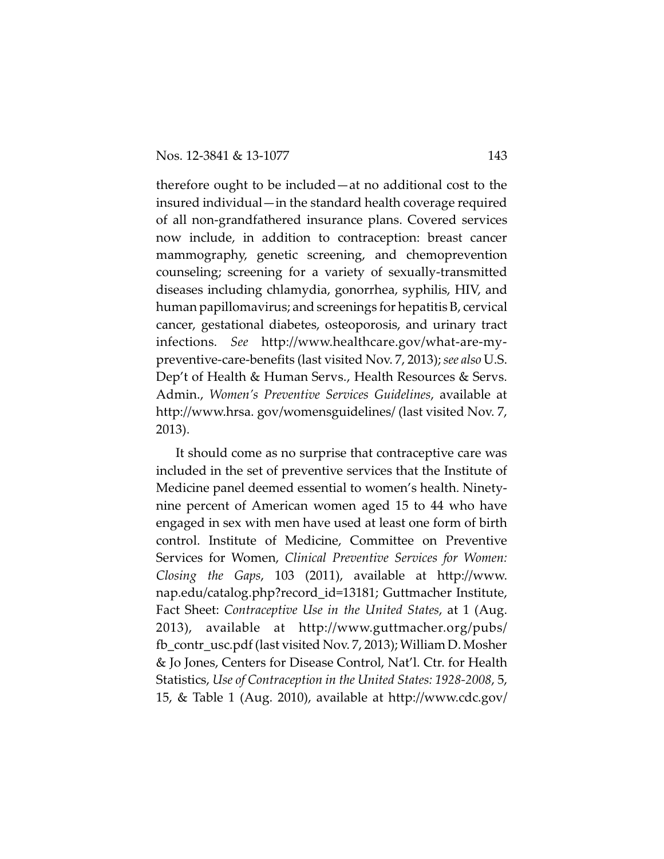therefore ought to be included—at no additional cost to the insured individual—in the standard health coverage required of all non-grandfathered insurance plans. Covered services now include, in addition to contraception: breast cancer mammography, genetic screening, and chemoprevention counseling; screening for a variety of sexually-transmitted diseases including chlamydia, gonorrhea, syphilis, HIV, and human papillomavirus; and screenings for hepatitis B, cervical cancer, gestational diabetes, osteoporosis, and urinary tract infections. *See* http://www.healthcare.gov/what-are-mypreventive-care-benefits (last visited Nov. 7, 2013); *see also* U.S. Dep't of Health & Human Servs., Health Resources & Servs. Admin., *Women's Preventive Services Guidelines*, available at http://www.hrsa. gov/womensguidelines/ (last visited Nov. 7, 2013).

It should come as no surprise that contraceptive care was included in the set of preventive services that the Institute of Medicine panel deemed essential to women's health. Ninetynine percent of American women aged 15 to 44 who have engaged in sex with men have used at least one form of birth control. Institute of Medicine, Committee on Preventive Services for Women, *Clinical Preventive Services for Women: Closing the Gaps*, 103 (2011), available at http://www. nap.edu/catalog.php?record\_id=13181; Guttmacher Institute, Fact Sheet: *Contraceptive Use in the United States*, at 1 (Aug. 2013), available at http://www.guttmacher.org/pubs/ fb\_contr\_usc.pdf (last visited Nov. 7, 2013); William D. Mosher & Jo Jones, Centers for Disease Control, Nat'l. Ctr. for Health Statistics, *Use of Contraception in the United States: 1928-2008*, 5, 15, & Table 1 (Aug. 2010), available at http://www.cdc.gov/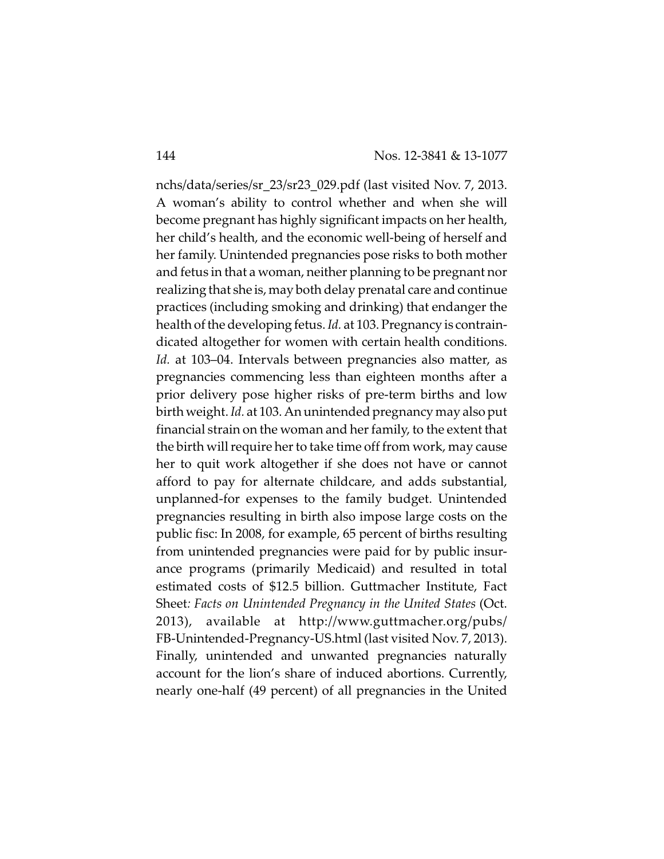nchs/data/series/sr\_23/sr23\_029.pdf (last visited Nov. 7, 2013. A woman's ability to control whether and when she will become pregnant has highly significant impacts on her health, her child's health, and the economic well-being of herself and her family. Unintended pregnancies pose risks to both mother and fetus in that a woman, neither planning to be pregnant nor realizing that she is, may both delay prenatal care and continue practices (including smoking and drinking) that endanger the health of the developing fetus. *Id.* at 103. Pregnancy is contraindicated altogether for women with certain health conditions. *Id.* at 103–04. Intervals between pregnancies also matter, as pregnancies commencing less than eighteen months after a prior delivery pose higher risks of pre-term births and low birth weight. *Id.* at 103. An unintended pregnancy may alsoput financial strain on the woman and her family, to the extent that the birth will require her to take time off from work, may cause her to quit work altogether if she does not have or cannot afford to pay for alternate childcare, and adds substantial, unplanned-for expenses to the family budget. Unintended pregnancies resulting in birth also impose large costs on the public fisc: In 2008, for example, 65 percent of births resulting from unintended pregnancies were paid for by public insurance programs (primarily Medicaid) and resulted in total estimated costs of \$12.5 billion. Guttmacher Institute, Fact Sheet*: Facts on Unintended Pregnancy in the United States* (Oct. 2013), available at http://www.guttmacher.org/pubs/ FB-Unintended-Pregnancy-US.html (last visited Nov. 7, 2013). Finally, unintended and unwanted pregnancies naturally account for the lion's share of induced abortions. Currently, nearly one-half (49 percent) of all pregnancies in the United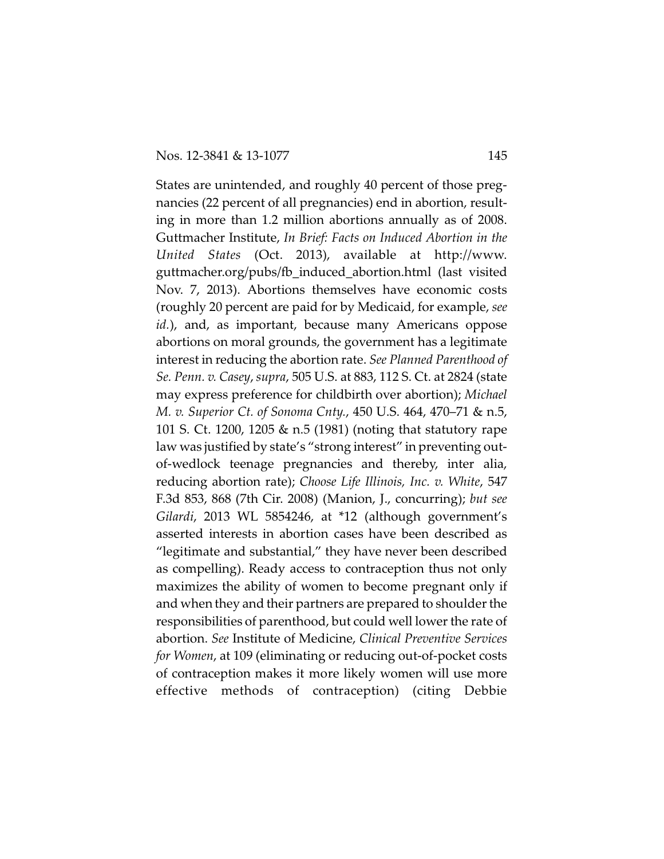States are unintended, and roughly 40 percent of those pregnancies (22 percent of all pregnancies) end in abortion, resulting in more than 1.2 million abortions annually as of 2008. Guttmacher Institute, *In Brief: Facts on Induced Abortion in the United States* (Oct. 2013), available at http://www. guttmacher.org/pubs/fb\_induced\_abortion.html (last visited Nov. 7, 2013). Abortions themselves have economic costs (roughly 20 percent are paid for by Medicaid, for example, *see id.*), and, as important, because many Americans oppose abortions on moral grounds, the government has a legitimate interest in reducing the abortion rate. *See Planned Parenthood of Se. Penn. v. Casey*, *supra*, 505 U.S. at 883, 112 S. Ct. at 2824 (state may express preference for childbirth over abortion); *Michael M. v. Superior Ct. of Sonoma Cnty.*, 450 U.S. 464, 470–71 & n.5, 101 S. Ct. 1200, 1205 & n.5 (1981) (noting that statutory rape law was justified by state's "strong interest" in preventing outof-wedlock teenage pregnancies and thereby, inter alia, reducing abortion rate); *Choose Life Illinois, Inc. v. White*, 547 F.3d 853, 868 (7th Cir. 2008) (Manion, J., concurring); *but see Gilardi*, 2013 WL 5854246, at \*12 (although government's asserted interests in abortion cases have been described as "legitimate and substantial," they have never been described as compelling). Ready access to contraception thus not only maximizes the ability of women to become pregnant only if and when they and their partners are prepared to shoulder the responsibilities of parenthood, but could well lower the rate of abortion. *See* Institute of Medicine, *Clinical Preventive Services for Women*, at 109 (eliminating or reducing out-of-pocket costs of contraception makes it more likely women will use more effective methods of contraception) (citing Debbie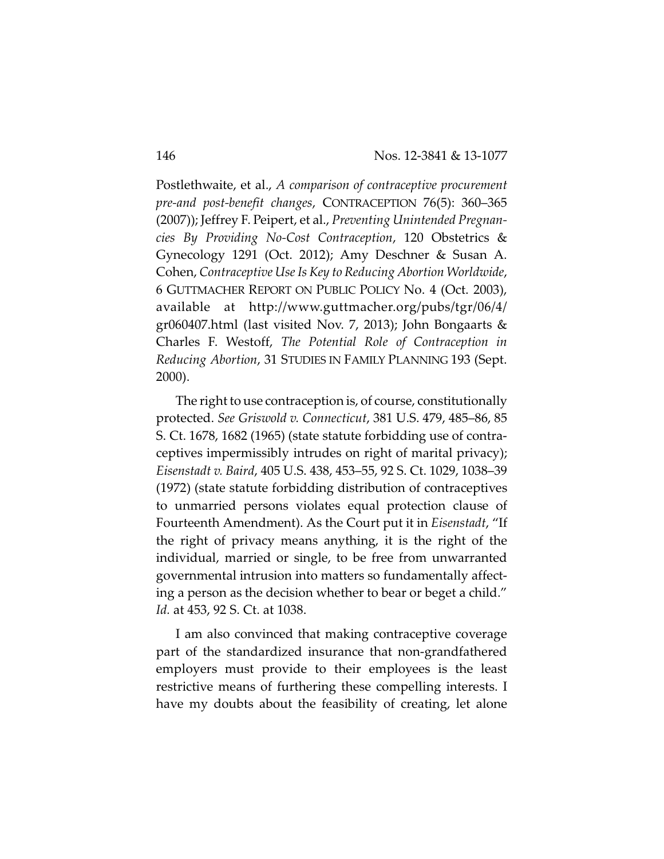Postlethwaite, et al., *A comparison of contraceptive procurement pre-and post-benefit changes*, CONTRACEPTION 76(5): 360–365 (2007)); Jeffrey F. Peipert, et al., *Preventing Unintended Pregnancies By Providing No-Cost Contraception*, 120 Obstetrics & Gynecology 1291 (Oct. 2012); Amy Deschner & Susan A. Cohen, *Contraceptive Use Is Key to Reducing Abortion Worldwide*, 6 GUTTMACHER REPORT ON PUBLIC POLICY No. 4 (Oct. 2003), available at http://www.guttmacher.org/pubs/tgr/06/4/ gr060407.html (last visited Nov. 7, 2013); John Bongaarts & Charles F. Westoff, *The Potential Role of Contraception in Reducing Abortion*, 31 STUDIES IN FAMILY PLANNING 193 (Sept. 2000).

The right to use contraception is, of course, constitutionally protected. *See Griswold v. Connecticut*, 381 U.S. 479, 485–86, 85 S. Ct. 1678, 1682 (1965) (state statute forbidding use of contraceptives impermissibly intrudes on right of marital privacy); *Eisenstadt v. Baird*, 405 U.S. 438, 453–55, 92 S. Ct. 1029, 1038–39 (1972) (state statute forbidding distribution of contraceptives to unmarried persons violates equal protection clause of Fourteenth Amendment). As the Court put it in *Eisenstadt*, "If the right of privacy means anything, it is the right of the individual, married or single, to be free from unwarranted governmental intrusion into matters so fundamentally affecting a person as the decision whether to bear or beget a child." *Id.* at 453, 92 S. Ct. at 1038.

I am also convinced that making contraceptive coverage part of the standardized insurance that non-grandfathered employers must provide to their employees is the least restrictive means of furthering these compelling interests. I have my doubts about the feasibility of creating, let alone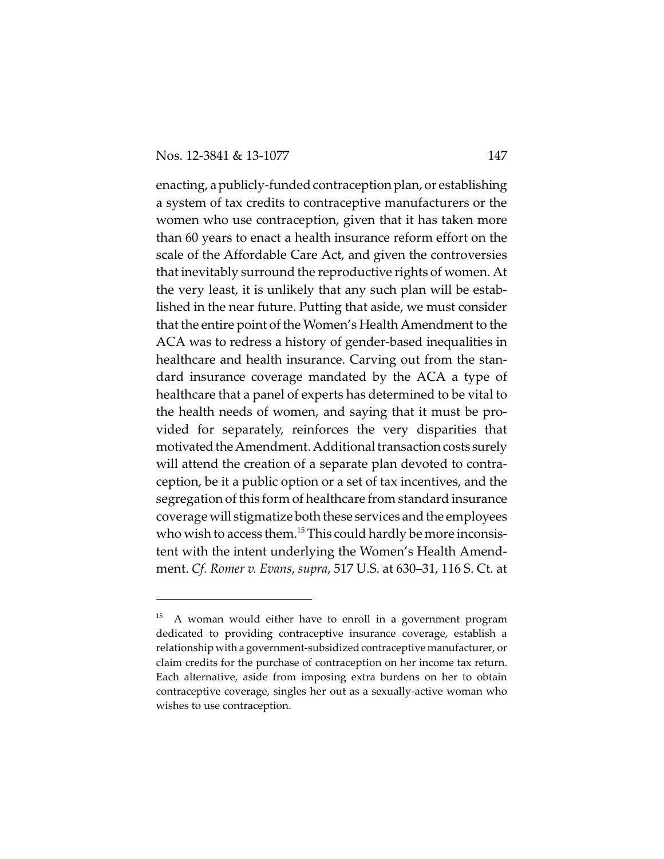enacting, apublicly-funded contraception plan, or establishing a system of tax credits to contraceptive manufacturers or the women who use contraception, given that it has taken more than 60 years to enact a health insurance reform effort on the scale of the Affordable Care Act, and given the controversies that inevitably surround the reproductive rights of women. At the very least, it is unlikely that any such plan will be established in the near future. Putting that aside, we must consider that the entire point of the Women's Health Amendment to the ACA was to redress a history of gender-based inequalities in healthcare and health insurance. Carving out from the standard insurance coverage mandated by the ACA a type of healthcare that a panel of experts has determined to be vital to the health needs of women, and saying that it must be provided for separately, reinforces the very disparities that motivated the Amendment. Additional transaction costs surely will attend the creation of a separate plan devoted to contraception, be it a public option or a set of tax incentives, and the segregation of this form of healthcare from standard insurance coverage will stigmatize both these services and the employees who wish to access them.<sup>15</sup> This could hardly be more inconsistent with the intent underlying the Women's Health Amendment. *Cf. Romer v. Evans*, *supra*, 517 U.S. at 630–31, 116 S. Ct. at

<sup>15</sup> A woman would either have to enroll in a government program dedicated to providing contraceptive insurance coverage, establish a relationship with a government-subsidized contraceptive manufacturer, or claim credits for the purchase of contraception on her income tax return. Each alternative, aside from imposing extra burdens on her to obtain contraceptive coverage, singles her out as a sexually-active woman who wishes to use contraception.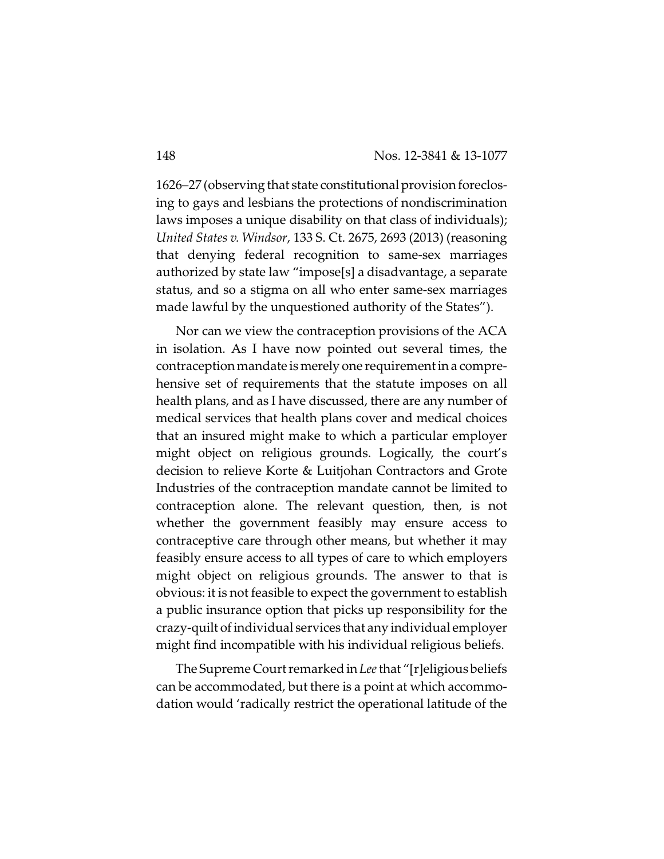1626–27 (observing that state constitutional provision foreclosing to gays and lesbians the protections of nondiscrimination laws imposes a unique disability on that class of individuals); *United States v. Windsor*, 133 S. Ct. 2675, 2693 (2013) (reasoning that denying federal recognition to same-sex marriages authorized by state law "impose[s] a disadvantage, a separate status, and so a stigma on all who enter same-sex marriages made lawful by the unquestioned authority of the States").

Nor can we view the contraception provisions of the ACA in isolation. As I have now pointed out several times, the contraception mandate is merely one requirement in a comprehensive set of requirements that the statute imposes on all health plans, and as I have discussed, there are any number of medical services that health plans cover and medical choices that an insured might make to which a particular employer might object on religious grounds. Logically, the court's decision to relieve Korte & Luitjohan Contractors and Grote Industries of the contraception mandate cannot be limited to contraception alone. The relevant question, then, is not whether the government feasibly may ensure access to contraceptive care through other means, but whether it may feasibly ensure access to all types of care to which employers might object on religious grounds. The answer to that is obvious: it is not feasible to expect the government to establish a public insurance option that picks up responsibility for the crazy-quilt of individual services that any individual employer might find incompatible with his individual religious beliefs.

The Supreme Court remarked in *Lee* that "[r]eligious beliefs can be accommodated, but there is a point at which accommodation would 'radically restrict the operational latitude of the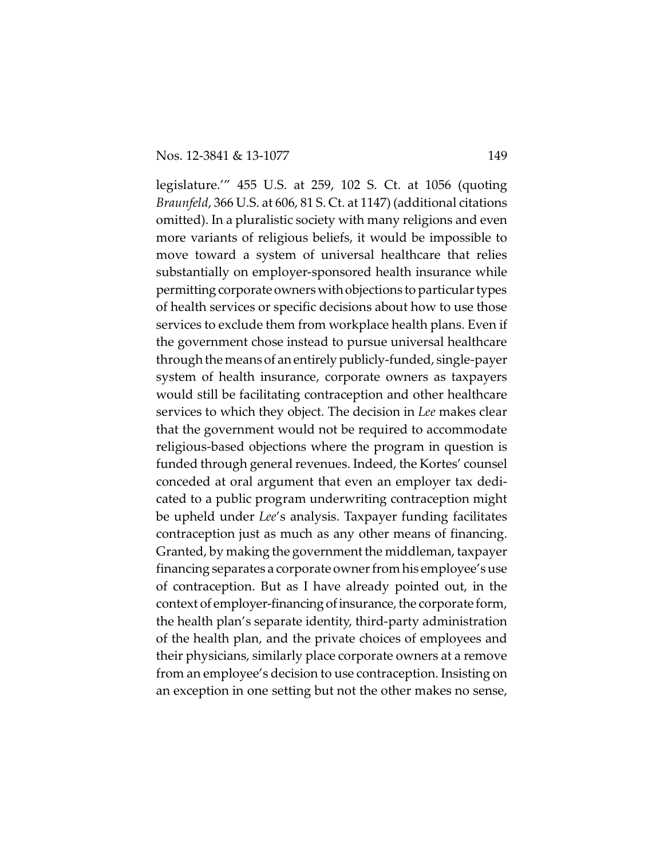legislature.'" 455 U.S. at 259, 102 S. Ct. at 1056 (quoting *Braunfeld*, 366 U.S. at 606, 81 S. Ct. at 1147) (additional citations omitted). In a pluralistic society with many religions and even more variants of religious beliefs, it would be impossible to move toward a system of universal healthcare that relies substantially on employer-sponsored health insurance while permitting corporate owners with objections to particular types of health services or specific decisions about how to use those services to exclude them from workplace health plans. Even if the government chose instead to pursue universal healthcare through the means of an entirely publicly-funded, single-payer system of health insurance, corporate owners as taxpayers would still be facilitating contraception and other healthcare services to which they object. The decision in *Lee* makes clear that the government would not be required to accommodate religious-based objections where the program in question is funded through general revenues. Indeed, the Kortes' counsel conceded at oral argument that even an employer tax dedicated to a public program underwriting contraception might be upheld under *Lee*'s analysis. Taxpayer funding facilitates contraception just as much as any other means of financing. Granted, by making the government the middleman, taxpayer financing separates a corporate owner from his employee's use of contraception. But as I have already pointed out, in the context of employer-financing of insurance, the corporate form, the health plan's separate identity, third-party administration of the health plan, and the private choices of employees and their physicians, similarly place corporate owners at a remove from an employee's decision to use contraception. Insisting on an exception in one setting but not the other makes no sense,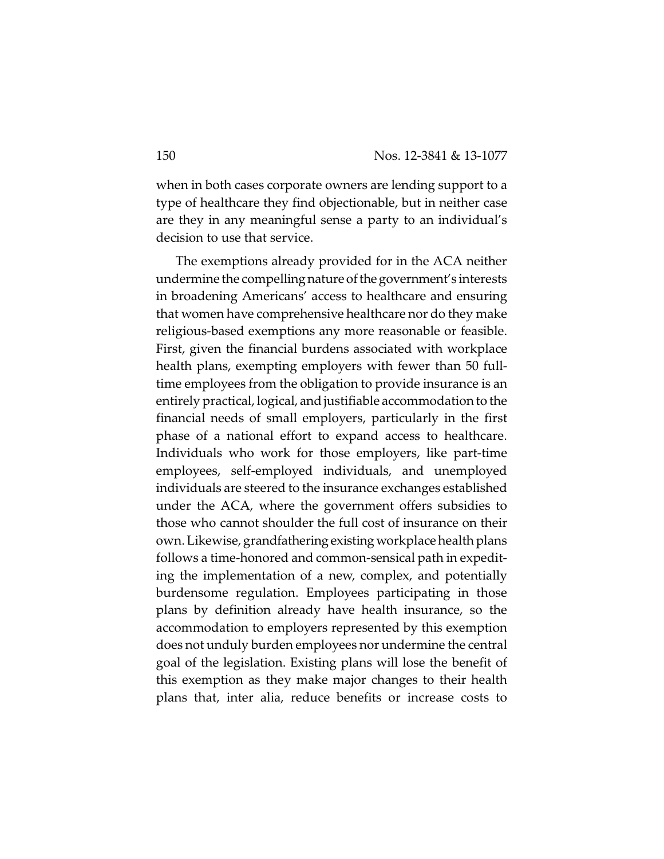when in both cases corporate owners are lending support to a type of healthcare they find objectionable, but in neither case are they in any meaningful sense a party to an individual's decision to use that service.

The exemptions already provided for in the ACA neither undermine the compelling nature of the government's interests in broadening Americans' access to healthcare and ensuring that women have comprehensive healthcare nor do they make religious-based exemptions any more reasonable or feasible. First, given the financial burdens associated with workplace health plans, exempting employers with fewer than 50 fulltime employees from the obligation to provide insurance is an entirely practical, logical, and justifiable accommodation to the financial needs of small employers, particularly in the first phase of a national effort to expand access to healthcare. Individuals who work for those employers, like part-time employees, self-employed individuals, and unemployed individuals are steered to the insurance exchanges established under the ACA, where the government offers subsidies to those who cannot shoulder the full cost of insurance on their own. Likewise, grandfathering existing workplace health plans follows a time-honored and common-sensical path in expediting the implementation of a new, complex, and potentially burdensome regulation. Employees participating in those plans by definition already have health insurance, so the accommodation to employers represented by this exemption does not unduly burden employees nor undermine the central goal of the legislation. Existing plans will lose the benefit of this exemption as they make major changes to their health plans that, inter alia, reduce benefits or increase costs to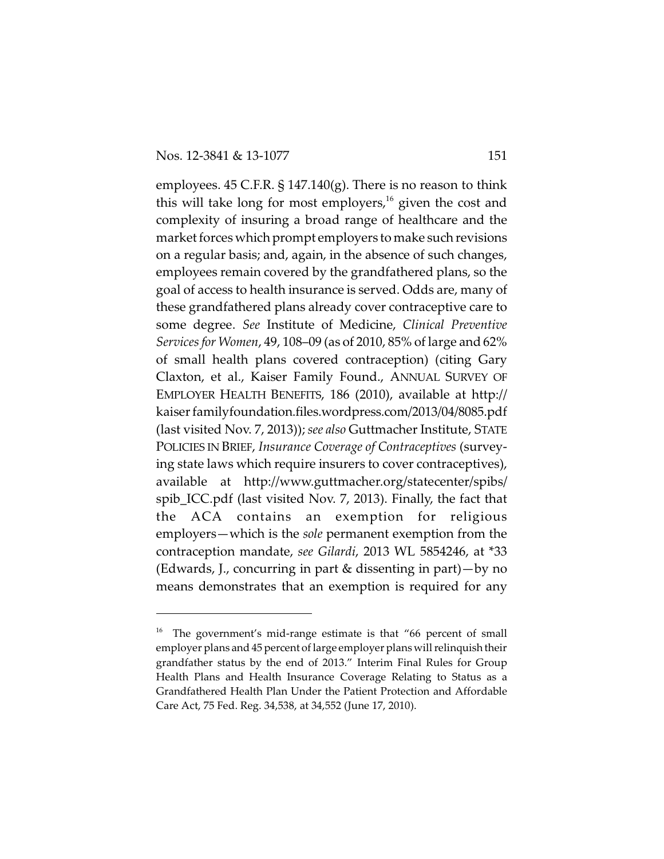employees. 45 C.F.R. § 147.140(g). There is no reason to think this will take long for most employers,<sup>16</sup> given the cost and complexity of insuring a broad range of healthcare and the market forces which prompt employers to make such revisions on a regular basis; and, again, in the absence of such changes, employees remain covered by the grandfathered plans, so the goal of access to health insurance is served. Odds are, many of these grandfathered plans already cover contraceptive care to some degree. *See* Institute of Medicine, *Clinical Preventive Services for Women*, 49, 108–09 (as of 2010, 85% of large and 62% of small health plans covered contraception) (citing Gary Claxton, et al., Kaiser Family Found., ANNUAL SURVEY OF EMPLOYER HEALTH BENEFITS, 186 (2010), available at http:// kaiser familyfoundation.files.wordpress.com/2013/04/8085.pdf (last visited Nov. 7, 2013)); *see also* Guttmacher Institute, STATE POLICIES IN BRIEF, *Insurance Coverage of Contraceptives* (surveying state laws which require insurers to cover contraceptives), available at http://www.guttmacher.org/statecenter/spibs/ spib\_ICC.pdf (last visited Nov. 7, 2013). Finally, the fact that the ACA contains an exemption for religious employers—which is the *sole* permanent exemption from the contraception mandate, *see Gilardi*, 2013 WL 5854246, at \*33 (Edwards, J., concurring in part & dissenting in part)—by no means demonstrates that an exemption is required for any

 $16$  The government's mid-range estimate is that "66 percent of small employer plans and 45 percent of large employer plans will relinquish their grandfather status by the end of 2013." Interim Final Rules for Group Health Plans and Health Insurance Coverage Relating to Status as a Grandfathered Health Plan Under the Patient Protection and Affordable Care Act, 75 Fed. Reg. 34,538, at 34,552 (June 17, 2010).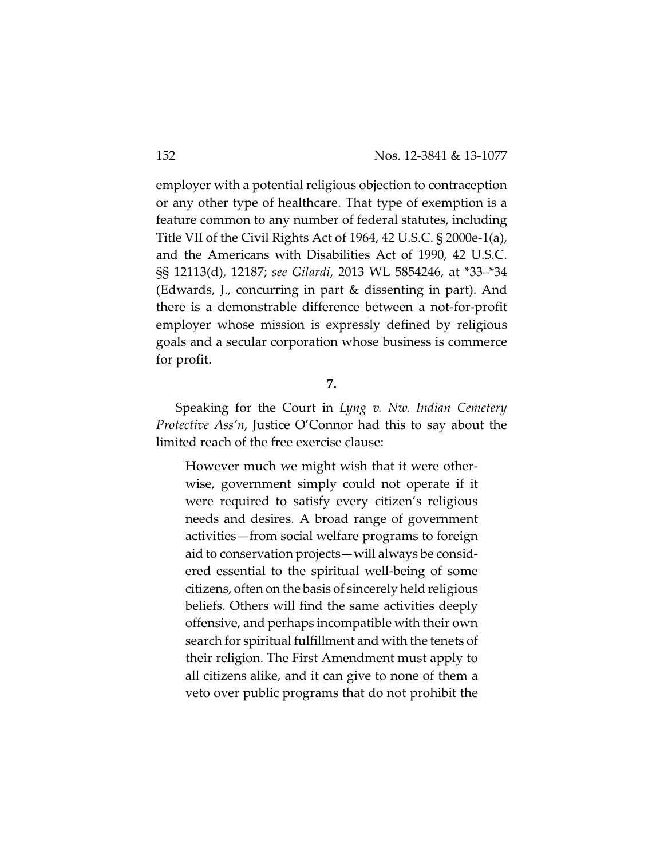employer with a potential religious objection to contraception or any other type of healthcare. That type of exemption is a feature common to any number of federal statutes, including Title VII of the Civil Rights Act of 1964, 42 U.S.C. § 2000e-1(a), and the Americans with Disabilities Act of 1990*,* 42 U.S.C. §§ 12113(d), 12187; *see Gilardi*, 2013 WL 5854246, at \*33–\*34 (Edwards, J., concurring in part & dissenting in part). And there is a demonstrable difference between a not-for-profit employer whose mission is expressly defined by religious goals and a secular corporation whose business is commerce for profit.

**7.**

Speaking for the Court in *Lyng v. Nw. Indian Cemetery Protective Ass'n*, Justice O'Connor had this to say about the limited reach of the free exercise clause:

However much we might wish that it were otherwise, government simply could not operate if it were required to satisfy every citizen's religious needs and desires. A broad range of government activities—from social welfare programs to foreign aid to conservation projects—will always be considered essential to the spiritual well-being of some citizens, often on the basis of sincerely held religious beliefs. Others will find the same activities deeply offensive, and perhaps incompatible with their own search for spiritual fulfillment and with the tenets of their religion. The First Amendment must apply to all citizens alike, and it can give to none of them a veto over public programs that do not prohibit the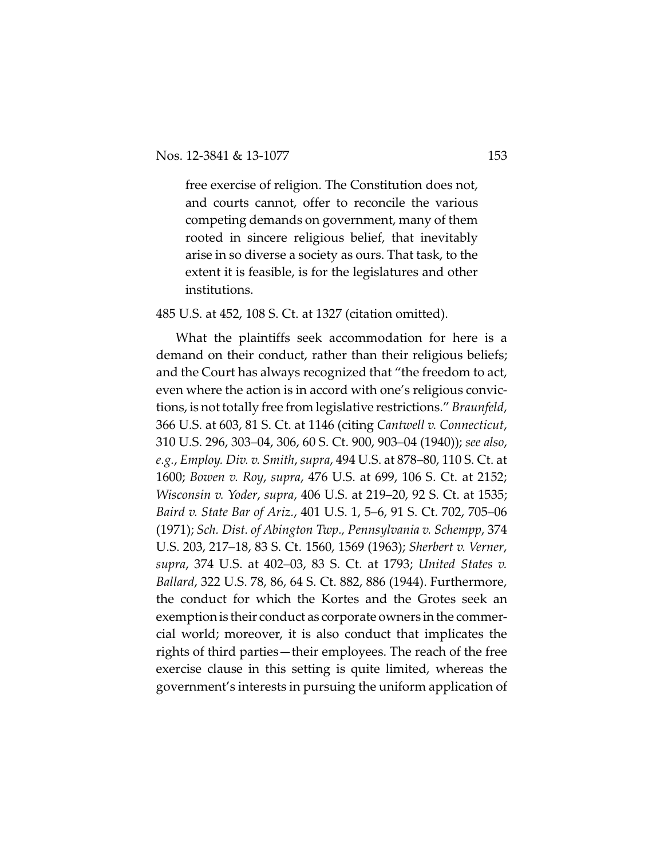free exercise of religion. The Constitution does not, and courts cannot, offer to reconcile the various competing demands on government, many of them rooted in sincere religious belief, that inevitably arise in so diverse a society as ours. That task, to the extent it is feasible, is for the legislatures and other institutions.

485 U.S. at 452, 108 S. Ct. at 1327 (citation omitted).

What the plaintiffs seek accommodation for here is a demand on their conduct, rather than their religious beliefs; and the Court has always recognized that "the freedom to act, even where the action is in accord with one's religious convictions, is not totally free from legislative restrictions." *Braunfeld*, 366 U.S. at 603, 81 S. Ct. at 1146 (citing *Cantwell v. Connecticut*, 310 U.S. 296, 303–04, 306, 60 S. Ct. 900, 903–04 (1940)); *see also*, *e.g.*, *Employ. Div. v. Smith*, *supra*, 494 U.S. at 878–80, 110 S. Ct. at 1600; *Bowen v. Roy*, *supra*, 476 U.S. at 699, 106 S. Ct. at 2152; *Wisconsin v. Yoder*, *supra*, 406 U.S. at 219–20, 92 S. Ct. at 1535; *Baird v. State Bar of Ariz.*, 401 U.S. 1, 5–6, 91 S. Ct. 702, 705–06 (1971); *Sch. Dist. of Abington Twp., Pennsylvania v. Schempp*, 374 U.S. 203, 217–18, 83 S. Ct. 1560, 1569 (1963); *Sherbert v. Verner*, *supra*, 374 U.S. at 402–03, 83 S. Ct. at 1793; *United States v. Ballard*, 322 U.S. 78, 86, 64 S. Ct. 882, 886 (1944). Furthermore, the conduct for which the Kortes and the Grotes seek an exemption is their conduct as corporate owners in the commercial world; moreover, it is also conduct that implicates the rights of third parties—their employees. The reach of the free exercise clause in this setting is quite limited, whereas the government's interests in pursuing the uniform application of